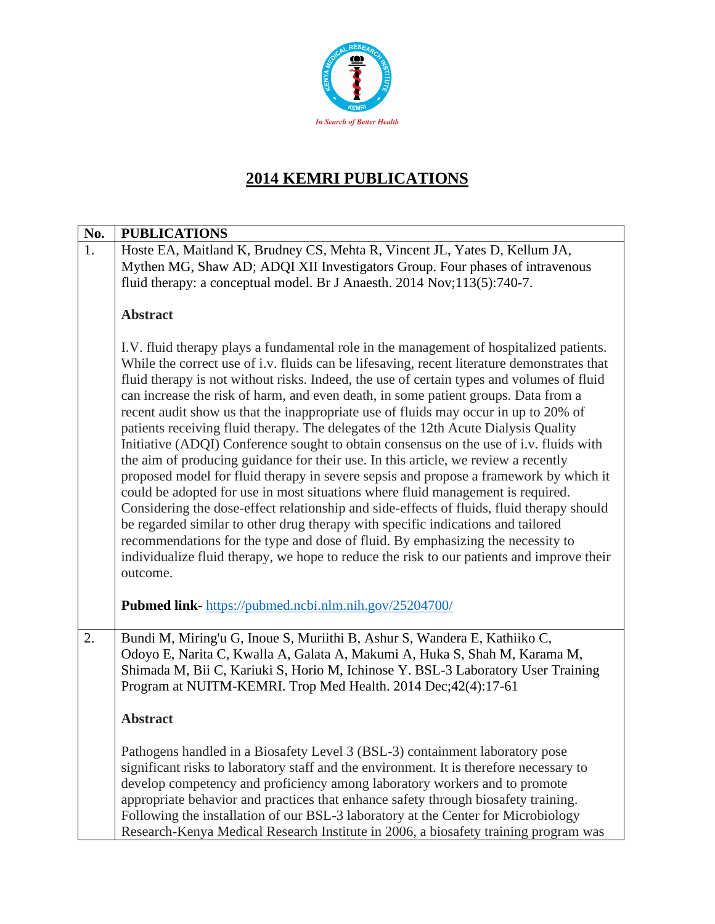

# **2014 KEMRI PUBLICATIONS**

| No. | <b>PUBLICATIONS</b>                                                                                                                                                                                                                                                                                                                                                                                                                                                                                                                                                                                                                                                                                                                                                                                                                                                                                                                                                                                                                                                                                                                                                                                                                                                                             |
|-----|-------------------------------------------------------------------------------------------------------------------------------------------------------------------------------------------------------------------------------------------------------------------------------------------------------------------------------------------------------------------------------------------------------------------------------------------------------------------------------------------------------------------------------------------------------------------------------------------------------------------------------------------------------------------------------------------------------------------------------------------------------------------------------------------------------------------------------------------------------------------------------------------------------------------------------------------------------------------------------------------------------------------------------------------------------------------------------------------------------------------------------------------------------------------------------------------------------------------------------------------------------------------------------------------------|
| 1.  | Hoste EA, Maitland K, Brudney CS, Mehta R, Vincent JL, Yates D, Kellum JA,<br>Mythen MG, Shaw AD; ADQI XII Investigators Group. Four phases of intravenous<br>fluid therapy: a conceptual model. Br J Anaesth. 2014 Nov;113(5):740-7.                                                                                                                                                                                                                                                                                                                                                                                                                                                                                                                                                                                                                                                                                                                                                                                                                                                                                                                                                                                                                                                           |
|     | <b>Abstract</b>                                                                                                                                                                                                                                                                                                                                                                                                                                                                                                                                                                                                                                                                                                                                                                                                                                                                                                                                                                                                                                                                                                                                                                                                                                                                                 |
|     | I.V. fluid therapy plays a fundamental role in the management of hospitalized patients.<br>While the correct use of i.v. fluids can be lifesaving, recent literature demonstrates that<br>fluid therapy is not without risks. Indeed, the use of certain types and volumes of fluid<br>can increase the risk of harm, and even death, in some patient groups. Data from a<br>recent audit show us that the inappropriate use of fluids may occur in up to 20% of<br>patients receiving fluid therapy. The delegates of the 12th Acute Dialysis Quality<br>Initiative (ADQI) Conference sought to obtain consensus on the use of i.v. fluids with<br>the aim of producing guidance for their use. In this article, we review a recently<br>proposed model for fluid therapy in severe sepsis and propose a framework by which it<br>could be adopted for use in most situations where fluid management is required.<br>Considering the dose-effect relationship and side-effects of fluids, fluid therapy should<br>be regarded similar to other drug therapy with specific indications and tailored<br>recommendations for the type and dose of fluid. By emphasizing the necessity to<br>individualize fluid therapy, we hope to reduce the risk to our patients and improve their<br>outcome. |
|     | Pubmed link-https://pubmed.ncbi.nlm.nih.gov/25204700/                                                                                                                                                                                                                                                                                                                                                                                                                                                                                                                                                                                                                                                                                                                                                                                                                                                                                                                                                                                                                                                                                                                                                                                                                                           |
| 2.  | Bundi M, Miring'u G, Inoue S, Muriithi B, Ashur S, Wandera E, Kathiiko C,<br>Odoyo E, Narita C, Kwalla A, Galata A, Makumi A, Huka S, Shah M, Karama M,<br>Shimada M, Bii C, Kariuki S, Horio M, Ichinose Y. BSL-3 Laboratory User Training<br>Program at NUITM-KEMRI. Trop Med Health. 2014 Dec;42(4):17-61                                                                                                                                                                                                                                                                                                                                                                                                                                                                                                                                                                                                                                                                                                                                                                                                                                                                                                                                                                                    |
|     | <b>Abstract</b>                                                                                                                                                                                                                                                                                                                                                                                                                                                                                                                                                                                                                                                                                                                                                                                                                                                                                                                                                                                                                                                                                                                                                                                                                                                                                 |
|     | Pathogens handled in a Biosafety Level 3 (BSL-3) containment laboratory pose<br>significant risks to laboratory staff and the environment. It is therefore necessary to<br>develop competency and proficiency among laboratory workers and to promote<br>appropriate behavior and practices that enhance safety through biosafety training.<br>Following the installation of our BSL-3 laboratory at the Center for Microbiology<br>Research-Kenya Medical Research Institute in 2006, a biosafety training program was                                                                                                                                                                                                                                                                                                                                                                                                                                                                                                                                                                                                                                                                                                                                                                         |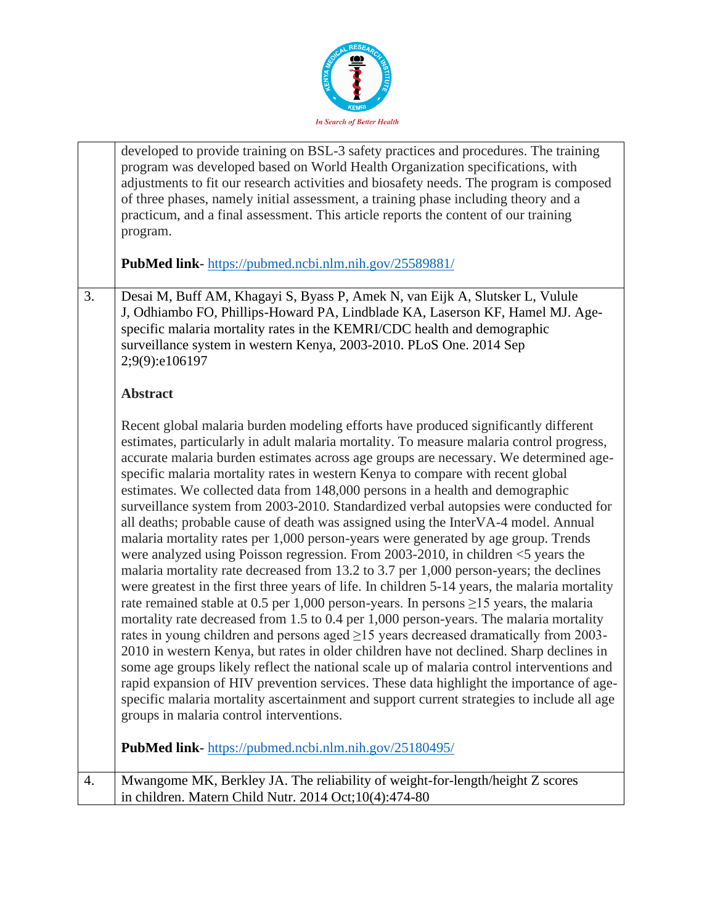

|    | developed to provide training on BSL-3 safety practices and procedures. The training<br>program was developed based on World Health Organization specifications, with<br>adjustments to fit our research activities and biosafety needs. The program is composed<br>of three phases, namely initial assessment, a training phase including theory and a<br>practicum, and a final assessment. This article reports the content of our training<br>program.                                                                                                                                                                                                                                                                                                                                                                                                                                                                                                                                                                                                                                                                                                                                                                                                                                                                                                                                                                                                                                                                                                                                                                                                                                                              |
|----|-------------------------------------------------------------------------------------------------------------------------------------------------------------------------------------------------------------------------------------------------------------------------------------------------------------------------------------------------------------------------------------------------------------------------------------------------------------------------------------------------------------------------------------------------------------------------------------------------------------------------------------------------------------------------------------------------------------------------------------------------------------------------------------------------------------------------------------------------------------------------------------------------------------------------------------------------------------------------------------------------------------------------------------------------------------------------------------------------------------------------------------------------------------------------------------------------------------------------------------------------------------------------------------------------------------------------------------------------------------------------------------------------------------------------------------------------------------------------------------------------------------------------------------------------------------------------------------------------------------------------------------------------------------------------------------------------------------------------|
|    | PubMed link-https://pubmed.ncbi.nlm.nih.gov/25589881/                                                                                                                                                                                                                                                                                                                                                                                                                                                                                                                                                                                                                                                                                                                                                                                                                                                                                                                                                                                                                                                                                                                                                                                                                                                                                                                                                                                                                                                                                                                                                                                                                                                                   |
| 3. | Desai M, Buff AM, Khagayi S, Byass P, Amek N, van Eijk A, Slutsker L, Vulule<br>J, Odhiambo FO, Phillips-Howard PA, Lindblade KA, Laserson KF, Hamel MJ. Age-<br>specific malaria mortality rates in the KEMRI/CDC health and demographic<br>surveillance system in western Kenya, 2003-2010. PLoS One. 2014 Sep<br>2;9(9):e106197                                                                                                                                                                                                                                                                                                                                                                                                                                                                                                                                                                                                                                                                                                                                                                                                                                                                                                                                                                                                                                                                                                                                                                                                                                                                                                                                                                                      |
|    | <b>Abstract</b>                                                                                                                                                                                                                                                                                                                                                                                                                                                                                                                                                                                                                                                                                                                                                                                                                                                                                                                                                                                                                                                                                                                                                                                                                                                                                                                                                                                                                                                                                                                                                                                                                                                                                                         |
|    | Recent global malaria burden modeling efforts have produced significantly different<br>estimates, particularly in adult malaria mortality. To measure malaria control progress,<br>accurate malaria burden estimates across age groups are necessary. We determined age-<br>specific malaria mortality rates in western Kenya to compare with recent global<br>estimates. We collected data from 148,000 persons in a health and demographic<br>surveillance system from 2003-2010. Standardized verbal autopsies were conducted for<br>all deaths; probable cause of death was assigned using the InterVA-4 model. Annual<br>malaria mortality rates per 1,000 person-years were generated by age group. Trends<br>were analyzed using Poisson regression. From 2003-2010, in children $\leq$ years the<br>malaria mortality rate decreased from 13.2 to 3.7 per 1,000 person-years; the declines<br>were greatest in the first three years of life. In children 5-14 years, the malaria mortality<br>rate remained stable at 0.5 per 1,000 person-years. In persons $\geq$ 15 years, the malaria<br>mortality rate decreased from 1.5 to 0.4 per 1,000 person-years. The malaria mortality<br>rates in young children and persons aged $\geq$ 15 years decreased dramatically from 2003-<br>2010 in western Kenya, but rates in older children have not declined. Sharp declines in<br>some age groups likely reflect the national scale up of malaria control interventions and<br>rapid expansion of HIV prevention services. These data highlight the importance of age-<br>specific malaria mortality ascertainment and support current strategies to include all age<br>groups in malaria control interventions. |
|    | <b>PubMed link-</b> https://pubmed.ncbi.nlm.nih.gov/25180495/                                                                                                                                                                                                                                                                                                                                                                                                                                                                                                                                                                                                                                                                                                                                                                                                                                                                                                                                                                                                                                                                                                                                                                                                                                                                                                                                                                                                                                                                                                                                                                                                                                                           |
| 4. | Mwangome MK, Berkley JA. The reliability of weight-for-length/height Z scores<br>in children. Matern Child Nutr. 2014 Oct; 10(4): 474-80                                                                                                                                                                                                                                                                                                                                                                                                                                                                                                                                                                                                                                                                                                                                                                                                                                                                                                                                                                                                                                                                                                                                                                                                                                                                                                                                                                                                                                                                                                                                                                                |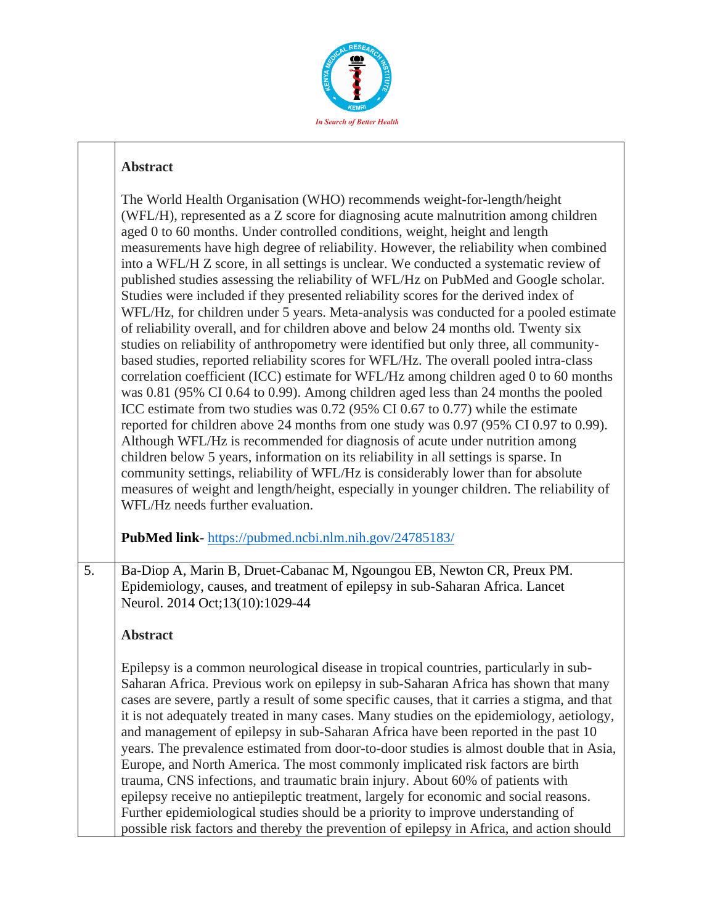

#### **Abstract**

|    | The World Health Organisation (WHO) recommends weight-for-length/height<br>(WFL/H), represented as a Z score for diagnosing acute malnutrition among children<br>aged 0 to 60 months. Under controlled conditions, weight, height and length<br>measurements have high degree of reliability. However, the reliability when combined<br>into a WFL/H Z score, in all settings is unclear. We conducted a systematic review of<br>published studies assessing the reliability of WFL/Hz on PubMed and Google scholar.<br>Studies were included if they presented reliability scores for the derived index of<br>WFL/Hz, for children under 5 years. Meta-analysis was conducted for a pooled estimate<br>of reliability overall, and for children above and below 24 months old. Twenty six<br>studies on reliability of anthropometry were identified but only three, all community-<br>based studies, reported reliability scores for WFL/Hz. The overall pooled intra-class<br>correlation coefficient (ICC) estimate for WFL/Hz among children aged 0 to 60 months<br>was 0.81 (95% CI 0.64 to 0.99). Among children aged less than 24 months the pooled<br>ICC estimate from two studies was 0.72 (95% CI 0.67 to 0.77) while the estimate<br>reported for children above 24 months from one study was 0.97 (95% CI 0.97 to 0.99).<br>Although WFL/Hz is recommended for diagnosis of acute under nutrition among<br>children below 5 years, information on its reliability in all settings is sparse. In<br>community settings, reliability of WFL/Hz is considerably lower than for absolute<br>measures of weight and length/height, especially in younger children. The reliability of<br>WFL/Hz needs further evaluation. |
|----|------------------------------------------------------------------------------------------------------------------------------------------------------------------------------------------------------------------------------------------------------------------------------------------------------------------------------------------------------------------------------------------------------------------------------------------------------------------------------------------------------------------------------------------------------------------------------------------------------------------------------------------------------------------------------------------------------------------------------------------------------------------------------------------------------------------------------------------------------------------------------------------------------------------------------------------------------------------------------------------------------------------------------------------------------------------------------------------------------------------------------------------------------------------------------------------------------------------------------------------------------------------------------------------------------------------------------------------------------------------------------------------------------------------------------------------------------------------------------------------------------------------------------------------------------------------------------------------------------------------------------------------------------------------------------------------------------------------------------------|
|    | PubMed link-https://pubmed.ncbi.nlm.nih.gov/24785183/                                                                                                                                                                                                                                                                                                                                                                                                                                                                                                                                                                                                                                                                                                                                                                                                                                                                                                                                                                                                                                                                                                                                                                                                                                                                                                                                                                                                                                                                                                                                                                                                                                                                              |
| 5. | Ba-Diop A, Marin B, Druet-Cabanac M, Ngoungou EB, Newton CR, Preux PM.<br>Epidemiology, causes, and treatment of epilepsy in sub-Saharan Africa. Lancet<br>Neurol. 2014 Oct;13(10):1029-44<br><b>Abstract</b>                                                                                                                                                                                                                                                                                                                                                                                                                                                                                                                                                                                                                                                                                                                                                                                                                                                                                                                                                                                                                                                                                                                                                                                                                                                                                                                                                                                                                                                                                                                      |
|    | Epilepsy is a common neurological disease in tropical countries, particularly in sub-<br>Saharan Africa. Previous work on epilepsy in sub-Saharan Africa has shown that many<br>cases are severe, partly a result of some specific causes, that it carries a stigma, and that<br>it is not adequately treated in many cases. Many studies on the epidemiology, aetiology,<br>and management of epilepsy in sub-Saharan Africa have been reported in the past 10<br>years. The prevalence estimated from door-to-door studies is almost double that in Asia,<br>Europe, and North America. The most commonly implicated risk factors are birth<br>trauma, CNS infections, and traumatic brain injury. About 60% of patients with<br>epilepsy receive no antiepileptic treatment, largely for economic and social reasons.<br>Further epidemiological studies should be a priority to improve understanding of                                                                                                                                                                                                                                                                                                                                                                                                                                                                                                                                                                                                                                                                                                                                                                                                                       |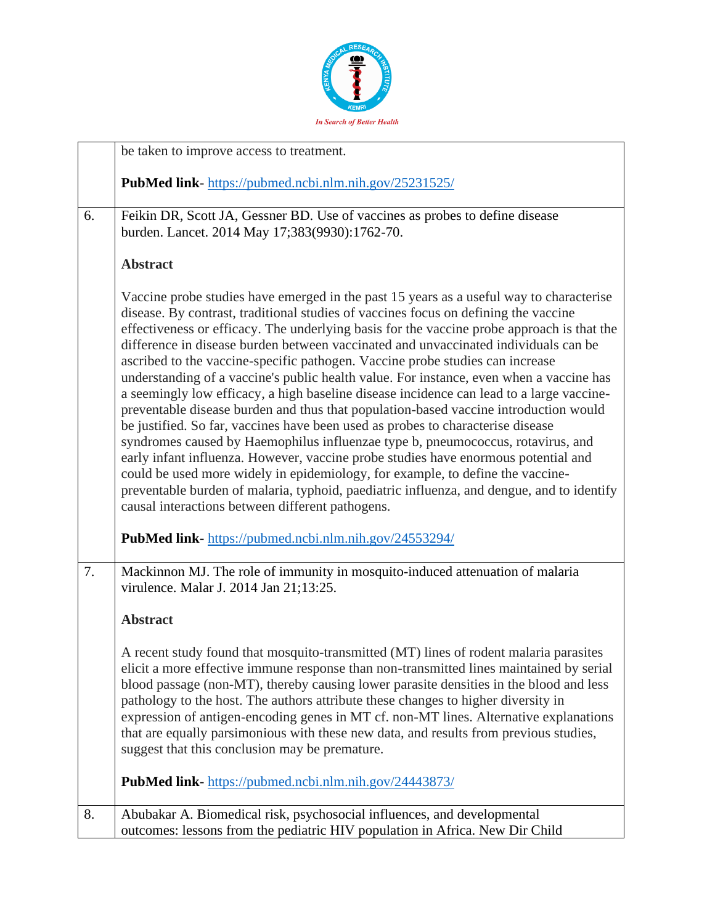

|    | be taken to improve access to treatment.                                                                                                                                                                                                                                                                                                                                                                                                                                                                                                                                                                                                                                                                                                                                                                                                                                                                                                                                                                                                                                                                                                                                                                                           |
|----|------------------------------------------------------------------------------------------------------------------------------------------------------------------------------------------------------------------------------------------------------------------------------------------------------------------------------------------------------------------------------------------------------------------------------------------------------------------------------------------------------------------------------------------------------------------------------------------------------------------------------------------------------------------------------------------------------------------------------------------------------------------------------------------------------------------------------------------------------------------------------------------------------------------------------------------------------------------------------------------------------------------------------------------------------------------------------------------------------------------------------------------------------------------------------------------------------------------------------------|
|    | PubMed link-https://pubmed.ncbi.nlm.nih.gov/25231525/                                                                                                                                                                                                                                                                                                                                                                                                                                                                                                                                                                                                                                                                                                                                                                                                                                                                                                                                                                                                                                                                                                                                                                              |
| 6. | Feikin DR, Scott JA, Gessner BD. Use of vaccines as probes to define disease<br>burden. Lancet. 2014 May 17;383(9930):1762-70.                                                                                                                                                                                                                                                                                                                                                                                                                                                                                                                                                                                                                                                                                                                                                                                                                                                                                                                                                                                                                                                                                                     |
|    | <b>Abstract</b>                                                                                                                                                                                                                                                                                                                                                                                                                                                                                                                                                                                                                                                                                                                                                                                                                                                                                                                                                                                                                                                                                                                                                                                                                    |
|    | Vaccine probe studies have emerged in the past 15 years as a useful way to characterise<br>disease. By contrast, traditional studies of vaccines focus on defining the vaccine<br>effectiveness or efficacy. The underlying basis for the vaccine probe approach is that the<br>difference in disease burden between vaccinated and unvaccinated individuals can be<br>ascribed to the vaccine-specific pathogen. Vaccine probe studies can increase<br>understanding of a vaccine's public health value. For instance, even when a vaccine has<br>a seemingly low efficacy, a high baseline disease incidence can lead to a large vaccine-<br>preventable disease burden and thus that population-based vaccine introduction would<br>be justified. So far, vaccines have been used as probes to characterise disease<br>syndromes caused by Haemophilus influenzae type b, pneumococcus, rotavirus, and<br>early infant influenza. However, vaccine probe studies have enormous potential and<br>could be used more widely in epidemiology, for example, to define the vaccine-<br>preventable burden of malaria, typhoid, paediatric influenza, and dengue, and to identify<br>causal interactions between different pathogens. |
|    | PubMed link-https://pubmed.ncbi.nlm.nih.gov/24553294/                                                                                                                                                                                                                                                                                                                                                                                                                                                                                                                                                                                                                                                                                                                                                                                                                                                                                                                                                                                                                                                                                                                                                                              |
| 7. | Mackinnon MJ. The role of immunity in mosquito-induced attenuation of malaria<br>virulence. Malar J. 2014 Jan 21;13:25.                                                                                                                                                                                                                                                                                                                                                                                                                                                                                                                                                                                                                                                                                                                                                                                                                                                                                                                                                                                                                                                                                                            |
|    | <b>Abstract</b>                                                                                                                                                                                                                                                                                                                                                                                                                                                                                                                                                                                                                                                                                                                                                                                                                                                                                                                                                                                                                                                                                                                                                                                                                    |
|    | A recent study found that mosquito-transmitted (MT) lines of rodent malaria parasites<br>elicit a more effective immune response than non-transmitted lines maintained by serial<br>blood passage (non-MT), thereby causing lower parasite densities in the blood and less<br>pathology to the host. The authors attribute these changes to higher diversity in<br>expression of antigen-encoding genes in MT cf. non-MT lines. Alternative explanations<br>that are equally parsimonious with these new data, and results from previous studies,<br>suggest that this conclusion may be premature.                                                                                                                                                                                                                                                                                                                                                                                                                                                                                                                                                                                                                                |
|    | <b>PubMed link-</b> https://pubmed.ncbi.nlm.nih.gov/24443873/                                                                                                                                                                                                                                                                                                                                                                                                                                                                                                                                                                                                                                                                                                                                                                                                                                                                                                                                                                                                                                                                                                                                                                      |
| 8. | Abubakar A. Biomedical risk, psychosocial influences, and developmental<br>outcomes: lessons from the pediatric HIV population in Africa. New Dir Child                                                                                                                                                                                                                                                                                                                                                                                                                                                                                                                                                                                                                                                                                                                                                                                                                                                                                                                                                                                                                                                                            |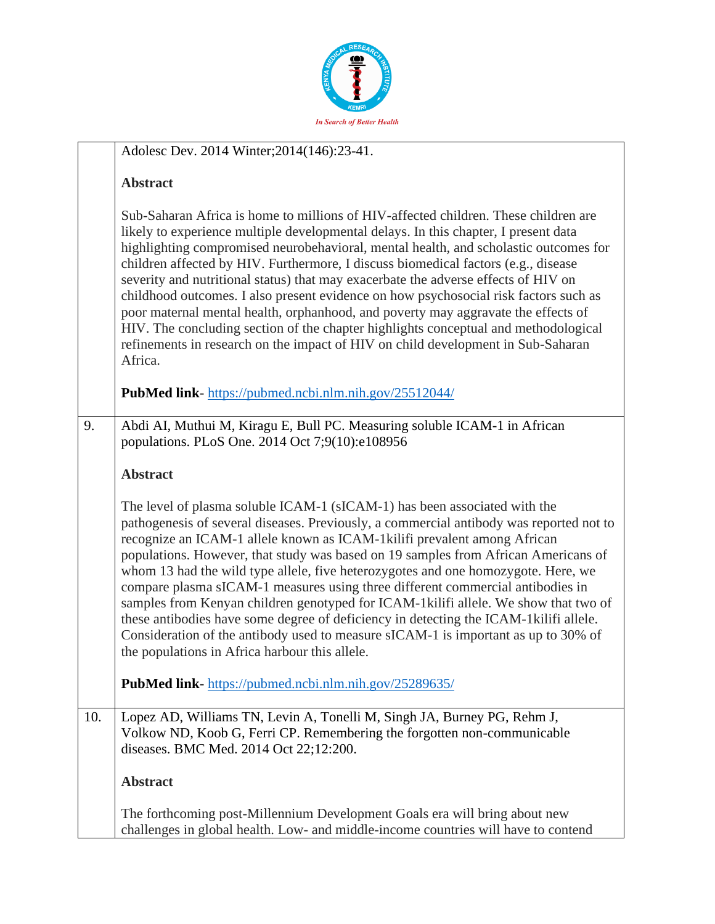

|     | Adolesc Dev. 2014 Winter; 2014(146): 23-41.                                                                                                                                                                                                                                                                                                                                                                                                                                                                                                                                                                                                                                                                                                                                                                                                                                |
|-----|----------------------------------------------------------------------------------------------------------------------------------------------------------------------------------------------------------------------------------------------------------------------------------------------------------------------------------------------------------------------------------------------------------------------------------------------------------------------------------------------------------------------------------------------------------------------------------------------------------------------------------------------------------------------------------------------------------------------------------------------------------------------------------------------------------------------------------------------------------------------------|
|     | <b>Abstract</b>                                                                                                                                                                                                                                                                                                                                                                                                                                                                                                                                                                                                                                                                                                                                                                                                                                                            |
|     | Sub-Saharan Africa is home to millions of HIV-affected children. These children are<br>likely to experience multiple developmental delays. In this chapter, I present data<br>highlighting compromised neurobehavioral, mental health, and scholastic outcomes for<br>children affected by HIV. Furthermore, I discuss biomedical factors (e.g., disease<br>severity and nutritional status) that may exacerbate the adverse effects of HIV on<br>childhood outcomes. I also present evidence on how psychosocial risk factors such as<br>poor maternal mental health, orphanhood, and poverty may aggravate the effects of<br>HIV. The concluding section of the chapter highlights conceptual and methodological<br>refinements in research on the impact of HIV on child development in Sub-Saharan<br>Africa.<br>PubMed link-https://pubmed.ncbi.nlm.nih.gov/25512044/ |
|     |                                                                                                                                                                                                                                                                                                                                                                                                                                                                                                                                                                                                                                                                                                                                                                                                                                                                            |
| 9.  | Abdi AI, Muthui M, Kiragu E, Bull PC. Measuring soluble ICAM-1 in African<br>populations. PLoS One. 2014 Oct 7;9(10):e108956                                                                                                                                                                                                                                                                                                                                                                                                                                                                                                                                                                                                                                                                                                                                               |
|     |                                                                                                                                                                                                                                                                                                                                                                                                                                                                                                                                                                                                                                                                                                                                                                                                                                                                            |
|     | <b>Abstract</b>                                                                                                                                                                                                                                                                                                                                                                                                                                                                                                                                                                                                                                                                                                                                                                                                                                                            |
|     | The level of plasma soluble ICAM-1 (sICAM-1) has been associated with the<br>pathogenesis of several diseases. Previously, a commercial antibody was reported not to<br>recognize an ICAM-1 allele known as ICAM-1 kilifi prevalent among African<br>populations. However, that study was based on 19 samples from African Americans of<br>whom 13 had the wild type allele, five heterozygotes and one homozygote. Here, we<br>compare plasma sICAM-1 measures using three different commercial antibodies in<br>samples from Kenyan children genotyped for ICAM-1kilifi allele. We show that two of<br>these antibodies have some degree of deficiency in detecting the ICAM-1kilifi allele.<br>Consideration of the antibody used to measure sICAM-1 is important as up to 30% of<br>the populations in Africa harbour this allele.                                     |
|     | PubMed link-https://pubmed.ncbi.nlm.nih.gov/25289635/                                                                                                                                                                                                                                                                                                                                                                                                                                                                                                                                                                                                                                                                                                                                                                                                                      |
| 10. | Lopez AD, Williams TN, Levin A, Tonelli M, Singh JA, Burney PG, Rehm J,<br>Volkow ND, Koob G, Ferri CP. Remembering the forgotten non-communicable<br>diseases. BMC Med. 2014 Oct 22;12:200.                                                                                                                                                                                                                                                                                                                                                                                                                                                                                                                                                                                                                                                                               |
|     | <b>Abstract</b>                                                                                                                                                                                                                                                                                                                                                                                                                                                                                                                                                                                                                                                                                                                                                                                                                                                            |
|     | The forthcoming post-Millennium Development Goals era will bring about new<br>challenges in global health. Low- and middle-income countries will have to contend                                                                                                                                                                                                                                                                                                                                                                                                                                                                                                                                                                                                                                                                                                           |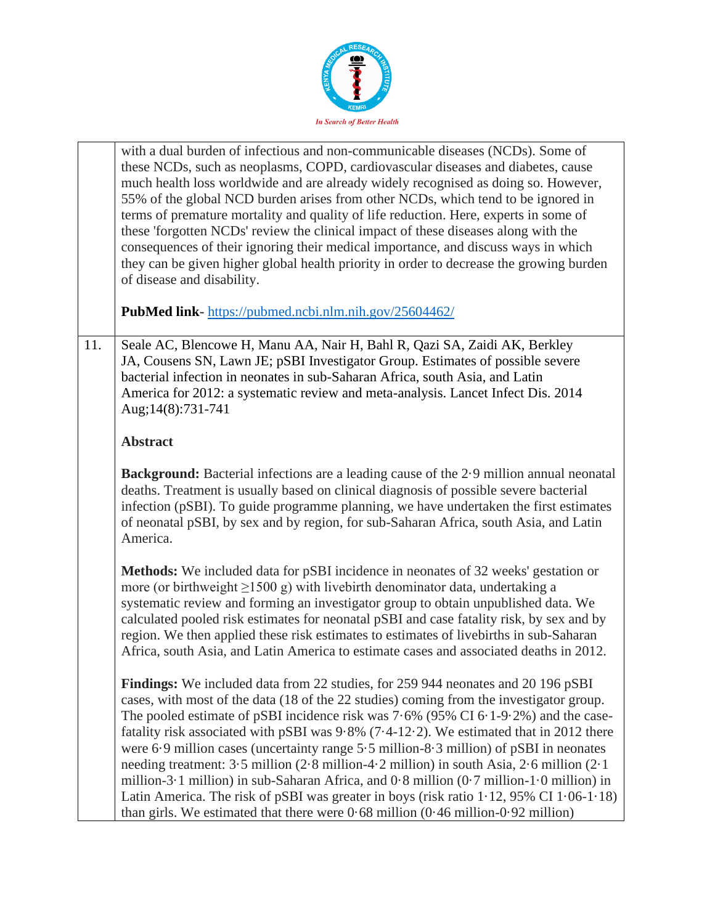

|     | with a dual burden of infectious and non-communicable diseases (NCDs). Some of<br>these NCDs, such as neoplasms, COPD, cardiovascular diseases and diabetes, cause<br>much health loss worldwide and are already widely recognised as doing so. However,<br>55% of the global NCD burden arises from other NCDs, which tend to be ignored in<br>terms of premature mortality and quality of life reduction. Here, experts in some of<br>these 'forgotten NCDs' review the clinical impact of these diseases along with the<br>consequences of their ignoring their medical importance, and discuss ways in which<br>they can be given higher global health priority in order to decrease the growing burden<br>of disease and disability.<br>PubMed link-https://pubmed.ncbi.nlm.nih.gov/25604462/                                                                                             |
|-----|------------------------------------------------------------------------------------------------------------------------------------------------------------------------------------------------------------------------------------------------------------------------------------------------------------------------------------------------------------------------------------------------------------------------------------------------------------------------------------------------------------------------------------------------------------------------------------------------------------------------------------------------------------------------------------------------------------------------------------------------------------------------------------------------------------------------------------------------------------------------------------------------|
|     |                                                                                                                                                                                                                                                                                                                                                                                                                                                                                                                                                                                                                                                                                                                                                                                                                                                                                                |
| 11. | Seale AC, Blencowe H, Manu AA, Nair H, Bahl R, Qazi SA, Zaidi AK, Berkley<br>JA, Cousens SN, Lawn JE; pSBI Investigator Group. Estimates of possible severe<br>bacterial infection in neonates in sub-Saharan Africa, south Asia, and Latin<br>America for 2012: a systematic review and meta-analysis. Lancet Infect Dis. 2014<br>Aug;14(8):731-741                                                                                                                                                                                                                                                                                                                                                                                                                                                                                                                                           |
|     | <b>Abstract</b>                                                                                                                                                                                                                                                                                                                                                                                                                                                                                                                                                                                                                                                                                                                                                                                                                                                                                |
|     | <b>Background:</b> Bacterial infections are a leading cause of the 2.9 million annual neonatal<br>deaths. Treatment is usually based on clinical diagnosis of possible severe bacterial<br>infection (pSBI). To guide programme planning, we have undertaken the first estimates<br>of neonatal pSBI, by sex and by region, for sub-Saharan Africa, south Asia, and Latin<br>America.                                                                                                                                                                                                                                                                                                                                                                                                                                                                                                          |
|     | <b>Methods:</b> We included data for pSBI incidence in neonates of 32 weeks' gestation or<br>more (or birthweight $\geq$ 1500 g) with livebirth denominator data, undertaking a<br>systematic review and forming an investigator group to obtain unpublished data. We<br>calculated pooled risk estimates for neonatal pSBI and case fatality risk, by sex and by<br>region. We then applied these risk estimates to estimates of livebirths in sub-Saharan<br>Africa, south Asia, and Latin America to estimate cases and associated deaths in 2012.                                                                                                                                                                                                                                                                                                                                          |
|     | <b>Findings:</b> We included data from 22 studies, for 259 944 neonates and 20 196 pSBI<br>cases, with most of the data (18 of the 22 studies) coming from the investigator group.<br>The pooled estimate of pSBI incidence risk was $7.6\%$ (95% CI 6.1-9.2%) and the case-<br>fatality risk associated with pSBI was 9.8% (7.4-12.2). We estimated that in 2012 there<br>were $6.9$ million cases (uncertainty range $5.5$ million- $8.3$ million) of pSBI in neonates<br>needing treatment: 3.5 million (2.8 million-4.2 million) in south Asia, 2.6 million (2.1)<br>million-3 $\cdot$ 1 million) in sub-Saharan Africa, and 0 $\cdot$ 8 million (0 $\cdot$ 7 million-1 $\cdot$ 0 million) in<br>Latin America. The risk of pSBI was greater in boys (risk ratio $1.12$ , 95% CI $1.06-1.18$ )<br>than girls. We estimated that there were $0.68$ million $(0.46$ million- $0.92$ million) |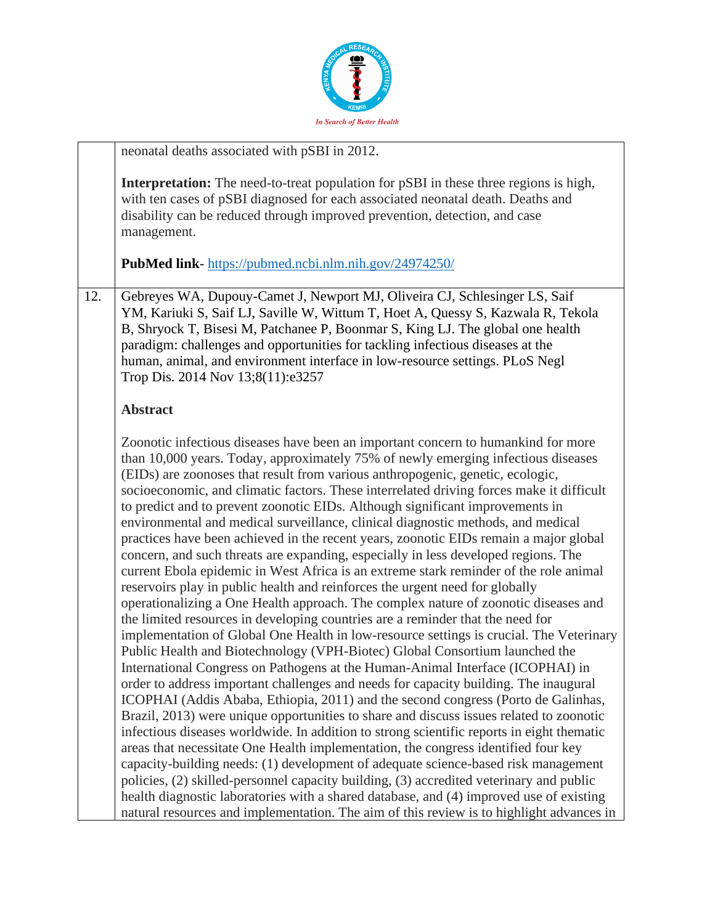

|     | neonatal deaths associated with pSBI in 2012.                                                                                                                                                                                                                                                                                                                                                                                                                                                                                                                                                                                                                                                                                                                                                                                                                                                                                                                                                                                                                                                                                                                                                                                                                                                                                                                                                                                                                                                                                                                                                                                                                                                                                                                                                                                                                                                                                                                                                                                                                                                                                                             |
|-----|-----------------------------------------------------------------------------------------------------------------------------------------------------------------------------------------------------------------------------------------------------------------------------------------------------------------------------------------------------------------------------------------------------------------------------------------------------------------------------------------------------------------------------------------------------------------------------------------------------------------------------------------------------------------------------------------------------------------------------------------------------------------------------------------------------------------------------------------------------------------------------------------------------------------------------------------------------------------------------------------------------------------------------------------------------------------------------------------------------------------------------------------------------------------------------------------------------------------------------------------------------------------------------------------------------------------------------------------------------------------------------------------------------------------------------------------------------------------------------------------------------------------------------------------------------------------------------------------------------------------------------------------------------------------------------------------------------------------------------------------------------------------------------------------------------------------------------------------------------------------------------------------------------------------------------------------------------------------------------------------------------------------------------------------------------------------------------------------------------------------------------------------------------------|
|     | <b>Interpretation:</b> The need-to-treat population for pSBI in these three regions is high,<br>with ten cases of pSBI diagnosed for each associated neonatal death. Deaths and<br>disability can be reduced through improved prevention, detection, and case<br>management.<br>PubMed link-https://pubmed.ncbi.nlm.nih.gov/24974250/                                                                                                                                                                                                                                                                                                                                                                                                                                                                                                                                                                                                                                                                                                                                                                                                                                                                                                                                                                                                                                                                                                                                                                                                                                                                                                                                                                                                                                                                                                                                                                                                                                                                                                                                                                                                                     |
|     |                                                                                                                                                                                                                                                                                                                                                                                                                                                                                                                                                                                                                                                                                                                                                                                                                                                                                                                                                                                                                                                                                                                                                                                                                                                                                                                                                                                                                                                                                                                                                                                                                                                                                                                                                                                                                                                                                                                                                                                                                                                                                                                                                           |
| 12. | Gebreyes WA, Dupouy-Camet J, Newport MJ, Oliveira CJ, Schlesinger LS, Saif<br>YM, Kariuki S, Saif LJ, Saville W, Wittum T, Hoet A, Quessy S, Kazwala R, Tekola<br>B, Shryock T, Bisesi M, Patchanee P, Boonmar S, King LJ. The global one health<br>paradigm: challenges and opportunities for tackling infectious diseases at the<br>human, animal, and environment interface in low-resource settings. PLoS Negl<br>Trop Dis. 2014 Nov 13;8(11):e3257                                                                                                                                                                                                                                                                                                                                                                                                                                                                                                                                                                                                                                                                                                                                                                                                                                                                                                                                                                                                                                                                                                                                                                                                                                                                                                                                                                                                                                                                                                                                                                                                                                                                                                   |
|     | <b>Abstract</b>                                                                                                                                                                                                                                                                                                                                                                                                                                                                                                                                                                                                                                                                                                                                                                                                                                                                                                                                                                                                                                                                                                                                                                                                                                                                                                                                                                                                                                                                                                                                                                                                                                                                                                                                                                                                                                                                                                                                                                                                                                                                                                                                           |
|     | Zoonotic infectious diseases have been an important concern to humankind for more<br>than 10,000 years. Today, approximately 75% of newly emerging infectious diseases<br>(EIDs) are zoonoses that result from various anthropogenic, genetic, ecologic,<br>socioeconomic, and climatic factors. These interrelated driving forces make it difficult<br>to predict and to prevent zoonotic EIDs. Although significant improvements in<br>environmental and medical surveillance, clinical diagnostic methods, and medical<br>practices have been achieved in the recent years, zoonotic EIDs remain a major global<br>concern, and such threats are expanding, especially in less developed regions. The<br>current Ebola epidemic in West Africa is an extreme stark reminder of the role animal<br>reservoirs play in public health and reinforces the urgent need for globally<br>operationalizing a One Health approach. The complex nature of zoonotic diseases and<br>the limited resources in developing countries are a reminder that the need for<br>implementation of Global One Health in low-resource settings is crucial. The Veterinary<br>Public Health and Biotechnology (VPH-Biotec) Global Consortium launched the<br>International Congress on Pathogens at the Human-Animal Interface (ICOPHAI) in<br>order to address important challenges and needs for capacity building. The inaugural<br>ICOPHAI (Addis Ababa, Ethiopia, 2011) and the second congress (Porto de Galinhas,<br>Brazil, 2013) were unique opportunities to share and discuss issues related to zoonotic<br>infectious diseases worldwide. In addition to strong scientific reports in eight thematic<br>areas that necessitate One Health implementation, the congress identified four key<br>capacity-building needs: (1) development of adequate science-based risk management<br>policies, (2) skilled-personnel capacity building, (3) accredited veterinary and public<br>health diagnostic laboratories with a shared database, and (4) improved use of existing<br>natural resources and implementation. The aim of this review is to highlight advances in |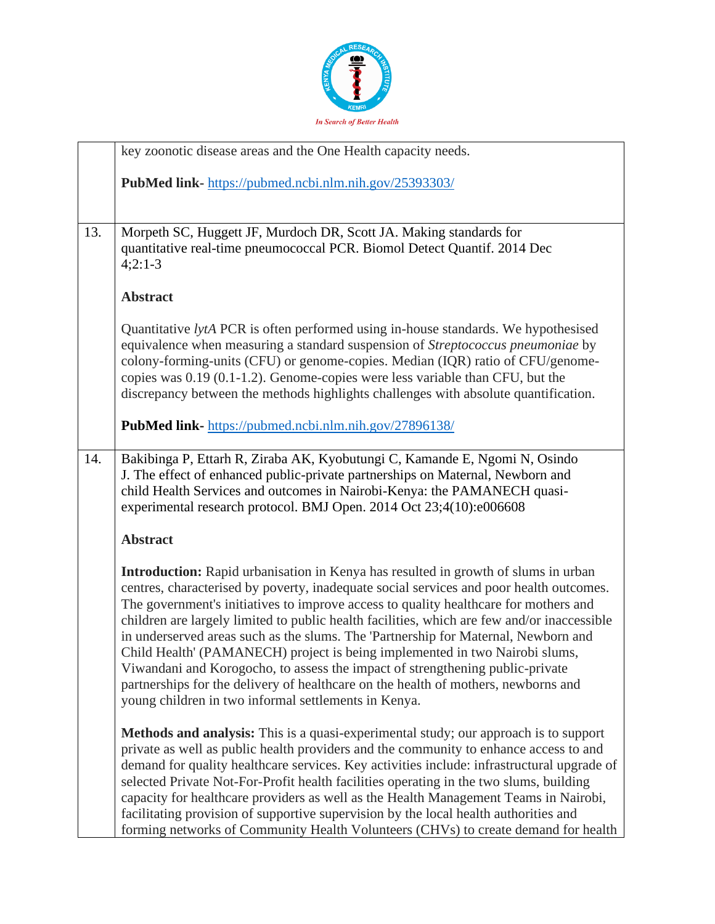

|     | key zoonotic disease areas and the One Health capacity needs.                                                                                                                                                                                                                                                                                                                                                                                                                                                                                                                                                                                                                                                                                                                   |
|-----|---------------------------------------------------------------------------------------------------------------------------------------------------------------------------------------------------------------------------------------------------------------------------------------------------------------------------------------------------------------------------------------------------------------------------------------------------------------------------------------------------------------------------------------------------------------------------------------------------------------------------------------------------------------------------------------------------------------------------------------------------------------------------------|
|     | PubMed link-https://pubmed.ncbi.nlm.nih.gov/25393303/                                                                                                                                                                                                                                                                                                                                                                                                                                                                                                                                                                                                                                                                                                                           |
|     |                                                                                                                                                                                                                                                                                                                                                                                                                                                                                                                                                                                                                                                                                                                                                                                 |
| 13. | Morpeth SC, Huggett JF, Murdoch DR, Scott JA. Making standards for<br>quantitative real-time pneumococcal PCR. Biomol Detect Quantif. 2014 Dec<br>$4;2:1-3$                                                                                                                                                                                                                                                                                                                                                                                                                                                                                                                                                                                                                     |
|     | <b>Abstract</b>                                                                                                                                                                                                                                                                                                                                                                                                                                                                                                                                                                                                                                                                                                                                                                 |
|     | Quantitative lytA PCR is often performed using in-house standards. We hypothesised<br>equivalence when measuring a standard suspension of Streptococcus pneumoniae by<br>colony-forming-units (CFU) or genome-copies. Median (IQR) ratio of CFU/genome-<br>copies was 0.19 (0.1-1.2). Genome-copies were less variable than CFU, but the<br>discrepancy between the methods highlights challenges with absolute quantification.                                                                                                                                                                                                                                                                                                                                                 |
|     | PubMed link-https://pubmed.ncbi.nlm.nih.gov/27896138/                                                                                                                                                                                                                                                                                                                                                                                                                                                                                                                                                                                                                                                                                                                           |
| 14. | Bakibinga P, Ettarh R, Ziraba AK, Kyobutungi C, Kamande E, Ngomi N, Osindo<br>J. The effect of enhanced public-private partnerships on Maternal, Newborn and<br>child Health Services and outcomes in Nairobi-Kenya: the PAMANECH quasi-<br>experimental research protocol. BMJ Open. 2014 Oct 23;4(10):e006608                                                                                                                                                                                                                                                                                                                                                                                                                                                                 |
|     | <b>Abstract</b>                                                                                                                                                                                                                                                                                                                                                                                                                                                                                                                                                                                                                                                                                                                                                                 |
|     | <b>Introduction:</b> Rapid urbanisation in Kenya has resulted in growth of slums in urban<br>centres, characterised by poverty, inadequate social services and poor health outcomes.<br>The government's initiatives to improve access to quality healthcare for mothers and<br>children are largely limited to public health facilities, which are few and/or inaccessible<br>in underserved areas such as the slums. The 'Partnership for Maternal, Newborn and<br>Child Health' (PAMANECH) project is being implemented in two Nairobi slums,<br>Viwandani and Korogocho, to assess the impact of strengthening public-private<br>partnerships for the delivery of healthcare on the health of mothers, newborns and<br>young children in two informal settlements in Kenya. |
|     | <b>Methods and analysis:</b> This is a quasi-experimental study; our approach is to support<br>private as well as public health providers and the community to enhance access to and<br>demand for quality healthcare services. Key activities include: infrastructural upgrade of<br>selected Private Not-For-Profit health facilities operating in the two slums, building<br>capacity for healthcare providers as well as the Health Management Teams in Nairobi,<br>facilitating provision of supportive supervision by the local health authorities and<br>forming networks of Community Health Volunteers (CHVs) to create demand for health                                                                                                                              |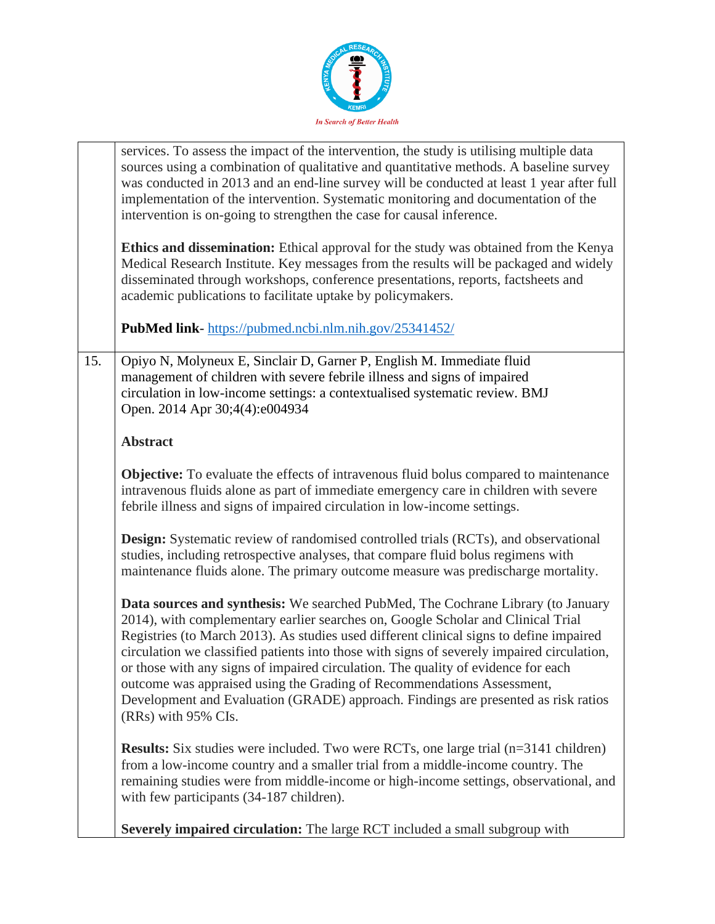

|     | services. To assess the impact of the intervention, the study is utilising multiple data<br>sources using a combination of qualitative and quantitative methods. A baseline survey<br>was conducted in 2013 and an end-line survey will be conducted at least 1 year after full<br>implementation of the intervention. Systematic monitoring and documentation of the<br>intervention is on-going to strengthen the case for causal inference.<br>Ethics and dissemination: Ethical approval for the study was obtained from the Kenya<br>Medical Research Institute. Key messages from the results will be packaged and widely<br>disseminated through workshops, conference presentations, reports, factsheets and<br>academic publications to facilitate uptake by policymakers. |
|-----|-------------------------------------------------------------------------------------------------------------------------------------------------------------------------------------------------------------------------------------------------------------------------------------------------------------------------------------------------------------------------------------------------------------------------------------------------------------------------------------------------------------------------------------------------------------------------------------------------------------------------------------------------------------------------------------------------------------------------------------------------------------------------------------|
|     | <b>PubMed link-</b> https://pubmed.ncbi.nlm.nih.gov/25341452/                                                                                                                                                                                                                                                                                                                                                                                                                                                                                                                                                                                                                                                                                                                       |
| 15. | Opiyo N, Molyneux E, Sinclair D, Garner P, English M. Immediate fluid<br>management of children with severe febrile illness and signs of impaired<br>circulation in low-income settings: a contextualised systematic review. BMJ<br>Open. 2014 Apr 30;4(4):e004934                                                                                                                                                                                                                                                                                                                                                                                                                                                                                                                  |
|     | <b>Abstract</b>                                                                                                                                                                                                                                                                                                                                                                                                                                                                                                                                                                                                                                                                                                                                                                     |
|     | <b>Objective:</b> To evaluate the effects of intravenous fluid bolus compared to maintenance<br>intravenous fluids alone as part of immediate emergency care in children with severe<br>febrile illness and signs of impaired circulation in low-income settings.                                                                                                                                                                                                                                                                                                                                                                                                                                                                                                                   |
|     | <b>Design:</b> Systematic review of randomised controlled trials (RCTs), and observational<br>studies, including retrospective analyses, that compare fluid bolus regimens with<br>maintenance fluids alone. The primary outcome measure was predischarge mortality.                                                                                                                                                                                                                                                                                                                                                                                                                                                                                                                |
|     | Data sources and synthesis: We searched PubMed, The Cochrane Library (to January<br>2014), with complementary earlier searches on, Google Scholar and Clinical Trial<br>Registries (to March 2013). As studies used different clinical signs to define impaired<br>circulation we classified patients into those with signs of severely impaired circulation,<br>or those with any signs of impaired circulation. The quality of evidence for each<br>outcome was appraised using the Grading of Recommendations Assessment,<br>Development and Evaluation (GRADE) approach. Findings are presented as risk ratios<br>(RRs) with 95% CIs.                                                                                                                                           |
|     | <b>Results:</b> Six studies were included. Two were RCTs, one large trial (n=3141 children)<br>from a low-income country and a smaller trial from a middle-income country. The<br>remaining studies were from middle-income or high-income settings, observational, and<br>with few participants (34-187 children).                                                                                                                                                                                                                                                                                                                                                                                                                                                                 |
|     | Severely impaired circulation: The large RCT included a small subgroup with                                                                                                                                                                                                                                                                                                                                                                                                                                                                                                                                                                                                                                                                                                         |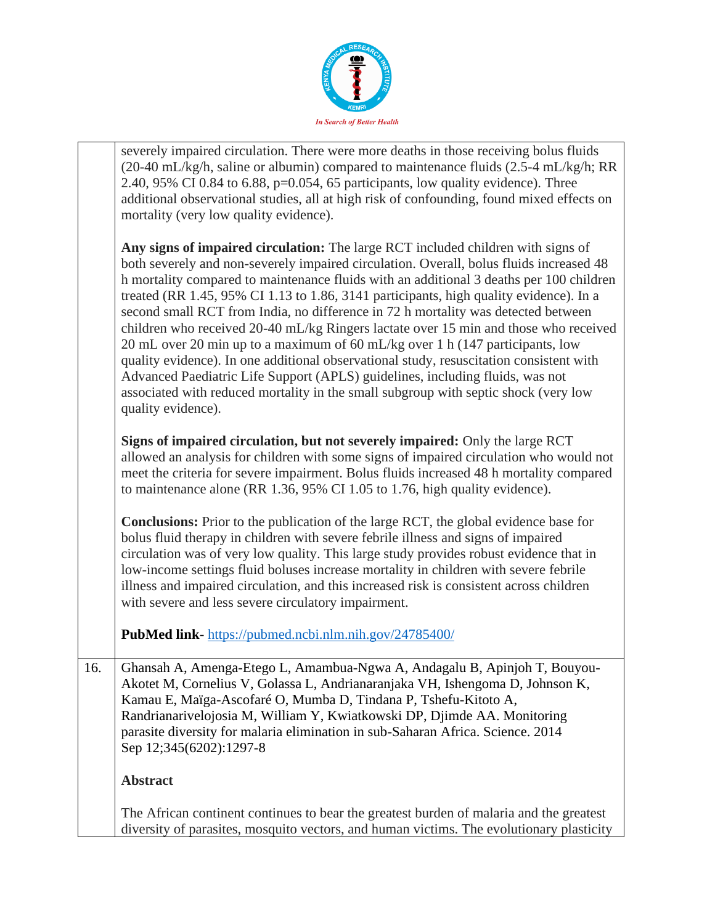

|     | severely impaired circulation. There were more deaths in those receiving bolus fluids<br>(20-40 mL/kg/h, saline or albumin) compared to maintenance fluids (2.5-4 mL/kg/h; RR<br>2.40, 95% CI 0.84 to 6.88, $p=0.054$ , 65 participants, low quality evidence). Three<br>additional observational studies, all at high risk of confounding, found mixed effects on<br>mortality (very low quality evidence).                                                                                                                                                                                                                                                                                                                                                                                                                                                                                                            |
|-----|-------------------------------------------------------------------------------------------------------------------------------------------------------------------------------------------------------------------------------------------------------------------------------------------------------------------------------------------------------------------------------------------------------------------------------------------------------------------------------------------------------------------------------------------------------------------------------------------------------------------------------------------------------------------------------------------------------------------------------------------------------------------------------------------------------------------------------------------------------------------------------------------------------------------------|
|     | Any signs of impaired circulation: The large RCT included children with signs of<br>both severely and non-severely impaired circulation. Overall, bolus fluids increased 48<br>h mortality compared to maintenance fluids with an additional 3 deaths per 100 children<br>treated (RR 1.45, 95% CI 1.13 to 1.86, 3141 participants, high quality evidence). In a<br>second small RCT from India, no difference in 72 h mortality was detected between<br>children who received 20-40 mL/kg Ringers lactate over 15 min and those who received<br>20 mL over 20 min up to a maximum of 60 mL/kg over 1 h (147 participants, low<br>quality evidence). In one additional observational study, resuscitation consistent with<br>Advanced Paediatric Life Support (APLS) guidelines, including fluids, was not<br>associated with reduced mortality in the small subgroup with septic shock (very low<br>quality evidence). |
|     | Signs of impaired circulation, but not severely impaired: Only the large RCT<br>allowed an analysis for children with some signs of impaired circulation who would not<br>meet the criteria for severe impairment. Bolus fluids increased 48 h mortality compared<br>to maintenance alone (RR 1.36, 95% CI 1.05 to 1.76, high quality evidence).                                                                                                                                                                                                                                                                                                                                                                                                                                                                                                                                                                        |
|     | <b>Conclusions:</b> Prior to the publication of the large RCT, the global evidence base for<br>bolus fluid therapy in children with severe febrile illness and signs of impaired<br>circulation was of very low quality. This large study provides robust evidence that in<br>low-income settings fluid boluses increase mortality in children with severe febrile<br>illness and impaired circulation, and this increased risk is consistent across children<br>with severe and less severe circulatory impairment.                                                                                                                                                                                                                                                                                                                                                                                                    |
|     | PubMed link-https://pubmed.ncbi.nlm.nih.gov/24785400/                                                                                                                                                                                                                                                                                                                                                                                                                                                                                                                                                                                                                                                                                                                                                                                                                                                                   |
| 16. | Ghansah A, Amenga-Etego L, Amambua-Ngwa A, Andagalu B, Apinjoh T, Bouyou-<br>Akotet M, Cornelius V, Golassa L, Andrianaranjaka VH, Ishengoma D, Johnson K,<br>Kamau E, Maïga-Ascofaré O, Mumba D, Tindana P, Tshefu-Kitoto A,<br>Randrianarivelojosia M, William Y, Kwiatkowski DP, Djimde AA. Monitoring<br>parasite diversity for malaria elimination in sub-Saharan Africa. Science. 2014<br>Sep 12;345(6202):1297-8                                                                                                                                                                                                                                                                                                                                                                                                                                                                                                 |
|     | <b>Abstract</b>                                                                                                                                                                                                                                                                                                                                                                                                                                                                                                                                                                                                                                                                                                                                                                                                                                                                                                         |
|     | The African continent continues to bear the greatest burden of malaria and the greatest<br>diversity of parasites, mosquito vectors, and human victims. The evolutionary plasticity                                                                                                                                                                                                                                                                                                                                                                                                                                                                                                                                                                                                                                                                                                                                     |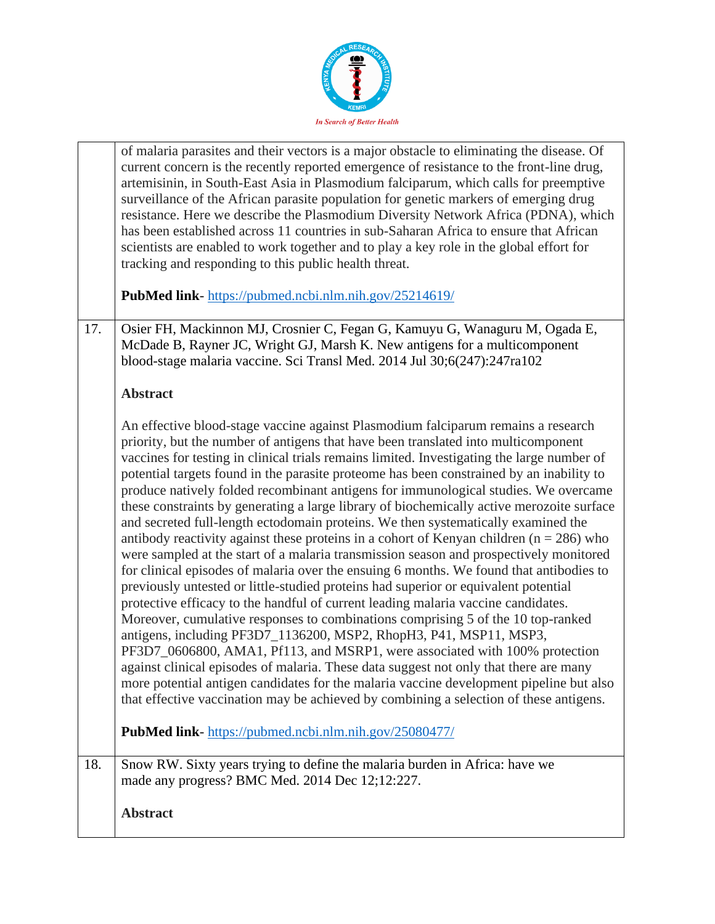

|     | of malaria parasites and their vectors is a major obstacle to eliminating the disease. Of<br>current concern is the recently reported emergence of resistance to the front-line drug,<br>artemisinin, in South-East Asia in Plasmodium falciparum, which calls for preemptive<br>surveillance of the African parasite population for genetic markers of emerging drug<br>resistance. Here we describe the Plasmodium Diversity Network Africa (PDNA), which<br>has been established across 11 countries in sub-Saharan Africa to ensure that African<br>scientists are enabled to work together and to play a key role in the global effort for<br>tracking and responding to this public health threat.                                                                                                                                                                                                                                                                                                                                                                                                                                                                                                                                                                                                                                                                                                                                                                                                                                                                                                                          |
|-----|-----------------------------------------------------------------------------------------------------------------------------------------------------------------------------------------------------------------------------------------------------------------------------------------------------------------------------------------------------------------------------------------------------------------------------------------------------------------------------------------------------------------------------------------------------------------------------------------------------------------------------------------------------------------------------------------------------------------------------------------------------------------------------------------------------------------------------------------------------------------------------------------------------------------------------------------------------------------------------------------------------------------------------------------------------------------------------------------------------------------------------------------------------------------------------------------------------------------------------------------------------------------------------------------------------------------------------------------------------------------------------------------------------------------------------------------------------------------------------------------------------------------------------------------------------------------------------------------------------------------------------------|
|     | PubMed link-https://pubmed.ncbi.nlm.nih.gov/25214619/                                                                                                                                                                                                                                                                                                                                                                                                                                                                                                                                                                                                                                                                                                                                                                                                                                                                                                                                                                                                                                                                                                                                                                                                                                                                                                                                                                                                                                                                                                                                                                             |
| 17. | Osier FH, Mackinnon MJ, Crosnier C, Fegan G, Kamuyu G, Wanaguru M, Ogada E,<br>McDade B, Rayner JC, Wright GJ, Marsh K. New antigens for a multicomponent<br>blood-stage malaria vaccine. Sci Transl Med. 2014 Jul 30;6(247):247ra102                                                                                                                                                                                                                                                                                                                                                                                                                                                                                                                                                                                                                                                                                                                                                                                                                                                                                                                                                                                                                                                                                                                                                                                                                                                                                                                                                                                             |
|     | <b>Abstract</b>                                                                                                                                                                                                                                                                                                                                                                                                                                                                                                                                                                                                                                                                                                                                                                                                                                                                                                                                                                                                                                                                                                                                                                                                                                                                                                                                                                                                                                                                                                                                                                                                                   |
|     | An effective blood-stage vaccine against Plasmodium falciparum remains a research<br>priority, but the number of antigens that have been translated into multicomponent<br>vaccines for testing in clinical trials remains limited. Investigating the large number of<br>potential targets found in the parasite proteome has been constrained by an inability to<br>produce natively folded recombinant antigens for immunological studies. We overcame<br>these constraints by generating a large library of biochemically active merozoite surface<br>and secreted full-length ectodomain proteins. We then systematically examined the<br>antibody reactivity against these proteins in a cohort of Kenyan children ( $n = 286$ ) who<br>were sampled at the start of a malaria transmission season and prospectively monitored<br>for clinical episodes of malaria over the ensuing 6 months. We found that antibodies to<br>previously untested or little-studied proteins had superior or equivalent potential<br>protective efficacy to the handful of current leading malaria vaccine candidates.<br>Moreover, cumulative responses to combinations comprising 5 of the 10 top-ranked<br>antigens, including PF3D7_1136200, MSP2, RhopH3, P41, MSP11, MSP3,<br>PF3D7_0606800, AMA1, Pf113, and MSRP1, were associated with 100% protection<br>against clinical episodes of malaria. These data suggest not only that there are many<br>more potential antigen candidates for the malaria vaccine development pipeline but also<br>that effective vaccination may be achieved by combining a selection of these antigens. |
|     | <b>PubMed link-</b> https://pubmed.ncbi.nlm.nih.gov/25080477/                                                                                                                                                                                                                                                                                                                                                                                                                                                                                                                                                                                                                                                                                                                                                                                                                                                                                                                                                                                                                                                                                                                                                                                                                                                                                                                                                                                                                                                                                                                                                                     |
| 18. | Snow RW. Sixty years trying to define the malaria burden in Africa: have we<br>made any progress? BMC Med. 2014 Dec 12;12:227.                                                                                                                                                                                                                                                                                                                                                                                                                                                                                                                                                                                                                                                                                                                                                                                                                                                                                                                                                                                                                                                                                                                                                                                                                                                                                                                                                                                                                                                                                                    |
|     | <b>Abstract</b>                                                                                                                                                                                                                                                                                                                                                                                                                                                                                                                                                                                                                                                                                                                                                                                                                                                                                                                                                                                                                                                                                                                                                                                                                                                                                                                                                                                                                                                                                                                                                                                                                   |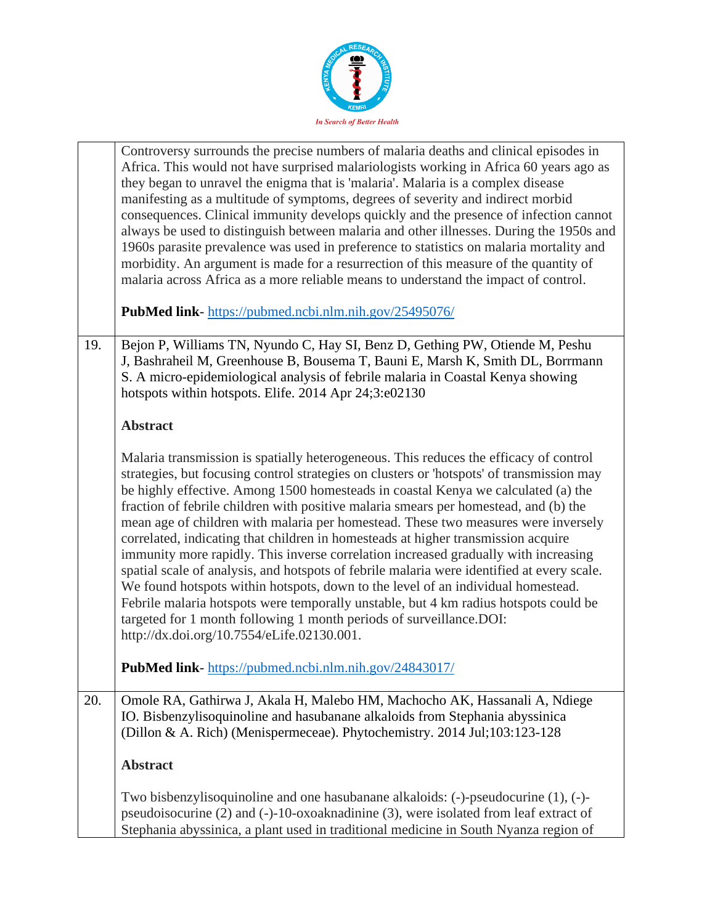

|     | Controversy surrounds the precise numbers of malaria deaths and clinical episodes in<br>Africa. This would not have surprised malariologists working in Africa 60 years ago as<br>they began to unravel the enigma that is 'malaria'. Malaria is a complex disease<br>manifesting as a multitude of symptoms, degrees of severity and indirect morbid<br>consequences. Clinical immunity develops quickly and the presence of infection cannot<br>always be used to distinguish between malaria and other illnesses. During the 1950s and<br>1960s parasite prevalence was used in preference to statistics on malaria mortality and<br>morbidity. An argument is made for a resurrection of this measure of the quantity of<br>malaria across Africa as a more reliable means to understand the impact of control.                                                                                                                                                                                                              |
|-----|----------------------------------------------------------------------------------------------------------------------------------------------------------------------------------------------------------------------------------------------------------------------------------------------------------------------------------------------------------------------------------------------------------------------------------------------------------------------------------------------------------------------------------------------------------------------------------------------------------------------------------------------------------------------------------------------------------------------------------------------------------------------------------------------------------------------------------------------------------------------------------------------------------------------------------------------------------------------------------------------------------------------------------|
|     | <b>PubMed link-</b> https://pubmed.ncbi.nlm.nih.gov/25495076/                                                                                                                                                                                                                                                                                                                                                                                                                                                                                                                                                                                                                                                                                                                                                                                                                                                                                                                                                                    |
| 19. | Bejon P, Williams TN, Nyundo C, Hay SI, Benz D, Gething PW, Otiende M, Peshu<br>J, Bashraheil M, Greenhouse B, Bousema T, Bauni E, Marsh K, Smith DL, Borrmann<br>S. A micro-epidemiological analysis of febrile malaria in Coastal Kenya showing<br>hotspots within hotspots. Elife. 2014 Apr 24;3:e02130                                                                                                                                                                                                                                                                                                                                                                                                                                                                                                                                                                                                                                                                                                                       |
|     | <b>Abstract</b>                                                                                                                                                                                                                                                                                                                                                                                                                                                                                                                                                                                                                                                                                                                                                                                                                                                                                                                                                                                                                  |
|     | Malaria transmission is spatially heterogeneous. This reduces the efficacy of control<br>strategies, but focusing control strategies on clusters or 'hotspots' of transmission may<br>be highly effective. Among 1500 homesteads in coastal Kenya we calculated (a) the<br>fraction of febrile children with positive malaria smears per homestead, and (b) the<br>mean age of children with malaria per homestead. These two measures were inversely<br>correlated, indicating that children in homesteads at higher transmission acquire<br>immunity more rapidly. This inverse correlation increased gradually with increasing<br>spatial scale of analysis, and hotspots of febrile malaria were identified at every scale.<br>We found hotspots within hotspots, down to the level of an individual homestead.<br>Febrile malaria hotspots were temporally unstable, but 4 km radius hotspots could be<br>targeted for 1 month following 1 month periods of surveillance.DOI:<br>http://dx.doi.org/10.7554/eLife.02130.001. |
|     | PubMed link- https://pubmed.ncbi.nlm.nih.gov/24843017/                                                                                                                                                                                                                                                                                                                                                                                                                                                                                                                                                                                                                                                                                                                                                                                                                                                                                                                                                                           |
| 20. | Omole RA, Gathirwa J, Akala H, Malebo HM, Machocho AK, Hassanali A, Ndiege<br>IO. Bisbenzylisoquinoline and hasubanane alkaloids from Stephania abyssinica<br>(Dillon & A. Rich) (Menispermeceae). Phytochemistry. 2014 Jul;103:123-128                                                                                                                                                                                                                                                                                                                                                                                                                                                                                                                                                                                                                                                                                                                                                                                          |
|     | <b>Abstract</b>                                                                                                                                                                                                                                                                                                                                                                                                                                                                                                                                                                                                                                                                                                                                                                                                                                                                                                                                                                                                                  |
|     | Two bisbenzylisoquinoline and one hasubanane alkaloids: $(-)$ -pseudocurine $(1)$ , $(-)$ -<br>pseudoisocurine (2) and (-)-10-oxoaknadinine (3), were isolated from leaf extract of<br>Stephania abyssinica, a plant used in traditional medicine in South Nyanza region of                                                                                                                                                                                                                                                                                                                                                                                                                                                                                                                                                                                                                                                                                                                                                      |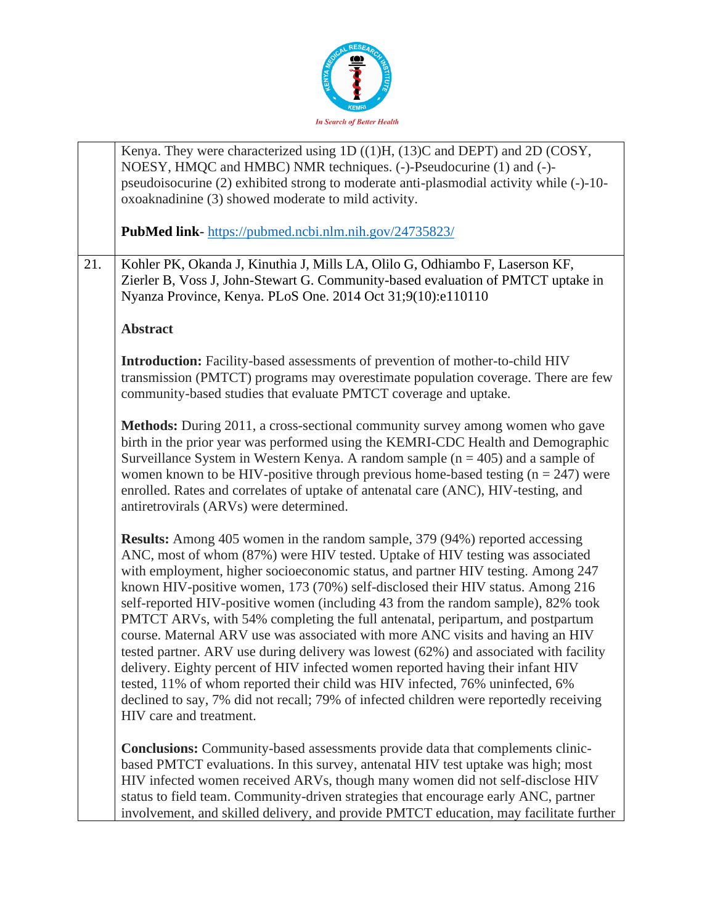

|     | Kenya. They were characterized using $1D((1)H, (13)C$ and DEPT) and $2D (COSY,$<br>NOESY, HMQC and HMBC) NMR techniques. (-)-Pseudocurine (1) and (-)-                                                                                                                                                                                                                                                                                                                                                                                                                                                                                                                                                                                                                                                                                                                                                                                                                              |
|-----|-------------------------------------------------------------------------------------------------------------------------------------------------------------------------------------------------------------------------------------------------------------------------------------------------------------------------------------------------------------------------------------------------------------------------------------------------------------------------------------------------------------------------------------------------------------------------------------------------------------------------------------------------------------------------------------------------------------------------------------------------------------------------------------------------------------------------------------------------------------------------------------------------------------------------------------------------------------------------------------|
|     | pseudoisocurine (2) exhibited strong to moderate anti-plasmodial activity while (-)-10-<br>oxoaknadinine (3) showed moderate to mild activity.                                                                                                                                                                                                                                                                                                                                                                                                                                                                                                                                                                                                                                                                                                                                                                                                                                      |
|     |                                                                                                                                                                                                                                                                                                                                                                                                                                                                                                                                                                                                                                                                                                                                                                                                                                                                                                                                                                                     |
|     | PubMed link-https://pubmed.ncbi.nlm.nih.gov/24735823/                                                                                                                                                                                                                                                                                                                                                                                                                                                                                                                                                                                                                                                                                                                                                                                                                                                                                                                               |
| 21. | Kohler PK, Okanda J, Kinuthia J, Mills LA, Olilo G, Odhiambo F, Laserson KF,<br>Zierler B, Voss J, John-Stewart G. Community-based evaluation of PMTCT uptake in<br>Nyanza Province, Kenya. PLoS One. 2014 Oct 31;9(10):e110110                                                                                                                                                                                                                                                                                                                                                                                                                                                                                                                                                                                                                                                                                                                                                     |
|     | <b>Abstract</b>                                                                                                                                                                                                                                                                                                                                                                                                                                                                                                                                                                                                                                                                                                                                                                                                                                                                                                                                                                     |
|     | <b>Introduction:</b> Facility-based assessments of prevention of mother-to-child HIV<br>transmission (PMTCT) programs may overestimate population coverage. There are few<br>community-based studies that evaluate PMTCT coverage and uptake.                                                                                                                                                                                                                                                                                                                                                                                                                                                                                                                                                                                                                                                                                                                                       |
|     | Methods: During 2011, a cross-sectional community survey among women who gave<br>birth in the prior year was performed using the KEMRI-CDC Health and Demographic<br>Surveillance System in Western Kenya. A random sample $(n = 405)$ and a sample of<br>women known to be HIV-positive through previous home-based testing $(n = 247)$ were<br>enrolled. Rates and correlates of uptake of antenatal care (ANC), HIV-testing, and<br>antiretrovirals (ARVs) were determined.                                                                                                                                                                                                                                                                                                                                                                                                                                                                                                      |
|     | <b>Results:</b> Among 405 women in the random sample, 379 (94%) reported accessing<br>ANC, most of whom (87%) were HIV tested. Uptake of HIV testing was associated<br>with employment, higher socioeconomic status, and partner HIV testing. Among 247<br>known HIV-positive women, 173 (70%) self-disclosed their HIV status. Among 216<br>self-reported HIV-positive women (including 43 from the random sample), 82% took<br>PMTCT ARVs, with 54% completing the full antenatal, peripartum, and postpartum<br>course. Maternal ARV use was associated with more ANC visits and having an HIV<br>tested partner. ARV use during delivery was lowest (62%) and associated with facility<br>delivery. Eighty percent of HIV infected women reported having their infant HIV<br>tested, 11% of whom reported their child was HIV infected, 76% uninfected, 6%<br>declined to say, 7% did not recall; 79% of infected children were reportedly receiving<br>HIV care and treatment. |
|     | <b>Conclusions:</b> Community-based assessments provide data that complements clinic-<br>based PMTCT evaluations. In this survey, antenatal HIV test uptake was high; most<br>HIV infected women received ARVs, though many women did not self-disclose HIV<br>status to field team. Community-driven strategies that encourage early ANC, partner<br>involvement, and skilled delivery, and provide PMTCT education, may facilitate further                                                                                                                                                                                                                                                                                                                                                                                                                                                                                                                                        |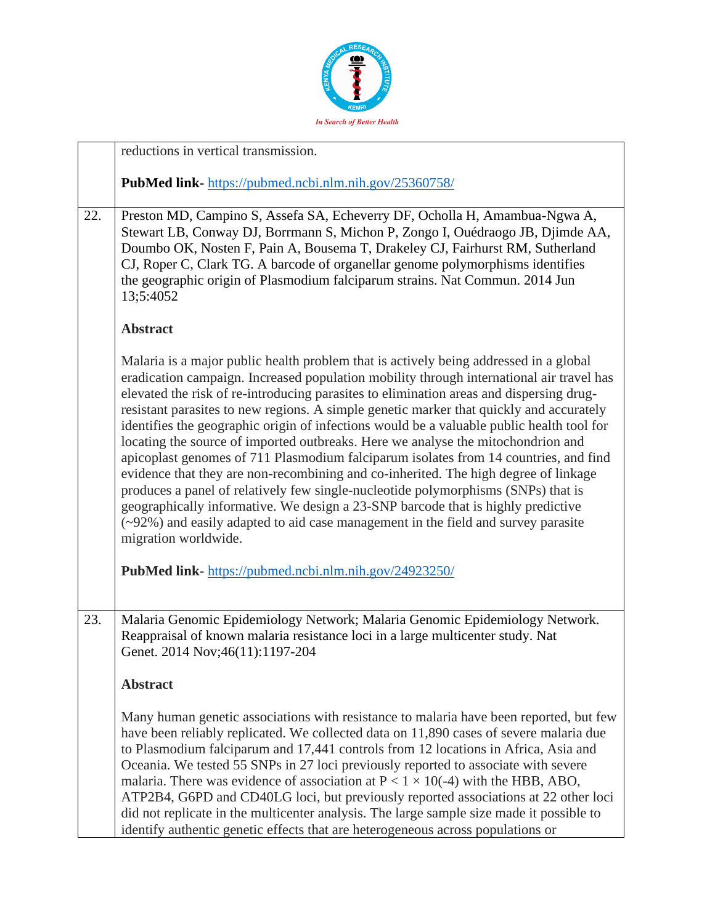

|     | reductions in vertical transmission.                                                                                                                                                                                                                                                                                                                                                                                                                                                                                                                                                                                                                                                                                                                                                                                                                                                                                                                                                                                          |
|-----|-------------------------------------------------------------------------------------------------------------------------------------------------------------------------------------------------------------------------------------------------------------------------------------------------------------------------------------------------------------------------------------------------------------------------------------------------------------------------------------------------------------------------------------------------------------------------------------------------------------------------------------------------------------------------------------------------------------------------------------------------------------------------------------------------------------------------------------------------------------------------------------------------------------------------------------------------------------------------------------------------------------------------------|
|     | PubMed link-https://pubmed.ncbi.nlm.nih.gov/25360758/                                                                                                                                                                                                                                                                                                                                                                                                                                                                                                                                                                                                                                                                                                                                                                                                                                                                                                                                                                         |
| 22. | Preston MD, Campino S, Assefa SA, Echeverry DF, Ocholla H, Amambua-Ngwa A,<br>Stewart LB, Conway DJ, Borrmann S, Michon P, Zongo I, Ouédraogo JB, Djimde AA,<br>Doumbo OK, Nosten F, Pain A, Bousema T, Drakeley CJ, Fairhurst RM, Sutherland<br>CJ, Roper C, Clark TG. A barcode of organellar genome polymorphisms identifies<br>the geographic origin of Plasmodium falciparum strains. Nat Commun. 2014 Jun<br>13;5:4052                                                                                                                                                                                                                                                                                                                                                                                                                                                                                                                                                                                                  |
|     | <b>Abstract</b>                                                                                                                                                                                                                                                                                                                                                                                                                                                                                                                                                                                                                                                                                                                                                                                                                                                                                                                                                                                                               |
|     | Malaria is a major public health problem that is actively being addressed in a global<br>eradication campaign. Increased population mobility through international air travel has<br>elevated the risk of re-introducing parasites to elimination areas and dispersing drug-<br>resistant parasites to new regions. A simple genetic marker that quickly and accurately<br>identifies the geographic origin of infections would be a valuable public health tool for<br>locating the source of imported outbreaks. Here we analyse the mitochondrion and<br>apicoplast genomes of 711 Plasmodium falciparum isolates from 14 countries, and find<br>evidence that they are non-recombining and co-inherited. The high degree of linkage<br>produces a panel of relatively few single-nucleotide polymorphisms (SNPs) that is<br>geographically informative. We design a 23-SNP barcode that is highly predictive<br>(~92%) and easily adapted to aid case management in the field and survey parasite<br>migration worldwide. |
|     | <b>PubMed link-</b> https://pubmed.ncbi.nlm.nih.gov/24923250/                                                                                                                                                                                                                                                                                                                                                                                                                                                                                                                                                                                                                                                                                                                                                                                                                                                                                                                                                                 |
| 23. | Malaria Genomic Epidemiology Network; Malaria Genomic Epidemiology Network.<br>Reappraisal of known malaria resistance loci in a large multicenter study. Nat<br>Genet. 2014 Nov; 46(11): 1197-204<br><b>Abstract</b>                                                                                                                                                                                                                                                                                                                                                                                                                                                                                                                                                                                                                                                                                                                                                                                                         |
|     | Many human genetic associations with resistance to malaria have been reported, but few<br>have been reliably replicated. We collected data on 11,890 cases of severe malaria due<br>to Plasmodium falciparum and 17,441 controls from 12 locations in Africa, Asia and<br>Oceania. We tested 55 SNPs in 27 loci previously reported to associate with severe<br>malaria. There was evidence of association at $P < 1 \times 10(-4)$ with the HBB, ABO,<br>ATP2B4, G6PD and CD40LG loci, but previously reported associations at 22 other loci<br>did not replicate in the multicenter analysis. The large sample size made it possible to<br>identify authentic genetic effects that are heterogeneous across populations or                                                                                                                                                                                                                                                                                                  |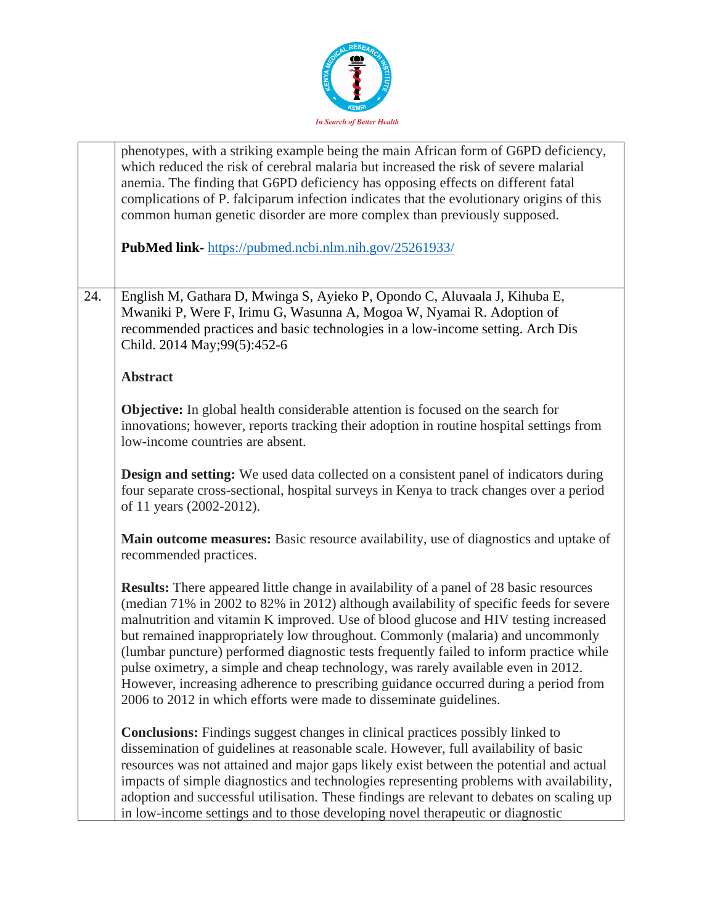

|     | phenotypes, with a striking example being the main African form of G6PD deficiency,<br>which reduced the risk of cerebral malaria but increased the risk of severe malarial<br>anemia. The finding that G6PD deficiency has opposing effects on different fatal<br>complications of P. falciparum infection indicates that the evolutionary origins of this<br>common human genetic disorder are more complex than previously supposed.                                                                                                                                                                                                                                                                       |
|-----|---------------------------------------------------------------------------------------------------------------------------------------------------------------------------------------------------------------------------------------------------------------------------------------------------------------------------------------------------------------------------------------------------------------------------------------------------------------------------------------------------------------------------------------------------------------------------------------------------------------------------------------------------------------------------------------------------------------|
|     | <b>PubMed link-</b> https://pubmed.ncbi.nlm.nih.gov/25261933/                                                                                                                                                                                                                                                                                                                                                                                                                                                                                                                                                                                                                                                 |
| 24. | English M, Gathara D, Mwinga S, Ayieko P, Opondo C, Aluvaala J, Kihuba E,<br>Mwaniki P, Were F, Irimu G, Wasunna A, Mogoa W, Nyamai R. Adoption of<br>recommended practices and basic technologies in a low-income setting. Arch Dis<br>Child. 2014 May; 99(5): 452-6                                                                                                                                                                                                                                                                                                                                                                                                                                         |
|     | <b>Abstract</b>                                                                                                                                                                                                                                                                                                                                                                                                                                                                                                                                                                                                                                                                                               |
|     | <b>Objective:</b> In global health considerable attention is focused on the search for<br>innovations; however, reports tracking their adoption in routine hospital settings from<br>low-income countries are absent.                                                                                                                                                                                                                                                                                                                                                                                                                                                                                         |
|     | <b>Design and setting:</b> We used data collected on a consistent panel of indicators during<br>four separate cross-sectional, hospital surveys in Kenya to track changes over a period<br>of 11 years (2002-2012).                                                                                                                                                                                                                                                                                                                                                                                                                                                                                           |
|     | Main outcome measures: Basic resource availability, use of diagnostics and uptake of<br>recommended practices.                                                                                                                                                                                                                                                                                                                                                                                                                                                                                                                                                                                                |
|     | <b>Results:</b> There appeared little change in availability of a panel of 28 basic resources<br>(median 71% in 2002 to 82% in 2012) although availability of specific feeds for severe<br>malnutrition and vitamin K improved. Use of blood glucose and HIV testing increased<br>but remained inappropriately low throughout. Commonly (malaria) and uncommonly<br>(lumbar puncture) performed diagnostic tests frequently failed to inform practice while<br>pulse oximetry, a simple and cheap technology, was rarely available even in 2012.<br>However, increasing adherence to prescribing guidance occurred during a period from<br>2006 to 2012 in which efforts were made to disseminate guidelines. |
|     | <b>Conclusions:</b> Findings suggest changes in clinical practices possibly linked to<br>dissemination of guidelines at reasonable scale. However, full availability of basic<br>resources was not attained and major gaps likely exist between the potential and actual<br>impacts of simple diagnostics and technologies representing problems with availability,<br>adoption and successful utilisation. These findings are relevant to debates on scaling up<br>in low-income settings and to those developing novel therapeutic or diagnostic                                                                                                                                                            |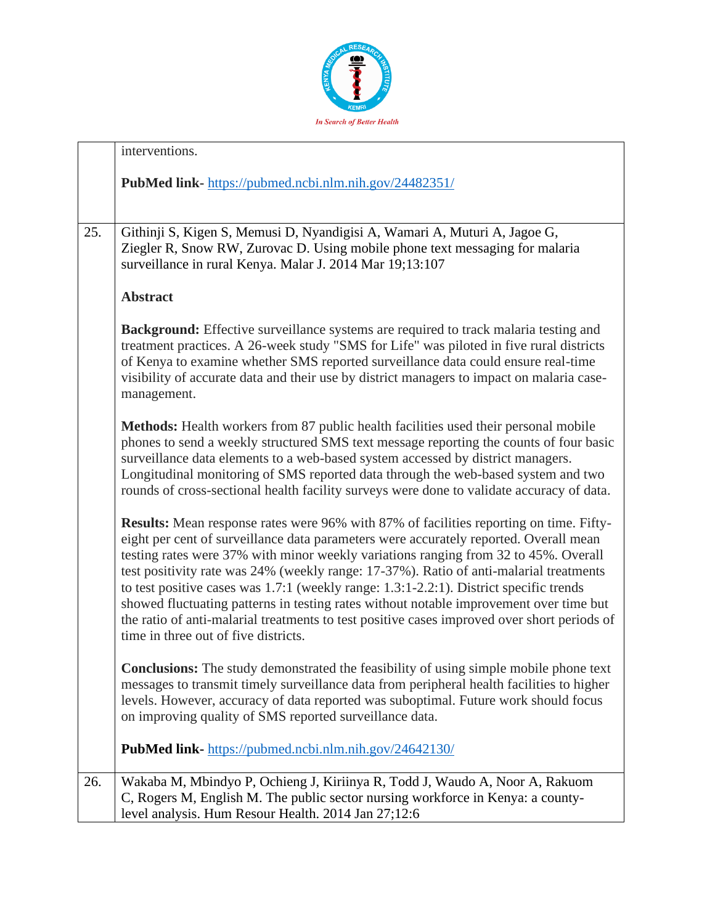

|     | interventions.                                                                                                                                                                                                                                                                                                                                                                                                                                                                                                                                                                                                                                                                                     |
|-----|----------------------------------------------------------------------------------------------------------------------------------------------------------------------------------------------------------------------------------------------------------------------------------------------------------------------------------------------------------------------------------------------------------------------------------------------------------------------------------------------------------------------------------------------------------------------------------------------------------------------------------------------------------------------------------------------------|
|     | PubMed link-https://pubmed.ncbi.nlm.nih.gov/24482351/                                                                                                                                                                                                                                                                                                                                                                                                                                                                                                                                                                                                                                              |
| 25. | Githinji S, Kigen S, Memusi D, Nyandigisi A, Wamari A, Muturi A, Jagoe G,<br>Ziegler R, Snow RW, Zurovac D. Using mobile phone text messaging for malaria<br>surveillance in rural Kenya. Malar J. 2014 Mar 19;13:107                                                                                                                                                                                                                                                                                                                                                                                                                                                                              |
|     | <b>Abstract</b>                                                                                                                                                                                                                                                                                                                                                                                                                                                                                                                                                                                                                                                                                    |
|     | Background: Effective surveillance systems are required to track malaria testing and<br>treatment practices. A 26-week study "SMS for Life" was piloted in five rural districts<br>of Kenya to examine whether SMS reported surveillance data could ensure real-time<br>visibility of accurate data and their use by district managers to impact on malaria case-<br>management.                                                                                                                                                                                                                                                                                                                   |
|     | Methods: Health workers from 87 public health facilities used their personal mobile<br>phones to send a weekly structured SMS text message reporting the counts of four basic<br>surveillance data elements to a web-based system accessed by district managers.<br>Longitudinal monitoring of SMS reported data through the web-based system and two<br>rounds of cross-sectional health facility surveys were done to validate accuracy of data.                                                                                                                                                                                                                                                 |
|     | <b>Results:</b> Mean response rates were 96% with 87% of facilities reporting on time. Fifty-<br>eight per cent of surveillance data parameters were accurately reported. Overall mean<br>testing rates were 37% with minor weekly variations ranging from 32 to 45%. Overall<br>test positivity rate was 24% (weekly range: 17-37%). Ratio of anti-malarial treatments<br>to test positive cases was 1.7:1 (weekly range: 1.3:1-2.2:1). District specific trends<br>showed fluctuating patterns in testing rates without notable improvement over time but<br>the ratio of anti-malarial treatments to test positive cases improved over short periods of<br>time in three out of five districts. |
|     | <b>Conclusions:</b> The study demonstrated the feasibility of using simple mobile phone text<br>messages to transmit timely surveillance data from peripheral health facilities to higher<br>levels. However, accuracy of data reported was suboptimal. Future work should focus<br>on improving quality of SMS reported surveillance data.                                                                                                                                                                                                                                                                                                                                                        |
|     | PubMed link- https://pubmed.ncbi.nlm.nih.gov/24642130/                                                                                                                                                                                                                                                                                                                                                                                                                                                                                                                                                                                                                                             |
| 26. | Wakaba M, Mbindyo P, Ochieng J, Kiriinya R, Todd J, Waudo A, Noor A, Rakuom<br>C, Rogers M, English M. The public sector nursing workforce in Kenya: a county-<br>level analysis. Hum Resour Health. 2014 Jan 27;12:6                                                                                                                                                                                                                                                                                                                                                                                                                                                                              |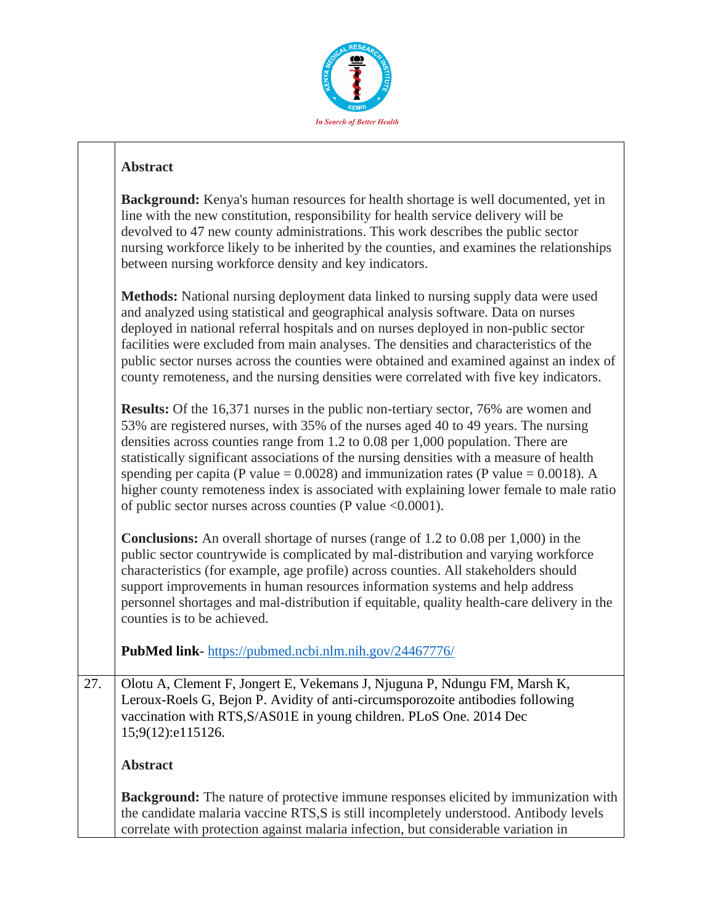

#### **Abstract**

|     | <b>Background:</b> Kenya's human resources for health shortage is well documented, yet in<br>line with the new constitution, responsibility for health service delivery will be<br>devolved to 47 new county administrations. This work describes the public sector<br>nursing workforce likely to be inherited by the counties, and examines the relationships<br>between nursing workforce density and key indicators.                                                                                                                                                                                                     |
|-----|------------------------------------------------------------------------------------------------------------------------------------------------------------------------------------------------------------------------------------------------------------------------------------------------------------------------------------------------------------------------------------------------------------------------------------------------------------------------------------------------------------------------------------------------------------------------------------------------------------------------------|
|     | Methods: National nursing deployment data linked to nursing supply data were used<br>and analyzed using statistical and geographical analysis software. Data on nurses<br>deployed in national referral hospitals and on nurses deployed in non-public sector<br>facilities were excluded from main analyses. The densities and characteristics of the<br>public sector nurses across the counties were obtained and examined against an index of<br>county remoteness, and the nursing densities were correlated with five key indicators.                                                                                  |
|     | <b>Results:</b> Of the 16,371 nurses in the public non-tertiary sector, 76% are women and<br>53% are registered nurses, with 35% of the nurses aged 40 to 49 years. The nursing<br>densities across counties range from $1.2$ to $0.08$ per $1,000$ population. There are<br>statistically significant associations of the nursing densities with a measure of health<br>spending per capita (P value = $0.0028$ ) and immunization rates (P value = $0.0018$ ). A<br>higher county remoteness index is associated with explaining lower female to male ratio<br>of public sector nurses across counties (P value < 0.0001). |
|     | <b>Conclusions:</b> An overall shortage of nurses (range of $1.2$ to $0.08$ per $1,000$ ) in the<br>public sector countrywide is complicated by mal-distribution and varying workforce<br>characteristics (for example, age profile) across counties. All stakeholders should<br>support improvements in human resources information systems and help address<br>personnel shortages and mal-distribution if equitable, quality health-care delivery in the<br>counties is to be achieved.                                                                                                                                   |
|     | PubMed link-https://pubmed.ncbi.nlm.nih.gov/24467776/                                                                                                                                                                                                                                                                                                                                                                                                                                                                                                                                                                        |
| 27. | Olotu A, Clement F, Jongert E, Vekemans J, Njuguna P, Ndungu FM, Marsh K,<br>Leroux-Roels G, Bejon P. Avidity of anti-circumsporozoite antibodies following<br>vaccination with RTS, S/AS01E in young children. PLoS One. 2014 Dec<br>15;9(12):e115126.                                                                                                                                                                                                                                                                                                                                                                      |
|     | <b>Abstract</b>                                                                                                                                                                                                                                                                                                                                                                                                                                                                                                                                                                                                              |
|     | Background: The nature of protective immune responses elicited by immunization with<br>the candidate malaria vaccine RTS,S is still incompletely understood. Antibody levels<br>correlate with protection against malaria infection, but considerable variation in                                                                                                                                                                                                                                                                                                                                                           |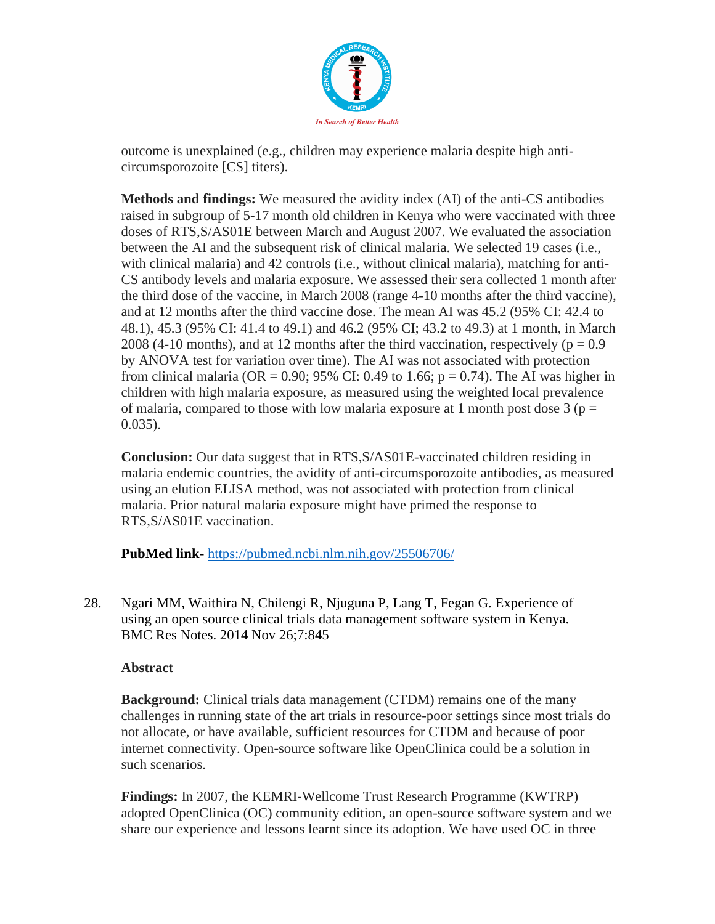

|     | outcome is unexplained (e.g., children may experience malaria despite high anti-                                                                                                                                                                                                                                                                                                                                                                                                                                                                                                                                                                                                                                                                                                                                                                                                                                                                                                                                                                                                                                                                                                                                                                                                                                         |
|-----|--------------------------------------------------------------------------------------------------------------------------------------------------------------------------------------------------------------------------------------------------------------------------------------------------------------------------------------------------------------------------------------------------------------------------------------------------------------------------------------------------------------------------------------------------------------------------------------------------------------------------------------------------------------------------------------------------------------------------------------------------------------------------------------------------------------------------------------------------------------------------------------------------------------------------------------------------------------------------------------------------------------------------------------------------------------------------------------------------------------------------------------------------------------------------------------------------------------------------------------------------------------------------------------------------------------------------|
|     | circumsporozoite [CS] titers).                                                                                                                                                                                                                                                                                                                                                                                                                                                                                                                                                                                                                                                                                                                                                                                                                                                                                                                                                                                                                                                                                                                                                                                                                                                                                           |
|     | Methods and findings: We measured the avidity index (AI) of the anti-CS antibodies<br>raised in subgroup of 5-17 month old children in Kenya who were vaccinated with three<br>doses of RTS, S/AS01E between March and August 2007. We evaluated the association<br>between the AI and the subsequent risk of clinical malaria. We selected 19 cases (i.e.,<br>with clinical malaria) and 42 controls (i.e., without clinical malaria), matching for anti-<br>CS antibody levels and malaria exposure. We assessed their sera collected 1 month after<br>the third dose of the vaccine, in March 2008 (range 4-10 months after the third vaccine),<br>and at 12 months after the third vaccine dose. The mean AI was 45.2 (95% CI: 42.4 to<br>48.1), 45.3 (95% CI: 41.4 to 49.1) and 46.2 (95% CI; 43.2 to 49.3) at 1 month, in March<br>2008 (4-10 months), and at 12 months after the third vaccination, respectively ( $p = 0.9$ )<br>by ANOVA test for variation over time). The AI was not associated with protection<br>from clinical malaria (OR = 0.90; 95% CI: 0.49 to 1.66; $p = 0.74$ ). The AI was higher in<br>children with high malaria exposure, as measured using the weighted local prevalence<br>of malaria, compared to those with low malaria exposure at 1 month post dose 3 ( $p =$<br>$0.035$ ). |
|     | <b>Conclusion:</b> Our data suggest that in RTS, S/AS01E-vaccinated children residing in<br>malaria endemic countries, the avidity of anti-circumsporozoite antibodies, as measured<br>using an elution ELISA method, was not associated with protection from clinical<br>malaria. Prior natural malaria exposure might have primed the response to<br>RTS, S/AS01E vaccination.                                                                                                                                                                                                                                                                                                                                                                                                                                                                                                                                                                                                                                                                                                                                                                                                                                                                                                                                         |
|     | PubMed link-https://pubmed.ncbi.nlm.nih.gov/25506706/                                                                                                                                                                                                                                                                                                                                                                                                                                                                                                                                                                                                                                                                                                                                                                                                                                                                                                                                                                                                                                                                                                                                                                                                                                                                    |
| 28. |                                                                                                                                                                                                                                                                                                                                                                                                                                                                                                                                                                                                                                                                                                                                                                                                                                                                                                                                                                                                                                                                                                                                                                                                                                                                                                                          |
|     | Ngari MM, Waithira N, Chilengi R, Njuguna P, Lang T, Fegan G. Experience of<br>using an open source clinical trials data management software system in Kenya.<br>BMC Res Notes. 2014 Nov 26;7:845                                                                                                                                                                                                                                                                                                                                                                                                                                                                                                                                                                                                                                                                                                                                                                                                                                                                                                                                                                                                                                                                                                                        |
|     | <b>Abstract</b>                                                                                                                                                                                                                                                                                                                                                                                                                                                                                                                                                                                                                                                                                                                                                                                                                                                                                                                                                                                                                                                                                                                                                                                                                                                                                                          |
|     | <b>Background:</b> Clinical trials data management (CTDM) remains one of the many<br>challenges in running state of the art trials in resource-poor settings since most trials do<br>not allocate, or have available, sufficient resources for CTDM and because of poor<br>internet connectivity. Open-source software like OpenClinica could be a solution in<br>such scenarios.                                                                                                                                                                                                                                                                                                                                                                                                                                                                                                                                                                                                                                                                                                                                                                                                                                                                                                                                        |
|     | <b>Findings:</b> In 2007, the KEMRI-Wellcome Trust Research Programme (KWTRP)<br>adopted OpenClinica (OC) community edition, an open-source software system and we<br>share our experience and lessons learnt since its adoption. We have used OC in three                                                                                                                                                                                                                                                                                                                                                                                                                                                                                                                                                                                                                                                                                                                                                                                                                                                                                                                                                                                                                                                               |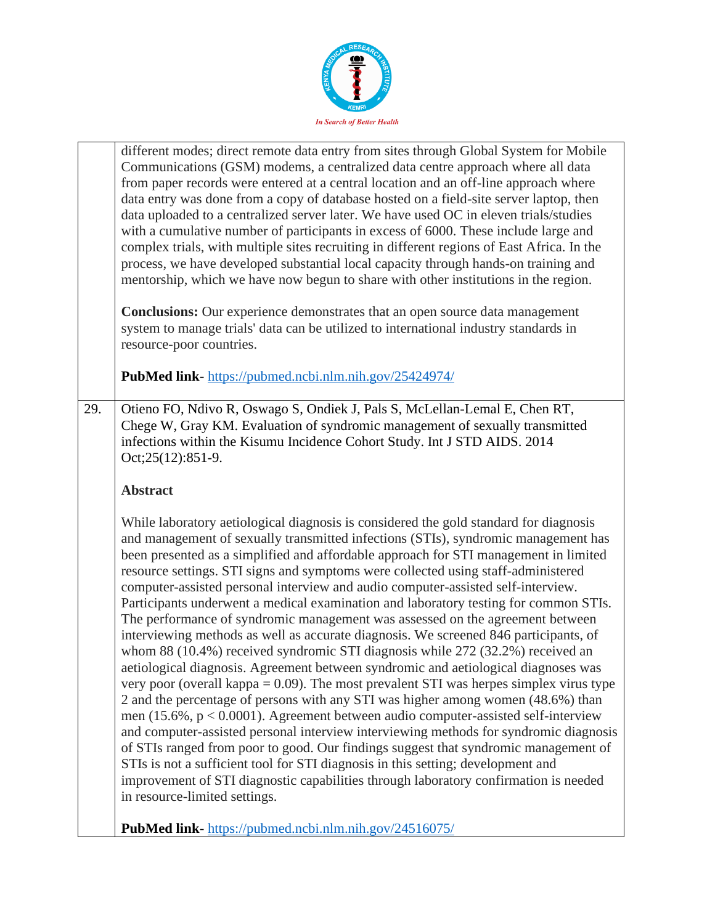

|     | different modes; direct remote data entry from sites through Global System for Mobile<br>Communications (GSM) modems, a centralized data centre approach where all data<br>from paper records were entered at a central location and an off-line approach where<br>data entry was done from a copy of database hosted on a field-site server laptop, then<br>data uploaded to a centralized server later. We have used OC in eleven trials/studies<br>with a cumulative number of participants in excess of 6000. These include large and<br>complex trials, with multiple sites recruiting in different regions of East Africa. In the<br>process, we have developed substantial local capacity through hands-on training and<br>mentorship, which we have now begun to share with other institutions in the region.                                                                                                                                                                                                                                                                                                                                                                                                                                                                                                                                                                                                                                                                                                                                        |
|-----|--------------------------------------------------------------------------------------------------------------------------------------------------------------------------------------------------------------------------------------------------------------------------------------------------------------------------------------------------------------------------------------------------------------------------------------------------------------------------------------------------------------------------------------------------------------------------------------------------------------------------------------------------------------------------------------------------------------------------------------------------------------------------------------------------------------------------------------------------------------------------------------------------------------------------------------------------------------------------------------------------------------------------------------------------------------------------------------------------------------------------------------------------------------------------------------------------------------------------------------------------------------------------------------------------------------------------------------------------------------------------------------------------------------------------------------------------------------------------------------------------------------------------------------------------------------|
|     | <b>Conclusions:</b> Our experience demonstrates that an open source data management<br>system to manage trials' data can be utilized to international industry standards in<br>resource-poor countries.                                                                                                                                                                                                                                                                                                                                                                                                                                                                                                                                                                                                                                                                                                                                                                                                                                                                                                                                                                                                                                                                                                                                                                                                                                                                                                                                                      |
|     | PubMed link-https://pubmed.ncbi.nlm.nih.gov/25424974/                                                                                                                                                                                                                                                                                                                                                                                                                                                                                                                                                                                                                                                                                                                                                                                                                                                                                                                                                                                                                                                                                                                                                                                                                                                                                                                                                                                                                                                                                                        |
| 29. | Otieno FO, Ndivo R, Oswago S, Ondiek J, Pals S, McLellan-Lemal E, Chen RT,<br>Chege W, Gray KM. Evaluation of syndromic management of sexually transmitted<br>infections within the Kisumu Incidence Cohort Study. Int J STD AIDS. 2014<br>Oct; 25(12): 851-9.                                                                                                                                                                                                                                                                                                                                                                                                                                                                                                                                                                                                                                                                                                                                                                                                                                                                                                                                                                                                                                                                                                                                                                                                                                                                                               |
|     | <b>Abstract</b>                                                                                                                                                                                                                                                                                                                                                                                                                                                                                                                                                                                                                                                                                                                                                                                                                                                                                                                                                                                                                                                                                                                                                                                                                                                                                                                                                                                                                                                                                                                                              |
|     | While laboratory aetiological diagnosis is considered the gold standard for diagnosis<br>and management of sexually transmitted infections (STIs), syndromic management has<br>been presented as a simplified and affordable approach for STI management in limited<br>resource settings. STI signs and symptoms were collected using staff-administered<br>computer-assisted personal interview and audio computer-assisted self-interview.<br>Participants underwent a medical examination and laboratory testing for common STIs.<br>The performance of syndromic management was assessed on the agreement between<br>interviewing methods as well as accurate diagnosis. We screened 846 participants, of<br>whom 88 (10.4%) received syndromic STI diagnosis while 272 (32.2%) received an<br>aetiological diagnosis. Agreement between syndromic and aetiological diagnoses was<br>very poor (overall kappa $= 0.09$ ). The most prevalent STI was herpes simplex virus type<br>2 and the percentage of persons with any STI was higher among women (48.6%) than<br>men $(15.6\%, p < 0.0001)$ . Agreement between audio computer-assisted self-interview<br>and computer-assisted personal interview interviewing methods for syndromic diagnosis<br>of STIs ranged from poor to good. Our findings suggest that syndromic management of<br>STIs is not a sufficient tool for STI diagnosis in this setting; development and<br>improvement of STI diagnostic capabilities through laboratory confirmation is needed<br>in resource-limited settings. |
|     | PubMed link-https://pubmed.ncbi.nlm.nih.gov/24516075/                                                                                                                                                                                                                                                                                                                                                                                                                                                                                                                                                                                                                                                                                                                                                                                                                                                                                                                                                                                                                                                                                                                                                                                                                                                                                                                                                                                                                                                                                                        |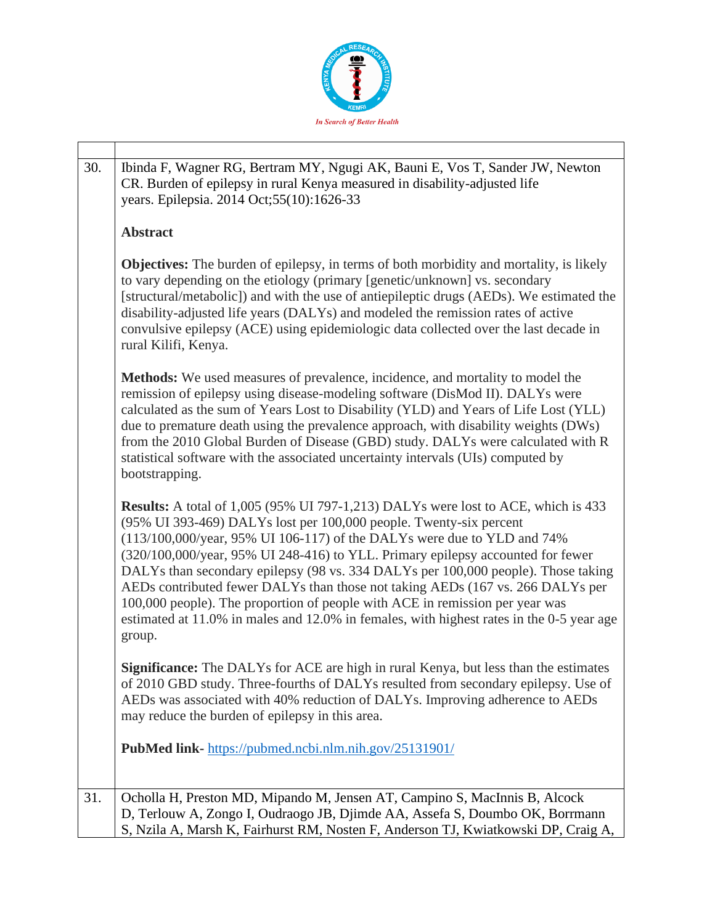

| 30. | Ibinda F, Wagner RG, Bertram MY, Ngugi AK, Bauni E, Vos T, Sander JW, Newton<br>CR. Burden of epilepsy in rural Kenya measured in disability-adjusted life<br>years. Epilepsia. 2014 Oct;55(10):1626-33                                                                                                                                                                                                                                                                                                                                                                                                                                                                                   |
|-----|-------------------------------------------------------------------------------------------------------------------------------------------------------------------------------------------------------------------------------------------------------------------------------------------------------------------------------------------------------------------------------------------------------------------------------------------------------------------------------------------------------------------------------------------------------------------------------------------------------------------------------------------------------------------------------------------|
|     | <b>Abstract</b>                                                                                                                                                                                                                                                                                                                                                                                                                                                                                                                                                                                                                                                                           |
|     | <b>Objectives:</b> The burden of epilepsy, in terms of both morbidity and mortality, is likely<br>to vary depending on the etiology (primary [genetic/unknown] vs. secondary<br>[structural/metabolic]) and with the use of antiepileptic drugs (AEDs). We estimated the<br>disability-adjusted life years (DALYs) and modeled the remission rates of active<br>convulsive epilepsy (ACE) using epidemiologic data collected over the last decade in<br>rural Kilifi, Kenya.                                                                                                                                                                                                              |
|     | Methods: We used measures of prevalence, incidence, and mortality to model the<br>remission of epilepsy using disease-modeling software (DisMod II). DALYs were<br>calculated as the sum of Years Lost to Disability (YLD) and Years of Life Lost (YLL)<br>due to premature death using the prevalence approach, with disability weights (DWs)<br>from the 2010 Global Burden of Disease (GBD) study. DALYs were calculated with R<br>statistical software with the associated uncertainty intervals (UIs) computed by<br>bootstrapping.                                                                                                                                                  |
|     | <b>Results:</b> A total of 1,005 (95% UI 797-1,213) DALYs were lost to ACE, which is 433<br>(95% UI 393-469) DALYs lost per 100,000 people. Twenty-six percent<br>(113/100,000/year, 95% UI 106-117) of the DALYs were due to YLD and 74%<br>(320/100,000/year, 95% UI 248-416) to YLL. Primary epilepsy accounted for fewer<br>DALYs than secondary epilepsy (98 vs. 334 DALYs per 100,000 people). Those taking<br>AEDs contributed fewer DALYs than those not taking AEDs (167 vs. 266 DALYs per<br>100,000 people). The proportion of people with ACE in remission per year was<br>estimated at 11.0% in males and 12.0% in females, with highest rates in the 0-5 year age<br>group. |
|     | <b>Significance:</b> The DALYs for ACE are high in rural Kenya, but less than the estimates<br>of 2010 GBD study. Three-fourths of DALYs resulted from secondary epilepsy. Use of<br>AEDs was associated with 40% reduction of DALYs. Improving adherence to AEDs<br>may reduce the burden of epilepsy in this area.                                                                                                                                                                                                                                                                                                                                                                      |
|     | <b>PubMed link-</b> https://pubmed.ncbi.nlm.nih.gov/25131901/                                                                                                                                                                                                                                                                                                                                                                                                                                                                                                                                                                                                                             |
| 31. | Ocholla H, Preston MD, Mipando M, Jensen AT, Campino S, MacInnis B, Alcock<br>D, Terlouw A, Zongo I, Oudraogo JB, Djimde AA, Assefa S, Doumbo OK, Borrmann<br>S, Nzila A, Marsh K, Fairhurst RM, Nosten F, Anderson TJ, Kwiatkowski DP, Craig A,                                                                                                                                                                                                                                                                                                                                                                                                                                          |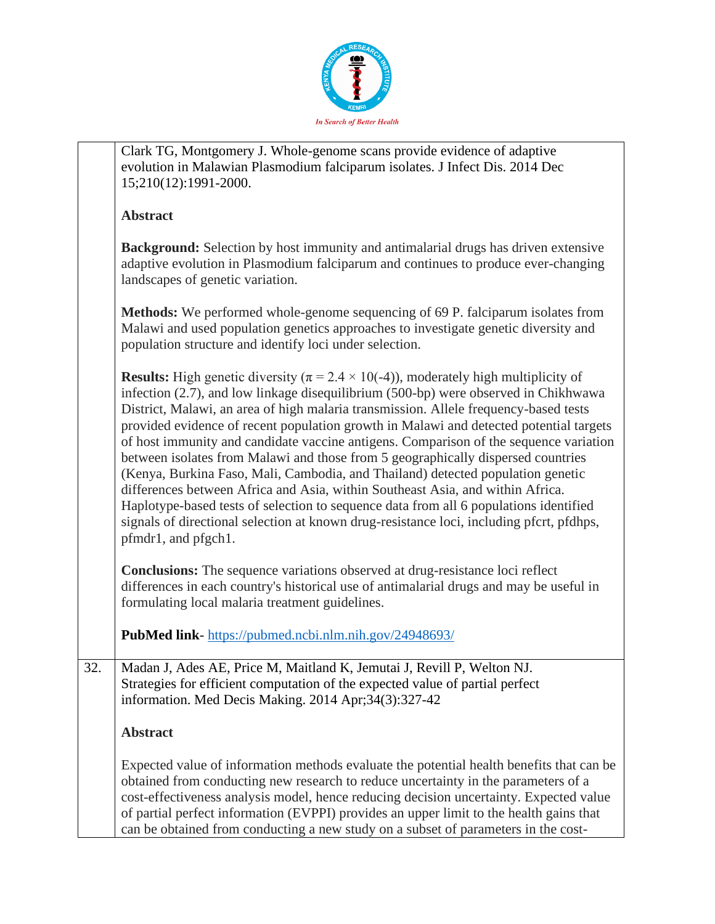

|     | Clark TG, Montgomery J. Whole-genome scans provide evidence of adaptive<br>evolution in Malawian Plasmodium falciparum isolates. J Infect Dis. 2014 Dec<br>15;210(12):1991-2000.                                                                                                                                                                                                                                                                                                                                                                                                                                                                                                                                                                                                                                                                                                                                                              |
|-----|-----------------------------------------------------------------------------------------------------------------------------------------------------------------------------------------------------------------------------------------------------------------------------------------------------------------------------------------------------------------------------------------------------------------------------------------------------------------------------------------------------------------------------------------------------------------------------------------------------------------------------------------------------------------------------------------------------------------------------------------------------------------------------------------------------------------------------------------------------------------------------------------------------------------------------------------------|
|     | <b>Abstract</b>                                                                                                                                                                                                                                                                                                                                                                                                                                                                                                                                                                                                                                                                                                                                                                                                                                                                                                                               |
|     | <b>Background:</b> Selection by host immunity and antimalarial drugs has driven extensive<br>adaptive evolution in Plasmodium falciparum and continues to produce ever-changing<br>landscapes of genetic variation.                                                                                                                                                                                                                                                                                                                                                                                                                                                                                                                                                                                                                                                                                                                           |
|     | Methods: We performed whole-genome sequencing of 69 P. falciparum isolates from<br>Malawi and used population genetics approaches to investigate genetic diversity and<br>population structure and identify loci under selection.                                                                                                                                                                                                                                                                                                                                                                                                                                                                                                                                                                                                                                                                                                             |
|     | <b>Results:</b> High genetic diversity ( $\pi$ = 2.4 $\times$ 10(-4)), moderately high multiplicity of<br>infection (2.7), and low linkage disequilibrium (500-bp) were observed in Chikhwawa<br>District, Malawi, an area of high malaria transmission. Allele frequency-based tests<br>provided evidence of recent population growth in Malawi and detected potential targets<br>of host immunity and candidate vaccine antigens. Comparison of the sequence variation<br>between isolates from Malawi and those from 5 geographically dispersed countries<br>(Kenya, Burkina Faso, Mali, Cambodia, and Thailand) detected population genetic<br>differences between Africa and Asia, within Southeast Asia, and within Africa.<br>Haplotype-based tests of selection to sequence data from all 6 populations identified<br>signals of directional selection at known drug-resistance loci, including pfcrt, pfdhps,<br>pfmdr1, and pfgch1. |
|     | <b>Conclusions:</b> The sequence variations observed at drug-resistance loci reflect<br>differences in each country's historical use of antimalarial drugs and may be useful in<br>formulating local malaria treatment guidelines.                                                                                                                                                                                                                                                                                                                                                                                                                                                                                                                                                                                                                                                                                                            |
|     | <b>PubMed link-</b> https://pubmed.ncbi.nlm.nih.gov/24948693/                                                                                                                                                                                                                                                                                                                                                                                                                                                                                                                                                                                                                                                                                                                                                                                                                                                                                 |
| 32. | Madan J, Ades AE, Price M, Maitland K, Jemutai J, Revill P, Welton NJ.<br>Strategies for efficient computation of the expected value of partial perfect<br>information. Med Decis Making. 2014 Apr;34(3):327-42                                                                                                                                                                                                                                                                                                                                                                                                                                                                                                                                                                                                                                                                                                                               |
|     | <b>Abstract</b>                                                                                                                                                                                                                                                                                                                                                                                                                                                                                                                                                                                                                                                                                                                                                                                                                                                                                                                               |
|     | Expected value of information methods evaluate the potential health benefits that can be<br>obtained from conducting new research to reduce uncertainty in the parameters of a<br>cost-effectiveness analysis model, hence reducing decision uncertainty. Expected value<br>of partial perfect information (EVPPI) provides an upper limit to the health gains that<br>can be obtained from conducting a new study on a subset of parameters in the cost-                                                                                                                                                                                                                                                                                                                                                                                                                                                                                     |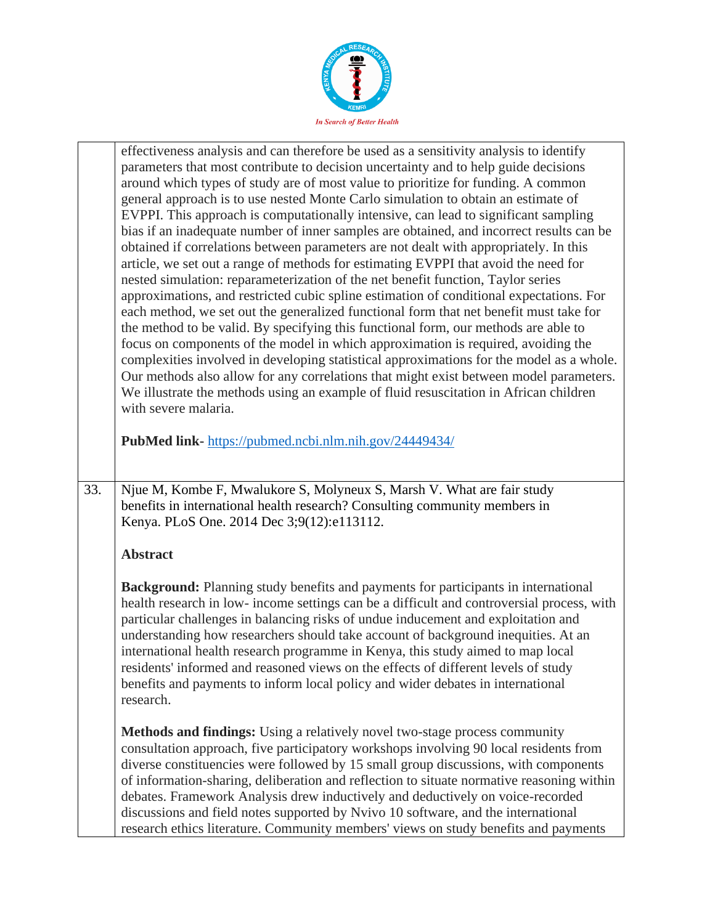

|     | effectiveness analysis and can therefore be used as a sensitivity analysis to identify<br>parameters that most contribute to decision uncertainty and to help guide decisions<br>around which types of study are of most value to prioritize for funding. A common<br>general approach is to use nested Monte Carlo simulation to obtain an estimate of<br>EVPPI. This approach is computationally intensive, can lead to significant sampling<br>bias if an inadequate number of inner samples are obtained, and incorrect results can be<br>obtained if correlations between parameters are not dealt with appropriately. In this<br>article, we set out a range of methods for estimating EVPPI that avoid the need for<br>nested simulation: reparameterization of the net benefit function, Taylor series<br>approximations, and restricted cubic spline estimation of conditional expectations. For<br>each method, we set out the generalized functional form that net benefit must take for<br>the method to be valid. By specifying this functional form, our methods are able to<br>focus on components of the model in which approximation is required, avoiding the<br>complexities involved in developing statistical approximations for the model as a whole.<br>Our methods also allow for any correlations that might exist between model parameters.<br>We illustrate the methods using an example of fluid resuscitation in African children<br>with severe malaria.<br>PubMed link-https://pubmed.ncbi.nlm.nih.gov/24449434/ |
|-----|-------------------------------------------------------------------------------------------------------------------------------------------------------------------------------------------------------------------------------------------------------------------------------------------------------------------------------------------------------------------------------------------------------------------------------------------------------------------------------------------------------------------------------------------------------------------------------------------------------------------------------------------------------------------------------------------------------------------------------------------------------------------------------------------------------------------------------------------------------------------------------------------------------------------------------------------------------------------------------------------------------------------------------------------------------------------------------------------------------------------------------------------------------------------------------------------------------------------------------------------------------------------------------------------------------------------------------------------------------------------------------------------------------------------------------------------------------------------------------------------------------------------------------------------------|
| 33. | Njue M, Kombe F, Mwalukore S, Molyneux S, Marsh V. What are fair study<br>benefits in international health research? Consulting community members in<br>Kenya. PLoS One. 2014 Dec 3;9(12):e113112.                                                                                                                                                                                                                                                                                                                                                                                                                                                                                                                                                                                                                                                                                                                                                                                                                                                                                                                                                                                                                                                                                                                                                                                                                                                                                                                                              |
|     |                                                                                                                                                                                                                                                                                                                                                                                                                                                                                                                                                                                                                                                                                                                                                                                                                                                                                                                                                                                                                                                                                                                                                                                                                                                                                                                                                                                                                                                                                                                                                 |
|     | <b>Abstract</b>                                                                                                                                                                                                                                                                                                                                                                                                                                                                                                                                                                                                                                                                                                                                                                                                                                                                                                                                                                                                                                                                                                                                                                                                                                                                                                                                                                                                                                                                                                                                 |
|     | <b>Background:</b> Planning study benefits and payments for participants in international<br>health research in low- income settings can be a difficult and controversial process, with<br>particular challenges in balancing risks of undue inducement and exploitation and<br>understanding how researchers should take account of background inequities. At an<br>international health research programme in Kenya, this study aimed to map local<br>residents' informed and reasoned views on the effects of different levels of study<br>benefits and payments to inform local policy and wider debates in international<br>research.                                                                                                                                                                                                                                                                                                                                                                                                                                                                                                                                                                                                                                                                                                                                                                                                                                                                                                      |
|     | Methods and findings: Using a relatively novel two-stage process community<br>consultation approach, five participatory workshops involving 90 local residents from<br>diverse constituencies were followed by 15 small group discussions, with components<br>of information-sharing, deliberation and reflection to situate normative reasoning within<br>debates. Framework Analysis drew inductively and deductively on voice-recorded                                                                                                                                                                                                                                                                                                                                                                                                                                                                                                                                                                                                                                                                                                                                                                                                                                                                                                                                                                                                                                                                                                       |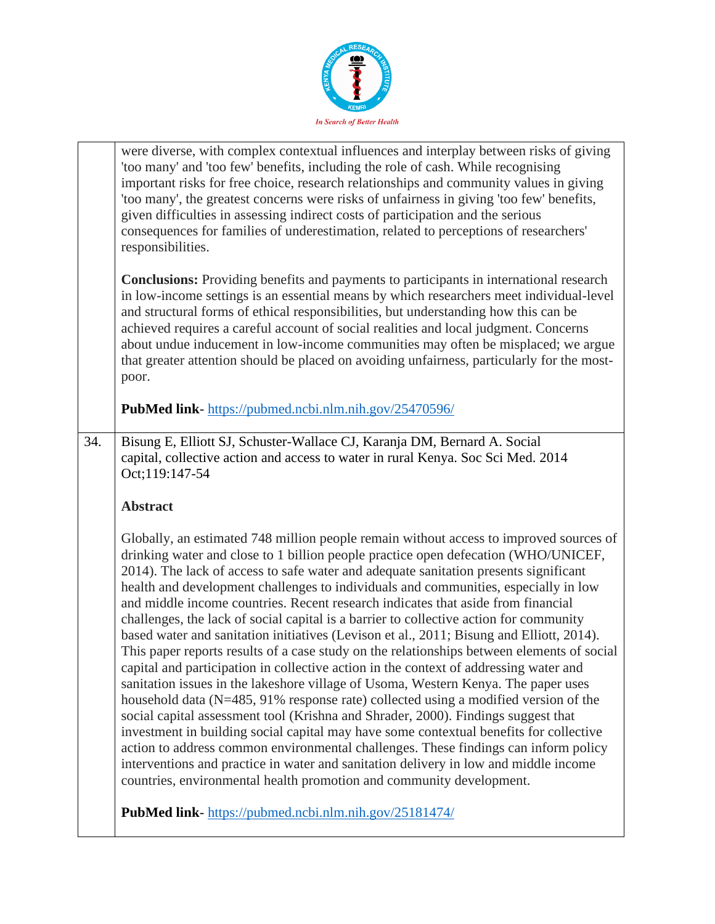

|     | were diverse, with complex contextual influences and interplay between risks of giving<br>'too many' and 'too few' benefits, including the role of cash. While recognising<br>important risks for free choice, research relationships and community values in giving<br>'too many', the greatest concerns were risks of unfairness in giving 'too few' benefits,<br>given difficulties in assessing indirect costs of participation and the serious<br>consequences for families of underestimation, related to perceptions of researchers'<br>responsibilities.                                                                                                                                                                                                                                                                                                                                                                                                                                                                                                                                                                                                                                                                                                                                                                                                                                                                                |
|-----|-------------------------------------------------------------------------------------------------------------------------------------------------------------------------------------------------------------------------------------------------------------------------------------------------------------------------------------------------------------------------------------------------------------------------------------------------------------------------------------------------------------------------------------------------------------------------------------------------------------------------------------------------------------------------------------------------------------------------------------------------------------------------------------------------------------------------------------------------------------------------------------------------------------------------------------------------------------------------------------------------------------------------------------------------------------------------------------------------------------------------------------------------------------------------------------------------------------------------------------------------------------------------------------------------------------------------------------------------------------------------------------------------------------------------------------------------|
|     | <b>Conclusions:</b> Providing benefits and payments to participants in international research<br>in low-income settings is an essential means by which researchers meet individual-level<br>and structural forms of ethical responsibilities, but understanding how this can be<br>achieved requires a careful account of social realities and local judgment. Concerns<br>about undue inducement in low-income communities may often be misplaced; we argue<br>that greater attention should be placed on avoiding unfairness, particularly for the most-<br>poor.                                                                                                                                                                                                                                                                                                                                                                                                                                                                                                                                                                                                                                                                                                                                                                                                                                                                             |
|     | <b>PubMed link-</b> https://pubmed.ncbi.nlm.nih.gov/25470596/                                                                                                                                                                                                                                                                                                                                                                                                                                                                                                                                                                                                                                                                                                                                                                                                                                                                                                                                                                                                                                                                                                                                                                                                                                                                                                                                                                                   |
| 34. | Bisung E, Elliott SJ, Schuster-Wallace CJ, Karanja DM, Bernard A. Social<br>capital, collective action and access to water in rural Kenya. Soc Sci Med. 2014<br>Oct;119:147-54                                                                                                                                                                                                                                                                                                                                                                                                                                                                                                                                                                                                                                                                                                                                                                                                                                                                                                                                                                                                                                                                                                                                                                                                                                                                  |
|     | <b>Abstract</b>                                                                                                                                                                                                                                                                                                                                                                                                                                                                                                                                                                                                                                                                                                                                                                                                                                                                                                                                                                                                                                                                                                                                                                                                                                                                                                                                                                                                                                 |
|     | Globally, an estimated 748 million people remain without access to improved sources of<br>drinking water and close to 1 billion people practice open defecation (WHO/UNICEF,<br>2014). The lack of access to safe water and adequate sanitation presents significant<br>health and development challenges to individuals and communities, especially in low<br>and middle income countries. Recent research indicates that aside from financial<br>challenges, the lack of social capital is a barrier to collective action for community<br>based water and sanitation initiatives (Levison et al., 2011; Bisung and Elliott, 2014).<br>This paper reports results of a case study on the relationships between elements of social<br>capital and participation in collective action in the context of addressing water and<br>sanitation issues in the lakeshore village of Usoma, Western Kenya. The paper uses<br>household data (N=485, 91% response rate) collected using a modified version of the<br>social capital assessment tool (Krishna and Shrader, 2000). Findings suggest that<br>investment in building social capital may have some contextual benefits for collective<br>action to address common environmental challenges. These findings can inform policy<br>interventions and practice in water and sanitation delivery in low and middle income<br>countries, environmental health promotion and community development. |
|     | PubMed link-https://pubmed.ncbi.nlm.nih.gov/25181474/                                                                                                                                                                                                                                                                                                                                                                                                                                                                                                                                                                                                                                                                                                                                                                                                                                                                                                                                                                                                                                                                                                                                                                                                                                                                                                                                                                                           |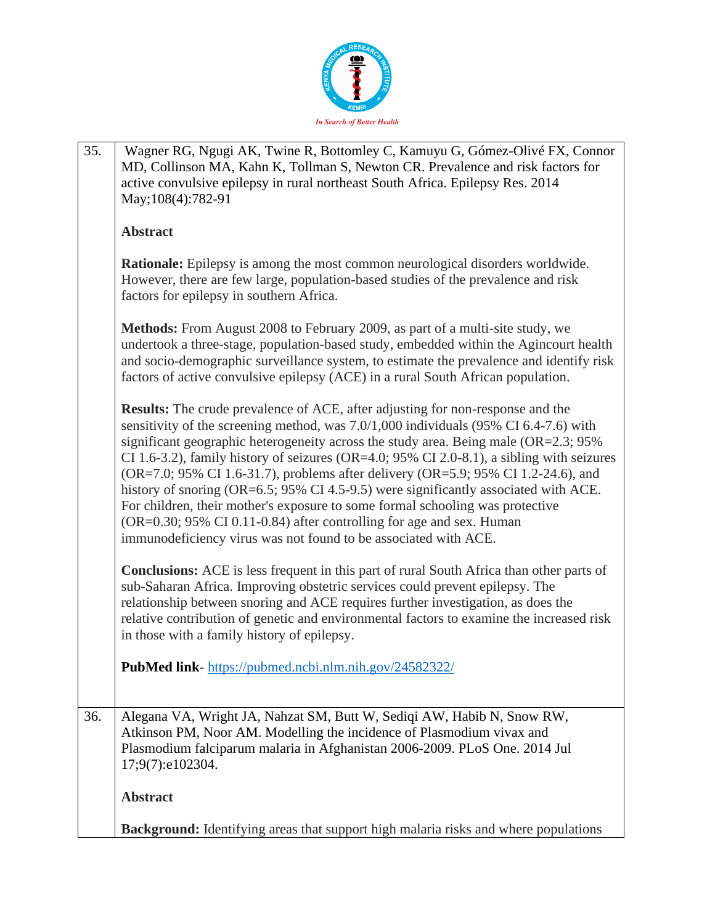

| 35. | Wagner RG, Ngugi AK, Twine R, Bottomley C, Kamuyu G, Gómez-Olivé FX, Connor<br>MD, Collinson MA, Kahn K, Tollman S, Newton CR. Prevalence and risk factors for<br>active convulsive epilepsy in rural northeast South Africa. Epilepsy Res. 2014<br>May; 108(4): 782-91                                                                                                                                                                                                                                                                                                                                                                                                                                                                                                    |
|-----|----------------------------------------------------------------------------------------------------------------------------------------------------------------------------------------------------------------------------------------------------------------------------------------------------------------------------------------------------------------------------------------------------------------------------------------------------------------------------------------------------------------------------------------------------------------------------------------------------------------------------------------------------------------------------------------------------------------------------------------------------------------------------|
|     | <b>Abstract</b>                                                                                                                                                                                                                                                                                                                                                                                                                                                                                                                                                                                                                                                                                                                                                            |
|     | Rationale: Epilepsy is among the most common neurological disorders worldwide.<br>However, there are few large, population-based studies of the prevalence and risk<br>factors for epilepsy in southern Africa.                                                                                                                                                                                                                                                                                                                                                                                                                                                                                                                                                            |
|     | <b>Methods:</b> From August 2008 to February 2009, as part of a multi-site study, we<br>undertook a three-stage, population-based study, embedded within the Agincourt health<br>and socio-demographic surveillance system, to estimate the prevalence and identify risk<br>factors of active convulsive epilepsy (ACE) in a rural South African population.                                                                                                                                                                                                                                                                                                                                                                                                               |
|     | <b>Results:</b> The crude prevalence of ACE, after adjusting for non-response and the<br>sensitivity of the screening method, was 7.0/1,000 individuals (95% CI 6.4-7.6) with<br>significant geographic heterogeneity across the study area. Being male (OR=2.3; 95%)<br>CI 1.6-3.2), family history of seizures (OR=4.0; 95% CI 2.0-8.1), a sibling with seizures<br>(OR=7.0; 95% CI 1.6-31.7), problems after delivery (OR=5.9; 95% CI 1.2-24.6), and<br>history of snoring (OR=6.5; 95% CI 4.5-9.5) were significantly associated with ACE.<br>For children, their mother's exposure to some formal schooling was protective<br>(OR=0.30; 95% CI 0.11-0.84) after controlling for age and sex. Human<br>immunodeficiency virus was not found to be associated with ACE. |
|     | <b>Conclusions:</b> ACE is less frequent in this part of rural South Africa than other parts of<br>sub-Saharan Africa. Improving obstetric services could prevent epilepsy. The<br>relationship between snoring and ACE requires further investigation, as does the<br>relative contribution of genetic and environmental factors to examine the increased risk<br>in those with a family history of epilepsy.                                                                                                                                                                                                                                                                                                                                                             |
|     | PubMed link-https://pubmed.ncbi.nlm.nih.gov/24582322/                                                                                                                                                                                                                                                                                                                                                                                                                                                                                                                                                                                                                                                                                                                      |
| 36. | Alegana VA, Wright JA, Nahzat SM, Butt W, Sediqi AW, Habib N, Snow RW,<br>Atkinson PM, Noor AM. Modelling the incidence of Plasmodium vivax and<br>Plasmodium falciparum malaria in Afghanistan 2006-2009. PLoS One. 2014 Jul<br>17;9(7):e102304.                                                                                                                                                                                                                                                                                                                                                                                                                                                                                                                          |
|     | <b>Abstract</b>                                                                                                                                                                                                                                                                                                                                                                                                                                                                                                                                                                                                                                                                                                                                                            |
|     | <b>Background:</b> Identifying areas that support high malaria risks and where populations                                                                                                                                                                                                                                                                                                                                                                                                                                                                                                                                                                                                                                                                                 |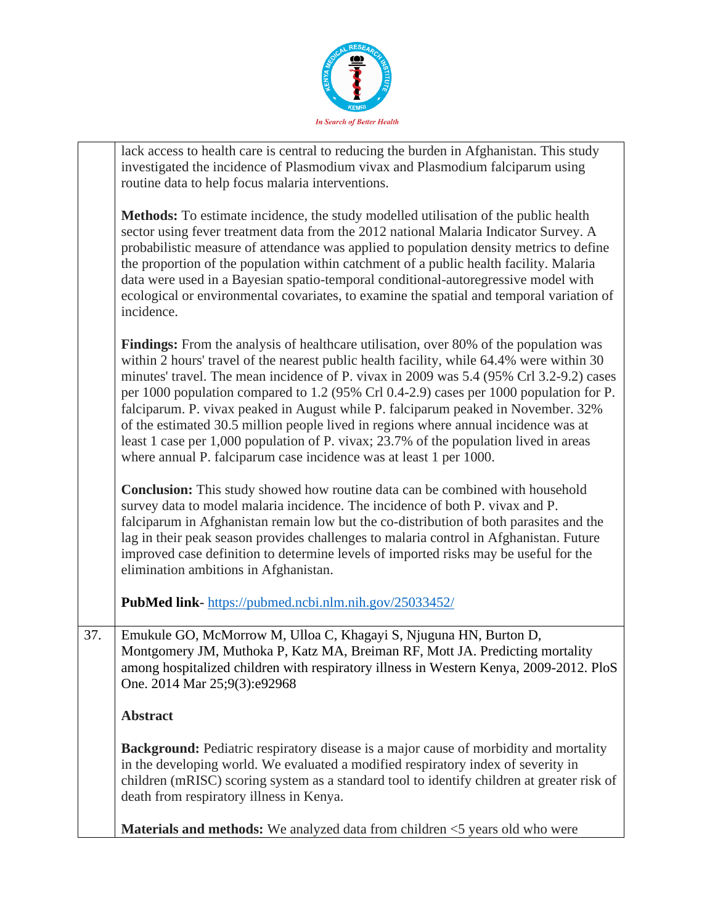

|     | lack access to health care is central to reducing the burden in Afghanistan. This study<br>investigated the incidence of Plasmodium vivax and Plasmodium falciparum using<br>routine data to help focus malaria interventions.                                                                                                                                                                                                                                                                                                                                                                                                                                                                                           |
|-----|--------------------------------------------------------------------------------------------------------------------------------------------------------------------------------------------------------------------------------------------------------------------------------------------------------------------------------------------------------------------------------------------------------------------------------------------------------------------------------------------------------------------------------------------------------------------------------------------------------------------------------------------------------------------------------------------------------------------------|
|     | Methods: To estimate incidence, the study modelled utilisation of the public health<br>sector using fever treatment data from the 2012 national Malaria Indicator Survey. A<br>probabilistic measure of attendance was applied to population density metrics to define<br>the proportion of the population within catchment of a public health facility. Malaria<br>data were used in a Bayesian spatio-temporal conditional-autoregressive model with<br>ecological or environmental covariates, to examine the spatial and temporal variation of<br>incidence.                                                                                                                                                         |
|     | <b>Findings:</b> From the analysis of healthcare utilisation, over 80% of the population was<br>within 2 hours' travel of the nearest public health facility, while 64.4% were within 30<br>minutes' travel. The mean incidence of P. vivax in 2009 was 5.4 (95% Crl 3.2-9.2) cases<br>per 1000 population compared to 1.2 (95% Crl 0.4-2.9) cases per 1000 population for P.<br>falciparum. P. vivax peaked in August while P. falciparum peaked in November. 32%<br>of the estimated 30.5 million people lived in regions where annual incidence was at<br>least 1 case per 1,000 population of P. vivax; 23.7% of the population lived in areas<br>where annual P. falciparum case incidence was at least 1 per 1000. |
|     | Conclusion: This study showed how routine data can be combined with household<br>survey data to model malaria incidence. The incidence of both P. vivax and P.<br>falciparum in Afghanistan remain low but the co-distribution of both parasites and the<br>lag in their peak season provides challenges to malaria control in Afghanistan. Future<br>improved case definition to determine levels of imported risks may be useful for the<br>elimination ambitions in Afghanistan.                                                                                                                                                                                                                                      |
|     | PubMed link-https://pubmed.ncbi.nlm.nih.gov/25033452/                                                                                                                                                                                                                                                                                                                                                                                                                                                                                                                                                                                                                                                                    |
| 37. | Emukule GO, McMorrow M, Ulloa C, Khagayi S, Njuguna HN, Burton D,<br>Montgomery JM, Muthoka P, Katz MA, Breiman RF, Mott JA. Predicting mortality<br>among hospitalized children with respiratory illness in Western Kenya, 2009-2012. PloS<br>One. 2014 Mar 25;9(3):e92968                                                                                                                                                                                                                                                                                                                                                                                                                                              |
|     | <b>Abstract</b>                                                                                                                                                                                                                                                                                                                                                                                                                                                                                                                                                                                                                                                                                                          |
|     | <b>Background:</b> Pediatric respiratory disease is a major cause of morbidity and mortality<br>in the developing world. We evaluated a modified respiratory index of severity in<br>children (mRISC) scoring system as a standard tool to identify children at greater risk of<br>death from respiratory illness in Kenya.                                                                                                                                                                                                                                                                                                                                                                                              |
|     | <b>Materials and methods:</b> We analyzed data from children <5 years old who were                                                                                                                                                                                                                                                                                                                                                                                                                                                                                                                                                                                                                                       |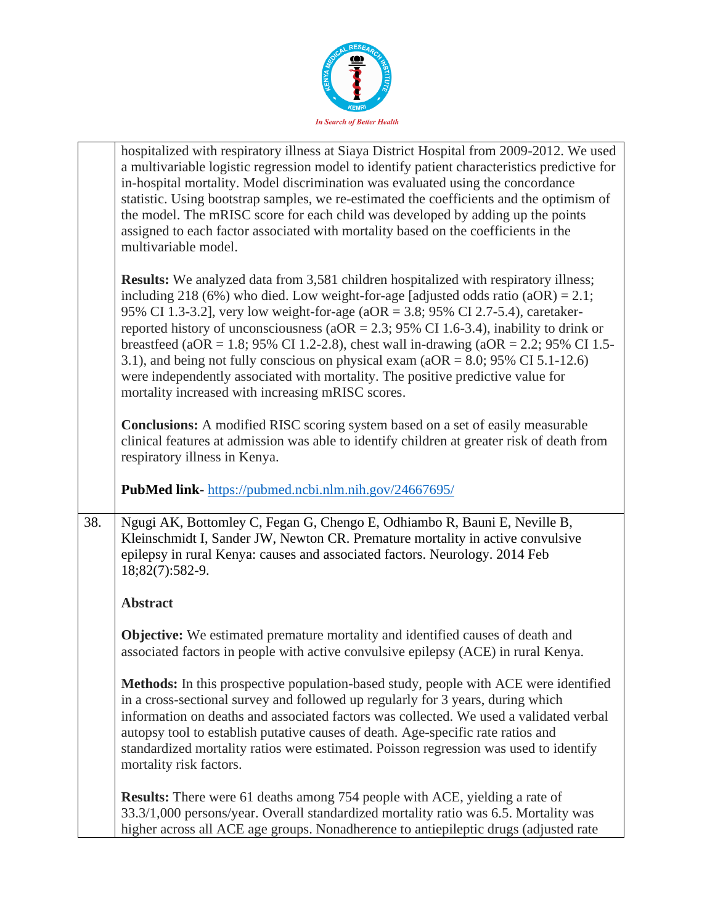

|     | hospitalized with respiratory illness at Siaya District Hospital from 2009-2012. We used<br>a multivariable logistic regression model to identify patient characteristics predictive for<br>in-hospital mortality. Model discrimination was evaluated using the concordance<br>statistic. Using bootstrap samples, we re-estimated the coefficients and the optimism of<br>the model. The mRISC score for each child was developed by adding up the points<br>assigned to each factor associated with mortality based on the coefficients in the<br>multivariable model.                                                                                                                    |
|-----|---------------------------------------------------------------------------------------------------------------------------------------------------------------------------------------------------------------------------------------------------------------------------------------------------------------------------------------------------------------------------------------------------------------------------------------------------------------------------------------------------------------------------------------------------------------------------------------------------------------------------------------------------------------------------------------------|
|     | <b>Results:</b> We analyzed data from 3,581 children hospitalized with respiratory illness;<br>including 218 (6%) who died. Low weight-for-age [adjusted odds ratio $(aOR) = 2.1$ ;<br>95% CI 1.3-3.2], very low weight-for-age (aOR = 3.8; 95% CI 2.7-5.4), caretaker-<br>reported history of unconsciousness (aOR = 2.3; 95% CI 1.6-3.4), inability to drink or<br>breastfeed (aOR = 1.8; 95% CI 1.2-2.8), chest wall in-drawing (aOR = 2.2; 95% CI 1.5-<br>3.1), and being not fully conscious on physical exam ( $aOR = 8.0$ ; 95% CI 5.1-12.6)<br>were independently associated with mortality. The positive predictive value for<br>mortality increased with increasing mRISC scores. |
|     | <b>Conclusions:</b> A modified RISC scoring system based on a set of easily measurable<br>clinical features at admission was able to identify children at greater risk of death from<br>respiratory illness in Kenya.                                                                                                                                                                                                                                                                                                                                                                                                                                                                       |
|     | <b>PubMed link-</b> https://pubmed.ncbi.nlm.nih.gov/24667695/                                                                                                                                                                                                                                                                                                                                                                                                                                                                                                                                                                                                                               |
| 38. | Ngugi AK, Bottomley C, Fegan G, Chengo E, Odhiambo R, Bauni E, Neville B,<br>Kleinschmidt I, Sander JW, Newton CR. Premature mortality in active convulsive<br>epilepsy in rural Kenya: causes and associated factors. Neurology. 2014 Feb<br>18;82(7):582-9.                                                                                                                                                                                                                                                                                                                                                                                                                               |
|     | <b>Abstract</b>                                                                                                                                                                                                                                                                                                                                                                                                                                                                                                                                                                                                                                                                             |
|     | <b>Objective:</b> We estimated premature mortality and identified causes of death and<br>associated factors in people with active convulsive epilepsy (ACE) in rural Kenya.                                                                                                                                                                                                                                                                                                                                                                                                                                                                                                                 |
|     | <b>Methods:</b> In this prospective population-based study, people with ACE were identified<br>in a cross-sectional survey and followed up regularly for 3 years, during which<br>information on deaths and associated factors was collected. We used a validated verbal<br>autopsy tool to establish putative causes of death. Age-specific rate ratios and<br>standardized mortality ratios were estimated. Poisson regression was used to identify<br>mortality risk factors.                                                                                                                                                                                                            |
|     | <b>Results:</b> There were 61 deaths among 754 people with ACE, yielding a rate of<br>33.3/1,000 persons/year. Overall standardized mortality ratio was 6.5. Mortality was<br>higher across all ACE age groups. Nonadherence to antiepileptic drugs (adjusted rate                                                                                                                                                                                                                                                                                                                                                                                                                          |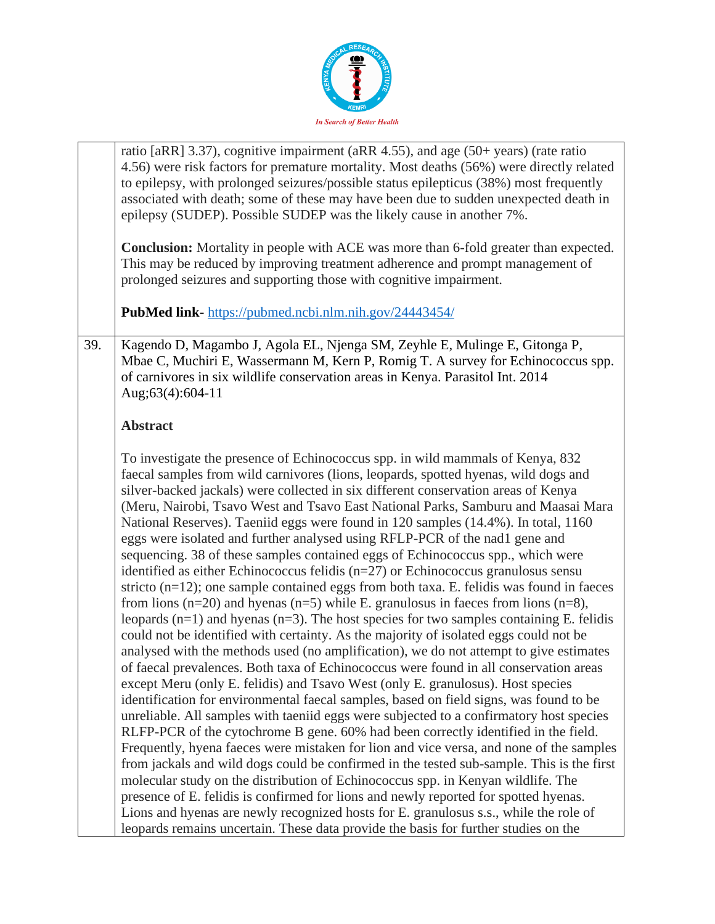

|     | ratio [aRR] 3.37), cognitive impairment (aRR 4.55), and age (50+ years) (rate ratio<br>4.56) were risk factors for premature mortality. Most deaths (56%) were directly related<br>to epilepsy, with prolonged seizures/possible status epilepticus (38%) most frequently<br>associated with death; some of these may have been due to sudden unexpected death in<br>epilepsy (SUDEP). Possible SUDEP was the likely cause in another 7%.                                                                                                                                                                                                                                                                                                                                                                                                                                                                                                                                                                                                                                                                                                                                                                                                                                                                                                                                                                                                                                                                                                                                                                                                                                                                                             |
|-----|---------------------------------------------------------------------------------------------------------------------------------------------------------------------------------------------------------------------------------------------------------------------------------------------------------------------------------------------------------------------------------------------------------------------------------------------------------------------------------------------------------------------------------------------------------------------------------------------------------------------------------------------------------------------------------------------------------------------------------------------------------------------------------------------------------------------------------------------------------------------------------------------------------------------------------------------------------------------------------------------------------------------------------------------------------------------------------------------------------------------------------------------------------------------------------------------------------------------------------------------------------------------------------------------------------------------------------------------------------------------------------------------------------------------------------------------------------------------------------------------------------------------------------------------------------------------------------------------------------------------------------------------------------------------------------------------------------------------------------------|
|     | <b>Conclusion:</b> Mortality in people with ACE was more than 6-fold greater than expected.<br>This may be reduced by improving treatment adherence and prompt management of<br>prolonged seizures and supporting those with cognitive impairment.                                                                                                                                                                                                                                                                                                                                                                                                                                                                                                                                                                                                                                                                                                                                                                                                                                                                                                                                                                                                                                                                                                                                                                                                                                                                                                                                                                                                                                                                                    |
|     | PubMed link-https://pubmed.ncbi.nlm.nih.gov/24443454/                                                                                                                                                                                                                                                                                                                                                                                                                                                                                                                                                                                                                                                                                                                                                                                                                                                                                                                                                                                                                                                                                                                                                                                                                                                                                                                                                                                                                                                                                                                                                                                                                                                                                 |
| 39. | Kagendo D, Magambo J, Agola EL, Njenga SM, Zeyhle E, Mulinge E, Gitonga P,<br>Mbae C, Muchiri E, Wassermann M, Kern P, Romig T. A survey for Echinococcus spp.<br>of carnivores in six wildlife conservation areas in Kenya. Parasitol Int. 2014<br>Aug;63(4):604-11                                                                                                                                                                                                                                                                                                                                                                                                                                                                                                                                                                                                                                                                                                                                                                                                                                                                                                                                                                                                                                                                                                                                                                                                                                                                                                                                                                                                                                                                  |
|     | <b>Abstract</b>                                                                                                                                                                                                                                                                                                                                                                                                                                                                                                                                                                                                                                                                                                                                                                                                                                                                                                                                                                                                                                                                                                                                                                                                                                                                                                                                                                                                                                                                                                                                                                                                                                                                                                                       |
|     | To investigate the presence of Echinococcus spp. in wild mammals of Kenya, 832<br>faecal samples from wild carnivores (lions, leopards, spotted hyenas, wild dogs and<br>silver-backed jackals) were collected in six different conservation areas of Kenya<br>(Meru, Nairobi, Tsavo West and Tsavo East National Parks, Samburu and Maasai Mara<br>National Reserves). Taeniid eggs were found in 120 samples (14.4%). In total, 1160<br>eggs were isolated and further analysed using RFLP-PCR of the nad1 gene and<br>sequencing. 38 of these samples contained eggs of Echinococcus spp., which were<br>identified as either Echinococcus felidis $(n=27)$ or Echinococcus granulosus sensu<br>stricto $(n=12)$ ; one sample contained eggs from both taxa. E. felidis was found in faeces<br>from lions ( $n=20$ ) and hyenas ( $n=5$ ) while E. granulosus in faeces from lions ( $n=8$ ),<br>leopards $(n=1)$ and hyenas $(n=3)$ . The host species for two samples containing E. felidis<br>could not be identified with certainty. As the majority of isolated eggs could not be<br>analysed with the methods used (no amplification), we do not attempt to give estimates<br>of faecal prevalences. Both taxa of Echinococcus were found in all conservation areas<br>except Meru (only E. felidis) and Tsavo West (only E. granulosus). Host species<br>identification for environmental faecal samples, based on field signs, was found to be<br>unreliable. All samples with taeniid eggs were subjected to a confirmatory host species<br>RLFP-PCR of the cytochrome B gene. 60% had been correctly identified in the field.<br>Frequently, hyena faeces were mistaken for lion and vice versa, and none of the samples |
|     | from jackals and wild dogs could be confirmed in the tested sub-sample. This is the first<br>molecular study on the distribution of Echinococcus spp. in Kenyan wildlife. The                                                                                                                                                                                                                                                                                                                                                                                                                                                                                                                                                                                                                                                                                                                                                                                                                                                                                                                                                                                                                                                                                                                                                                                                                                                                                                                                                                                                                                                                                                                                                         |
|     | presence of E. felidis is confirmed for lions and newly reported for spotted hyenas.<br>Lions and hyenas are newly recognized hosts for E. granulosus s.s., while the role of                                                                                                                                                                                                                                                                                                                                                                                                                                                                                                                                                                                                                                                                                                                                                                                                                                                                                                                                                                                                                                                                                                                                                                                                                                                                                                                                                                                                                                                                                                                                                         |
|     | leopards remains uncertain. These data provide the basis for further studies on the                                                                                                                                                                                                                                                                                                                                                                                                                                                                                                                                                                                                                                                                                                                                                                                                                                                                                                                                                                                                                                                                                                                                                                                                                                                                                                                                                                                                                                                                                                                                                                                                                                                   |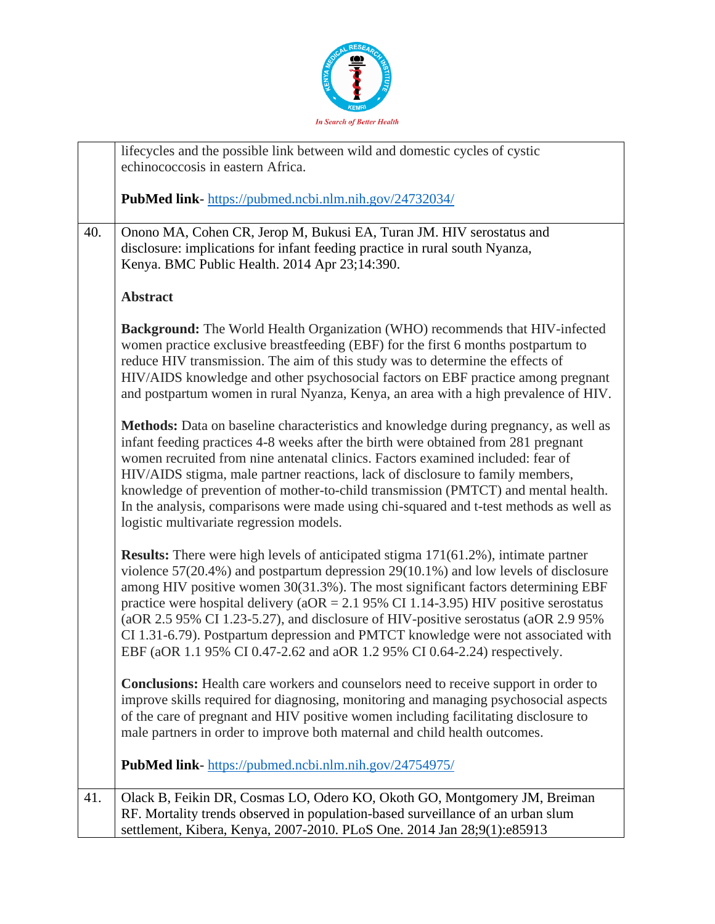

|     | lifecycles and the possible link between wild and domestic cycles of cystic<br>echinococcosis in eastern Africa.                                                                                                                                                                                                                                                                                                                                                                                                                                                                                                               |
|-----|--------------------------------------------------------------------------------------------------------------------------------------------------------------------------------------------------------------------------------------------------------------------------------------------------------------------------------------------------------------------------------------------------------------------------------------------------------------------------------------------------------------------------------------------------------------------------------------------------------------------------------|
|     | <b>PubMed link-</b> https://pubmed.ncbi.nlm.nih.gov/24732034/                                                                                                                                                                                                                                                                                                                                                                                                                                                                                                                                                                  |
| 40. | Onono MA, Cohen CR, Jerop M, Bukusi EA, Turan JM. HIV serostatus and<br>disclosure: implications for infant feeding practice in rural south Nyanza,<br>Kenya. BMC Public Health. 2014 Apr 23;14:390.                                                                                                                                                                                                                                                                                                                                                                                                                           |
|     | <b>Abstract</b>                                                                                                                                                                                                                                                                                                                                                                                                                                                                                                                                                                                                                |
|     | <b>Background:</b> The World Health Organization (WHO) recommends that HIV-infected<br>women practice exclusive breastfeeding (EBF) for the first 6 months postpartum to<br>reduce HIV transmission. The aim of this study was to determine the effects of<br>HIV/AIDS knowledge and other psychosocial factors on EBF practice among pregnant<br>and postpartum women in rural Nyanza, Kenya, an area with a high prevalence of HIV.                                                                                                                                                                                          |
|     | Methods: Data on baseline characteristics and knowledge during pregnancy, as well as<br>infant feeding practices 4-8 weeks after the birth were obtained from 281 pregnant<br>women recruited from nine antenatal clinics. Factors examined included: fear of<br>HIV/AIDS stigma, male partner reactions, lack of disclosure to family members,<br>knowledge of prevention of mother-to-child transmission (PMTCT) and mental health.<br>In the analysis, comparisons were made using chi-squared and t-test methods as well as<br>logistic multivariate regression models.                                                    |
|     | <b>Results:</b> There were high levels of anticipated stigma 171(61.2%), intimate partner<br>violence $57(20.4\%)$ and postpartum depression $29(10.1\%)$ and low levels of disclosure<br>among HIV positive women 30(31.3%). The most significant factors determining EBF<br>practice were hospital delivery ( $aOR = 2.1$ 95% CI 1.14-3.95) HIV positive serostatus<br>(aOR 2.5 95% CI 1.23-5.27), and disclosure of HIV-positive serostatus (aOR 2.9 95%)<br>CI 1.31-6.79). Postpartum depression and PMTCT knowledge were not associated with<br>EBF (aOR 1.1 95% CI 0.47-2.62 and aOR 1.2 95% CI 0.64-2.24) respectively. |
|     | <b>Conclusions:</b> Health care workers and counselors need to receive support in order to<br>improve skills required for diagnosing, monitoring and managing psychosocial aspects<br>of the care of pregnant and HIV positive women including facilitating disclosure to<br>male partners in order to improve both maternal and child health outcomes.                                                                                                                                                                                                                                                                        |
|     | <b>PubMed link-</b> https://pubmed.ncbi.nlm.nih.gov/24754975/                                                                                                                                                                                                                                                                                                                                                                                                                                                                                                                                                                  |
| 41. | Olack B, Feikin DR, Cosmas LO, Odero KO, Okoth GO, Montgomery JM, Breiman<br>RF. Mortality trends observed in population-based surveillance of an urban slum<br>settlement, Kibera, Kenya, 2007-2010. PLoS One. 2014 Jan 28;9(1):e85913                                                                                                                                                                                                                                                                                                                                                                                        |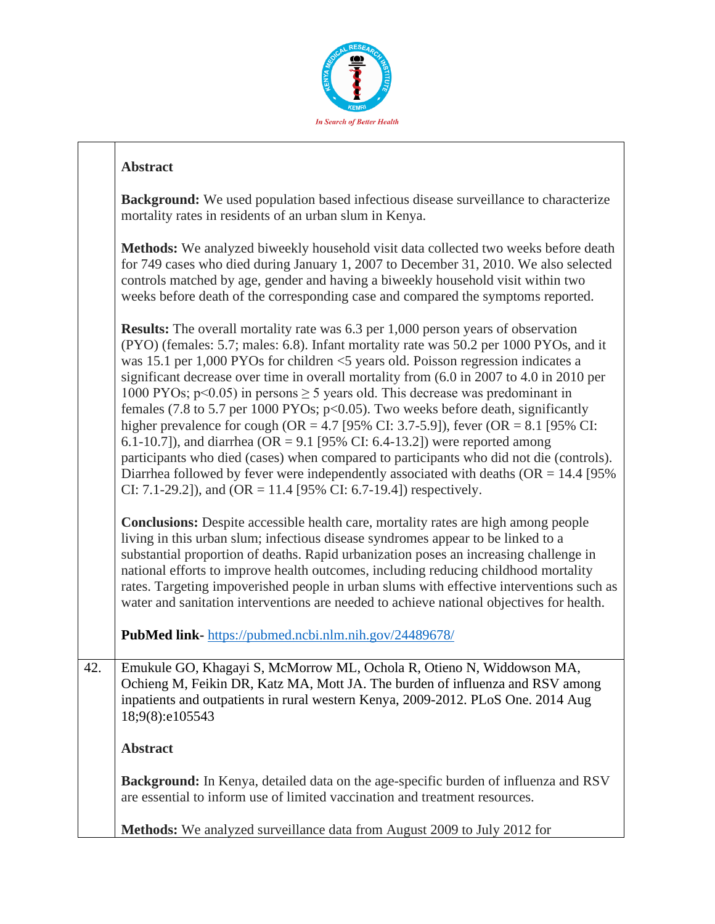

### **Abstract**

**Background:** We used population based infectious disease surveillance to characterize mortality rates in residents of an urban slum in Kenya.

**Methods:** We analyzed biweekly household visit data collected two weeks before death for 749 cases who died during January 1, 2007 to December 31, 2010. We also selected controls matched by age, gender and having a biweekly household visit within two weeks before death of the corresponding case and compared the symptoms reported.

**Results:** The overall mortality rate was 6.3 per 1,000 person years of observation (PYO) (females: 5.7; males: 6.8). Infant mortality rate was 50.2 per 1000 PYOs, and it was 15.1 per 1,000 PYOs for children <5 years old. Poisson regression indicates a significant decrease over time in overall mortality from (6.0 in 2007 to 4.0 in 2010 per 1000 PYOs;  $p \le 0.05$ ) in persons  $\ge 5$  years old. This decrease was predominant in females (7.8 to 5.7 per 1000 PYOs;  $p<0.05$ ). Two weeks before death, significantly higher prevalence for cough (OR = 4.7 [95% CI: 3.7-5.9]), fever (OR = 8.1 [95% CI: 6.1-10.7]), and diarrhea (OR = 9.1 [95% CI: 6.4-13.2]) were reported among participants who died (cases) when compared to participants who did not die (controls). Diarrhea followed by fever were independently associated with deaths ( $OR = 14.4$  [95% CI: 7.1-29.2]), and (OR = 11.4 [95% CI: 6.7-19.4]) respectively.

**Conclusions:** Despite accessible health care, mortality rates are high among people living in this urban slum; infectious disease syndromes appear to be linked to a substantial proportion of deaths. Rapid urbanization poses an increasing challenge in national efforts to improve health outcomes, including reducing childhood mortality rates. Targeting impoverished people in urban slums with effective interventions such as water and sanitation interventions are needed to achieve national objectives for health.

**PubMed link-** <https://pubmed.ncbi.nlm.nih.gov/24489678/>

42. Emukule GO, Khagayi S, McMorrow ML, Ochola R, Otieno N, Widdowson MA, Ochieng M, Feikin DR, Katz MA, Mott JA. The burden of influenza and RSV among inpatients and outpatients in rural western Kenya, 2009-2012. PLoS One. 2014 Aug 18;9(8):e105543

#### **Abstract**

**Background:** In Kenya, detailed data on the age-specific burden of influenza and RSV are essential to inform use of limited vaccination and treatment resources.

**Methods:** We analyzed surveillance data from August 2009 to July 2012 for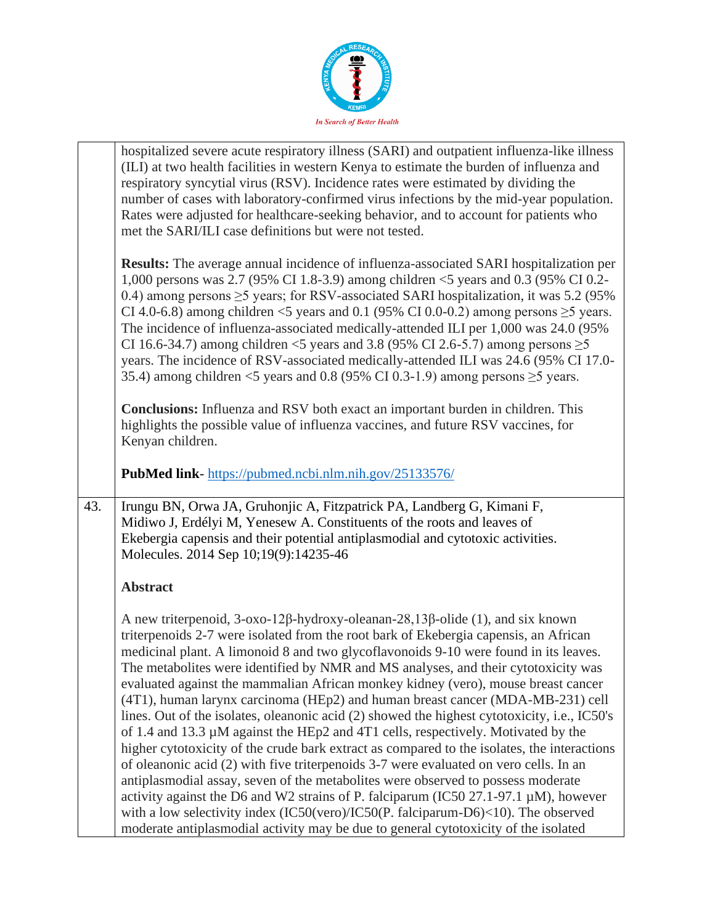

| hospitalized severe acute respiratory illness (SARI) and outpatient influenza-like illness<br>(ILI) at two health facilities in western Kenya to estimate the burden of influenza and                                                                                                                                                                                                                                                                                                                                                                                                                                                                                                                                                                |
|------------------------------------------------------------------------------------------------------------------------------------------------------------------------------------------------------------------------------------------------------------------------------------------------------------------------------------------------------------------------------------------------------------------------------------------------------------------------------------------------------------------------------------------------------------------------------------------------------------------------------------------------------------------------------------------------------------------------------------------------------|
| respiratory syncytial virus (RSV). Incidence rates were estimated by dividing the<br>number of cases with laboratory-confirmed virus infections by the mid-year population.<br>Rates were adjusted for healthcare-seeking behavior, and to account for patients who<br>met the SARI/ILI case definitions but were not tested.                                                                                                                                                                                                                                                                                                                                                                                                                        |
|                                                                                                                                                                                                                                                                                                                                                                                                                                                                                                                                                                                                                                                                                                                                                      |
| <b>Results:</b> The average annual incidence of influenza-associated SARI hospitalization per<br>1,000 persons was 2.7 (95% CI 1.8-3.9) among children <5 years and 0.3 (95% CI 0.2-<br>0.4) among persons $\geq$ 5 years; for RSV-associated SARI hospitalization, it was 5.2 (95%)<br>CI 4.0-6.8) among children <5 years and 0.1 (95% CI 0.0-0.2) among persons $\geq$ 5 years.<br>The incidence of influenza-associated medically-attended ILI per 1,000 was 24.0 (95%)<br>CI 16.6-34.7) among children <5 years and 3.8 (95% CI 2.6-5.7) among persons $\geq$ 5<br>years. The incidence of RSV-associated medically-attended ILI was 24.6 (95% CI 17.0-<br>35.4) among children <5 years and 0.8 (95% CI 0.3-1.9) among persons $\geq$ 5 years. |
| <b>Conclusions:</b> Influenza and RSV both exact an important burden in children. This<br>highlights the possible value of influenza vaccines, and future RSV vaccines, for<br>Kenyan children.                                                                                                                                                                                                                                                                                                                                                                                                                                                                                                                                                      |
| PubMed link-https://pubmed.ncbi.nlm.nih.gov/25133576/                                                                                                                                                                                                                                                                                                                                                                                                                                                                                                                                                                                                                                                                                                |
|                                                                                                                                                                                                                                                                                                                                                                                                                                                                                                                                                                                                                                                                                                                                                      |
| Irungu BN, Orwa JA, Gruhonjic A, Fitzpatrick PA, Landberg G, Kimani F,<br>43.<br>Midiwo J, Erdélyi M, Yenesew A. Constituents of the roots and leaves of<br>Ekebergia capensis and their potential antiplasmodial and cytotoxic activities.<br>Molecules. 2014 Sep 10;19(9):14235-46                                                                                                                                                                                                                                                                                                                                                                                                                                                                 |
| <b>Abstract</b>                                                                                                                                                                                                                                                                                                                                                                                                                                                                                                                                                                                                                                                                                                                                      |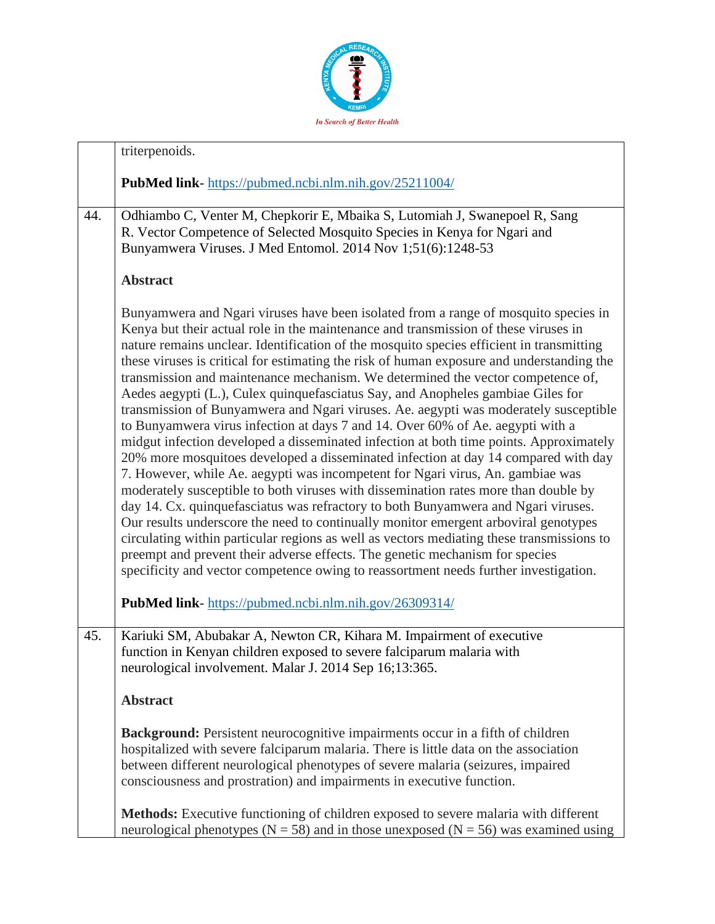

|     | triterpenoids.                                                                                                                                                                                                                                                                                                                                                                                                                                                                                                                                                                                                                                                                                                                                                                                                                                                                                                                                                                                                                                                                                                                                                                                                                                                                                                                                                                                                                                                                                                                |
|-----|-------------------------------------------------------------------------------------------------------------------------------------------------------------------------------------------------------------------------------------------------------------------------------------------------------------------------------------------------------------------------------------------------------------------------------------------------------------------------------------------------------------------------------------------------------------------------------------------------------------------------------------------------------------------------------------------------------------------------------------------------------------------------------------------------------------------------------------------------------------------------------------------------------------------------------------------------------------------------------------------------------------------------------------------------------------------------------------------------------------------------------------------------------------------------------------------------------------------------------------------------------------------------------------------------------------------------------------------------------------------------------------------------------------------------------------------------------------------------------------------------------------------------------|
|     | PubMed link-https://pubmed.ncbi.nlm.nih.gov/25211004/                                                                                                                                                                                                                                                                                                                                                                                                                                                                                                                                                                                                                                                                                                                                                                                                                                                                                                                                                                                                                                                                                                                                                                                                                                                                                                                                                                                                                                                                         |
| 44. | Odhiambo C, Venter M, Chepkorir E, Mbaika S, Lutomiah J, Swanepoel R, Sang<br>R. Vector Competence of Selected Mosquito Species in Kenya for Ngari and<br>Bunyamwera Viruses. J Med Entomol. 2014 Nov 1;51(6):1248-53                                                                                                                                                                                                                                                                                                                                                                                                                                                                                                                                                                                                                                                                                                                                                                                                                                                                                                                                                                                                                                                                                                                                                                                                                                                                                                         |
|     | <b>Abstract</b>                                                                                                                                                                                                                                                                                                                                                                                                                                                                                                                                                                                                                                                                                                                                                                                                                                                                                                                                                                                                                                                                                                                                                                                                                                                                                                                                                                                                                                                                                                               |
|     | Bunyamwera and Ngari viruses have been isolated from a range of mosquito species in<br>Kenya but their actual role in the maintenance and transmission of these viruses in<br>nature remains unclear. Identification of the mosquito species efficient in transmitting<br>these viruses is critical for estimating the risk of human exposure and understanding the<br>transmission and maintenance mechanism. We determined the vector competence of,<br>Aedes aegypti (L.), Culex quinquefasciatus Say, and Anopheles gambiae Giles for<br>transmission of Bunyamwera and Ngari viruses. Ae. aegypti was moderately susceptible<br>to Bunyamwera virus infection at days 7 and 14. Over 60% of Ae. aegypti with a<br>midgut infection developed a disseminated infection at both time points. Approximately<br>20% more mosquitoes developed a disseminated infection at day 14 compared with day<br>7. However, while Ae. aegypti was incompetent for Ngari virus, An. gambiae was<br>moderately susceptible to both viruses with dissemination rates more than double by<br>day 14. Cx. quinquefasciatus was refractory to both Bunyamwera and Ngari viruses.<br>Our results underscore the need to continually monitor emergent arboviral genotypes<br>circulating within particular regions as well as vectors mediating these transmissions to<br>preempt and prevent their adverse effects. The genetic mechanism for species<br>specificity and vector competence owing to reassortment needs further investigation. |
|     | PubMed link-https://pubmed.ncbi.nlm.nih.gov/26309314/                                                                                                                                                                                                                                                                                                                                                                                                                                                                                                                                                                                                                                                                                                                                                                                                                                                                                                                                                                                                                                                                                                                                                                                                                                                                                                                                                                                                                                                                         |
| 45. | Kariuki SM, Abubakar A, Newton CR, Kihara M. Impairment of executive<br>function in Kenyan children exposed to severe falciparum malaria with<br>neurological involvement. Malar J. 2014 Sep 16;13:365.                                                                                                                                                                                                                                                                                                                                                                                                                                                                                                                                                                                                                                                                                                                                                                                                                                                                                                                                                                                                                                                                                                                                                                                                                                                                                                                       |
|     | <b>Abstract</b>                                                                                                                                                                                                                                                                                                                                                                                                                                                                                                                                                                                                                                                                                                                                                                                                                                                                                                                                                                                                                                                                                                                                                                                                                                                                                                                                                                                                                                                                                                               |
|     | <b>Background:</b> Persistent neurocognitive impairments occur in a fifth of children<br>hospitalized with severe falciparum malaria. There is little data on the association<br>between different neurological phenotypes of severe malaria (seizures, impaired<br>consciousness and prostration) and impairments in executive function.                                                                                                                                                                                                                                                                                                                                                                                                                                                                                                                                                                                                                                                                                                                                                                                                                                                                                                                                                                                                                                                                                                                                                                                     |
|     | <b>Methods:</b> Executive functioning of children exposed to severe malaria with different<br>neurological phenotypes ( $N = 58$ ) and in those unexposed ( $N = 56$ ) was examined using                                                                                                                                                                                                                                                                                                                                                                                                                                                                                                                                                                                                                                                                                                                                                                                                                                                                                                                                                                                                                                                                                                                                                                                                                                                                                                                                     |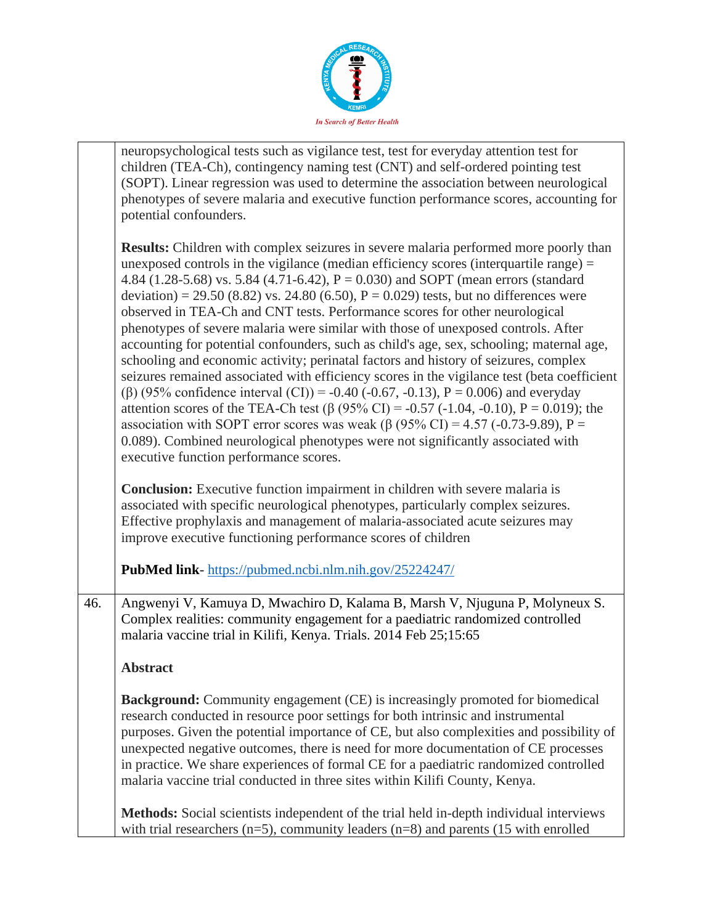

neuropsychological tests such as vigilance test, test for everyday attention test for children (TEA-Ch), contingency naming test (CNT) and self-ordered pointing test (SOPT). Linear regression was used to determine the association between neurological phenotypes of severe malaria and executive function performance scores, accounting for potential confounders.

**Results:** Children with complex seizures in severe malaria performed more poorly than unexposed controls in the vigilance (median efficiency scores (interquartile range) = 4.84 (1.28-5.68) vs. 5.84 (4.71-6.42),  $P = 0.030$ ) and SOPT (mean errors (standard deviation) = 29.50 (8.82) vs. 24.80 (6.50),  $P = 0.029$ ) tests, but no differences were observed in TEA-Ch and CNT tests. Performance scores for other neurological phenotypes of severe malaria were similar with those of unexposed controls. After accounting for potential confounders, such as child's age, sex, schooling; maternal age, schooling and economic activity; perinatal factors and history of seizures, complex seizures remained associated with efficiency scores in the vigilance test (beta coefficient (β) (95% confidence interval (CI)) = -0.40 (-0.67, -0.13),  $P = 0.006$ ) and everyday attention scores of the TEA-Ch test (β (95% CI) = -0.57 (-1.04, -0.10), P = 0.019); the association with SOPT error scores was weak ( $\beta$  (95% CI) = 4.57 (-0.73-9.89), P = 0.089). Combined neurological phenotypes were not significantly associated with executive function performance scores.

**Conclusion:** Executive function impairment in children with severe malaria is associated with specific neurological phenotypes, particularly complex seizures. Effective prophylaxis and management of malaria-associated acute seizures may improve executive functioning performance scores of children

**PubMed link**- <https://pubmed.ncbi.nlm.nih.gov/25224247/>

46. Angwenyi V, Kamuya D, Mwachiro D, Kalama B, Marsh V, Njuguna P, Molyneux S. Complex realities: community engagement for a paediatric randomized controlled malaria vaccine trial in Kilifi, Kenya. Trials. 2014 Feb 25;15:65

**Abstract**

**Background:** Community engagement (CE) is increasingly promoted for biomedical research conducted in resource poor settings for both intrinsic and instrumental purposes. Given the potential importance of CE, but also complexities and possibility of unexpected negative outcomes, there is need for more documentation of CE processes in practice. We share experiences of formal CE for a paediatric randomized controlled malaria vaccine trial conducted in three sites within Kilifi County, Kenya.

**Methods:** Social scientists independent of the trial held in-depth individual interviews with trial researchers ( $n=5$ ), community leaders ( $n=8$ ) and parents (15 with enrolled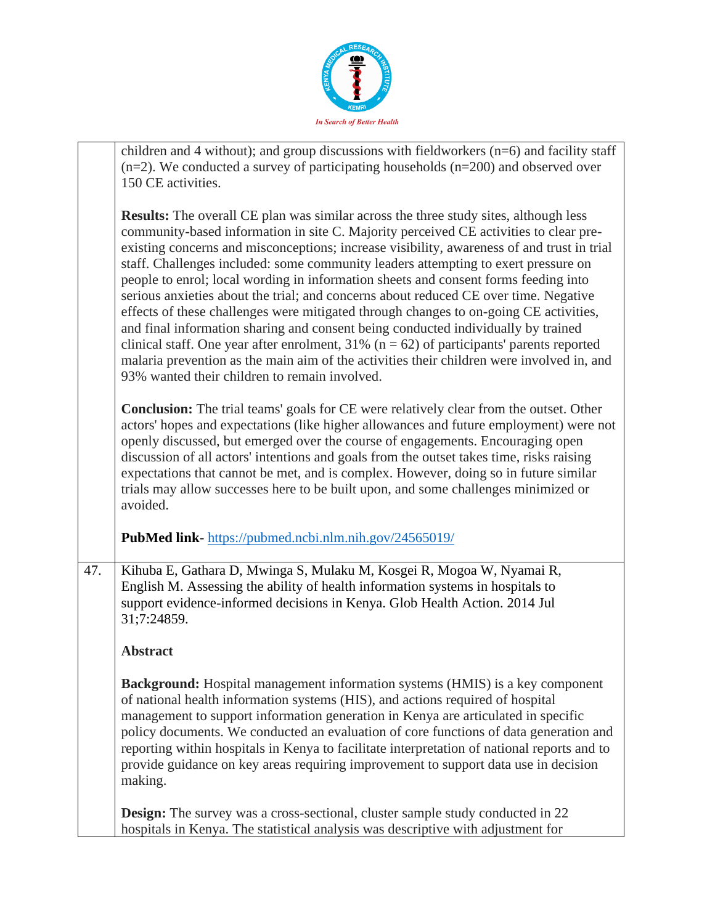

|     | children and 4 without); and group discussions with fieldworkers $(n=6)$ and facility staff<br>$(n=2)$ . We conducted a survey of participating households $(n=200)$ and observed over<br>150 CE activities.                                                                                                                                                                                                                                                                                                                                                                                                                                                                                                                                                                                                                                                                                                                                                                       |
|-----|------------------------------------------------------------------------------------------------------------------------------------------------------------------------------------------------------------------------------------------------------------------------------------------------------------------------------------------------------------------------------------------------------------------------------------------------------------------------------------------------------------------------------------------------------------------------------------------------------------------------------------------------------------------------------------------------------------------------------------------------------------------------------------------------------------------------------------------------------------------------------------------------------------------------------------------------------------------------------------|
|     | <b>Results:</b> The overall CE plan was similar across the three study sites, although less<br>community-based information in site C. Majority perceived CE activities to clear pre-<br>existing concerns and misconceptions; increase visibility, awareness of and trust in trial<br>staff. Challenges included: some community leaders attempting to exert pressure on<br>people to enrol; local wording in information sheets and consent forms feeding into<br>serious anxieties about the trial; and concerns about reduced CE over time. Negative<br>effects of these challenges were mitigated through changes to on-going CE activities,<br>and final information sharing and consent being conducted individually by trained<br>clinical staff. One year after enrolment, $31\%$ (n = 62) of participants' parents reported<br>malaria prevention as the main aim of the activities their children were involved in, and<br>93% wanted their children to remain involved. |
|     | <b>Conclusion:</b> The trial teams' goals for CE were relatively clear from the outset. Other<br>actors' hopes and expectations (like higher allowances and future employment) were not<br>openly discussed, but emerged over the course of engagements. Encouraging open<br>discussion of all actors' intentions and goals from the outset takes time, risks raising<br>expectations that cannot be met, and is complex. However, doing so in future similar<br>trials may allow successes here to be built upon, and some challenges minimized or<br>avoided.                                                                                                                                                                                                                                                                                                                                                                                                                    |
|     | <b>PubMed link-</b> https://pubmed.ncbi.nlm.nih.gov/24565019/                                                                                                                                                                                                                                                                                                                                                                                                                                                                                                                                                                                                                                                                                                                                                                                                                                                                                                                      |
| 47. | Kihuba E, Gathara D, Mwinga S, Mulaku M, Kosgei R, Mogoa W, Nyamai R,<br>English M. Assessing the ability of health information systems in hospitals to<br>support evidence-informed decisions in Kenya. Glob Health Action. 2014 Jul<br>31;7:24859.                                                                                                                                                                                                                                                                                                                                                                                                                                                                                                                                                                                                                                                                                                                               |
|     | <b>Abstract</b>                                                                                                                                                                                                                                                                                                                                                                                                                                                                                                                                                                                                                                                                                                                                                                                                                                                                                                                                                                    |
|     | <b>Background:</b> Hospital management information systems (HMIS) is a key component<br>of national health information systems (HIS), and actions required of hospital<br>management to support information generation in Kenya are articulated in specific<br>policy documents. We conducted an evaluation of core functions of data generation and<br>reporting within hospitals in Kenya to facilitate interpretation of national reports and to<br>provide guidance on key areas requiring improvement to support data use in decision<br>making.                                                                                                                                                                                                                                                                                                                                                                                                                              |
|     | <b>Design:</b> The survey was a cross-sectional, cluster sample study conducted in 22<br>hospitals in Kenya. The statistical analysis was descriptive with adjustment for                                                                                                                                                                                                                                                                                                                                                                                                                                                                                                                                                                                                                                                                                                                                                                                                          |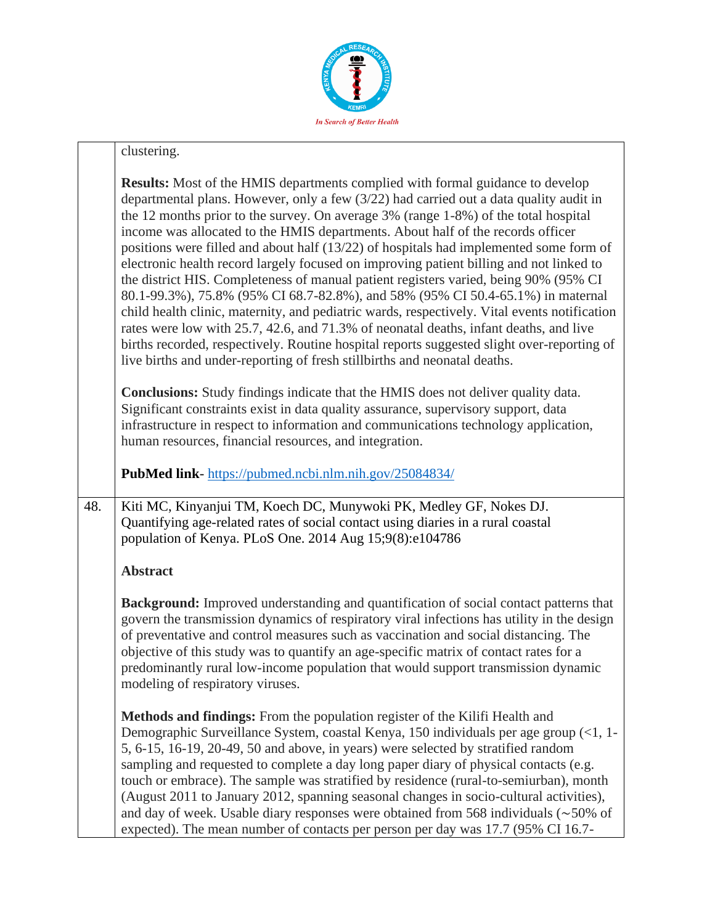

## clustering. **Results:** Most of the HMIS departments complied with formal guidance to develop departmental plans. However, only a few (3/22) had carried out a data quality audit in the 12 months prior to the survey. On average 3% (range 1-8%) of the total hospital income was allocated to the HMIS departments. About half of the records officer positions were filled and about half (13/22) of hospitals had implemented some form of electronic health record largely focused on improving patient billing and not linked to the district HIS. Completeness of manual patient registers varied, being 90% (95% CI 80.1-99.3%), 75.8% (95% CI 68.7-82.8%), and 58% (95% CI 50.4-65.1%) in maternal child health clinic, maternity, and pediatric wards, respectively. Vital events notification rates were low with 25.7, 42.6, and 71.3% of neonatal deaths, infant deaths, and live births recorded, respectively. Routine hospital reports suggested slight over-reporting of live births and under-reporting of fresh stillbirths and neonatal deaths. **Conclusions:** Study findings indicate that the HMIS does not deliver quality data.

Significant constraints exist in data quality assurance, supervisory support, data infrastructure in respect to information and communications technology application, human resources, financial resources, and integration.

**PubMed link**- <https://pubmed.ncbi.nlm.nih.gov/25084834/>

48. Kiti MC, Kinyanjui TM, Koech DC, Munywoki PK, Medley GF, Nokes DJ. Quantifying age-related rates of social contact using diaries in a rural coastal population of Kenya. PLoS One. 2014 Aug 15;9(8):e104786

### **Abstract**

**Background:** Improved understanding and quantification of social contact patterns that govern the transmission dynamics of respiratory viral infections has utility in the design of preventative and control measures such as vaccination and social distancing. The objective of this study was to quantify an age-specific matrix of contact rates for a predominantly rural low-income population that would support transmission dynamic modeling of respiratory viruses.

**Methods and findings:** From the population register of the Kilifi Health and Demographic Surveillance System, coastal Kenya, 150 individuals per age group (<1, 1- 5, 6-15, 16-19, 20-49, 50 and above, in years) were selected by stratified random sampling and requested to complete a day long paper diary of physical contacts (e.g. touch or embrace). The sample was stratified by residence (rural-to-semiurban), month (August 2011 to January 2012, spanning seasonal changes in socio-cultural activities), and day of week. Usable diary responses were obtained from 568 individuals (∼50% of expected). The mean number of contacts per person per day was 17.7 (95% CI 16.7-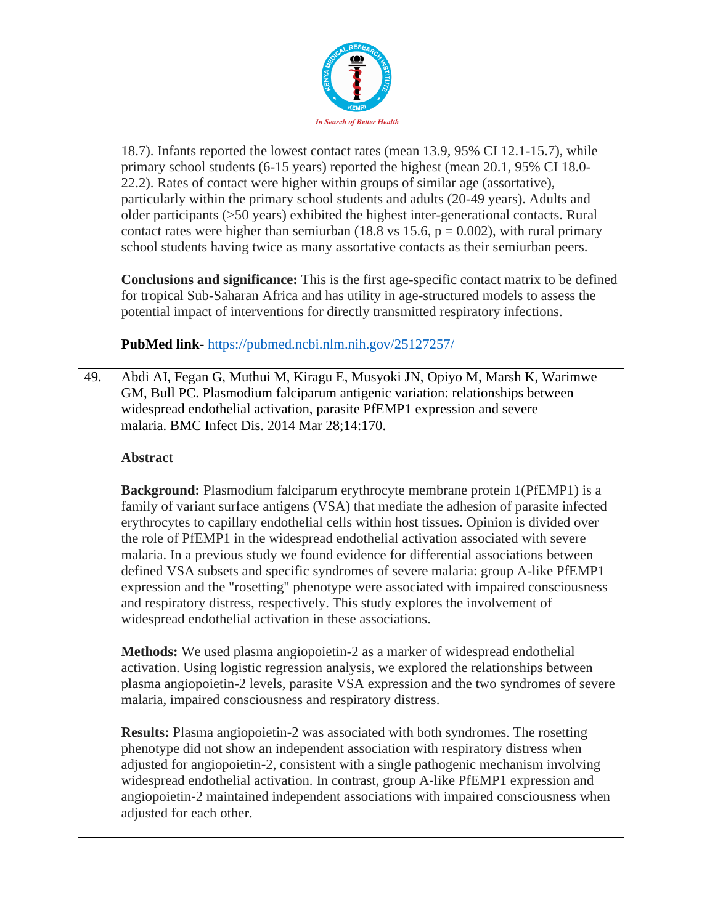

|     | 18.7). Infants reported the lowest contact rates (mean 13.9, 95% CI 12.1-15.7), while<br>primary school students (6-15 years) reported the highest (mean 20.1, 95% CI 18.0-<br>22.2). Rates of contact were higher within groups of similar age (assortative),<br>particularly within the primary school students and adults (20-49 years). Adults and<br>older participants (>50 years) exhibited the highest inter-generational contacts. Rural<br>contact rates were higher than semiurban (18.8 vs 15.6, $p = 0.002$ ), with rural primary<br>school students having twice as many assortative contacts as their semiurban peers.                                                                                                                                         |
|-----|-------------------------------------------------------------------------------------------------------------------------------------------------------------------------------------------------------------------------------------------------------------------------------------------------------------------------------------------------------------------------------------------------------------------------------------------------------------------------------------------------------------------------------------------------------------------------------------------------------------------------------------------------------------------------------------------------------------------------------------------------------------------------------|
|     | <b>Conclusions and significance:</b> This is the first age-specific contact matrix to be defined<br>for tropical Sub-Saharan Africa and has utility in age-structured models to assess the<br>potential impact of interventions for directly transmitted respiratory infections.                                                                                                                                                                                                                                                                                                                                                                                                                                                                                              |
|     | PubMed link-https://pubmed.ncbi.nlm.nih.gov/25127257/                                                                                                                                                                                                                                                                                                                                                                                                                                                                                                                                                                                                                                                                                                                         |
| 49. | Abdi AI, Fegan G, Muthui M, Kiragu E, Musyoki JN, Opiyo M, Marsh K, Warimwe<br>GM, Bull PC. Plasmodium falciparum antigenic variation: relationships between<br>widespread endothelial activation, parasite PfEMP1 expression and severe<br>malaria. BMC Infect Dis. 2014 Mar 28;14:170.                                                                                                                                                                                                                                                                                                                                                                                                                                                                                      |
|     | <b>Abstract</b>                                                                                                                                                                                                                                                                                                                                                                                                                                                                                                                                                                                                                                                                                                                                                               |
|     | Background: Plasmodium falciparum erythrocyte membrane protein 1(PfEMP1) is a<br>family of variant surface antigens (VSA) that mediate the adhesion of parasite infected<br>erythrocytes to capillary endothelial cells within host tissues. Opinion is divided over<br>the role of PfEMP1 in the widespread endothelial activation associated with severe<br>malaria. In a previous study we found evidence for differential associations between<br>defined VSA subsets and specific syndromes of severe malaria: group A-like PfEMP1<br>expression and the "rosetting" phenotype were associated with impaired consciousness<br>and respiratory distress, respectively. This study explores the involvement of<br>widespread endothelial activation in these associations. |
|     | Methods: We used plasma angiopoietin-2 as a marker of widespread endothelial<br>activation. Using logistic regression analysis, we explored the relationships between<br>plasma angiopoietin-2 levels, parasite VSA expression and the two syndromes of severe<br>malaria, impaired consciousness and respiratory distress.                                                                                                                                                                                                                                                                                                                                                                                                                                                   |
|     | <b>Results:</b> Plasma angiopoietin-2 was associated with both syndromes. The rosetting<br>phenotype did not show an independent association with respiratory distress when<br>adjusted for angiopoietin-2, consistent with a single pathogenic mechanism involving<br>widespread endothelial activation. In contrast, group A-like PfEMP1 expression and<br>angiopoietin-2 maintained independent associations with impaired consciousness when<br>adjusted for each other.                                                                                                                                                                                                                                                                                                  |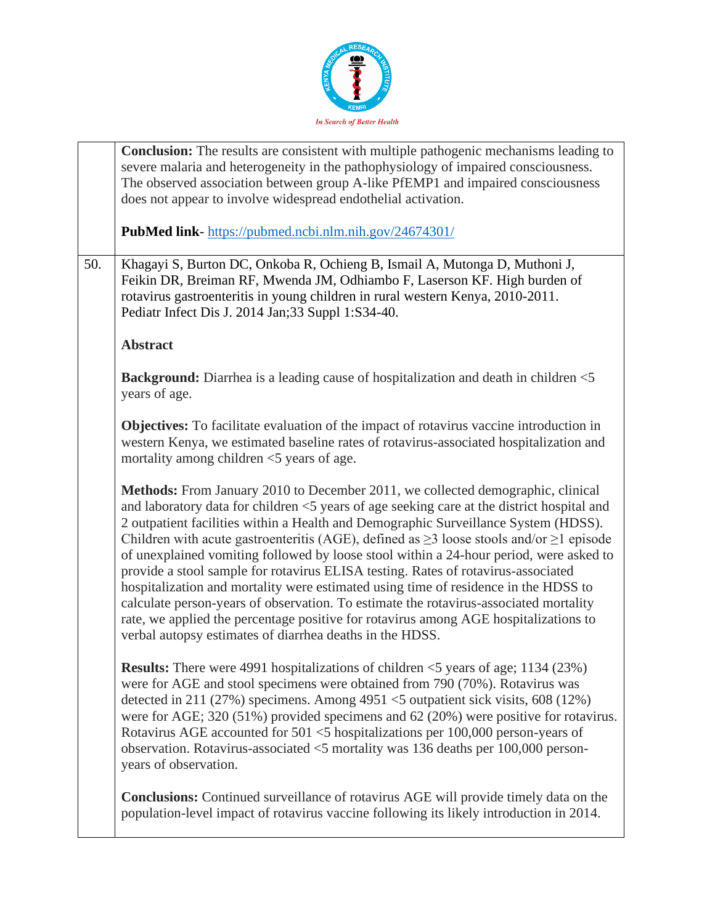

|     | <b>Conclusion:</b> The results are consistent with multiple pathogenic mechanisms leading to<br>severe malaria and heterogeneity in the pathophysiology of impaired consciousness.<br>The observed association between group A-like PfEMP1 and impaired consciousness<br>does not appear to involve widespread endothelial activation.                                                                                                                                                                                                                                                                                                                                                                                                                                                                                                                                                         |
|-----|------------------------------------------------------------------------------------------------------------------------------------------------------------------------------------------------------------------------------------------------------------------------------------------------------------------------------------------------------------------------------------------------------------------------------------------------------------------------------------------------------------------------------------------------------------------------------------------------------------------------------------------------------------------------------------------------------------------------------------------------------------------------------------------------------------------------------------------------------------------------------------------------|
|     | PubMed link-https://pubmed.ncbi.nlm.nih.gov/24674301/                                                                                                                                                                                                                                                                                                                                                                                                                                                                                                                                                                                                                                                                                                                                                                                                                                          |
| 50. | Khagayi S, Burton DC, Onkoba R, Ochieng B, Ismail A, Mutonga D, Muthoni J,<br>Feikin DR, Breiman RF, Mwenda JM, Odhiambo F, Laserson KF. High burden of<br>rotavirus gastroenteritis in young children in rural western Kenya, 2010-2011.<br>Pediatr Infect Dis J. 2014 Jan;33 Suppl 1:S34-40.                                                                                                                                                                                                                                                                                                                                                                                                                                                                                                                                                                                                 |
|     | <b>Abstract</b>                                                                                                                                                                                                                                                                                                                                                                                                                                                                                                                                                                                                                                                                                                                                                                                                                                                                                |
|     | <b>Background:</b> Diarrhea is a leading cause of hospitalization and death in children <5<br>years of age.                                                                                                                                                                                                                                                                                                                                                                                                                                                                                                                                                                                                                                                                                                                                                                                    |
|     | <b>Objectives:</b> To facilitate evaluation of the impact of rotavirus vaccine introduction in<br>western Kenya, we estimated baseline rates of rotavirus-associated hospitalization and<br>mortality among children <5 years of age.                                                                                                                                                                                                                                                                                                                                                                                                                                                                                                                                                                                                                                                          |
|     | Methods: From January 2010 to December 2011, we collected demographic, clinical<br>and laboratory data for children <5 years of age seeking care at the district hospital and<br>2 outpatient facilities within a Health and Demographic Surveillance System (HDSS).<br>Children with acute gastroenteritis (AGE), defined as $\geq$ 3 loose stools and/or $\geq$ 1 episode<br>of unexplained vomiting followed by loose stool within a 24-hour period, were asked to<br>provide a stool sample for rotavirus ELISA testing. Rates of rotavirus-associated<br>hospitalization and mortality were estimated using time of residence in the HDSS to<br>calculate person-years of observation. To estimate the rotavirus-associated mortality<br>rate, we applied the percentage positive for rotavirus among AGE hospitalizations to<br>verbal autopsy estimates of diarrhea deaths in the HDSS. |
|     | <b>Results:</b> There were 4991 hospitalizations of children $\leq$ 5 years of age; 1134 (23%)<br>were for AGE and stool specimens were obtained from 790 (70%). Rotavirus was<br>detected in 211 (27%) specimens. Among 4951 <5 outpatient sick visits, 608 (12%)<br>were for AGE; 320 $(51\%)$ provided specimens and 62 $(20\%)$ were positive for rotavirus.<br>Rotavirus AGE accounted for 501 <5 hospitalizations per 100,000 person-years of<br>observation. Rotavirus-associated $<$ 5 mortality was 136 deaths per 100,000 person-<br>years of observation.                                                                                                                                                                                                                                                                                                                           |
|     | <b>Conclusions:</b> Continued surveillance of rotavirus AGE will provide timely data on the<br>population-level impact of rotavirus vaccine following its likely introduction in 2014.                                                                                                                                                                                                                                                                                                                                                                                                                                                                                                                                                                                                                                                                                                         |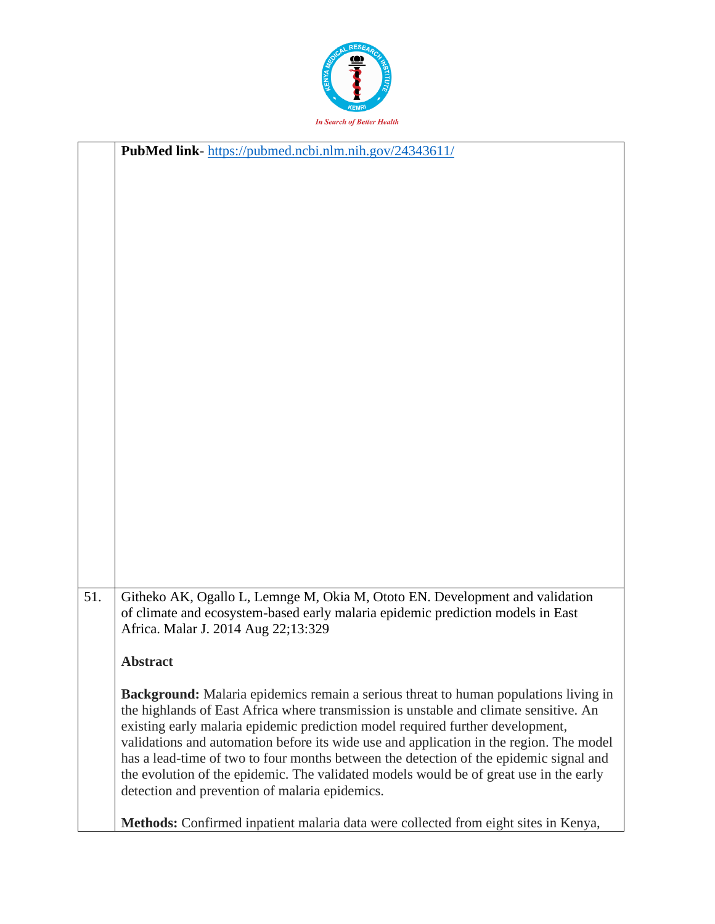

|     | PubMed link-https://pubmed.ncbi.nlm.nih.gov/24343611/                                       |
|-----|---------------------------------------------------------------------------------------------|
|     |                                                                                             |
|     |                                                                                             |
|     |                                                                                             |
|     |                                                                                             |
|     |                                                                                             |
|     |                                                                                             |
|     |                                                                                             |
|     |                                                                                             |
|     |                                                                                             |
|     |                                                                                             |
|     |                                                                                             |
|     |                                                                                             |
|     |                                                                                             |
|     |                                                                                             |
|     |                                                                                             |
|     |                                                                                             |
|     |                                                                                             |
|     |                                                                                             |
|     |                                                                                             |
|     |                                                                                             |
|     |                                                                                             |
|     |                                                                                             |
|     |                                                                                             |
|     |                                                                                             |
|     |                                                                                             |
| 51. | Githeko AK, Ogallo L, Lemnge M, Okia M, Ototo EN. Development and validation                |
|     | of climate and ecosystem-based early malaria epidemic prediction models in East             |
|     | Africa. Malar J. 2014 Aug 22;13:329                                                         |
|     | <b>Abstract</b>                                                                             |
|     |                                                                                             |
|     | <b>Background:</b> Malaria epidemics remain a serious threat to human populations living in |
|     | the highlands of East Africa where transmission is unstable and climate sensitive. An       |
|     | existing early malaria epidemic prediction model required further development,              |
|     | validations and automation before its wide use and application in the region. The model     |
|     | has a lead-time of two to four months between the detection of the epidemic signal and      |
|     | the evolution of the epidemic. The validated models would be of great use in the early      |
|     | detection and prevention of malaria epidemics.                                              |
|     |                                                                                             |
|     | Methods: Confirmed inpatient malaria data were collected from eight sites in Kenya,         |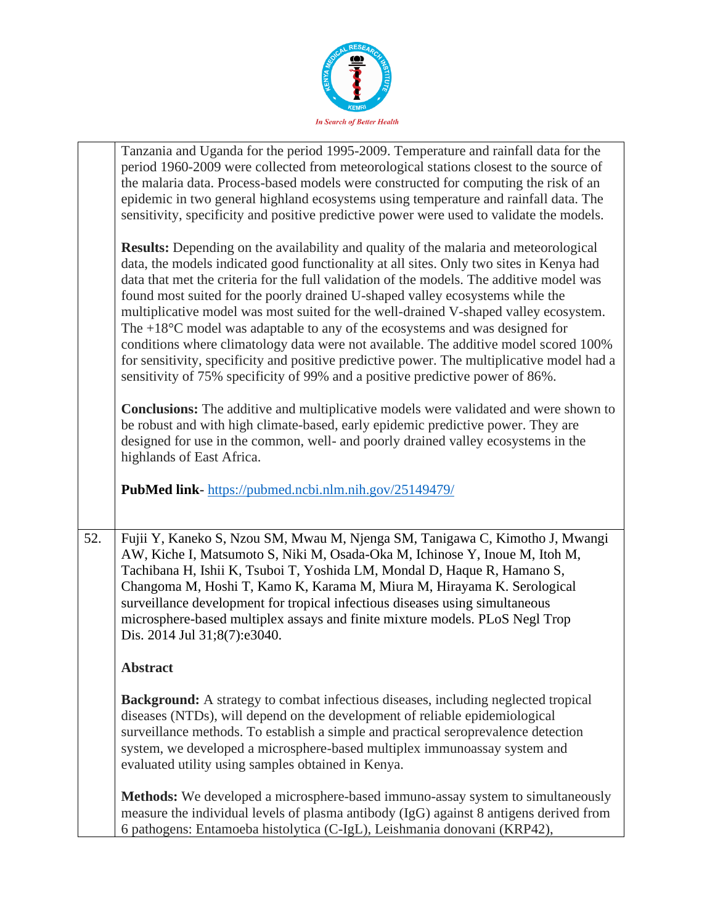

|     | Tanzania and Uganda for the period 1995-2009. Temperature and rainfall data for the<br>period 1960-2009 were collected from meteorological stations closest to the source of<br>the malaria data. Process-based models were constructed for computing the risk of an<br>epidemic in two general highland ecosystems using temperature and rainfall data. The<br>sensitivity, specificity and positive predictive power were used to validate the models.                                                                                                                                                                                                                                                                                                                                                                    |
|-----|-----------------------------------------------------------------------------------------------------------------------------------------------------------------------------------------------------------------------------------------------------------------------------------------------------------------------------------------------------------------------------------------------------------------------------------------------------------------------------------------------------------------------------------------------------------------------------------------------------------------------------------------------------------------------------------------------------------------------------------------------------------------------------------------------------------------------------|
|     | <b>Results:</b> Depending on the availability and quality of the malaria and meteorological<br>data, the models indicated good functionality at all sites. Only two sites in Kenya had<br>data that met the criteria for the full validation of the models. The additive model was<br>found most suited for the poorly drained U-shaped valley ecosystems while the<br>multiplicative model was most suited for the well-drained V-shaped valley ecosystem.<br>The $+18^{\circ}$ C model was adaptable to any of the ecosystems and was designed for<br>conditions where climatology data were not available. The additive model scored 100%<br>for sensitivity, specificity and positive predictive power. The multiplicative model had a<br>sensitivity of 75% specificity of 99% and a positive predictive power of 86%. |
|     | <b>Conclusions:</b> The additive and multiplicative models were validated and were shown to<br>be robust and with high climate-based, early epidemic predictive power. They are<br>designed for use in the common, well- and poorly drained valley ecosystems in the<br>highlands of East Africa.                                                                                                                                                                                                                                                                                                                                                                                                                                                                                                                           |
|     | PubMed link-https://pubmed.ncbi.nlm.nih.gov/25149479/                                                                                                                                                                                                                                                                                                                                                                                                                                                                                                                                                                                                                                                                                                                                                                       |
| 52. | Fujii Y, Kaneko S, Nzou SM, Mwau M, Njenga SM, Tanigawa C, Kimotho J, Mwangi<br>AW, Kiche I, Matsumoto S, Niki M, Osada-Oka M, Ichinose Y, Inoue M, Itoh M,<br>Tachibana H, Ishii K, Tsuboi T, Yoshida LM, Mondal D, Haque R, Hamano S,<br>Changoma M, Hoshi T, Kamo K, Karama M, Miura M, Hirayama K. Serological<br>surveillance development for tropical infectious diseases using simultaneous<br>microsphere-based multiplex assays and finite mixture models. PLoS Negl Trop<br>Dis. 2014 Jul 31;8(7):e3040.                                                                                                                                                                                                                                                                                                          |
|     | <b>Abstract</b>                                                                                                                                                                                                                                                                                                                                                                                                                                                                                                                                                                                                                                                                                                                                                                                                             |
|     | Background: A strategy to combat infectious diseases, including neglected tropical<br>diseases (NTDs), will depend on the development of reliable epidemiological<br>surveillance methods. To establish a simple and practical seroprevalence detection<br>system, we developed a microsphere-based multiplex immunoassay system and<br>evaluated utility using samples obtained in Kenya.                                                                                                                                                                                                                                                                                                                                                                                                                                  |
|     | Methods: We developed a microsphere-based immuno-assay system to simultaneously<br>measure the individual levels of plasma antibody (IgG) against 8 antigens derived from<br>6 pathogens: Entamoeba histolytica (C-IgL), Leishmania donovani (KRP42),                                                                                                                                                                                                                                                                                                                                                                                                                                                                                                                                                                       |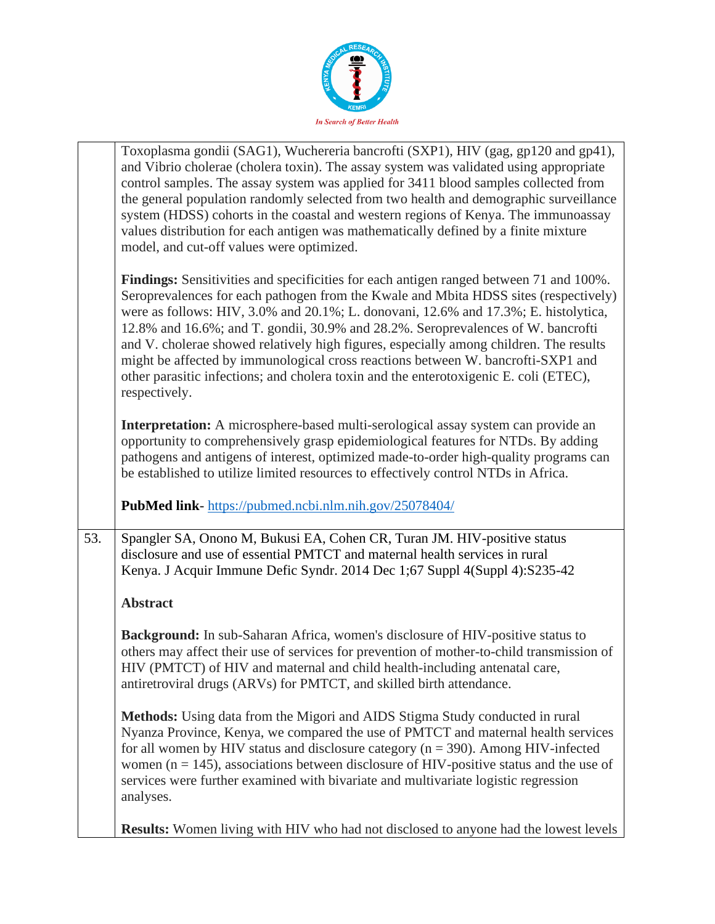

|     | Toxoplasma gondii (SAG1), Wuchereria bancrofti (SXP1), HIV (gag, gp120 and gp41),<br>and Vibrio cholerae (cholera toxin). The assay system was validated using appropriate<br>control samples. The assay system was applied for 3411 blood samples collected from<br>the general population randomly selected from two health and demographic surveillance<br>system (HDSS) cohorts in the coastal and western regions of Kenya. The immunoassay<br>values distribution for each antigen was mathematically defined by a finite mixture<br>model, and cut-off values were optimized.                                                                     |
|-----|----------------------------------------------------------------------------------------------------------------------------------------------------------------------------------------------------------------------------------------------------------------------------------------------------------------------------------------------------------------------------------------------------------------------------------------------------------------------------------------------------------------------------------------------------------------------------------------------------------------------------------------------------------|
|     | <b>Findings:</b> Sensitivities and specificities for each antigen ranged between 71 and 100%.<br>Seroprevalences for each pathogen from the Kwale and Mbita HDSS sites (respectively)<br>were as follows: HIV, 3.0% and 20.1%; L. donovani, 12.6% and 17.3%; E. histolytica,<br>12.8% and 16.6%; and T. gondii, 30.9% and 28.2%. Seroprevalences of W. bancrofti<br>and V. cholerae showed relatively high figures, especially among children. The results<br>might be affected by immunological cross reactions between W. bancrofti-SXP1 and<br>other parasitic infections; and cholera toxin and the enterotoxigenic E. coli (ETEC),<br>respectively. |
|     | Interpretation: A microsphere-based multi-serological assay system can provide an<br>opportunity to comprehensively grasp epidemiological features for NTDs. By adding<br>pathogens and antigens of interest, optimized made-to-order high-quality programs can<br>be established to utilize limited resources to effectively control NTDs in Africa.                                                                                                                                                                                                                                                                                                    |
|     | <b>PubMed link-</b> https://pubmed.ncbi.nlm.nih.gov/25078404/                                                                                                                                                                                                                                                                                                                                                                                                                                                                                                                                                                                            |
| 53. | Spangler SA, Onono M, Bukusi EA, Cohen CR, Turan JM. HIV-positive status<br>disclosure and use of essential PMTCT and maternal health services in rural<br>Kenya. J Acquir Immune Defic Syndr. 2014 Dec 1;67 Suppl 4(Suppl 4):S235-42                                                                                                                                                                                                                                                                                                                                                                                                                    |
|     | <b>Abstract</b>                                                                                                                                                                                                                                                                                                                                                                                                                                                                                                                                                                                                                                          |
|     | Background: In sub-Saharan Africa, women's disclosure of HIV-positive status to<br>others may affect their use of services for prevention of mother-to-child transmission of<br>HIV (PMTCT) of HIV and maternal and child health-including antenatal care,<br>antiretroviral drugs (ARVs) for PMTCT, and skilled birth attendance.                                                                                                                                                                                                                                                                                                                       |
|     | Methods: Using data from the Migori and AIDS Stigma Study conducted in rural<br>Nyanza Province, Kenya, we compared the use of PMTCT and maternal health services<br>for all women by HIV status and disclosure category ( $n = 390$ ). Among HIV-infected<br>women ( $n = 145$ ), associations between disclosure of HIV-positive status and the use of<br>services were further examined with bivariate and multivariate logistic regression<br>analyses.                                                                                                                                                                                              |
|     | <b>Results:</b> Women living with HIV who had not disclosed to anyone had the lowest levels                                                                                                                                                                                                                                                                                                                                                                                                                                                                                                                                                              |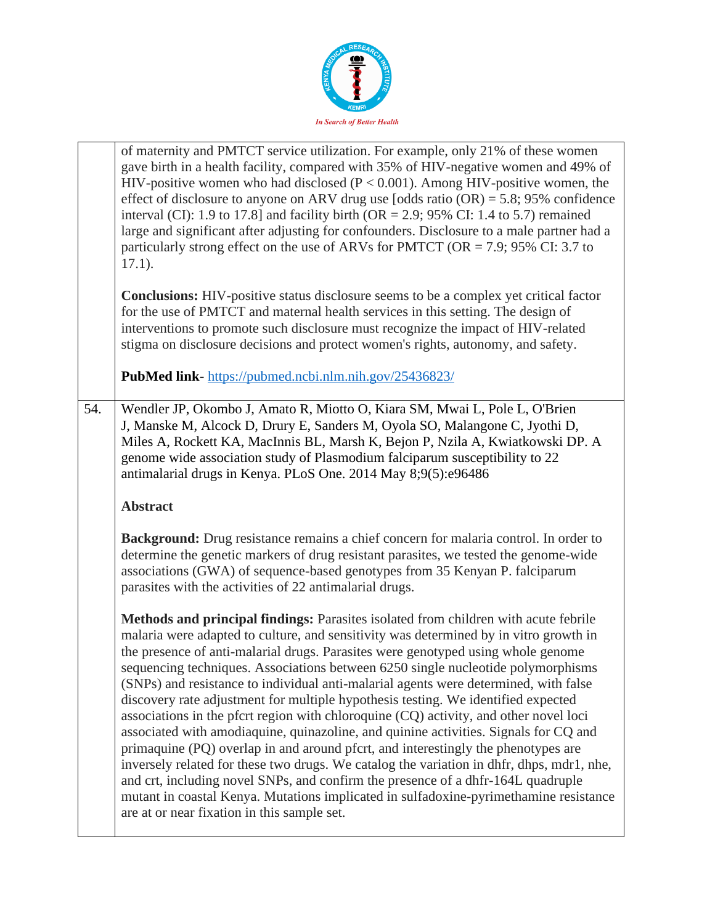

|     | of maternity and PMTCT service utilization. For example, only 21% of these women<br>gave birth in a health facility, compared with 35% of HIV-negative women and 49% of<br>HIV-positive women who had disclosed ( $P < 0.001$ ). Among HIV-positive women, the<br>effect of disclosure to anyone on ARV drug use [odds ratio $(OR) = 5.8$ ; 95% confidence<br>interval (CI): 1.9 to 17.8] and facility birth (OR = 2.9; 95% CI: 1.4 to 5.7) remained<br>large and significant after adjusting for confounders. Disclosure to a male partner had a<br>particularly strong effect on the use of ARVs for PMTCT (OR = 7.9; 95% CI: 3.7 to<br>$17.1$ ).<br><b>Conclusions:</b> HIV-positive status disclosure seems to be a complex yet critical factor<br>for the use of PMTCT and maternal health services in this setting. The design of<br>interventions to promote such disclosure must recognize the impact of HIV-related                                                                                                                                                                                                     |
|-----|----------------------------------------------------------------------------------------------------------------------------------------------------------------------------------------------------------------------------------------------------------------------------------------------------------------------------------------------------------------------------------------------------------------------------------------------------------------------------------------------------------------------------------------------------------------------------------------------------------------------------------------------------------------------------------------------------------------------------------------------------------------------------------------------------------------------------------------------------------------------------------------------------------------------------------------------------------------------------------------------------------------------------------------------------------------------------------------------------------------------------------|
|     | stigma on disclosure decisions and protect women's rights, autonomy, and safety.<br>PubMed link-https://pubmed.ncbi.nlm.nih.gov/25436823/                                                                                                                                                                                                                                                                                                                                                                                                                                                                                                                                                                                                                                                                                                                                                                                                                                                                                                                                                                                        |
| 54. | Wendler JP, Okombo J, Amato R, Miotto O, Kiara SM, Mwai L, Pole L, O'Brien<br>J, Manske M, Alcock D, Drury E, Sanders M, Oyola SO, Malangone C, Jyothi D,<br>Miles A, Rockett KA, MacInnis BL, Marsh K, Bejon P, Nzila A, Kwiatkowski DP. A<br>genome wide association study of Plasmodium falciparum susceptibility to 22<br>antimalarial drugs in Kenya. PLoS One. 2014 May 8;9(5):e96486                                                                                                                                                                                                                                                                                                                                                                                                                                                                                                                                                                                                                                                                                                                                      |
|     | <b>Abstract</b>                                                                                                                                                                                                                                                                                                                                                                                                                                                                                                                                                                                                                                                                                                                                                                                                                                                                                                                                                                                                                                                                                                                  |
|     | <b>Background:</b> Drug resistance remains a chief concern for malaria control. In order to<br>determine the genetic markers of drug resistant parasites, we tested the genome-wide<br>associations (GWA) of sequence-based genotypes from 35 Kenyan P. falciparum<br>parasites with the activities of 22 antimalarial drugs.                                                                                                                                                                                                                                                                                                                                                                                                                                                                                                                                                                                                                                                                                                                                                                                                    |
|     | Methods and principal findings: Parasites isolated from children with acute febrile<br>malaria were adapted to culture, and sensitivity was determined by in vitro growth in<br>the presence of anti-malarial drugs. Parasites were genotyped using whole genome<br>sequencing techniques. Associations between 6250 single nucleotide polymorphisms<br>(SNPs) and resistance to individual anti-malarial agents were determined, with false<br>discovery rate adjustment for multiple hypothesis testing. We identified expected<br>associations in the pfcrt region with chloroquine (CQ) activity, and other novel loci<br>associated with amodiaquine, quinazoline, and quinine activities. Signals for CQ and<br>primaquine (PQ) overlap in and around pfcrt, and interestingly the phenotypes are<br>inversely related for these two drugs. We catalog the variation in dhfr, dhps, mdr1, nhe,<br>and crt, including novel SNPs, and confirm the presence of a dhfr-164L quadruple<br>mutant in coastal Kenya. Mutations implicated in sulfadoxine-pyrimethamine resistance<br>are at or near fixation in this sample set. |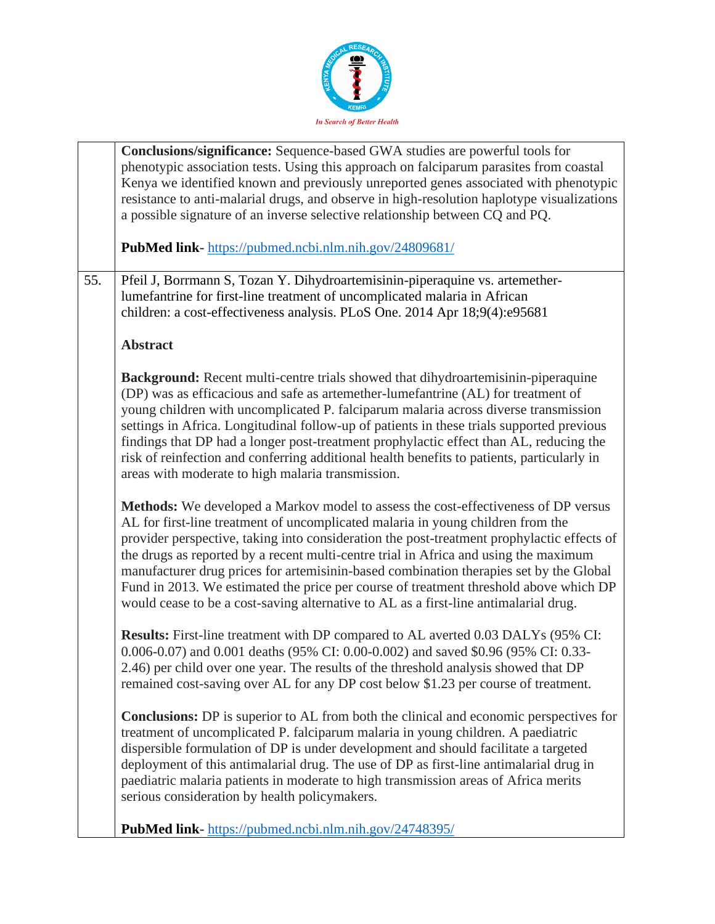

|     | Conclusions/significance: Sequence-based GWA studies are powerful tools for<br>phenotypic association tests. Using this approach on falciparum parasites from coastal<br>Kenya we identified known and previously unreported genes associated with phenotypic<br>resistance to anti-malarial drugs, and observe in high-resolution haplotype visualizations                                                                                                                                                                                                                                                                            |
|-----|----------------------------------------------------------------------------------------------------------------------------------------------------------------------------------------------------------------------------------------------------------------------------------------------------------------------------------------------------------------------------------------------------------------------------------------------------------------------------------------------------------------------------------------------------------------------------------------------------------------------------------------|
|     | a possible signature of an inverse selective relationship between CQ and PQ.<br>PubMed link-https://pubmed.ncbi.nlm.nih.gov/24809681/                                                                                                                                                                                                                                                                                                                                                                                                                                                                                                  |
| 55. | Pfeil J, Borrmann S, Tozan Y. Dihydroartemisinin-piperaquine vs. artemether-<br>lumefantrine for first-line treatment of uncomplicated malaria in African<br>children: a cost-effectiveness analysis. PLoS One. 2014 Apr 18;9(4):e95681                                                                                                                                                                                                                                                                                                                                                                                                |
|     | <b>Abstract</b>                                                                                                                                                                                                                                                                                                                                                                                                                                                                                                                                                                                                                        |
|     | <b>Background:</b> Recent multi-centre trials showed that dihydroartemisinin-piperaquine<br>(DP) was as efficacious and safe as artemether-lumefantrine (AL) for treatment of<br>young children with uncomplicated P. falciparum malaria across diverse transmission<br>settings in Africa. Longitudinal follow-up of patients in these trials supported previous<br>findings that DP had a longer post-treatment prophylactic effect than AL, reducing the<br>risk of reinfection and conferring additional health benefits to patients, particularly in<br>areas with moderate to high malaria transmission.                         |
|     | Methods: We developed a Markov model to assess the cost-effectiveness of DP versus<br>AL for first-line treatment of uncomplicated malaria in young children from the<br>provider perspective, taking into consideration the post-treatment prophylactic effects of<br>the drugs as reported by a recent multi-centre trial in Africa and using the maximum<br>manufacturer drug prices for artemisinin-based combination therapies set by the Global<br>Fund in 2013. We estimated the price per course of treatment threshold above which DP<br>would cease to be a cost-saving alternative to AL as a first-line antimalarial drug. |
|     | <b>Results:</b> First-line treatment with DP compared to AL averted 0.03 DALYs (95% CI:<br>0.006-0.07) and 0.001 deaths (95% CI: 0.00-0.002) and saved \$0.96 (95% CI: 0.33-<br>2.46) per child over one year. The results of the threshold analysis showed that DP<br>remained cost-saving over AL for any DP cost below \$1.23 per course of treatment.                                                                                                                                                                                                                                                                              |
|     | <b>Conclusions:</b> DP is superior to AL from both the clinical and economic perspectives for<br>treatment of uncomplicated P. falciparum malaria in young children. A paediatric<br>dispersible formulation of DP is under development and should facilitate a targeted<br>deployment of this antimalarial drug. The use of DP as first-line antimalarial drug in<br>paediatric malaria patients in moderate to high transmission areas of Africa merits<br>serious consideration by health policymakers.                                                                                                                             |
|     | <b>PubMed link-</b> https://pubmed.ncbi.nlm.nih.gov/24748395/                                                                                                                                                                                                                                                                                                                                                                                                                                                                                                                                                                          |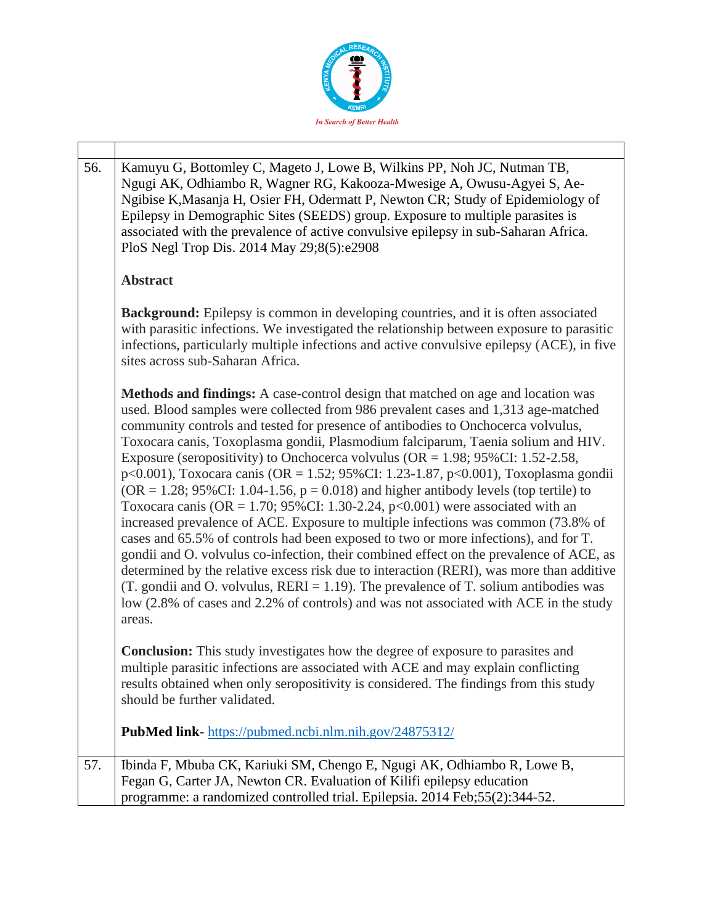

| 56. | Kamuyu G, Bottomley C, Mageto J, Lowe B, Wilkins PP, Noh JC, Nutman TB,<br>Ngugi AK, Odhiambo R, Wagner RG, Kakooza-Mwesige A, Owusu-Agyei S, Ae-<br>Ngibise K, Masanja H, Osier FH, Odermatt P, Newton CR; Study of Epidemiology of<br>Epilepsy in Demographic Sites (SEEDS) group. Exposure to multiple parasites is<br>associated with the prevalence of active convulsive epilepsy in sub-Saharan Africa.<br>PloS Negl Trop Dis. 2014 May 29;8(5):e2908                                                                                                                                                                                                                                                                                                                                                                                                                                                                                                                                                                                                                                                                                                                                                                                                                |
|-----|----------------------------------------------------------------------------------------------------------------------------------------------------------------------------------------------------------------------------------------------------------------------------------------------------------------------------------------------------------------------------------------------------------------------------------------------------------------------------------------------------------------------------------------------------------------------------------------------------------------------------------------------------------------------------------------------------------------------------------------------------------------------------------------------------------------------------------------------------------------------------------------------------------------------------------------------------------------------------------------------------------------------------------------------------------------------------------------------------------------------------------------------------------------------------------------------------------------------------------------------------------------------------|
|     | <b>Abstract</b>                                                                                                                                                                                                                                                                                                                                                                                                                                                                                                                                                                                                                                                                                                                                                                                                                                                                                                                                                                                                                                                                                                                                                                                                                                                            |
|     | <b>Background:</b> Epilepsy is common in developing countries, and it is often associated<br>with parasitic infections. We investigated the relationship between exposure to parasitic<br>infections, particularly multiple infections and active convulsive epilepsy (ACE), in five<br>sites across sub-Saharan Africa.                                                                                                                                                                                                                                                                                                                                                                                                                                                                                                                                                                                                                                                                                                                                                                                                                                                                                                                                                   |
|     | Methods and findings: A case-control design that matched on age and location was<br>used. Blood samples were collected from 986 prevalent cases and 1,313 age-matched<br>community controls and tested for presence of antibodies to Onchocerca volvulus,<br>Toxocara canis, Toxoplasma gondii, Plasmodium falciparum, Taenia solium and HIV.<br>Exposure (seropositivity) to Onchocerca volvulus (OR = $1.98$ ; 95%CI: 1.52-2.58,<br>p<0.001), Toxocara canis (OR = 1.52; 95%CI: 1.23-1.87, p<0.001), Toxoplasma gondii<br>$OR = 1.28$ ; 95%CI: 1.04-1.56, $p = 0.018$ ) and higher antibody levels (top tertile) to<br>Toxocara canis (OR = 1.70; 95%CI: 1.30-2.24, $p<0.001$ ) were associated with an<br>increased prevalence of ACE. Exposure to multiple infections was common (73.8% of<br>cases and 65.5% of controls had been exposed to two or more infections), and for T.<br>gondii and O. volvulus co-infection, their combined effect on the prevalence of ACE, as<br>determined by the relative excess risk due to interaction (RERI), was more than additive<br>(T. gondii and O. volvulus, $RERI = 1.19$ ). The prevalence of T. solium antibodies was<br>low (2.8% of cases and 2.2% of controls) and was not associated with ACE in the study<br>areas. |
|     | <b>Conclusion:</b> This study investigates how the degree of exposure to parasites and<br>multiple parasitic infections are associated with ACE and may explain conflicting<br>results obtained when only seropositivity is considered. The findings from this study<br>should be further validated.                                                                                                                                                                                                                                                                                                                                                                                                                                                                                                                                                                                                                                                                                                                                                                                                                                                                                                                                                                       |
|     | <b>PubMed link-</b> https://pubmed.ncbi.nlm.nih.gov/24875312/                                                                                                                                                                                                                                                                                                                                                                                                                                                                                                                                                                                                                                                                                                                                                                                                                                                                                                                                                                                                                                                                                                                                                                                                              |
| 57. | Ibinda F, Mbuba CK, Kariuki SM, Chengo E, Ngugi AK, Odhiambo R, Lowe B,<br>Fegan G, Carter JA, Newton CR. Evaluation of Kilifi epilepsy education<br>programme: a randomized controlled trial. Epilepsia. 2014 Feb; 55(2): 344-52.                                                                                                                                                                                                                                                                                                                                                                                                                                                                                                                                                                                                                                                                                                                                                                                                                                                                                                                                                                                                                                         |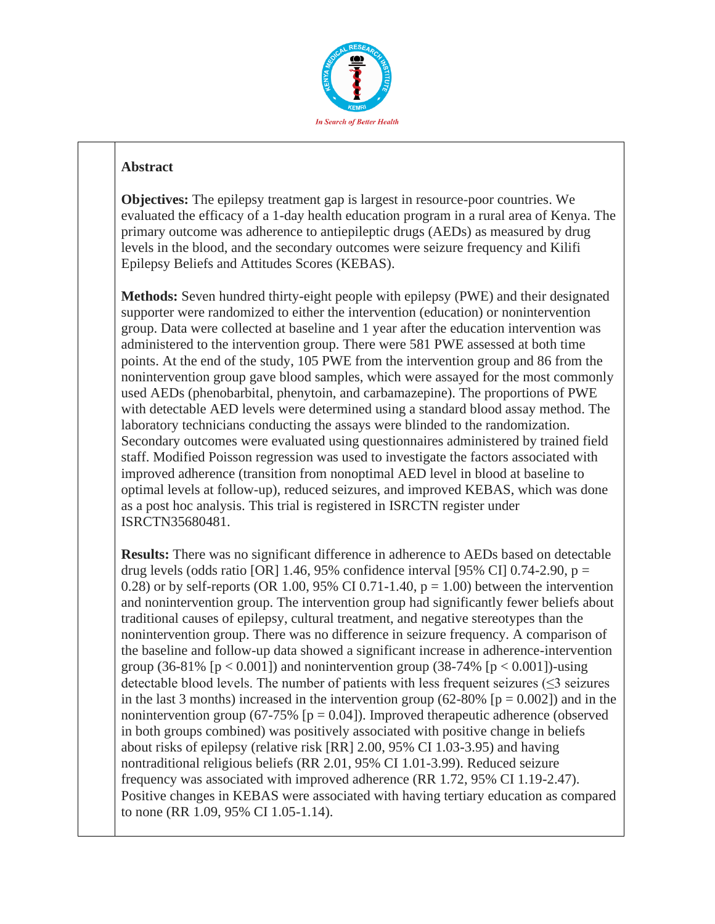

## **Abstract**

**Objectives:** The epilepsy treatment gap is largest in resource-poor countries. We evaluated the efficacy of a 1-day health education program in a rural area of Kenya. The primary outcome was adherence to antiepileptic drugs (AEDs) as measured by drug levels in the blood, and the secondary outcomes were seizure frequency and Kilifi Epilepsy Beliefs and Attitudes Scores (KEBAS).

**Methods:** Seven hundred thirty-eight people with epilepsy (PWE) and their designated supporter were randomized to either the intervention (education) or nonintervention group. Data were collected at baseline and 1 year after the education intervention was administered to the intervention group. There were 581 PWE assessed at both time points. At the end of the study, 105 PWE from the intervention group and 86 from the nonintervention group gave blood samples, which were assayed for the most commonly used AEDs (phenobarbital, phenytoin, and carbamazepine). The proportions of PWE with detectable AED levels were determined using a standard blood assay method. The laboratory technicians conducting the assays were blinded to the randomization. Secondary outcomes were evaluated using questionnaires administered by trained field staff. Modified Poisson regression was used to investigate the factors associated with improved adherence (transition from nonoptimal AED level in blood at baseline to optimal levels at follow-up), reduced seizures, and improved KEBAS, which was done as a post hoc analysis. This trial is registered in ISRCTN register under ISRCTN35680481.

**Results:** There was no significant difference in adherence to AEDs based on detectable drug levels (odds ratio [OR] 1.46, 95% confidence interval [95% CI] 0.74-2.90,  $p =$ 0.28) or by self-reports (OR 1.00, 95% CI 0.71-1.40,  $p = 1.00$ ) between the intervention and nonintervention group. The intervention group had significantly fewer beliefs about traditional causes of epilepsy, cultural treatment, and negative stereotypes than the nonintervention group. There was no difference in seizure frequency. A comparison of the baseline and follow-up data showed a significant increase in adherence-intervention group (36-81% [ $p < 0.001$ ]) and nonintervention group (38-74% [ $p < 0.001$ ])-using detectable blood levels. The number of patients with less frequent seizures (≤3 seizures in the last 3 months) increased in the intervention group (62-80% [ $p = 0.002$ ]) and in the nonintervention group (67-75%  $[p = 0.04]$ ). Improved therapeutic adherence (observed in both groups combined) was positively associated with positive change in beliefs about risks of epilepsy (relative risk [RR] 2.00, 95% CI 1.03-3.95) and having nontraditional religious beliefs (RR 2.01, 95% CI 1.01-3.99). Reduced seizure frequency was associated with improved adherence (RR 1.72, 95% CI 1.19-2.47). Positive changes in KEBAS were associated with having tertiary education as compared to none (RR 1.09, 95% CI 1.05-1.14).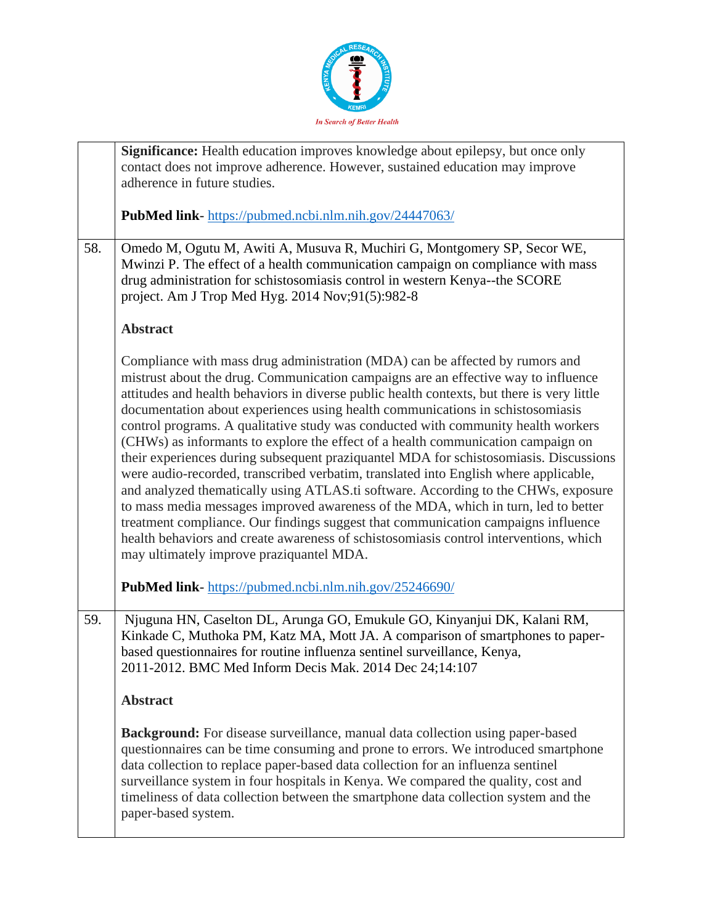

|     | Significance: Health education improves knowledge about epilepsy, but once only<br>contact does not improve adherence. However, sustained education may improve<br>adherence in future studies.                                                                                                                                                                                                                                                                                                                                                                                                                                                                                                                                                                                                                                                                                                                                                                                                                                                                                                                    |
|-----|--------------------------------------------------------------------------------------------------------------------------------------------------------------------------------------------------------------------------------------------------------------------------------------------------------------------------------------------------------------------------------------------------------------------------------------------------------------------------------------------------------------------------------------------------------------------------------------------------------------------------------------------------------------------------------------------------------------------------------------------------------------------------------------------------------------------------------------------------------------------------------------------------------------------------------------------------------------------------------------------------------------------------------------------------------------------------------------------------------------------|
|     | <b>PubMed link-</b> https://pubmed.ncbi.nlm.nih.gov/24447063/                                                                                                                                                                                                                                                                                                                                                                                                                                                                                                                                                                                                                                                                                                                                                                                                                                                                                                                                                                                                                                                      |
| 58. | Omedo M, Ogutu M, Awiti A, Musuva R, Muchiri G, Montgomery SP, Secor WE,<br>Mwinzi P. The effect of a health communication campaign on compliance with mass<br>drug administration for schistosomiasis control in western Kenya--the SCORE<br>project. Am J Trop Med Hyg. 2014 Nov;91(5):982-8                                                                                                                                                                                                                                                                                                                                                                                                                                                                                                                                                                                                                                                                                                                                                                                                                     |
|     | <b>Abstract</b>                                                                                                                                                                                                                                                                                                                                                                                                                                                                                                                                                                                                                                                                                                                                                                                                                                                                                                                                                                                                                                                                                                    |
|     | Compliance with mass drug administration (MDA) can be affected by rumors and<br>mistrust about the drug. Communication campaigns are an effective way to influence<br>attitudes and health behaviors in diverse public health contexts, but there is very little<br>documentation about experiences using health communications in schistosomiasis<br>control programs. A qualitative study was conducted with community health workers<br>(CHWs) as informants to explore the effect of a health communication campaign on<br>their experiences during subsequent praziquantel MDA for schistosomiasis. Discussions<br>were audio-recorded, transcribed verbatim, translated into English where applicable,<br>and analyzed thematically using ATLAS.ti software. According to the CHWs, exposure<br>to mass media messages improved awareness of the MDA, which in turn, led to better<br>treatment compliance. Our findings suggest that communication campaigns influence<br>health behaviors and create awareness of schistosomiasis control interventions, which<br>may ultimately improve praziquantel MDA. |
|     | PubMed link- https://pubmed.ncbi.nlm.nih.gov/25246690/                                                                                                                                                                                                                                                                                                                                                                                                                                                                                                                                                                                                                                                                                                                                                                                                                                                                                                                                                                                                                                                             |
| 59. | Njuguna HN, Caselton DL, Arunga GO, Emukule GO, Kinyanjui DK, Kalani RM,<br>Kinkade C, Muthoka PM, Katz MA, Mott JA. A comparison of smartphones to paper-<br>based questionnaires for routine influenza sentinel surveillance, Kenya,<br>2011-2012. BMC Med Inform Decis Mak. 2014 Dec 24;14:107                                                                                                                                                                                                                                                                                                                                                                                                                                                                                                                                                                                                                                                                                                                                                                                                                  |
|     | <b>Abstract</b>                                                                                                                                                                                                                                                                                                                                                                                                                                                                                                                                                                                                                                                                                                                                                                                                                                                                                                                                                                                                                                                                                                    |
|     | <b>Background:</b> For disease surveillance, manual data collection using paper-based<br>questionnaires can be time consuming and prone to errors. We introduced smartphone<br>data collection to replace paper-based data collection for an influenza sentinel<br>surveillance system in four hospitals in Kenya. We compared the quality, cost and<br>timeliness of data collection between the smartphone data collection system and the<br>paper-based system.                                                                                                                                                                                                                                                                                                                                                                                                                                                                                                                                                                                                                                                 |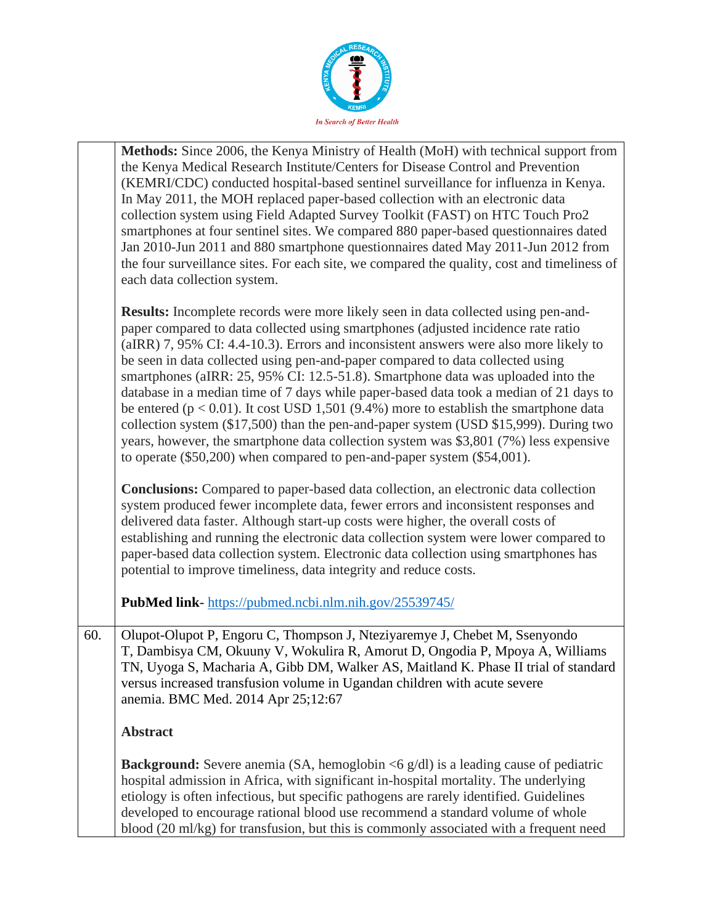

|     | Methods: Since 2006, the Kenya Ministry of Health (MoH) with technical support from<br>the Kenya Medical Research Institute/Centers for Disease Control and Prevention<br>(KEMRI/CDC) conducted hospital-based sentinel surveillance for influenza in Kenya.<br>In May 2011, the MOH replaced paper-based collection with an electronic data<br>collection system using Field Adapted Survey Toolkit (FAST) on HTC Touch Pro2<br>smartphones at four sentinel sites. We compared 880 paper-based questionnaires dated<br>Jan 2010-Jun 2011 and 880 smartphone questionnaires dated May 2011-Jun 2012 from<br>the four surveillance sites. For each site, we compared the quality, cost and timeliness of<br>each data collection system.                                                                                                                                                          |
|-----|---------------------------------------------------------------------------------------------------------------------------------------------------------------------------------------------------------------------------------------------------------------------------------------------------------------------------------------------------------------------------------------------------------------------------------------------------------------------------------------------------------------------------------------------------------------------------------------------------------------------------------------------------------------------------------------------------------------------------------------------------------------------------------------------------------------------------------------------------------------------------------------------------|
|     | <b>Results:</b> Incomplete records were more likely seen in data collected using pen-and-<br>paper compared to data collected using smartphones (adjusted incidence rate ratio<br>(aIRR) 7, 95% CI: 4.4-10.3). Errors and inconsistent answers were also more likely to<br>be seen in data collected using pen-and-paper compared to data collected using<br>smartphones (aIRR: 25, 95% CI: 12.5-51.8). Smartphone data was uploaded into the<br>database in a median time of 7 days while paper-based data took a median of 21 days to<br>be entered ( $p < 0.01$ ). It cost USD 1,501 (9.4%) more to establish the smartphone data<br>collection system (\$17,500) than the pen-and-paper system (USD \$15,999). During two<br>years, however, the smartphone data collection system was \$3,801 (7%) less expensive<br>to operate (\$50,200) when compared to pen-and-paper system (\$54,001). |
|     | <b>Conclusions:</b> Compared to paper-based data collection, an electronic data collection<br>system produced fewer incomplete data, fewer errors and inconsistent responses and<br>delivered data faster. Although start-up costs were higher, the overall costs of<br>establishing and running the electronic data collection system were lower compared to<br>paper-based data collection system. Electronic data collection using smartphones has<br>potential to improve timeliness, data integrity and reduce costs.                                                                                                                                                                                                                                                                                                                                                                        |
|     | PubMed link-https://pubmed.ncbi.nlm.nih.gov/25539745/                                                                                                                                                                                                                                                                                                                                                                                                                                                                                                                                                                                                                                                                                                                                                                                                                                             |
| 60. | Olupot-Olupot P, Engoru C, Thompson J, Nteziyaremye J, Chebet M, Ssenyondo<br>T, Dambisya CM, Okuuny V, Wokulira R, Amorut D, Ongodia P, Mpoya A, Williams<br>TN, Uyoga S, Macharia A, Gibb DM, Walker AS, Maitland K. Phase II trial of standard<br>versus increased transfusion volume in Ugandan children with acute severe<br>anemia. BMC Med. 2014 Apr 25;12:67                                                                                                                                                                                                                                                                                                                                                                                                                                                                                                                              |
|     | <b>Abstract</b>                                                                                                                                                                                                                                                                                                                                                                                                                                                                                                                                                                                                                                                                                                                                                                                                                                                                                   |
|     | <b>Background:</b> Severe anemia (SA, hemoglobin $\lt 6$ g/dl) is a leading cause of pediatric<br>hospital admission in Africa, with significant in-hospital mortality. The underlying<br>etiology is often infectious, but specific pathogens are rarely identified. Guidelines<br>developed to encourage rational blood use recommend a standard volume of whole<br>blood (20 ml/kg) for transfusion, but this is commonly associated with a frequent need                                                                                                                                                                                                                                                                                                                                                                                                                                      |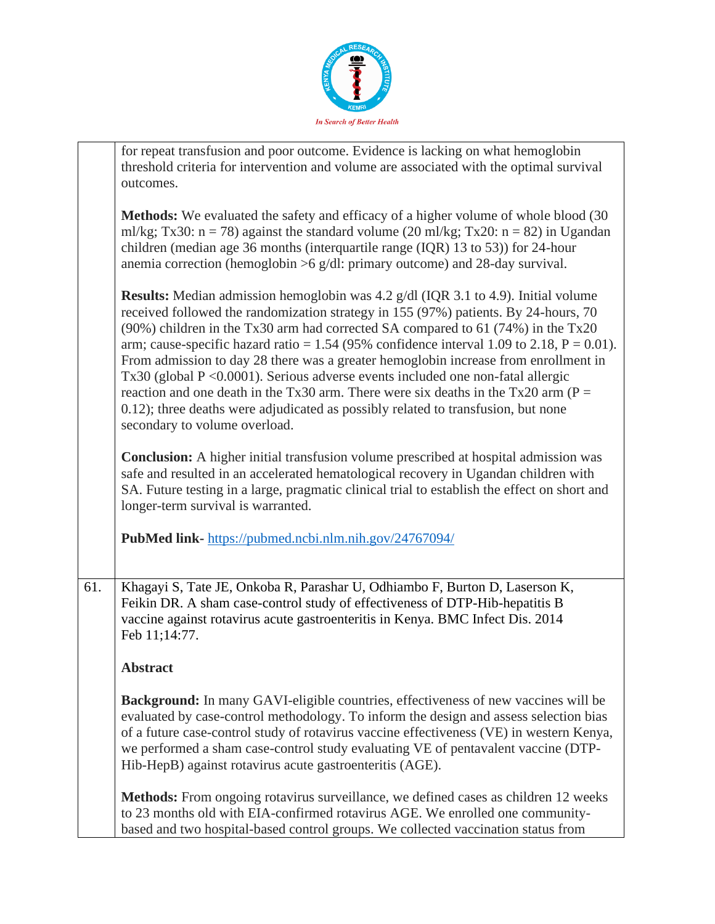

|     | for repeat transfusion and poor outcome. Evidence is lacking on what hemoglobin                                                                                                                                                                                                                                                                                                                                                                                                                                                                                                                                                                                                                                                                                       |
|-----|-----------------------------------------------------------------------------------------------------------------------------------------------------------------------------------------------------------------------------------------------------------------------------------------------------------------------------------------------------------------------------------------------------------------------------------------------------------------------------------------------------------------------------------------------------------------------------------------------------------------------------------------------------------------------------------------------------------------------------------------------------------------------|
|     | threshold criteria for intervention and volume are associated with the optimal survival                                                                                                                                                                                                                                                                                                                                                                                                                                                                                                                                                                                                                                                                               |
|     | outcomes.                                                                                                                                                                                                                                                                                                                                                                                                                                                                                                                                                                                                                                                                                                                                                             |
|     | <b>Methods:</b> We evaluated the safety and efficacy of a higher volume of whole blood (30)<br>ml/kg; Tx30: $n = 78$ ) against the standard volume (20 ml/kg; Tx20: $n = 82$ ) in Ugandan<br>children (median age 36 months (interquartile range (IQR) 13 to 53)) for 24-hour<br>anemia correction (hemoglobin $>6$ g/dl: primary outcome) and 28-day survival.                                                                                                                                                                                                                                                                                                                                                                                                       |
|     | <b>Results:</b> Median admission hemoglobin was 4.2 g/dl (IQR 3.1 to 4.9). Initial volume<br>received followed the randomization strategy in 155 (97%) patients. By 24-hours, 70<br>(90%) children in the Tx30 arm had corrected SA compared to 61 (74%) in the Tx20<br>arm; cause-specific hazard ratio = 1.54 (95% confidence interval 1.09 to 2.18, $P = 0.01$ ).<br>From admission to day 28 there was a greater hemoglobin increase from enrollment in<br>$Tx30$ (global $P \le 0.0001$ ). Serious adverse events included one non-fatal allergic<br>reaction and one death in the Tx30 arm. There were six deaths in the Tx20 arm ( $P =$<br>0.12); three deaths were adjudicated as possibly related to transfusion, but none<br>secondary to volume overload. |
|     | <b>Conclusion:</b> A higher initial transfusion volume prescribed at hospital admission was<br>safe and resulted in an accelerated hematological recovery in Ugandan children with<br>SA. Future testing in a large, pragmatic clinical trial to establish the effect on short and<br>longer-term survival is warranted.                                                                                                                                                                                                                                                                                                                                                                                                                                              |
|     | PubMed link-https://pubmed.ncbi.nlm.nih.gov/24767094/                                                                                                                                                                                                                                                                                                                                                                                                                                                                                                                                                                                                                                                                                                                 |
| 61. | Khagayi S, Tate JE, Onkoba R, Parashar U, Odhiambo F, Burton D, Laserson K,<br>Feikin DR. A sham case-control study of effectiveness of DTP-Hib-hepatitis B<br>vaccine against rotavirus acute gastroenteritis in Kenya. BMC Infect Dis. 2014<br>Feb 11;14:77.                                                                                                                                                                                                                                                                                                                                                                                                                                                                                                        |
|     | <b>Abstract</b>                                                                                                                                                                                                                                                                                                                                                                                                                                                                                                                                                                                                                                                                                                                                                       |
|     | <b>Background:</b> In many GAVI-eligible countries, effectiveness of new vaccines will be<br>evaluated by case-control methodology. To inform the design and assess selection bias<br>of a future case-control study of rotavirus vaccine effectiveness (VE) in western Kenya,<br>we performed a sham case-control study evaluating VE of pentavalent vaccine (DTP-<br>Hib-HepB) against rotavirus acute gastroenteritis (AGE).                                                                                                                                                                                                                                                                                                                                       |
|     | Methods: From ongoing rotavirus surveillance, we defined cases as children 12 weeks<br>to 23 months old with EIA-confirmed rotavirus AGE. We enrolled one community-<br>based and two hospital-based control groups. We collected vaccination status from                                                                                                                                                                                                                                                                                                                                                                                                                                                                                                             |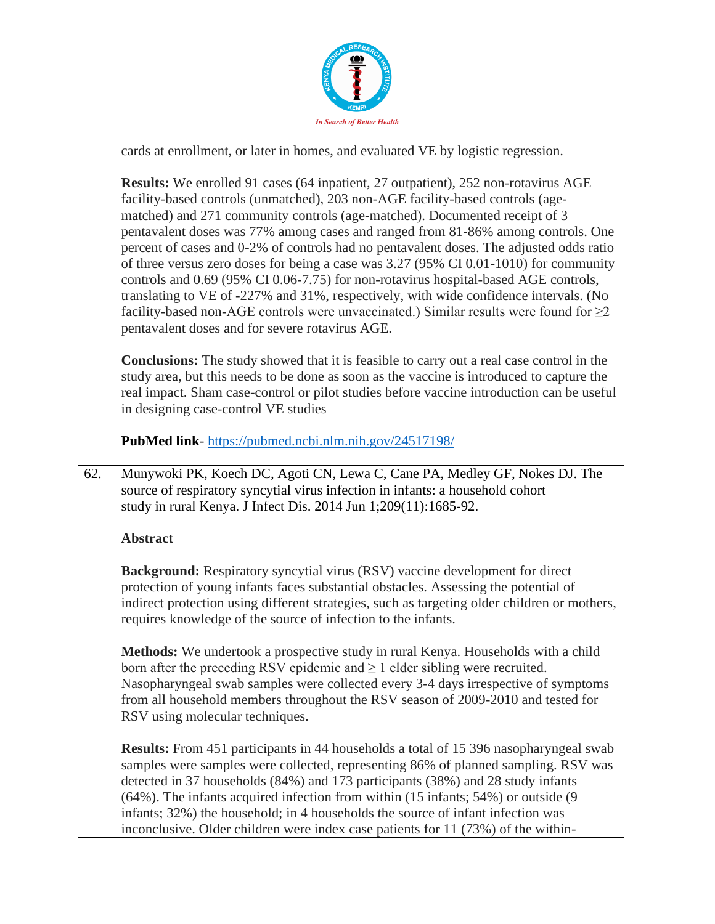

|     | cards at enrollment, or later in homes, and evaluated VE by logistic regression.                                                                                                                                                                                                                                                                                                                                                                                                                                                                                                                                                                                                                                                                                                                                                                                    |
|-----|---------------------------------------------------------------------------------------------------------------------------------------------------------------------------------------------------------------------------------------------------------------------------------------------------------------------------------------------------------------------------------------------------------------------------------------------------------------------------------------------------------------------------------------------------------------------------------------------------------------------------------------------------------------------------------------------------------------------------------------------------------------------------------------------------------------------------------------------------------------------|
|     | <b>Results:</b> We enrolled 91 cases (64 inpatient, 27 outpatient), 252 non-rotavirus AGE<br>facility-based controls (unmatched), 203 non-AGE facility-based controls (age-<br>matched) and 271 community controls (age-matched). Documented receipt of 3<br>pentavalent doses was 77% among cases and ranged from 81-86% among controls. One<br>percent of cases and 0-2% of controls had no pentavalent doses. The adjusted odds ratio<br>of three versus zero doses for being a case was 3.27 (95% CI 0.01-1010) for community<br>controls and 0.69 (95% CI 0.06-7.75) for non-rotavirus hospital-based AGE controls,<br>translating to VE of -227% and 31%, respectively, with wide confidence intervals. (No<br>facility-based non-AGE controls were unvaccinated.) Similar results were found for $\geq$ 2<br>pentavalent doses and for severe rotavirus AGE. |
|     | <b>Conclusions:</b> The study showed that it is feasible to carry out a real case control in the<br>study area, but this needs to be done as soon as the vaccine is introduced to capture the<br>real impact. Sham case-control or pilot studies before vaccine introduction can be useful<br>in designing case-control VE studies                                                                                                                                                                                                                                                                                                                                                                                                                                                                                                                                  |
|     | PubMed link-https://pubmed.ncbi.nlm.nih.gov/24517198/                                                                                                                                                                                                                                                                                                                                                                                                                                                                                                                                                                                                                                                                                                                                                                                                               |
| 62. | Munywoki PK, Koech DC, Agoti CN, Lewa C, Cane PA, Medley GF, Nokes DJ. The<br>source of respiratory syncytial virus infection in infants: a household cohort<br>study in rural Kenya. J Infect Dis. 2014 Jun 1;209(11):1685-92.                                                                                                                                                                                                                                                                                                                                                                                                                                                                                                                                                                                                                                     |
|     | <b>Abstract</b>                                                                                                                                                                                                                                                                                                                                                                                                                                                                                                                                                                                                                                                                                                                                                                                                                                                     |
|     | <b>Background:</b> Respiratory syncytial virus (RSV) vaccine development for direct<br>protection of young infants faces substantial obstacles. Assessing the potential of<br>indirect protection using different strategies, such as targeting older children or mothers,<br>requires knowledge of the source of infection to the infants.                                                                                                                                                                                                                                                                                                                                                                                                                                                                                                                         |
|     | Methods: We undertook a prospective study in rural Kenya. Households with a child<br>born after the preceding RSV epidemic and $\geq 1$ elder sibling were recruited.<br>Nasopharyngeal swab samples were collected every 3-4 days irrespective of symptoms<br>from all household members throughout the RSV season of 2009-2010 and tested for<br>RSV using molecular techniques.                                                                                                                                                                                                                                                                                                                                                                                                                                                                                  |
|     | <b>Results:</b> From 451 participants in 44 households a total of 15 396 nasopharyngeal swab<br>samples were samples were collected, representing 86% of planned sampling. RSV was<br>detected in 37 households (84%) and 173 participants (38%) and 28 study infants<br>$(64\%)$ . The infants acquired infection from within $(15 \text{ infants}; 54\%)$ or outside $(9 \text{ months})$<br>infants; 32%) the household; in 4 households the source of infant infection was<br>inconclusive. Older children were index case patients for 11 (73%) of the within-                                                                                                                                                                                                                                                                                                 |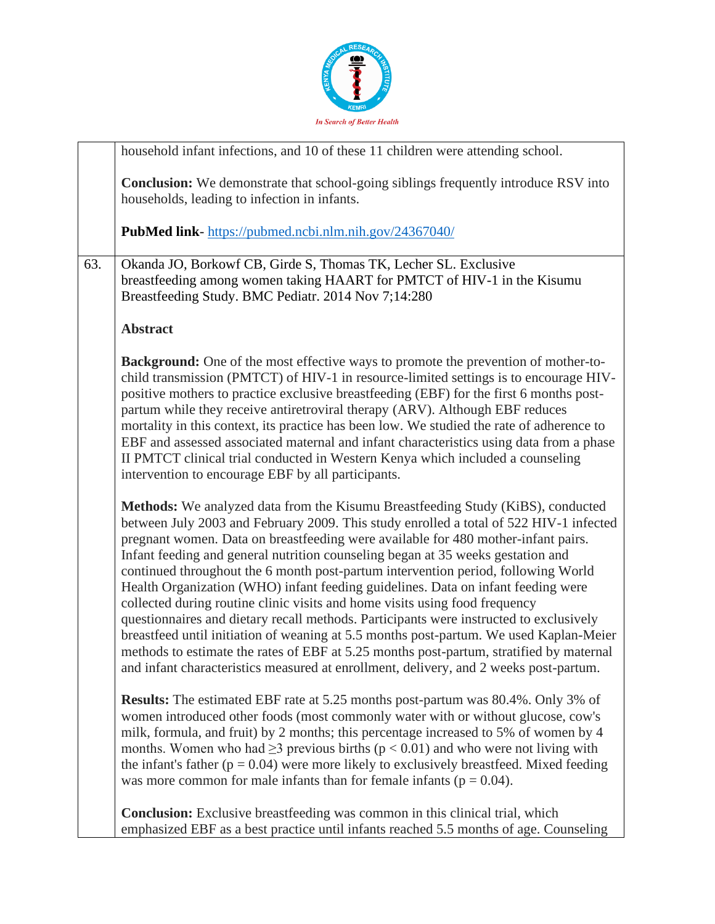

|     | household infant infections, and 10 of these 11 children were attending school.                                                                                                                                                                                                                                                                                                                                                                                                                                                                                                                                                                                                                                                                                                                                                                                                                                                                                                   |
|-----|-----------------------------------------------------------------------------------------------------------------------------------------------------------------------------------------------------------------------------------------------------------------------------------------------------------------------------------------------------------------------------------------------------------------------------------------------------------------------------------------------------------------------------------------------------------------------------------------------------------------------------------------------------------------------------------------------------------------------------------------------------------------------------------------------------------------------------------------------------------------------------------------------------------------------------------------------------------------------------------|
|     | <b>Conclusion:</b> We demonstrate that school-going siblings frequently introduce RSV into<br>households, leading to infection in infants.                                                                                                                                                                                                                                                                                                                                                                                                                                                                                                                                                                                                                                                                                                                                                                                                                                        |
|     | PubMed link-https://pubmed.ncbi.nlm.nih.gov/24367040/                                                                                                                                                                                                                                                                                                                                                                                                                                                                                                                                                                                                                                                                                                                                                                                                                                                                                                                             |
| 63. | Okanda JO, Borkowf CB, Girde S, Thomas TK, Lecher SL. Exclusive<br>breastfeeding among women taking HAART for PMTCT of HIV-1 in the Kisumu<br>Breastfeeding Study. BMC Pediatr. 2014 Nov 7;14:280                                                                                                                                                                                                                                                                                                                                                                                                                                                                                                                                                                                                                                                                                                                                                                                 |
|     | <b>Abstract</b>                                                                                                                                                                                                                                                                                                                                                                                                                                                                                                                                                                                                                                                                                                                                                                                                                                                                                                                                                                   |
|     | <b>Background:</b> One of the most effective ways to promote the prevention of mother-to-<br>child transmission (PMTCT) of HIV-1 in resource-limited settings is to encourage HIV-<br>positive mothers to practice exclusive breastfeeding (EBF) for the first 6 months post-<br>partum while they receive antiretroviral therapy (ARV). Although EBF reduces<br>mortality in this context, its practice has been low. We studied the rate of adherence to<br>EBF and assessed associated maternal and infant characteristics using data from a phase<br>II PMTCT clinical trial conducted in Western Kenya which included a counseling<br>intervention to encourage EBF by all participants.                                                                                                                                                                                                                                                                                     |
|     | Methods: We analyzed data from the Kisumu Breastfeeding Study (KiBS), conducted<br>between July 2003 and February 2009. This study enrolled a total of 522 HIV-1 infected<br>pregnant women. Data on breastfeeding were available for 480 mother-infant pairs.<br>Infant feeding and general nutrition counseling began at 35 weeks gestation and<br>continued throughout the 6 month post-partum intervention period, following World<br>Health Organization (WHO) infant feeding guidelines. Data on infant feeding were<br>collected during routine clinic visits and home visits using food frequency<br>questionnaires and dietary recall methods. Participants were instructed to exclusively<br>breastfeed until initiation of weaning at 5.5 months post-partum. We used Kaplan-Meier<br>methods to estimate the rates of EBF at 5.25 months post-partum, stratified by maternal<br>and infant characteristics measured at enrollment, delivery, and 2 weeks post-partum. |
|     | <b>Results:</b> The estimated EBF rate at 5.25 months post-partum was 80.4%. Only 3% of<br>women introduced other foods (most commonly water with or without glucose, cow's<br>milk, formula, and fruit) by 2 months; this percentage increased to 5% of women by 4<br>months. Women who had $\geq$ 3 previous births ( $p < 0.01$ ) and who were not living with<br>the infant's father ( $p = 0.04$ ) were more likely to exclusively breastfeed. Mixed feeding<br>was more common for male infants than for female infants ( $p = 0.04$ ).                                                                                                                                                                                                                                                                                                                                                                                                                                     |
|     | <b>Conclusion:</b> Exclusive breastfeeding was common in this clinical trial, which<br>emphasized EBF as a best practice until infants reached 5.5 months of age. Counseling                                                                                                                                                                                                                                                                                                                                                                                                                                                                                                                                                                                                                                                                                                                                                                                                      |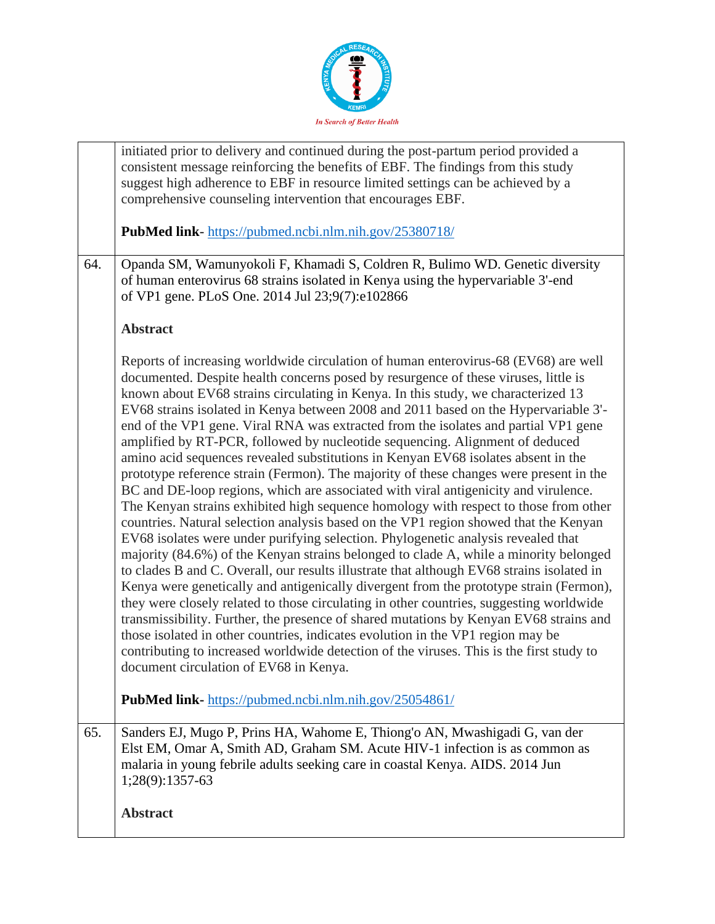

|     | initiated prior to delivery and continued during the post-partum period provided a<br>consistent message reinforcing the benefits of EBF. The findings from this study<br>suggest high adherence to EBF in resource limited settings can be achieved by a<br>comprehensive counseling intervention that encourages EBF.<br><b>PubMed link-</b> https://pubmed.ncbi.nlm.nih.gov/25380718/                                                                                                                                                                                                                                                                                                                                                                                                                                                                                                                                                                                                                                                                                                                                                                                                                                                                                                                                                                                                                                                                                                                                                                                                                                                                                                                                                                               |
|-----|------------------------------------------------------------------------------------------------------------------------------------------------------------------------------------------------------------------------------------------------------------------------------------------------------------------------------------------------------------------------------------------------------------------------------------------------------------------------------------------------------------------------------------------------------------------------------------------------------------------------------------------------------------------------------------------------------------------------------------------------------------------------------------------------------------------------------------------------------------------------------------------------------------------------------------------------------------------------------------------------------------------------------------------------------------------------------------------------------------------------------------------------------------------------------------------------------------------------------------------------------------------------------------------------------------------------------------------------------------------------------------------------------------------------------------------------------------------------------------------------------------------------------------------------------------------------------------------------------------------------------------------------------------------------------------------------------------------------------------------------------------------------|
| 64. | Opanda SM, Wamunyokoli F, Khamadi S, Coldren R, Bulimo WD. Genetic diversity<br>of human enterovirus 68 strains isolated in Kenya using the hypervariable 3'-end<br>of VP1 gene. PLoS One. 2014 Jul 23;9(7):e102866                                                                                                                                                                                                                                                                                                                                                                                                                                                                                                                                                                                                                                                                                                                                                                                                                                                                                                                                                                                                                                                                                                                                                                                                                                                                                                                                                                                                                                                                                                                                                    |
|     | <b>Abstract</b>                                                                                                                                                                                                                                                                                                                                                                                                                                                                                                                                                                                                                                                                                                                                                                                                                                                                                                                                                                                                                                                                                                                                                                                                                                                                                                                                                                                                                                                                                                                                                                                                                                                                                                                                                        |
|     | Reports of increasing worldwide circulation of human enterovirus-68 (EV68) are well<br>documented. Despite health concerns posed by resurgence of these viruses, little is<br>known about EV68 strains circulating in Kenya. In this study, we characterized 13<br>EV68 strains isolated in Kenya between 2008 and 2011 based on the Hypervariable 3'-<br>end of the VP1 gene. Viral RNA was extracted from the isolates and partial VP1 gene<br>amplified by RT-PCR, followed by nucleotide sequencing. Alignment of deduced<br>amino acid sequences revealed substitutions in Kenyan EV68 isolates absent in the<br>prototype reference strain (Fermon). The majority of these changes were present in the<br>BC and DE-loop regions, which are associated with viral antigenicity and virulence.<br>The Kenyan strains exhibited high sequence homology with respect to those from other<br>countries. Natural selection analysis based on the VP1 region showed that the Kenyan<br>EV68 isolates were under purifying selection. Phylogenetic analysis revealed that<br>majority (84.6%) of the Kenyan strains belonged to clade A, while a minority belonged<br>to clades B and C. Overall, our results illustrate that although EV68 strains isolated in<br>Kenya were genetically and antigenically divergent from the prototype strain (Fermon),<br>they were closely related to those circulating in other countries, suggesting worldwide<br>transmissibility. Further, the presence of shared mutations by Kenyan EV68 strains and<br>those isolated in other countries, indicates evolution in the VP1 region may be<br>contributing to increased worldwide detection of the viruses. This is the first study to<br>document circulation of EV68 in Kenya. |
|     | PubMed link-https://pubmed.ncbi.nlm.nih.gov/25054861/                                                                                                                                                                                                                                                                                                                                                                                                                                                                                                                                                                                                                                                                                                                                                                                                                                                                                                                                                                                                                                                                                                                                                                                                                                                                                                                                                                                                                                                                                                                                                                                                                                                                                                                  |
| 65. | Sanders EJ, Mugo P, Prins HA, Wahome E, Thiong'o AN, Mwashigadi G, van der<br>Elst EM, Omar A, Smith AD, Graham SM. Acute HIV-1 infection is as common as<br>malaria in young febrile adults seeking care in coastal Kenya. AIDS. 2014 Jun<br>1;28(9):1357-63                                                                                                                                                                                                                                                                                                                                                                                                                                                                                                                                                                                                                                                                                                                                                                                                                                                                                                                                                                                                                                                                                                                                                                                                                                                                                                                                                                                                                                                                                                          |
|     | <b>Abstract</b>                                                                                                                                                                                                                                                                                                                                                                                                                                                                                                                                                                                                                                                                                                                                                                                                                                                                                                                                                                                                                                                                                                                                                                                                                                                                                                                                                                                                                                                                                                                                                                                                                                                                                                                                                        |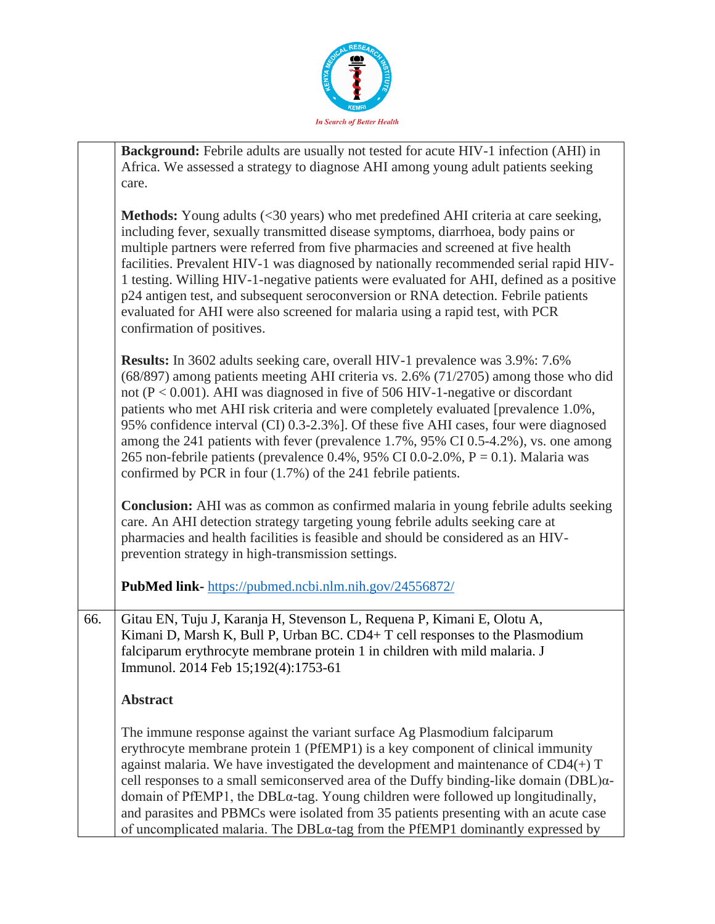

|     | <b>Background:</b> Febrile adults are usually not tested for acute HIV-1 infection (AHI) in<br>Africa. We assessed a strategy to diagnose AHI among young adult patients seeking<br>care.                                                                                                                                                                                                                                                                                                                                                                                                                                                                                                 |
|-----|-------------------------------------------------------------------------------------------------------------------------------------------------------------------------------------------------------------------------------------------------------------------------------------------------------------------------------------------------------------------------------------------------------------------------------------------------------------------------------------------------------------------------------------------------------------------------------------------------------------------------------------------------------------------------------------------|
|     | <b>Methods:</b> Young adults (<30 years) who met predefined AHI criteria at care seeking,<br>including fever, sexually transmitted disease symptoms, diarrhoea, body pains or<br>multiple partners were referred from five pharmacies and screened at five health<br>facilities. Prevalent HIV-1 was diagnosed by nationally recommended serial rapid HIV-<br>1 testing. Willing HIV-1-negative patients were evaluated for AHI, defined as a positive<br>p24 antigen test, and subsequent seroconversion or RNA detection. Febrile patients<br>evaluated for AHI were also screened for malaria using a rapid test, with PCR<br>confirmation of positives.                               |
|     | Results: In 3602 adults seeking care, overall HIV-1 prevalence was 3.9%: 7.6%<br>(68/897) among patients meeting AHI criteria vs. 2.6% (71/2705) among those who did<br>not ( $P < 0.001$ ). AHI was diagnosed in five of 506 HIV-1-negative or discordant<br>patients who met AHI risk criteria and were completely evaluated [prevalence 1.0%,<br>95% confidence interval (CI) 0.3-2.3%]. Of these five AHI cases, four were diagnosed<br>among the 241 patients with fever (prevalence 1.7%, 95% CI 0.5-4.2%), vs. one among<br>265 non-febrile patients (prevalence 0.4%, 95% CI 0.0-2.0%, $P = 0.1$ ). Malaria was<br>confirmed by PCR in four $(1.7%)$ of the 241 febrile patients. |
|     | <b>Conclusion:</b> AHI was as common as confirmed malaria in young febrile adults seeking<br>care. An AHI detection strategy targeting young febrile adults seeking care at<br>pharmacies and health facilities is feasible and should be considered as an HIV-<br>prevention strategy in high-transmission settings.                                                                                                                                                                                                                                                                                                                                                                     |
|     | PubMed link-https://pubmed.ncbi.nlm.nih.gov/24556872/                                                                                                                                                                                                                                                                                                                                                                                                                                                                                                                                                                                                                                     |
| 66. | Gitau EN, Tuju J, Karanja H, Stevenson L, Requena P, Kimani E, Olotu A,<br>Kimani D, Marsh K, Bull P, Urban BC. CD4+ T cell responses to the Plasmodium<br>falciparum erythrocyte membrane protein 1 in children with mild malaria. J<br>Immunol. 2014 Feb 15;192(4):1753-61                                                                                                                                                                                                                                                                                                                                                                                                              |
|     | <b>Abstract</b>                                                                                                                                                                                                                                                                                                                                                                                                                                                                                                                                                                                                                                                                           |
|     | The immune response against the variant surface Ag Plasmodium falciparum<br>erythrocyte membrane protein 1 (PfEMP1) is a key component of clinical immunity<br>against malaria. We have investigated the development and maintenance of $CD4(+)$ T<br>cell responses to a small semiconserved area of the Duffy binding-like domain $(DBL)\alpha$ -<br>domain of PfEMP1, the DBLa-tag. Young children were followed up longitudinally,<br>and parasites and PBMCs were isolated from 35 patients presenting with an acute case<br>of uncomplicated malaria. The DBLa-tag from the PfEMP1 dominantly expressed by                                                                          |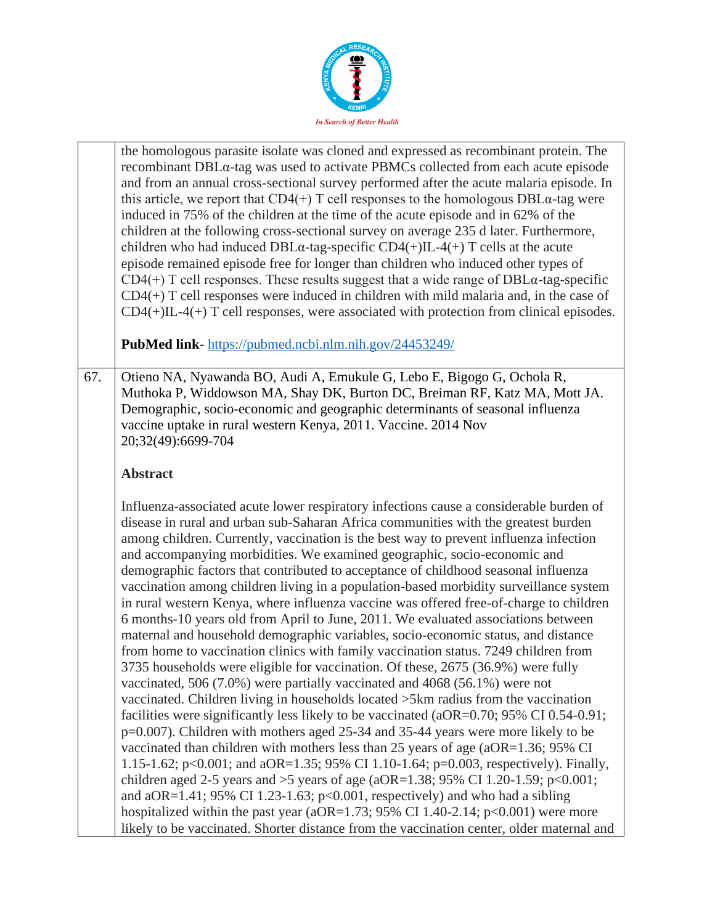

|     | the homologous parasite isolate was cloned and expressed as recombinant protein. The<br>recombinant DBLa-tag was used to activate PBMCs collected from each acute episode<br>and from an annual cross-sectional survey performed after the acute malaria episode. In<br>this article, we report that CD4(+) T cell responses to the homologous DBL $\alpha$ -tag were<br>induced in 75% of the children at the time of the acute episode and in 62% of the<br>children at the following cross-sectional survey on average 235 d later. Furthermore,<br>children who had induced DBL $\alpha$ -tag-specific CD4(+)IL-4(+) T cells at the acute<br>episode remained episode free for longer than children who induced other types of<br>$CD4(+)$ T cell responses. These results suggest that a wide range of $DBLa$ -tag-specific<br>$CD4(+)$ T cell responses were induced in children with mild malaria and, in the case of<br>$CD4(+)IL-4(+) T$ cell responses, were associated with protection from clinical episodes.<br><b>PubMed link-</b> https://pubmed.ncbi.nlm.nih.gov/24453249/                                                                                                                                                                                                                                                                                                                                                                                                                                                                                                                                                                                                                                                                                                                                                                                          |
|-----|-------------------------------------------------------------------------------------------------------------------------------------------------------------------------------------------------------------------------------------------------------------------------------------------------------------------------------------------------------------------------------------------------------------------------------------------------------------------------------------------------------------------------------------------------------------------------------------------------------------------------------------------------------------------------------------------------------------------------------------------------------------------------------------------------------------------------------------------------------------------------------------------------------------------------------------------------------------------------------------------------------------------------------------------------------------------------------------------------------------------------------------------------------------------------------------------------------------------------------------------------------------------------------------------------------------------------------------------------------------------------------------------------------------------------------------------------------------------------------------------------------------------------------------------------------------------------------------------------------------------------------------------------------------------------------------------------------------------------------------------------------------------------------------------------------------------------------------------------------------------------------------|
|     |                                                                                                                                                                                                                                                                                                                                                                                                                                                                                                                                                                                                                                                                                                                                                                                                                                                                                                                                                                                                                                                                                                                                                                                                                                                                                                                                                                                                                                                                                                                                                                                                                                                                                                                                                                                                                                                                                     |
| 67. | Otieno NA, Nyawanda BO, Audi A, Emukule G, Lebo E, Bigogo G, Ochola R,<br>Muthoka P, Widdowson MA, Shay DK, Burton DC, Breiman RF, Katz MA, Mott JA.<br>Demographic, socio-economic and geographic determinants of seasonal influenza<br>vaccine uptake in rural western Kenya, 2011. Vaccine. 2014 Nov<br>20;32(49):6699-704                                                                                                                                                                                                                                                                                                                                                                                                                                                                                                                                                                                                                                                                                                                                                                                                                                                                                                                                                                                                                                                                                                                                                                                                                                                                                                                                                                                                                                                                                                                                                       |
|     | <b>Abstract</b>                                                                                                                                                                                                                                                                                                                                                                                                                                                                                                                                                                                                                                                                                                                                                                                                                                                                                                                                                                                                                                                                                                                                                                                                                                                                                                                                                                                                                                                                                                                                                                                                                                                                                                                                                                                                                                                                     |
|     | Influenza-associated acute lower respiratory infections cause a considerable burden of<br>disease in rural and urban sub-Saharan Africa communities with the greatest burden<br>among children. Currently, vaccination is the best way to prevent influenza infection<br>and accompanying morbidities. We examined geographic, socio-economic and<br>demographic factors that contributed to acceptance of childhood seasonal influenza<br>vaccination among children living in a population-based morbidity surveillance system<br>in rural western Kenya, where influenza vaccine was offered free-of-charge to children<br>6 months-10 years old from April to June, 2011. We evaluated associations between<br>maternal and household demographic variables, socio-economic status, and distance<br>from home to vaccination clinics with family vaccination status. 7249 children from<br>3735 households were eligible for vaccination. Of these, 2675 (36.9%) were fully<br>vaccinated, 506 $(7.0\%)$ were partially vaccinated and 4068 $(56.1\%)$ were not<br>vaccinated. Children living in households located >5km radius from the vaccination<br>facilities were significantly less likely to be vaccinated (aOR=0.70; 95% CI 0.54-0.91;<br>p=0.007). Children with mothers aged 25-34 and 35-44 years were more likely to be<br>vaccinated than children with mothers less than 25 years of age (aOR=1.36; 95% CI<br>1.15-1.62; p<0.001; and aOR=1.35; 95% CI 1.10-1.64; p=0.003, respectively). Finally,<br>children aged 2-5 years and >5 years of age (aOR=1.38; 95% CI 1.20-1.59; p<0.001;<br>and aOR=1.41; 95% CI 1.23-1.63; $p<0.001$ , respectively) and who had a sibling<br>hospitalized within the past year (aOR=1.73; 95% CI 1.40-2.14; $p<0.001$ ) were more<br>likely to be vaccinated. Shorter distance from the vaccination center, older maternal and |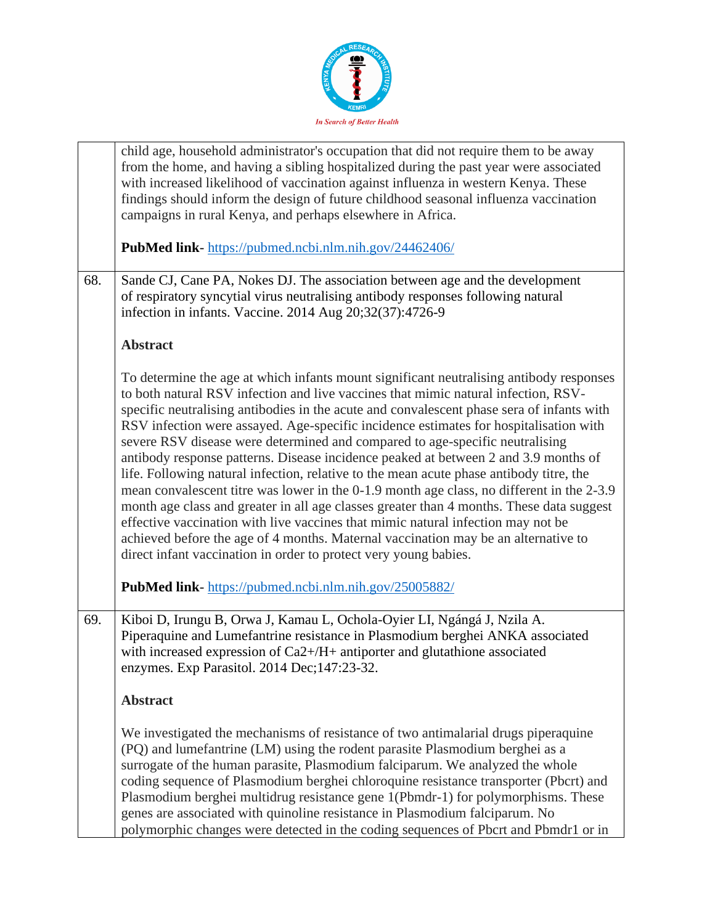

|     | child age, household administrator's occupation that did not require them to be away                                                                                                                                                                                                                                                                                                                                                                                                                                                                                                                                                                                                                                                                                                                                                                                                                                                                                                                                                                                         |
|-----|------------------------------------------------------------------------------------------------------------------------------------------------------------------------------------------------------------------------------------------------------------------------------------------------------------------------------------------------------------------------------------------------------------------------------------------------------------------------------------------------------------------------------------------------------------------------------------------------------------------------------------------------------------------------------------------------------------------------------------------------------------------------------------------------------------------------------------------------------------------------------------------------------------------------------------------------------------------------------------------------------------------------------------------------------------------------------|
|     | from the home, and having a sibling hospitalized during the past year were associated<br>with increased likelihood of vaccination against influenza in western Kenya. These<br>findings should inform the design of future childhood seasonal influenza vaccination<br>campaigns in rural Kenya, and perhaps elsewhere in Africa.                                                                                                                                                                                                                                                                                                                                                                                                                                                                                                                                                                                                                                                                                                                                            |
|     | PubMed link-https://pubmed.ncbi.nlm.nih.gov/24462406/                                                                                                                                                                                                                                                                                                                                                                                                                                                                                                                                                                                                                                                                                                                                                                                                                                                                                                                                                                                                                        |
| 68. | Sande CJ, Cane PA, Nokes DJ. The association between age and the development<br>of respiratory syncytial virus neutralising antibody responses following natural<br>infection in infants. Vaccine. 2014 Aug 20;32(37):4726-9                                                                                                                                                                                                                                                                                                                                                                                                                                                                                                                                                                                                                                                                                                                                                                                                                                                 |
|     | <b>Abstract</b>                                                                                                                                                                                                                                                                                                                                                                                                                                                                                                                                                                                                                                                                                                                                                                                                                                                                                                                                                                                                                                                              |
|     | To determine the age at which infants mount significant neutralising antibody responses<br>to both natural RSV infection and live vaccines that mimic natural infection, RSV-<br>specific neutralising antibodies in the acute and convalescent phase sera of infants with<br>RSV infection were assayed. Age-specific incidence estimates for hospitalisation with<br>severe RSV disease were determined and compared to age-specific neutralising<br>antibody response patterns. Disease incidence peaked at between 2 and 3.9 months of<br>life. Following natural infection, relative to the mean acute phase antibody titre, the<br>mean convalescent titre was lower in the 0-1.9 month age class, no different in the 2-3.9<br>month age class and greater in all age classes greater than 4 months. These data suggest<br>effective vaccination with live vaccines that mimic natural infection may not be<br>achieved before the age of 4 months. Maternal vaccination may be an alternative to<br>direct infant vaccination in order to protect very young babies. |
|     | PubMed link-https://pubmed.ncbi.nlm.nih.gov/25005882/                                                                                                                                                                                                                                                                                                                                                                                                                                                                                                                                                                                                                                                                                                                                                                                                                                                                                                                                                                                                                        |
| 69. | Kiboi D, Irungu B, Orwa J, Kamau L, Ochola-Oyier LI, Ngángá J, Nzila A.<br>Piperaquine and Lumefantrine resistance in Plasmodium berghei ANKA associated<br>with increased expression of $Ca2+/H+$ antiporter and glutathione associated<br>enzymes. Exp Parasitol. 2014 Dec; 147:23-32.                                                                                                                                                                                                                                                                                                                                                                                                                                                                                                                                                                                                                                                                                                                                                                                     |
|     | <b>Abstract</b>                                                                                                                                                                                                                                                                                                                                                                                                                                                                                                                                                                                                                                                                                                                                                                                                                                                                                                                                                                                                                                                              |
|     | We investigated the mechanisms of resistance of two antimalarial drugs piperaquine<br>(PQ) and lumefantrine (LM) using the rodent parasite Plasmodium berghei as a<br>surrogate of the human parasite, Plasmodium falciparum. We analyzed the whole<br>coding sequence of Plasmodium berghei chloroquine resistance transporter (Pbcrt) and<br>Plasmodium berghei multidrug resistance gene 1(Pbmdr-1) for polymorphisms. These<br>genes are associated with quinoline resistance in Plasmodium falciparum. No<br>polymorphic changes were detected in the coding sequences of Pbcrt and Pbmdr1 or in                                                                                                                                                                                                                                                                                                                                                                                                                                                                        |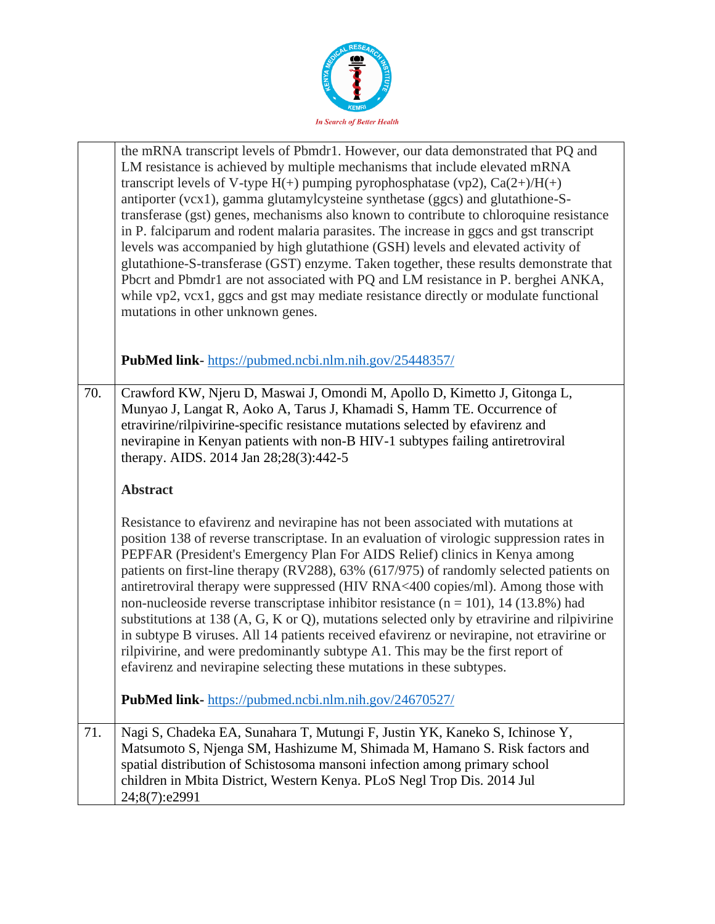

|     | the mRNA transcript levels of Pbmdr1. However, our data demonstrated that PQ and<br>LM resistance is achieved by multiple mechanisms that include elevated mRNA<br>transcript levels of V-type $H(+)$ pumping pyrophosphatase (vp2), $Ca(2+) / H(+)$<br>antiporter (vcx1), gamma glutamylcysteine synthetase (ggcs) and glutathione-S-<br>transferase (gst) genes, mechanisms also known to contribute to chloroquine resistance<br>in P. falciparum and rodent malaria parasites. The increase in ggcs and gst transcript<br>levels was accompanied by high glutathione (GSH) levels and elevated activity of<br>glutathione-S-transferase (GST) enzyme. Taken together, these results demonstrate that<br>Pbcrt and Pbmdr1 are not associated with PQ and LM resistance in P. berghei ANKA,<br>while vp2, vcx1, ggcs and gst may mediate resistance directly or modulate functional<br>mutations in other unknown genes. |
|-----|----------------------------------------------------------------------------------------------------------------------------------------------------------------------------------------------------------------------------------------------------------------------------------------------------------------------------------------------------------------------------------------------------------------------------------------------------------------------------------------------------------------------------------------------------------------------------------------------------------------------------------------------------------------------------------------------------------------------------------------------------------------------------------------------------------------------------------------------------------------------------------------------------------------------------|
|     | <b>PubMed link-</b> https://pubmed.ncbi.nlm.nih.gov/25448357/                                                                                                                                                                                                                                                                                                                                                                                                                                                                                                                                                                                                                                                                                                                                                                                                                                                              |
| 70. | Crawford KW, Njeru D, Maswai J, Omondi M, Apollo D, Kimetto J, Gitonga L,<br>Munyao J, Langat R, Aoko A, Tarus J, Khamadi S, Hamm TE. Occurrence of<br>etravirine/rilpivirine-specific resistance mutations selected by efavirenz and<br>nevirapine in Kenyan patients with non-B HIV-1 subtypes failing antiretroviral<br>therapy. AIDS. 2014 Jan 28;28(3):442-5                                                                                                                                                                                                                                                                                                                                                                                                                                                                                                                                                          |
|     | <b>Abstract</b>                                                                                                                                                                                                                                                                                                                                                                                                                                                                                                                                                                                                                                                                                                                                                                                                                                                                                                            |
|     | Resistance to efavirenz and nevirapine has not been associated with mutations at<br>position 138 of reverse transcriptase. In an evaluation of virologic suppression rates in<br>PEPFAR (President's Emergency Plan For AIDS Relief) clinics in Kenya among<br>patients on first-line therapy (RV288), 63% (617/975) of randomly selected patients on<br>antiretroviral therapy were suppressed (HIV RNA<400 copies/ml). Among those with<br>non-nucleoside reverse transcriptase inhibitor resistance $(n = 101)$ , 14 (13.8%) had<br>substitutions at 138 (A, G, K or Q), mutations selected only by etravirine and rilpivirine<br>in subtype B viruses. All 14 patients received efavirenz or nevirapine, not etravirine or<br>rilpivirine, and were predominantly subtype A1. This may be the first report of<br>efavirenz and nevirapine selecting these mutations in these subtypes.                                 |
|     | PubMed link- https://pubmed.ncbi.nlm.nih.gov/24670527/                                                                                                                                                                                                                                                                                                                                                                                                                                                                                                                                                                                                                                                                                                                                                                                                                                                                     |
| 71. | Nagi S, Chadeka EA, Sunahara T, Mutungi F, Justin YK, Kaneko S, Ichinose Y,<br>Matsumoto S, Njenga SM, Hashizume M, Shimada M, Hamano S. Risk factors and<br>spatial distribution of Schistosoma mansoni infection among primary school<br>children in Mbita District, Western Kenya. PLoS Negl Trop Dis. 2014 Jul<br>24;8(7):e2991                                                                                                                                                                                                                                                                                                                                                                                                                                                                                                                                                                                        |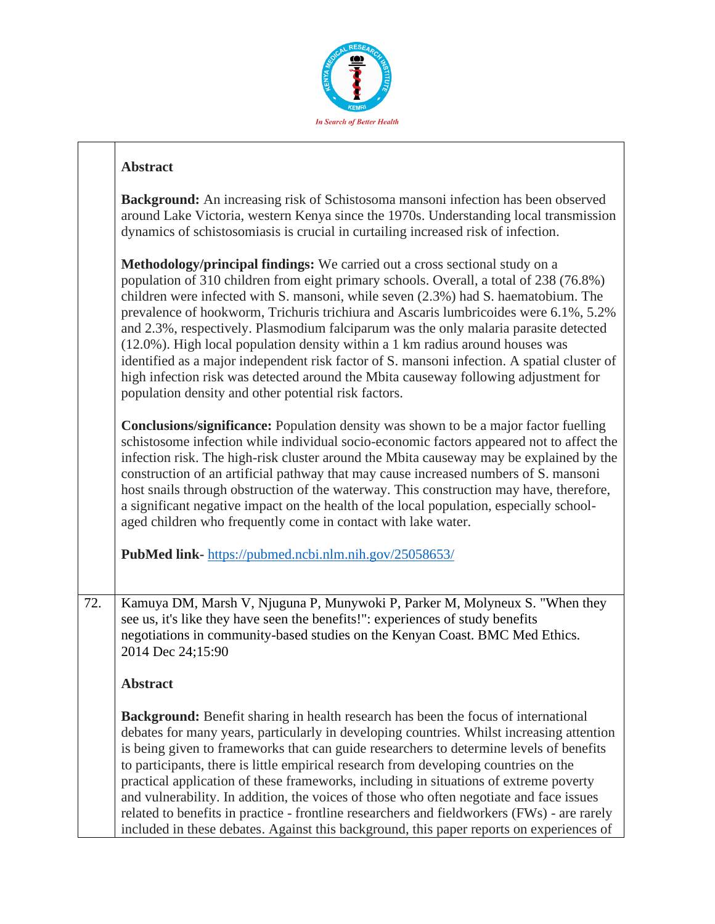

## **Abstract**

| <b>Background:</b> An increasing risk of Schistosoma mansoni infection has been observed<br>around Lake Victoria, western Kenya since the 1970s. Understanding local transmission<br>dynamics of schistosomiasis is crucial in curtailing increased risk of infection. |
|------------------------------------------------------------------------------------------------------------------------------------------------------------------------------------------------------------------------------------------------------------------------|
| <b>Methodology/principal findings:</b> We carried out a cross sectional study on a                                                                                                                                                                                     |
| population of 310 children from eight primary schools. Overall, a total of 238 (76.8%)                                                                                                                                                                                 |
|                                                                                                                                                                                                                                                                        |
| children were infected with S. mansoni, while seven (2.3%) had S. haematobium. The                                                                                                                                                                                     |
| prevalence of hookworm, Trichuris trichiura and Ascaris lumbricoides were 6.1%, 5.2%                                                                                                                                                                                   |
| and 2.3%, respectively. Plasmodium falciparum was the only malaria parasite detected                                                                                                                                                                                   |
| $(12.0\%)$ . High local population density within a 1 km radius around houses was                                                                                                                                                                                      |
| identified as a major independent risk factor of S. mansoni infection. A spatial cluster of                                                                                                                                                                            |
| high infection risk was detected around the Mbita causeway following adjustment for                                                                                                                                                                                    |

**Conclusions/significance:** Population density was shown to be a major factor fuelling schistosome infection while individual socio-economic factors appeared not to affect the infection risk. The high-risk cluster around the Mbita causeway may be explained by the construction of an artificial pathway that may cause increased numbers of S. mansoni host snails through obstruction of the waterway. This construction may have, therefore, a significant negative impact on the health of the local population, especially schoolaged children who frequently come in contact with lake water.

**PubMed link-** <https://pubmed.ncbi.nlm.nih.gov/25058653/>

population density and other potential risk factors.

72. Kamuya DM, Marsh V, Njuguna P, Munywoki P, Parker M, Molyneux S. "When they see us, it's like they have seen the benefits!": experiences of study benefits negotiations in community-based studies on the Kenyan Coast. BMC Med Ethics. 2014 Dec 24;15:90

**Abstract**

**Background:** Benefit sharing in health research has been the focus of international debates for many years, particularly in developing countries. Whilst increasing attention is being given to frameworks that can guide researchers to determine levels of benefits to participants, there is little empirical research from developing countries on the practical application of these frameworks, including in situations of extreme poverty and vulnerability. In addition, the voices of those who often negotiate and face issues related to benefits in practice - frontline researchers and fieldworkers (FWs) - are rarely included in these debates. Against this background, this paper reports on experiences of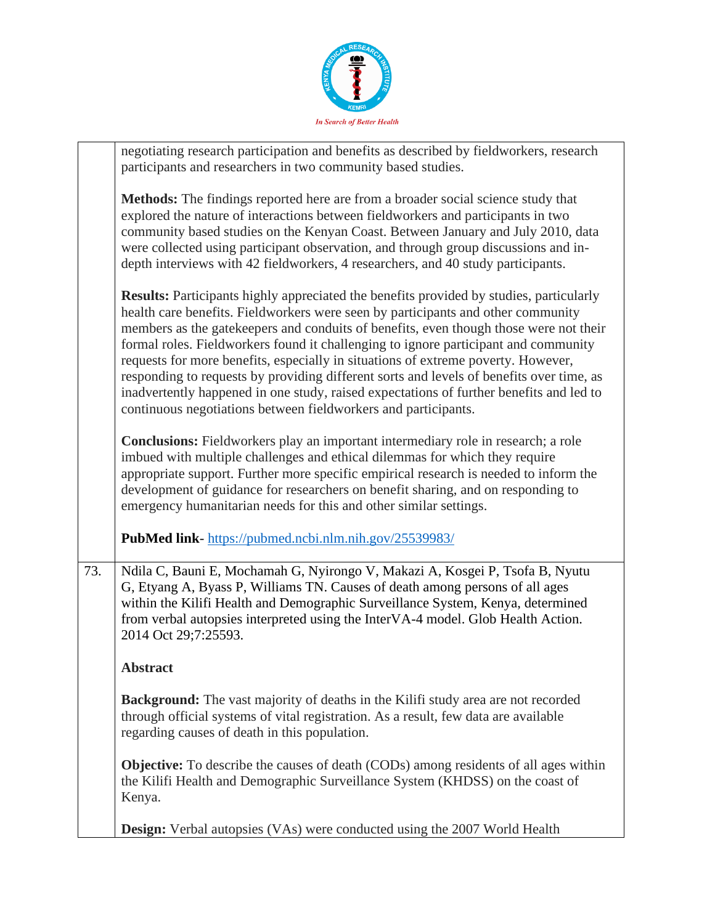

|     | negotiating research participation and benefits as described by fieldworkers, research<br>participants and researchers in two community based studies.                                                                                                                                                                                                                                                                                                                                                                                                                                                                                                                                                           |
|-----|------------------------------------------------------------------------------------------------------------------------------------------------------------------------------------------------------------------------------------------------------------------------------------------------------------------------------------------------------------------------------------------------------------------------------------------------------------------------------------------------------------------------------------------------------------------------------------------------------------------------------------------------------------------------------------------------------------------|
|     | <b>Methods:</b> The findings reported here are from a broader social science study that<br>explored the nature of interactions between fieldworkers and participants in two<br>community based studies on the Kenyan Coast. Between January and July 2010, data<br>were collected using participant observation, and through group discussions and in-<br>depth interviews with 42 fieldworkers, 4 researchers, and 40 study participants.                                                                                                                                                                                                                                                                       |
|     | <b>Results:</b> Participants highly appreciated the benefits provided by studies, particularly<br>health care benefits. Fieldworkers were seen by participants and other community<br>members as the gatekeepers and conduits of benefits, even though those were not their<br>formal roles. Fieldworkers found it challenging to ignore participant and community<br>requests for more benefits, especially in situations of extreme poverty. However,<br>responding to requests by providing different sorts and levels of benefits over time, as<br>inadvertently happened in one study, raised expectations of further benefits and led to<br>continuous negotiations between fieldworkers and participants. |
|     | <b>Conclusions:</b> Fieldworkers play an important intermediary role in research; a role<br>imbued with multiple challenges and ethical dilemmas for which they require<br>appropriate support. Further more specific empirical research is needed to inform the<br>development of guidance for researchers on benefit sharing, and on responding to<br>emergency humanitarian needs for this and other similar settings.                                                                                                                                                                                                                                                                                        |
|     | PubMed link-https://pubmed.ncbi.nlm.nih.gov/25539983/                                                                                                                                                                                                                                                                                                                                                                                                                                                                                                                                                                                                                                                            |
| 73. | Ndila C, Bauni E, Mochamah G, Nyirongo V, Makazi A, Kosgei P, Tsofa B, Nyutu<br>G, Etyang A, Byass P, Williams TN. Causes of death among persons of all ages<br>within the Kilifi Health and Demographic Surveillance System, Kenya, determined<br>from verbal autopsies interpreted using the InterVA-4 model. Glob Health Action.<br>2014 Oct 29;7:25593.                                                                                                                                                                                                                                                                                                                                                      |
|     | <b>Abstract</b>                                                                                                                                                                                                                                                                                                                                                                                                                                                                                                                                                                                                                                                                                                  |
|     | <b>Background:</b> The vast majority of deaths in the Kilifi study area are not recorded<br>through official systems of vital registration. As a result, few data are available<br>regarding causes of death in this population.                                                                                                                                                                                                                                                                                                                                                                                                                                                                                 |
|     | <b>Objective:</b> To describe the causes of death (CODs) among residents of all ages within<br>the Kilifi Health and Demographic Surveillance System (KHDSS) on the coast of<br>Kenya.                                                                                                                                                                                                                                                                                                                                                                                                                                                                                                                           |
|     | Design: Verbal autopsies (VAs) were conducted using the 2007 World Health                                                                                                                                                                                                                                                                                                                                                                                                                                                                                                                                                                                                                                        |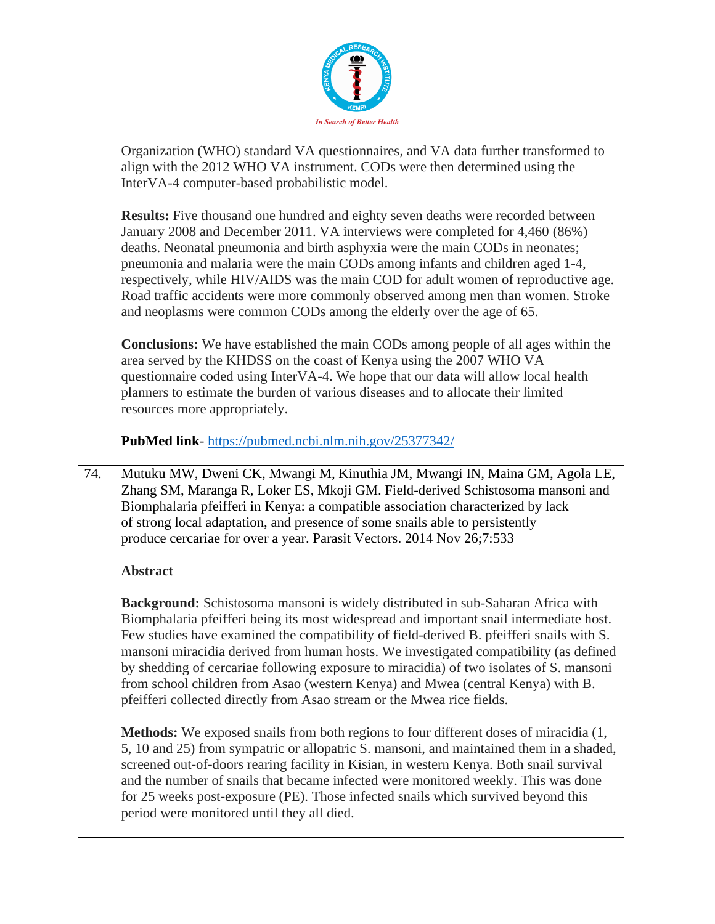

|     | Organization (WHO) standard VA questionnaires, and VA data further transformed to<br>align with the 2012 WHO VA instrument. CODs were then determined using the<br>InterVA-4 computer-based probabilistic model.                                                                                                                                                                                                                                                                                                                                                                           |
|-----|--------------------------------------------------------------------------------------------------------------------------------------------------------------------------------------------------------------------------------------------------------------------------------------------------------------------------------------------------------------------------------------------------------------------------------------------------------------------------------------------------------------------------------------------------------------------------------------------|
|     | <b>Results:</b> Five thousand one hundred and eighty seven deaths were recorded between<br>January 2008 and December 2011. VA interviews were completed for 4,460 (86%)<br>deaths. Neonatal pneumonia and birth asphyxia were the main CODs in neonates;<br>pneumonia and malaria were the main CODs among infants and children aged 1-4,<br>respectively, while HIV/AIDS was the main COD for adult women of reproductive age.<br>Road traffic accidents were more commonly observed among men than women. Stroke<br>and neoplasms were common CODs among the elderly over the age of 65. |
|     | <b>Conclusions:</b> We have established the main CODs among people of all ages within the<br>area served by the KHDSS on the coast of Kenya using the 2007 WHO VA<br>questionnaire coded using InterVA-4. We hope that our data will allow local health<br>planners to estimate the burden of various diseases and to allocate their limited<br>resources more appropriately.                                                                                                                                                                                                              |
|     | <b>PubMed link-</b> https://pubmed.ncbi.nlm.nih.gov/25377342/                                                                                                                                                                                                                                                                                                                                                                                                                                                                                                                              |
| 74. | Mutuku MW, Dweni CK, Mwangi M, Kinuthia JM, Mwangi IN, Maina GM, Agola LE,<br>Zhang SM, Maranga R, Loker ES, Mkoji GM. Field-derived Schistosoma mansoni and<br>Biomphalaria pfeifferi in Kenya: a compatible association characterized by lack<br>of strong local adaptation, and presence of some snails able to persistently<br>produce cercariae for over a year. Parasit Vectors. 2014 Nov 26;7:533                                                                                                                                                                                   |
|     | <b>Abstract</b>                                                                                                                                                                                                                                                                                                                                                                                                                                                                                                                                                                            |
|     | Background: Schistosoma mansoni is widely distributed in sub-Saharan Africa with<br>Biomphalaria pfeifferi being its most widespread and important snail intermediate host.<br>Few studies have examined the compatibility of field-derived B. pfeifferi snails with S.<br>mansoni miracidia derived from human hosts. We investigated compatibility (as defined<br>by shedding of cercariae following exposure to miracidia) of two isolates of S. mansoni                                                                                                                                |
|     | from school children from Asao (western Kenya) and Mwea (central Kenya) with B.<br>pfeifferi collected directly from Asao stream or the Mwea rice fields.                                                                                                                                                                                                                                                                                                                                                                                                                                  |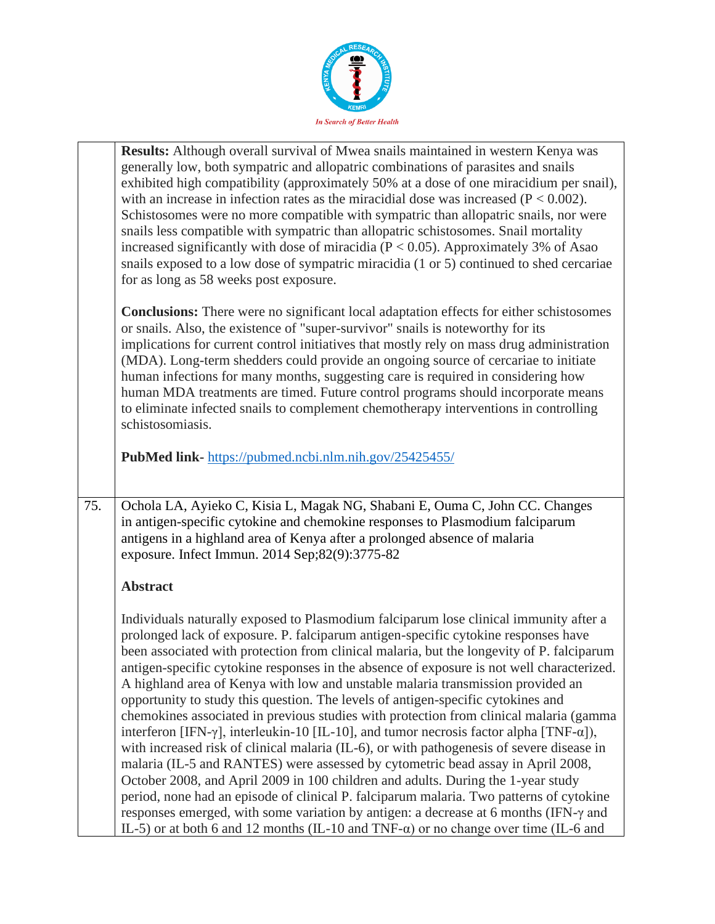

|     | Results: Although overall survival of Mwea snails maintained in western Kenya was                                                                                                            |
|-----|----------------------------------------------------------------------------------------------------------------------------------------------------------------------------------------------|
|     | generally low, both sympatric and allopatric combinations of parasites and snails                                                                                                            |
|     | exhibited high compatibility (approximately 50% at a dose of one miracidium per snail),                                                                                                      |
|     | with an increase in infection rates as the miracidial dose was increased $(P < 0.002)$ .                                                                                                     |
|     | Schistosomes were no more compatible with sympatric than allopatric snails, nor were                                                                                                         |
|     | snails less compatible with sympatric than allopatric schistosomes. Snail mortality                                                                                                          |
|     |                                                                                                                                                                                              |
|     | increased significantly with dose of miracidia ( $P < 0.05$ ). Approximately 3% of Asao                                                                                                      |
|     | snails exposed to a low dose of sympatric miracidia (1 or 5) continued to shed cercariae                                                                                                     |
|     | for as long as 58 weeks post exposure.                                                                                                                                                       |
|     |                                                                                                                                                                                              |
|     | <b>Conclusions:</b> There were no significant local adaptation effects for either schistosomes                                                                                               |
|     | or snails. Also, the existence of "super-survivor" snails is noteworthy for its                                                                                                              |
|     | implications for current control initiatives that mostly rely on mass drug administration                                                                                                    |
|     | (MDA). Long-term shedders could provide an ongoing source of cercariae to initiate                                                                                                           |
|     | human infections for many months, suggesting care is required in considering how                                                                                                             |
|     | human MDA treatments are timed. Future control programs should incorporate means                                                                                                             |
|     | to eliminate infected snails to complement chemotherapy interventions in controlling                                                                                                         |
|     | schistosomiasis.                                                                                                                                                                             |
|     |                                                                                                                                                                                              |
|     | PubMed link-https://pubmed.ncbi.nlm.nih.gov/25425455/                                                                                                                                        |
|     |                                                                                                                                                                                              |
|     |                                                                                                                                                                                              |
| 75. | Ochola LA, Ayieko C, Kisia L, Magak NG, Shabani E, Ouma C, John CC. Changes                                                                                                                  |
|     | in antigen-specific cytokine and chemokine responses to Plasmodium falciparum                                                                                                                |
|     | antigens in a highland area of Kenya after a prolonged absence of malaria                                                                                                                    |
|     | exposure. Infect Immun. 2014 Sep;82(9):3775-82                                                                                                                                               |
|     |                                                                                                                                                                                              |
|     | <b>Abstract</b>                                                                                                                                                                              |
|     |                                                                                                                                                                                              |
|     | Individuals naturally exposed to Plasmodium falciparum lose clinical immunity after a                                                                                                        |
|     | prolonged lack of exposure. P. falciparum antigen-specific cytokine responses have                                                                                                           |
|     | been associated with protection from clinical malaria, but the longevity of P. falciparum                                                                                                    |
|     |                                                                                                                                                                                              |
|     | antigen-specific cytokine responses in the absence of exposure is not well characterized.                                                                                                    |
|     | A highland area of Kenya with low and unstable malaria transmission provided an                                                                                                              |
|     | opportunity to study this question. The levels of antigen-specific cytokines and                                                                                                             |
|     | chemokines associated in previous studies with protection from clinical malaria (gamma                                                                                                       |
|     | interferon [IFN- $\gamma$ ], interleukin-10 [IL-10], and tumor necrosis factor alpha [TNF- $\alpha$ ]),                                                                                      |
|     | with increased risk of clinical malaria (IL-6), or with pathogenesis of severe disease in                                                                                                    |
|     |                                                                                                                                                                                              |
|     | malaria (IL-5 and RANTES) were assessed by cytometric bead assay in April 2008,                                                                                                              |
|     |                                                                                                                                                                                              |
|     | October 2008, and April 2009 in 100 children and adults. During the 1-year study                                                                                                             |
|     | period, none had an episode of clinical P. falciparum malaria. Two patterns of cytokine                                                                                                      |
|     | responses emerged, with some variation by antigen: a decrease at 6 months (IFN- $\gamma$ and<br>IL-5) or at both 6 and 12 months (IL-10 and TNF- $\alpha$ ) or no change over time (IL-6 and |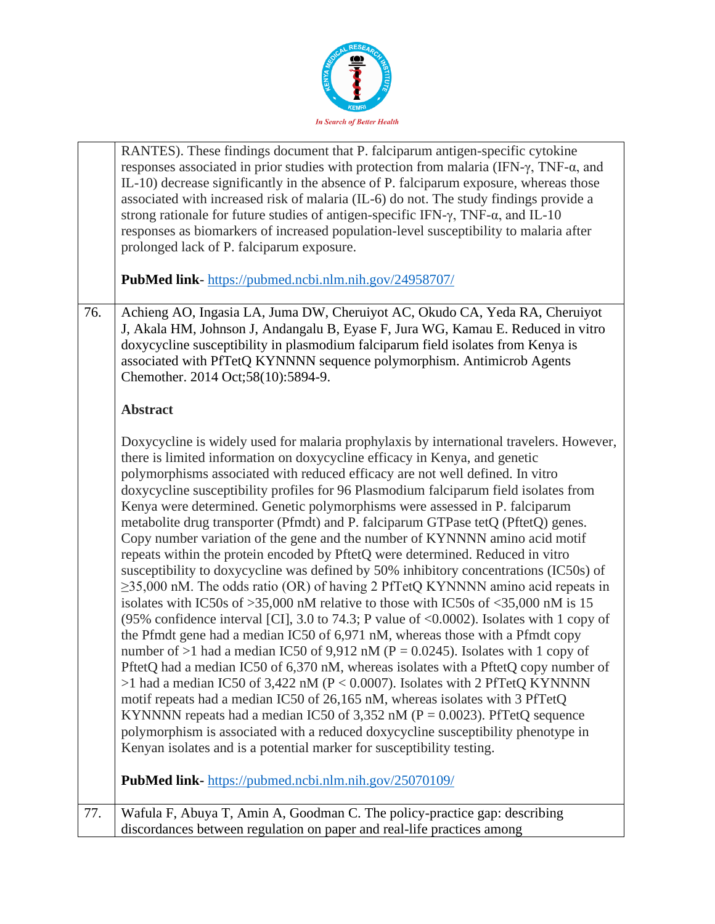

|     | RANTES). These findings document that P. falciparum antigen-specific cytokine<br>responses associated in prior studies with protection from malaria (IFN- $\gamma$ , TNF- $\alpha$ , and<br>IL-10) decrease significantly in the absence of P. falciparum exposure, whereas those<br>associated with increased risk of malaria (IL-6) do not. The study findings provide a<br>strong rationale for future studies of antigen-specific IFN- $\gamma$ , TNF- $\alpha$ , and IL-10<br>responses as biomarkers of increased population-level susceptibility to malaria after<br>prolonged lack of P. falciparum exposure.<br>PubMed link-https://pubmed.ncbi.nlm.nih.gov/24958707/                                                                                                                                                                                                                                                                                                                                                                                                                                                                                                                                                                                                                                                                                                                                                                                                                                                                                                                                                                                                                                                                                   |
|-----|------------------------------------------------------------------------------------------------------------------------------------------------------------------------------------------------------------------------------------------------------------------------------------------------------------------------------------------------------------------------------------------------------------------------------------------------------------------------------------------------------------------------------------------------------------------------------------------------------------------------------------------------------------------------------------------------------------------------------------------------------------------------------------------------------------------------------------------------------------------------------------------------------------------------------------------------------------------------------------------------------------------------------------------------------------------------------------------------------------------------------------------------------------------------------------------------------------------------------------------------------------------------------------------------------------------------------------------------------------------------------------------------------------------------------------------------------------------------------------------------------------------------------------------------------------------------------------------------------------------------------------------------------------------------------------------------------------------------------------------------------------------|
|     |                                                                                                                                                                                                                                                                                                                                                                                                                                                                                                                                                                                                                                                                                                                                                                                                                                                                                                                                                                                                                                                                                                                                                                                                                                                                                                                                                                                                                                                                                                                                                                                                                                                                                                                                                                  |
| 76. | Achieng AO, Ingasia LA, Juma DW, Cheruiyot AC, Okudo CA, Yeda RA, Cheruiyot<br>J, Akala HM, Johnson J, Andangalu B, Eyase F, Jura WG, Kamau E. Reduced in vitro<br>doxycycline susceptibility in plasmodium falciparum field isolates from Kenya is<br>associated with PfTetQ KYNNNN sequence polymorphism. Antimicrob Agents<br>Chemother. 2014 Oct;58(10):5894-9.                                                                                                                                                                                                                                                                                                                                                                                                                                                                                                                                                                                                                                                                                                                                                                                                                                                                                                                                                                                                                                                                                                                                                                                                                                                                                                                                                                                              |
|     | <b>Abstract</b>                                                                                                                                                                                                                                                                                                                                                                                                                                                                                                                                                                                                                                                                                                                                                                                                                                                                                                                                                                                                                                                                                                                                                                                                                                                                                                                                                                                                                                                                                                                                                                                                                                                                                                                                                  |
|     | Doxycycline is widely used for malaria prophylaxis by international travelers. However,<br>there is limited information on doxycycline efficacy in Kenya, and genetic<br>polymorphisms associated with reduced efficacy are not well defined. In vitro<br>doxycycline susceptibility profiles for 96 Plasmodium falciparum field isolates from<br>Kenya were determined. Genetic polymorphisms were assessed in P. falciparum<br>metabolite drug transporter (Pfmdt) and P. falciparum GTPase tetQ (PftetQ) genes.<br>Copy number variation of the gene and the number of KYNNNN amino acid motif<br>repeats within the protein encoded by PftetQ were determined. Reduced in vitro<br>susceptibility to doxycycline was defined by 50% inhibitory concentrations (IC50s) of<br>$\geq$ 35,000 nM. The odds ratio (OR) of having 2 PfTetQ KYNNNN amino acid repeats in<br>isolates with IC50s of $>35,000$ nM relative to those with IC50s of $<35,000$ nM is 15<br>(95% confidence interval [CI], 3.0 to 74.3; P value of $\langle 0.0002 \rangle$ . Isolates with 1 copy of<br>the Pfmdt gene had a median IC50 of 6,971 nM, whereas those with a Pfmdt copy<br>number of >1 had a median IC50 of 9,912 nM ( $P = 0.0245$ ). Isolates with 1 copy of<br>PftetQ had a median IC50 of 6,370 nM, whereas isolates with a PftetQ copy number of<br>>1 had a median IC50 of 3,422 nM ( $P < 0.0007$ ). Isolates with 2 PfTetQ KYNNNN<br>motif repeats had a median IC50 of 26,165 nM, whereas isolates with 3 PfTetQ<br>KYNNNN repeats had a median IC50 of 3,352 nM ( $P = 0.0023$ ). PfTetQ sequence<br>polymorphism is associated with a reduced doxycycline susceptibility phenotype in<br>Kenyan isolates and is a potential marker for susceptibility testing. |
|     | PubMed link-https://pubmed.ncbi.nlm.nih.gov/25070109/                                                                                                                                                                                                                                                                                                                                                                                                                                                                                                                                                                                                                                                                                                                                                                                                                                                                                                                                                                                                                                                                                                                                                                                                                                                                                                                                                                                                                                                                                                                                                                                                                                                                                                            |
| 77. | Wafula F, Abuya T, Amin A, Goodman C. The policy-practice gap: describing<br>discordances between regulation on paper and real-life practices among                                                                                                                                                                                                                                                                                                                                                                                                                                                                                                                                                                                                                                                                                                                                                                                                                                                                                                                                                                                                                                                                                                                                                                                                                                                                                                                                                                                                                                                                                                                                                                                                              |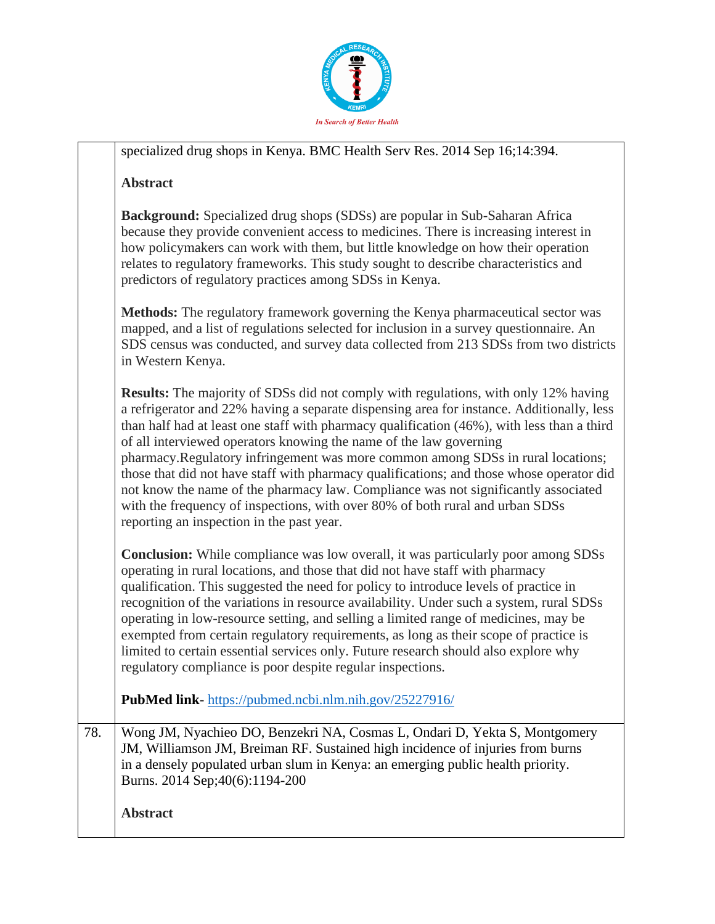

|     | specialized drug shops in Kenya. BMC Health Serv Res. 2014 Sep 16;14:394.                                                                                                                                                                                                                                                                                                                                                                                                                                                                                                                                                                                                                                                                                       |
|-----|-----------------------------------------------------------------------------------------------------------------------------------------------------------------------------------------------------------------------------------------------------------------------------------------------------------------------------------------------------------------------------------------------------------------------------------------------------------------------------------------------------------------------------------------------------------------------------------------------------------------------------------------------------------------------------------------------------------------------------------------------------------------|
|     | <b>Abstract</b>                                                                                                                                                                                                                                                                                                                                                                                                                                                                                                                                                                                                                                                                                                                                                 |
|     | <b>Background:</b> Specialized drug shops (SDSs) are popular in Sub-Saharan Africa<br>because they provide convenient access to medicines. There is increasing interest in<br>how policymakers can work with them, but little knowledge on how their operation<br>relates to regulatory frameworks. This study sought to describe characteristics and<br>predictors of regulatory practices among SDSs in Kenya.                                                                                                                                                                                                                                                                                                                                                |
|     | Methods: The regulatory framework governing the Kenya pharmaceutical sector was<br>mapped, and a list of regulations selected for inclusion in a survey questionnaire. An<br>SDS census was conducted, and survey data collected from 213 SDSs from two districts<br>in Western Kenya.                                                                                                                                                                                                                                                                                                                                                                                                                                                                          |
|     | <b>Results:</b> The majority of SDSs did not comply with regulations, with only 12% having<br>a refrigerator and 22% having a separate dispensing area for instance. Additionally, less<br>than half had at least one staff with pharmacy qualification (46%), with less than a third<br>of all interviewed operators knowing the name of the law governing<br>pharmacy. Regulatory infringement was more common among SDSs in rural locations;<br>those that did not have staff with pharmacy qualifications; and those whose operator did<br>not know the name of the pharmacy law. Compliance was not significantly associated<br>with the frequency of inspections, with over 80% of both rural and urban SDSs<br>reporting an inspection in the past year. |
|     | <b>Conclusion:</b> While compliance was low overall, it was particularly poor among SDSs<br>operating in rural locations, and those that did not have staff with pharmacy<br>qualification. This suggested the need for policy to introduce levels of practice in<br>recognition of the variations in resource availability. Under such a system, rural SDSs<br>operating in low-resource setting, and selling a limited range of medicines, may be<br>exempted from certain regulatory requirements, as long as their scope of practice is<br>limited to certain essential services only. Future research should also explore why<br>regulatory compliance is poor despite regular inspections.                                                                |
|     | PubMed link-https://pubmed.ncbi.nlm.nih.gov/25227916/                                                                                                                                                                                                                                                                                                                                                                                                                                                                                                                                                                                                                                                                                                           |
| 78. | Wong JM, Nyachieo DO, Benzekri NA, Cosmas L, Ondari D, Yekta S, Montgomery<br>JM, Williamson JM, Breiman RF. Sustained high incidence of injuries from burns<br>in a densely populated urban slum in Kenya: an emerging public health priority.<br>Burns. 2014 Sep; 40(6): 1194-200                                                                                                                                                                                                                                                                                                                                                                                                                                                                             |
|     | <b>Abstract</b>                                                                                                                                                                                                                                                                                                                                                                                                                                                                                                                                                                                                                                                                                                                                                 |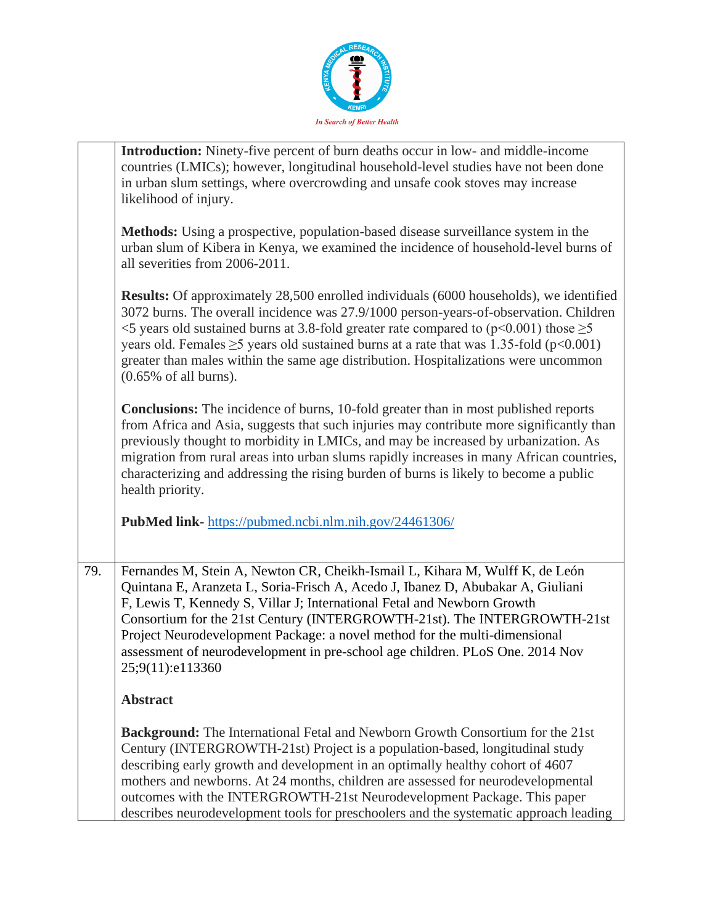

|     | <b>Introduction:</b> Ninety-five percent of burn deaths occur in low- and middle-income<br>countries (LMICs); however, longitudinal household-level studies have not been done<br>in urban slum settings, where overcrowding and unsafe cook stoves may increase<br>likelihood of injury.                                                                                                                                                                                                                                    |
|-----|------------------------------------------------------------------------------------------------------------------------------------------------------------------------------------------------------------------------------------------------------------------------------------------------------------------------------------------------------------------------------------------------------------------------------------------------------------------------------------------------------------------------------|
|     | Methods: Using a prospective, population-based disease surveillance system in the<br>urban slum of Kibera in Kenya, we examined the incidence of household-level burns of<br>all severities from 2006-2011.                                                                                                                                                                                                                                                                                                                  |
|     | <b>Results:</b> Of approximately 28,500 enrolled individuals (6000 households), we identified<br>3072 burns. The overall incidence was 27.9/1000 person-years-of-observation. Children<br>$\leq$ 5 years old sustained burns at 3.8-fold greater rate compared to (p $\leq$ 0.001) those $\geq$ 5<br>years old. Females $\geq$ 5 years old sustained burns at a rate that was 1.35-fold (p<0.001)<br>greater than males within the same age distribution. Hospitalizations were uncommon<br>$(0.65\% \text{ of all burns}).$ |
|     | <b>Conclusions:</b> The incidence of burns, 10-fold greater than in most published reports<br>from Africa and Asia, suggests that such injuries may contribute more significantly than<br>previously thought to morbidity in LMICs, and may be increased by urbanization. As<br>migration from rural areas into urban slums rapidly increases in many African countries,<br>characterizing and addressing the rising burden of burns is likely to become a public<br>health priority.                                        |
|     | PubMed link-https://pubmed.ncbi.nlm.nih.gov/24461306/                                                                                                                                                                                                                                                                                                                                                                                                                                                                        |
| 79. | Fernandes M, Stein A, Newton CR, Cheikh-Ismail L, Kihara M, Wulff K, de León<br>Quintana E, Aranzeta L, Soria-Frisch A, Acedo J, Ibanez D, Abubakar A, Giuliani<br>F, Lewis T, Kennedy S, Villar J; International Fetal and Newborn Growth<br>Consortium for the 21st Century (INTERGROWTH-21st). The INTERGROWTH-21st<br>Project Neurodevelopment Package: a novel method for the multi-dimensional<br>assessment of neurodevelopment in pre-school age children. PLoS One. 2014 Nov<br>25;9(11):e113360                    |
|     | <b>Abstract</b>                                                                                                                                                                                                                                                                                                                                                                                                                                                                                                              |
|     | <b>Background:</b> The International Fetal and Newborn Growth Consortium for the 21st<br>Century (INTERGROWTH-21st) Project is a population-based, longitudinal study<br>describing early growth and development in an optimally healthy cohort of 4607<br>mothers and newborns. At 24 months, children are assessed for neurodevelopmental<br>outcomes with the INTERGROWTH-21st Neurodevelopment Package. This paper<br>describes neurodevelopment tools for preschoolers and the systematic approach leading              |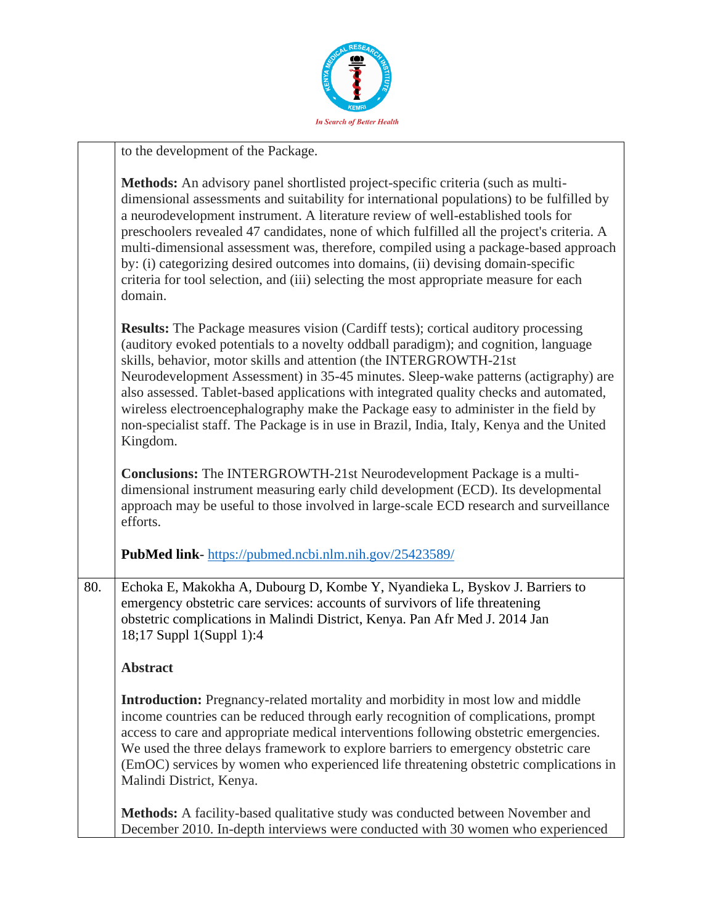

|     | to the development of the Package.                                                                                                                                                                                                                                                                                                                                                                                                                                                                                                                                                                                                                |
|-----|---------------------------------------------------------------------------------------------------------------------------------------------------------------------------------------------------------------------------------------------------------------------------------------------------------------------------------------------------------------------------------------------------------------------------------------------------------------------------------------------------------------------------------------------------------------------------------------------------------------------------------------------------|
|     | Methods: An advisory panel shortlisted project-specific criteria (such as multi-<br>dimensional assessments and suitability for international populations) to be fulfilled by<br>a neurodevelopment instrument. A literature review of well-established tools for<br>preschoolers revealed 47 candidates, none of which fulfilled all the project's criteria. A<br>multi-dimensional assessment was, therefore, compiled using a package-based approach<br>by: (i) categorizing desired outcomes into domains, (ii) devising domain-specific<br>criteria for tool selection, and (iii) selecting the most appropriate measure for each<br>domain. |
|     | <b>Results:</b> The Package measures vision (Cardiff tests); cortical auditory processing<br>(auditory evoked potentials to a novelty oddball paradigm); and cognition, language<br>skills, behavior, motor skills and attention (the INTERGROWTH-21st<br>Neurodevelopment Assessment) in 35-45 minutes. Sleep-wake patterns (actigraphy) are<br>also assessed. Tablet-based applications with integrated quality checks and automated,<br>wireless electroencephalography make the Package easy to administer in the field by<br>non-specialist staff. The Package is in use in Brazil, India, Italy, Kenya and the United<br>Kingdom.           |
|     | Conclusions: The INTERGROWTH-21st Neurodevelopment Package is a multi-<br>dimensional instrument measuring early child development (ECD). Its developmental<br>approach may be useful to those involved in large-scale ECD research and surveillance<br>efforts.                                                                                                                                                                                                                                                                                                                                                                                  |
|     | <b>PubMed link-</b> https://pubmed.ncbi.nlm.nih.gov/25423589/                                                                                                                                                                                                                                                                                                                                                                                                                                                                                                                                                                                     |
| 80. | Echoka E, Makokha A, Dubourg D, Kombe Y, Nyandieka L, Byskov J. Barriers to<br>emergency obstetric care services: accounts of survivors of life threatening<br>obstetric complications in Malindi District, Kenya. Pan Afr Med J. 2014 Jan<br>18;17 Suppl 1(Suppl 1):4                                                                                                                                                                                                                                                                                                                                                                            |
|     | <b>Abstract</b>                                                                                                                                                                                                                                                                                                                                                                                                                                                                                                                                                                                                                                   |
|     | <b>Introduction:</b> Pregnancy-related mortality and morbidity in most low and middle<br>income countries can be reduced through early recognition of complications, prompt<br>access to care and appropriate medical interventions following obstetric emergencies.<br>We used the three delays framework to explore barriers to emergency obstetric care<br>(EmOC) services by women who experienced life threatening obstetric complications in<br>Malindi District, Kenya.                                                                                                                                                                    |
|     | Methods: A facility-based qualitative study was conducted between November and<br>December 2010. In-depth interviews were conducted with 30 women who experienced                                                                                                                                                                                                                                                                                                                                                                                                                                                                                 |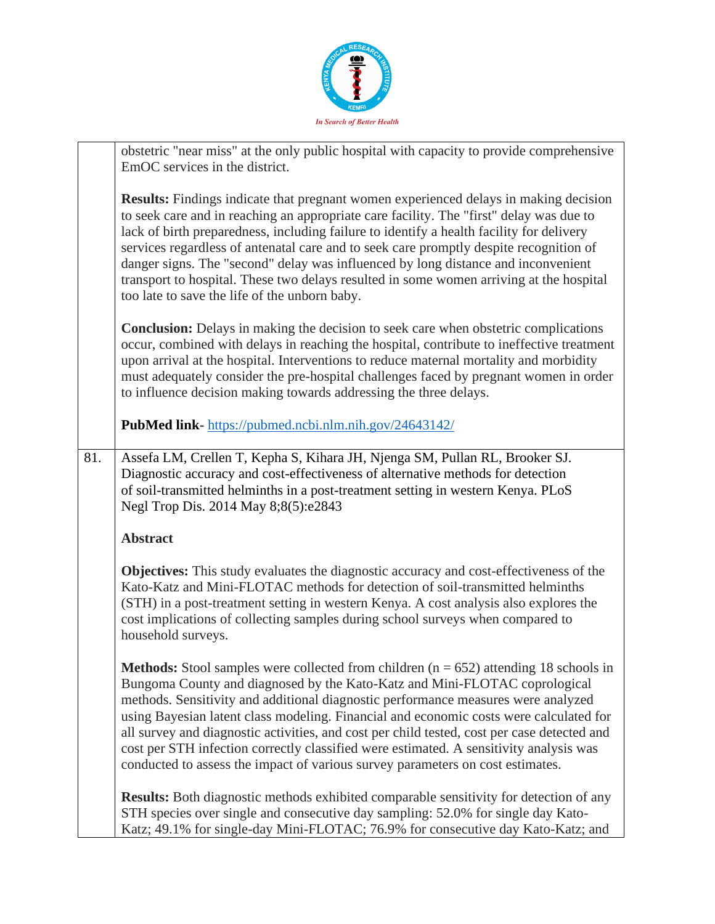

|     | obstetric "near miss" at the only public hospital with capacity to provide comprehensive<br>EmOC services in the district.                                                                                                                                                                                                                                                                                                                                                                                                                                                                                                             |
|-----|----------------------------------------------------------------------------------------------------------------------------------------------------------------------------------------------------------------------------------------------------------------------------------------------------------------------------------------------------------------------------------------------------------------------------------------------------------------------------------------------------------------------------------------------------------------------------------------------------------------------------------------|
|     | <b>Results:</b> Findings indicate that pregnant women experienced delays in making decision<br>to seek care and in reaching an appropriate care facility. The "first" delay was due to<br>lack of birth preparedness, including failure to identify a health facility for delivery<br>services regardless of antenatal care and to seek care promptly despite recognition of<br>danger signs. The "second" delay was influenced by long distance and inconvenient<br>transport to hospital. These two delays resulted in some women arriving at the hospital<br>too late to save the life of the unborn baby.                          |
|     | <b>Conclusion:</b> Delays in making the decision to seek care when obstetric complications<br>occur, combined with delays in reaching the hospital, contribute to ineffective treatment<br>upon arrival at the hospital. Interventions to reduce maternal mortality and morbidity<br>must adequately consider the pre-hospital challenges faced by pregnant women in order<br>to influence decision making towards addressing the three delays.                                                                                                                                                                                        |
|     | <b>PubMed link-</b> https://pubmed.ncbi.nlm.nih.gov/24643142/                                                                                                                                                                                                                                                                                                                                                                                                                                                                                                                                                                          |
| 81. | Assefa LM, Crellen T, Kepha S, Kihara JH, Njenga SM, Pullan RL, Brooker SJ.<br>Diagnostic accuracy and cost-effectiveness of alternative methods for detection<br>of soil-transmitted helminths in a post-treatment setting in western Kenya. PLoS<br>Negl Trop Dis. 2014 May 8;8(5):e2843                                                                                                                                                                                                                                                                                                                                             |
|     | <b>Abstract</b>                                                                                                                                                                                                                                                                                                                                                                                                                                                                                                                                                                                                                        |
|     | <b>Objectives:</b> This study evaluates the diagnostic accuracy and cost-effectiveness of the<br>Kato-Katz and Mini-FLOTAC methods for detection of soil-transmitted helminths<br>(STH) in a post-treatment setting in western Kenya. A cost analysis also explores the<br>cost implications of collecting samples during school surveys when compared to<br>household surveys.                                                                                                                                                                                                                                                        |
|     | <b>Methods:</b> Stool samples were collected from children $(n = 652)$ attending 18 schools in<br>Bungoma County and diagnosed by the Kato-Katz and Mini-FLOTAC coprological<br>methods. Sensitivity and additional diagnostic performance measures were analyzed<br>using Bayesian latent class modeling. Financial and economic costs were calculated for<br>all survey and diagnostic activities, and cost per child tested, cost per case detected and<br>cost per STH infection correctly classified were estimated. A sensitivity analysis was<br>conducted to assess the impact of various survey parameters on cost estimates. |
|     | Results: Both diagnostic methods exhibited comparable sensitivity for detection of any<br>STH species over single and consecutive day sampling: 52.0% for single day Kato-<br>Katz; 49.1% for single-day Mini-FLOTAC; 76.9% for consecutive day Kato-Katz; and                                                                                                                                                                                                                                                                                                                                                                         |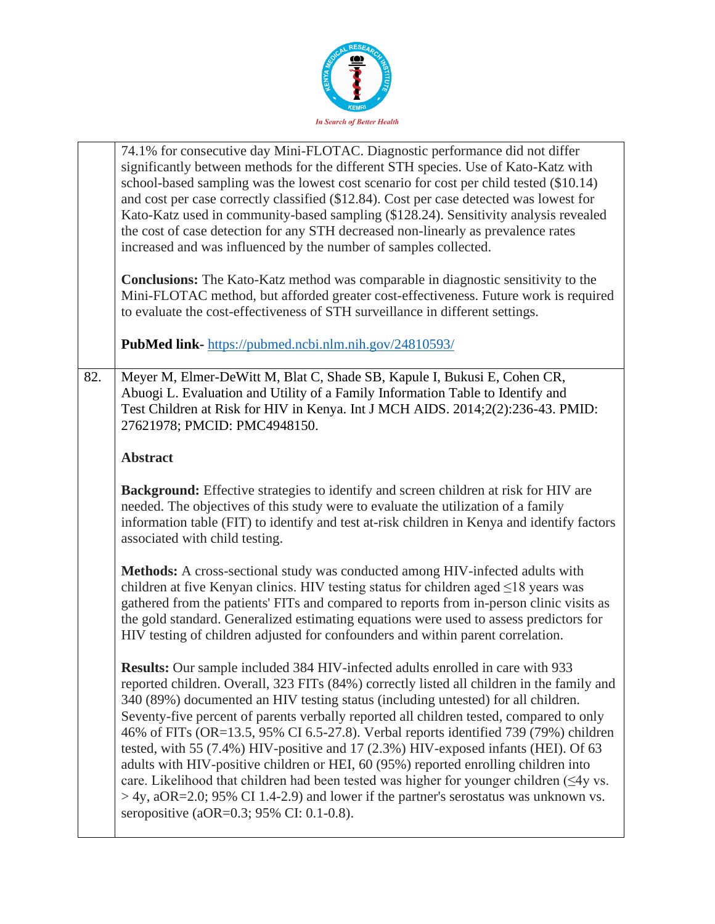

|     | 74.1% for consecutive day Mini-FLOTAC. Diagnostic performance did not differ<br>significantly between methods for the different STH species. Use of Kato-Katz with<br>school-based sampling was the lowest cost scenario for cost per child tested (\$10.14)<br>and cost per case correctly classified (\$12.84). Cost per case detected was lowest for<br>Kato-Katz used in community-based sampling (\$128.24). Sensitivity analysis revealed<br>the cost of case detection for any STH decreased non-linearly as prevalence rates<br>increased and was influenced by the number of samples collected.                                                                                                                                                                                                                                                                      |
|-----|-------------------------------------------------------------------------------------------------------------------------------------------------------------------------------------------------------------------------------------------------------------------------------------------------------------------------------------------------------------------------------------------------------------------------------------------------------------------------------------------------------------------------------------------------------------------------------------------------------------------------------------------------------------------------------------------------------------------------------------------------------------------------------------------------------------------------------------------------------------------------------|
|     | <b>Conclusions:</b> The Kato-Katz method was comparable in diagnostic sensitivity to the<br>Mini-FLOTAC method, but afforded greater cost-effectiveness. Future work is required<br>to evaluate the cost-effectiveness of STH surveillance in different settings.                                                                                                                                                                                                                                                                                                                                                                                                                                                                                                                                                                                                             |
|     | <b>PubMed link-</b> https://pubmed.ncbi.nlm.nih.gov/24810593/                                                                                                                                                                                                                                                                                                                                                                                                                                                                                                                                                                                                                                                                                                                                                                                                                 |
| 82. | Meyer M, Elmer-DeWitt M, Blat C, Shade SB, Kapule I, Bukusi E, Cohen CR,<br>Abuogi L. Evaluation and Utility of a Family Information Table to Identify and<br>Test Children at Risk for HIV in Kenya. Int J MCH AIDS. 2014;2(2):236-43. PMID:<br>27621978; PMCID: PMC4948150.                                                                                                                                                                                                                                                                                                                                                                                                                                                                                                                                                                                                 |
|     | <b>Abstract</b>                                                                                                                                                                                                                                                                                                                                                                                                                                                                                                                                                                                                                                                                                                                                                                                                                                                               |
|     | Background: Effective strategies to identify and screen children at risk for HIV are<br>needed. The objectives of this study were to evaluate the utilization of a family<br>information table (FIT) to identify and test at-risk children in Kenya and identify factors<br>associated with child testing.                                                                                                                                                                                                                                                                                                                                                                                                                                                                                                                                                                    |
|     | Methods: A cross-sectional study was conducted among HIV-infected adults with<br>children at five Kenyan clinics. HIV testing status for children aged $\leq$ 18 years was<br>gathered from the patients' FITs and compared to reports from in-person clinic visits as<br>the gold standard. Generalized estimating equations were used to assess predictors for<br>HIV testing of children adjusted for confounders and within parent correlation.                                                                                                                                                                                                                                                                                                                                                                                                                           |
|     | <b>Results:</b> Our sample included 384 HIV-infected adults enrolled in care with 933<br>reported children. Overall, 323 FITs (84%) correctly listed all children in the family and<br>340 (89%) documented an HIV testing status (including untested) for all children.<br>Seventy-five percent of parents verbally reported all children tested, compared to only<br>46% of FITs (OR=13.5, 95% CI 6.5-27.8). Verbal reports identified 739 (79%) children<br>tested, with 55 (7.4%) HIV-positive and 17 (2.3%) HIV-exposed infants (HEI). Of 63<br>adults with HIV-positive children or HEI, 60 (95%) reported enrolling children into<br>care. Likelihood that children had been tested was higher for younger children (<4y vs.<br>$>$ 4y, aOR=2.0; 95% CI 1.4-2.9) and lower if the partner's serostatus was unknown vs.<br>seropositive (aOR= $0.3$ ; 95% CI: 0.1-0.8). |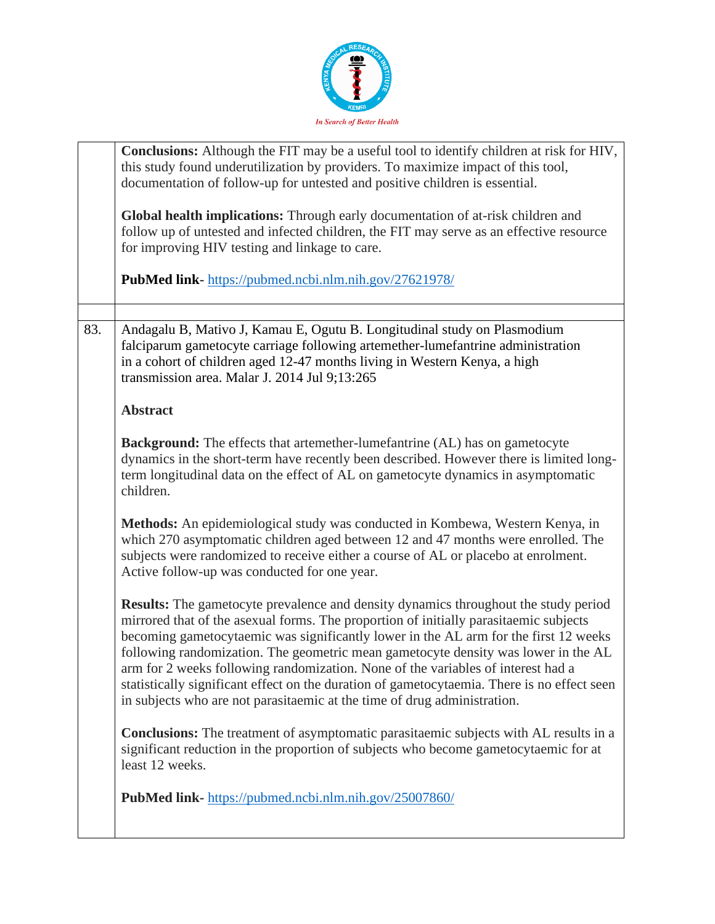

|     | Conclusions: Although the FIT may be a useful tool to identify children at risk for HIV,<br>this study found underutilization by providers. To maximize impact of this tool,<br>documentation of follow-up for untested and positive children is essential.<br>Global health implications: Through early documentation of at-risk children and<br>follow up of untested and infected children, the FIT may serve as an effective resource<br>for improving HIV testing and linkage to care.<br>PubMed link-https://pubmed.ncbi.nlm.nih.gov/27621978/                                                                             |
|-----|----------------------------------------------------------------------------------------------------------------------------------------------------------------------------------------------------------------------------------------------------------------------------------------------------------------------------------------------------------------------------------------------------------------------------------------------------------------------------------------------------------------------------------------------------------------------------------------------------------------------------------|
|     |                                                                                                                                                                                                                                                                                                                                                                                                                                                                                                                                                                                                                                  |
| 83. | Andagalu B, Mativo J, Kamau E, Ogutu B. Longitudinal study on Plasmodium<br>falciparum gametocyte carriage following artemether-lumefantrine administration<br>in a cohort of children aged 12-47 months living in Western Kenya, a high<br>transmission area. Malar J. 2014 Jul 9;13:265                                                                                                                                                                                                                                                                                                                                        |
|     | <b>Abstract</b>                                                                                                                                                                                                                                                                                                                                                                                                                                                                                                                                                                                                                  |
|     | Background: The effects that artemether-lumefantrine (AL) has on gametocyte<br>dynamics in the short-term have recently been described. However there is limited long-<br>term longitudinal data on the effect of AL on gametocyte dynamics in asymptomatic<br>children.                                                                                                                                                                                                                                                                                                                                                         |
|     | Methods: An epidemiological study was conducted in Kombewa, Western Kenya, in<br>which 270 asymptomatic children aged between 12 and 47 months were enrolled. The<br>subjects were randomized to receive either a course of AL or placebo at enrolment.<br>Active follow-up was conducted for one year.                                                                                                                                                                                                                                                                                                                          |
|     | <b>Results:</b> The gametocyte prevalence and density dynamics throughout the study period<br>mirrored that of the asexual forms. The proportion of initially parasitaemic subjects<br>becoming gametocytaemic was significantly lower in the AL arm for the first 12 weeks<br>following randomization. The geometric mean gametocyte density was lower in the AL<br>arm for 2 weeks following randomization. None of the variables of interest had a<br>statistically significant effect on the duration of gametocytaemia. There is no effect seen<br>in subjects who are not parasitaemic at the time of drug administration. |
|     | <b>Conclusions:</b> The treatment of asymptomatic parasitaemic subjects with AL results in a<br>significant reduction in the proportion of subjects who become gametocytaemic for at<br>least 12 weeks.                                                                                                                                                                                                                                                                                                                                                                                                                          |
|     | PubMed link-https://pubmed.ncbi.nlm.nih.gov/25007860/                                                                                                                                                                                                                                                                                                                                                                                                                                                                                                                                                                            |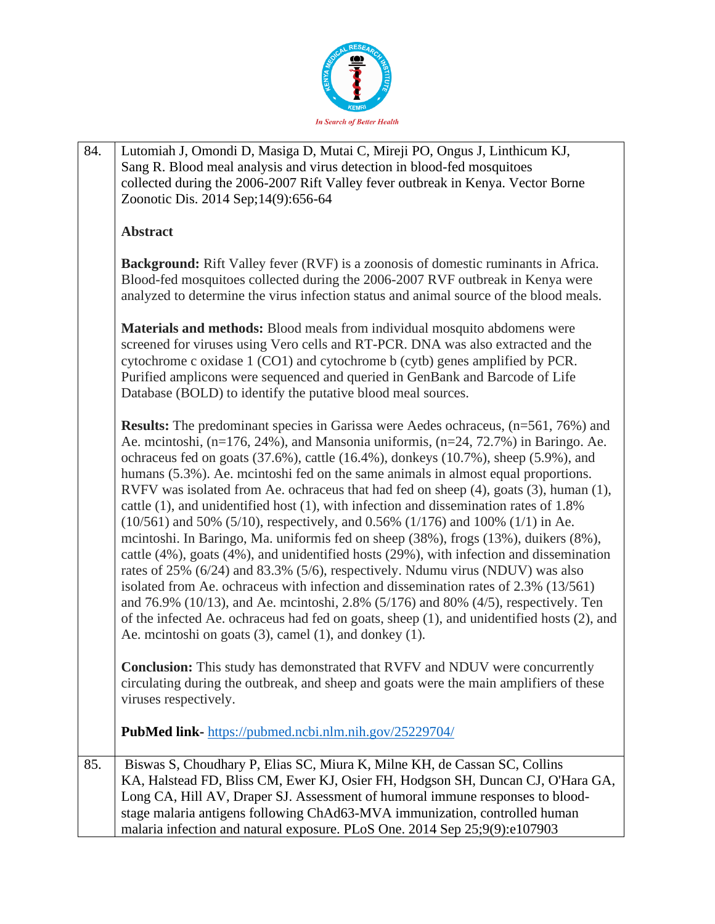

| 84. | Lutomiah J, Omondi D, Masiga D, Mutai C, Mireji PO, Ongus J, Linthicum KJ,                                                                                                                                                                                                                                                                                                                                                                                                                                                                                                                                                                                                                                                                                                                                                                                                                                                                                                                                                                                                                                                                                                                                                                        |
|-----|---------------------------------------------------------------------------------------------------------------------------------------------------------------------------------------------------------------------------------------------------------------------------------------------------------------------------------------------------------------------------------------------------------------------------------------------------------------------------------------------------------------------------------------------------------------------------------------------------------------------------------------------------------------------------------------------------------------------------------------------------------------------------------------------------------------------------------------------------------------------------------------------------------------------------------------------------------------------------------------------------------------------------------------------------------------------------------------------------------------------------------------------------------------------------------------------------------------------------------------------------|
|     | Sang R. Blood meal analysis and virus detection in blood-fed mosquitoes                                                                                                                                                                                                                                                                                                                                                                                                                                                                                                                                                                                                                                                                                                                                                                                                                                                                                                                                                                                                                                                                                                                                                                           |
|     | collected during the 2006-2007 Rift Valley fever outbreak in Kenya. Vector Borne                                                                                                                                                                                                                                                                                                                                                                                                                                                                                                                                                                                                                                                                                                                                                                                                                                                                                                                                                                                                                                                                                                                                                                  |
|     | Zoonotic Dis. 2014 Sep;14(9):656-64                                                                                                                                                                                                                                                                                                                                                                                                                                                                                                                                                                                                                                                                                                                                                                                                                                                                                                                                                                                                                                                                                                                                                                                                               |
|     | <b>Abstract</b>                                                                                                                                                                                                                                                                                                                                                                                                                                                                                                                                                                                                                                                                                                                                                                                                                                                                                                                                                                                                                                                                                                                                                                                                                                   |
|     | Background: Rift Valley fever (RVF) is a zoonosis of domestic ruminants in Africa.<br>Blood-fed mosquitoes collected during the 2006-2007 RVF outbreak in Kenya were<br>analyzed to determine the virus infection status and animal source of the blood meals.                                                                                                                                                                                                                                                                                                                                                                                                                                                                                                                                                                                                                                                                                                                                                                                                                                                                                                                                                                                    |
|     | Materials and methods: Blood meals from individual mosquito abdomens were<br>screened for viruses using Vero cells and RT-PCR. DNA was also extracted and the<br>cytochrome c oxidase 1 (CO1) and cytochrome b (cytb) genes amplified by PCR.<br>Purified amplicons were sequenced and queried in GenBank and Barcode of Life<br>Database (BOLD) to identify the putative blood meal sources.                                                                                                                                                                                                                                                                                                                                                                                                                                                                                                                                                                                                                                                                                                                                                                                                                                                     |
|     | <b>Results:</b> The predominant species in Garissa were Aedes ochraceus, (n=561, 76%) and<br>Ae. mcintoshi, $(n=176, 24\%)$ , and Mansonia uniformis, $(n=24, 72.7\%)$ in Baringo. Ae.<br>ochraceus fed on goats (37.6%), cattle (16.4%), donkeys (10.7%), sheep (5.9%), and<br>humans (5.3%). Ae. meintoshi fed on the same animals in almost equal proportions.<br>RVFV was isolated from Ae. ochraceus that had fed on sheep (4), goats (3), human (1),<br>cattle (1), and unidentified host (1), with infection and dissemination rates of 1.8%<br>$(10/561)$ and 50% (5/10), respectively, and 0.56% (1/176) and 100% (1/1) in Ae.<br>mcintoshi. In Baringo, Ma. uniformis fed on sheep (38%), frogs (13%), duikers (8%),<br>cattle (4%), goats (4%), and unidentified hosts (29%), with infection and dissemination<br>rates of 25% (6/24) and 83.3% (5/6), respectively. Ndumu virus (NDUV) was also<br>isolated from Ae. ochraceus with infection and dissemination rates of 2.3% (13/561)<br>and 76.9% (10/13), and Ae. mcintoshi, 2.8% (5/176) and 80% (4/5), respectively. Ten<br>of the infected Ae. ochraceus had fed on goats, sheep (1), and unidentified hosts (2), and<br>Ae. mcintoshi on goats (3), camel (1), and donkey (1). |
|     | Conclusion: This study has demonstrated that RVFV and NDUV were concurrently<br>circulating during the outbreak, and sheep and goats were the main amplifiers of these<br>viruses respectively.                                                                                                                                                                                                                                                                                                                                                                                                                                                                                                                                                                                                                                                                                                                                                                                                                                                                                                                                                                                                                                                   |
|     | <b>PubMed link-</b> https://pubmed.ncbi.nlm.nih.gov/25229704/                                                                                                                                                                                                                                                                                                                                                                                                                                                                                                                                                                                                                                                                                                                                                                                                                                                                                                                                                                                                                                                                                                                                                                                     |
| 85. | Biswas S, Choudhary P, Elias SC, Miura K, Milne KH, de Cassan SC, Collins                                                                                                                                                                                                                                                                                                                                                                                                                                                                                                                                                                                                                                                                                                                                                                                                                                                                                                                                                                                                                                                                                                                                                                         |
|     | KA, Halstead FD, Bliss CM, Ewer KJ, Osier FH, Hodgson SH, Duncan CJ, O'Hara GA,                                                                                                                                                                                                                                                                                                                                                                                                                                                                                                                                                                                                                                                                                                                                                                                                                                                                                                                                                                                                                                                                                                                                                                   |
|     | Long CA, Hill AV, Draper SJ. Assessment of humoral immune responses to blood-                                                                                                                                                                                                                                                                                                                                                                                                                                                                                                                                                                                                                                                                                                                                                                                                                                                                                                                                                                                                                                                                                                                                                                     |
|     | stage malaria antigens following ChAd63-MVA immunization, controlled human<br>malaria infection and natural exposure. PLoS One. 2014 Sep 25;9(9):e107903                                                                                                                                                                                                                                                                                                                                                                                                                                                                                                                                                                                                                                                                                                                                                                                                                                                                                                                                                                                                                                                                                          |
|     |                                                                                                                                                                                                                                                                                                                                                                                                                                                                                                                                                                                                                                                                                                                                                                                                                                                                                                                                                                                                                                                                                                                                                                                                                                                   |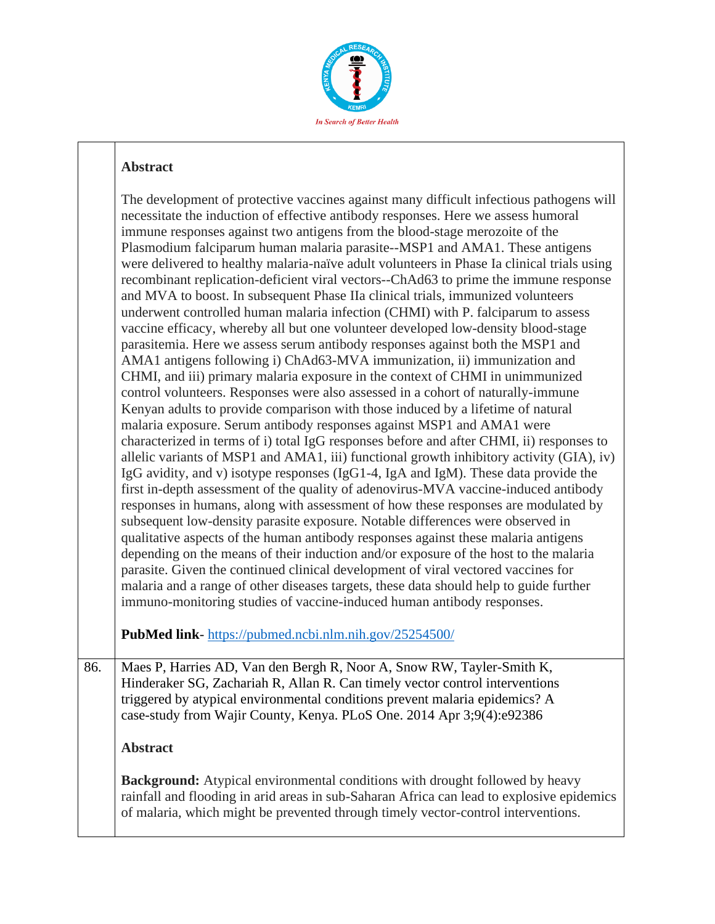

## **Abstract**

The development of protective vaccines against many difficult infectious pathogens will necessitate the induction of effective antibody responses. Here we assess humoral immune responses against two antigens from the blood-stage merozoite of the Plasmodium falciparum human malaria parasite--MSP1 and AMA1. These antigens were delivered to healthy malaria-naïve adult volunteers in Phase Ia clinical trials using recombinant replication-deficient viral vectors--ChAd63 to prime the immune response and MVA to boost. In subsequent Phase IIa clinical trials, immunized volunteers underwent controlled human malaria infection (CHMI) with P. falciparum to assess vaccine efficacy, whereby all but one volunteer developed low-density blood-stage parasitemia. Here we assess serum antibody responses against both the MSP1 and AMA1 antigens following i) ChAd63-MVA immunization, ii) immunization and CHMI, and iii) primary malaria exposure in the context of CHMI in unimmunized control volunteers. Responses were also assessed in a cohort of naturally-immune Kenyan adults to provide comparison with those induced by a lifetime of natural malaria exposure. Serum antibody responses against MSP1 and AMA1 were characterized in terms of i) total IgG responses before and after CHMI, ii) responses to allelic variants of MSP1 and AMA1, iii) functional growth inhibitory activity (GIA), iv) IgG avidity, and v) isotype responses (IgG1-4, IgA and IgM). These data provide the first in-depth assessment of the quality of adenovirus-MVA vaccine-induced antibody responses in humans, along with assessment of how these responses are modulated by subsequent low-density parasite exposure. Notable differences were observed in qualitative aspects of the human antibody responses against these malaria antigens depending on the means of their induction and/or exposure of the host to the malaria parasite. Given the continued clinical development of viral vectored vaccines for malaria and a range of other diseases targets, these data should help to guide further immuno-monitoring studies of vaccine-induced human antibody responses. **PubMed link**- <https://pubmed.ncbi.nlm.nih.gov/25254500/> 86. | Maes P, Harries AD, Van den Bergh R, Noor A, Snow RW, Tayler-Smith K,

Hinderaker SG, Zachariah R, Allan R. Can timely vector control interventions triggered by atypical environmental conditions prevent malaria epidemics? A case-study from Wajir County, Kenya. PLoS One. 2014 Apr 3;9(4):e92386

## **Abstract**

**Background:** Atypical environmental conditions with drought followed by heavy rainfall and flooding in arid areas in sub-Saharan Africa can lead to explosive epidemics of malaria, which might be prevented through timely vector-control interventions.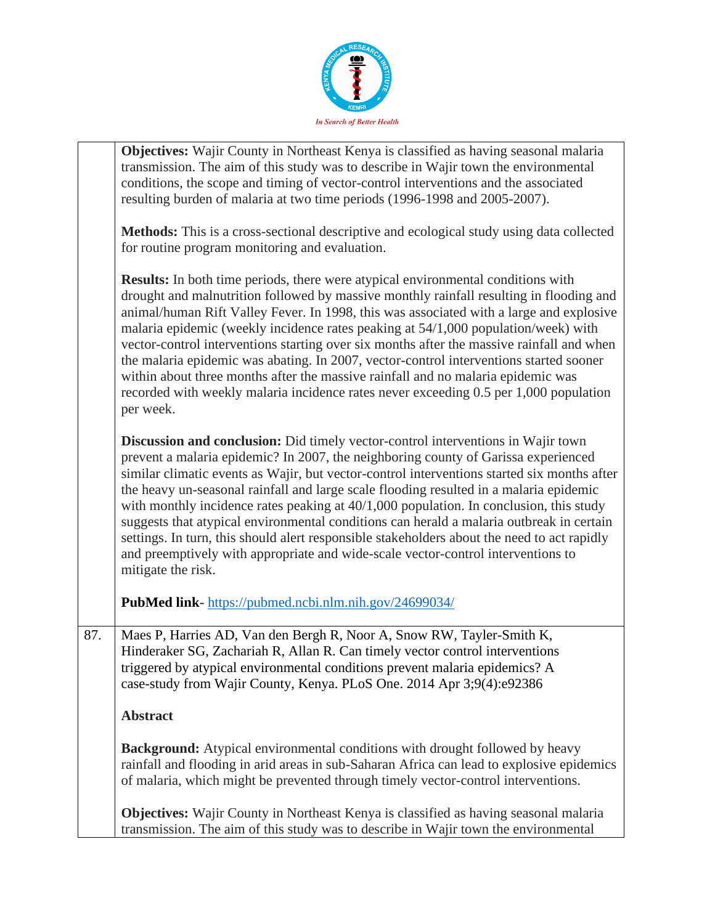

|     | <b>Objectives:</b> Wajir County in Northeast Kenya is classified as having seasonal malaria<br>transmission. The aim of this study was to describe in Wajir town the environmental<br>conditions, the scope and timing of vector-control interventions and the associated<br>resulting burden of malaria at two time periods (1996-1998 and 2005-2007).                                                                                                                                                                                                                                                                                                                                                                                                          |
|-----|------------------------------------------------------------------------------------------------------------------------------------------------------------------------------------------------------------------------------------------------------------------------------------------------------------------------------------------------------------------------------------------------------------------------------------------------------------------------------------------------------------------------------------------------------------------------------------------------------------------------------------------------------------------------------------------------------------------------------------------------------------------|
|     | Methods: This is a cross-sectional descriptive and ecological study using data collected<br>for routine program monitoring and evaluation.                                                                                                                                                                                                                                                                                                                                                                                                                                                                                                                                                                                                                       |
|     | <b>Results:</b> In both time periods, there were atypical environmental conditions with<br>drought and malnutrition followed by massive monthly rainfall resulting in flooding and<br>animal/human Rift Valley Fever. In 1998, this was associated with a large and explosive<br>malaria epidemic (weekly incidence rates peaking at 54/1,000 population/week) with<br>vector-control interventions starting over six months after the massive rainfall and when<br>the malaria epidemic was abating. In 2007, vector-control interventions started sooner<br>within about three months after the massive rainfall and no malaria epidemic was<br>recorded with weekly malaria incidence rates never exceeding 0.5 per 1,000 population<br>per week.             |
|     | Discussion and conclusion: Did timely vector-control interventions in Wajir town<br>prevent a malaria epidemic? In 2007, the neighboring county of Garissa experienced<br>similar climatic events as Wajir, but vector-control interventions started six months after<br>the heavy un-seasonal rainfall and large scale flooding resulted in a malaria epidemic<br>with monthly incidence rates peaking at $40/1,000$ population. In conclusion, this study<br>suggests that atypical environmental conditions can herald a malaria outbreak in certain<br>settings. In turn, this should alert responsible stakeholders about the need to act rapidly<br>and preemptively with appropriate and wide-scale vector-control interventions to<br>mitigate the risk. |
|     | PubMed link- https://pubmed.ncbi.nlm.nih.gov/24699034/                                                                                                                                                                                                                                                                                                                                                                                                                                                                                                                                                                                                                                                                                                           |
| 87. | Maes P, Harries AD, Van den Bergh R, Noor A, Snow RW, Tayler-Smith K,<br>Hinderaker SG, Zachariah R, Allan R. Can timely vector control interventions<br>triggered by atypical environmental conditions prevent malaria epidemics? A<br>case-study from Wajir County, Kenya. PLoS One. 2014 Apr 3;9(4):e92386                                                                                                                                                                                                                                                                                                                                                                                                                                                    |
|     | <b>Abstract</b>                                                                                                                                                                                                                                                                                                                                                                                                                                                                                                                                                                                                                                                                                                                                                  |
|     | Background: Atypical environmental conditions with drought followed by heavy<br>rainfall and flooding in arid areas in sub-Saharan Africa can lead to explosive epidemics<br>of malaria, which might be prevented through timely vector-control interventions.                                                                                                                                                                                                                                                                                                                                                                                                                                                                                                   |
|     | <b>Objectives:</b> Wajir County in Northeast Kenya is classified as having seasonal malaria<br>transmission. The aim of this study was to describe in Wajir town the environmental                                                                                                                                                                                                                                                                                                                                                                                                                                                                                                                                                                               |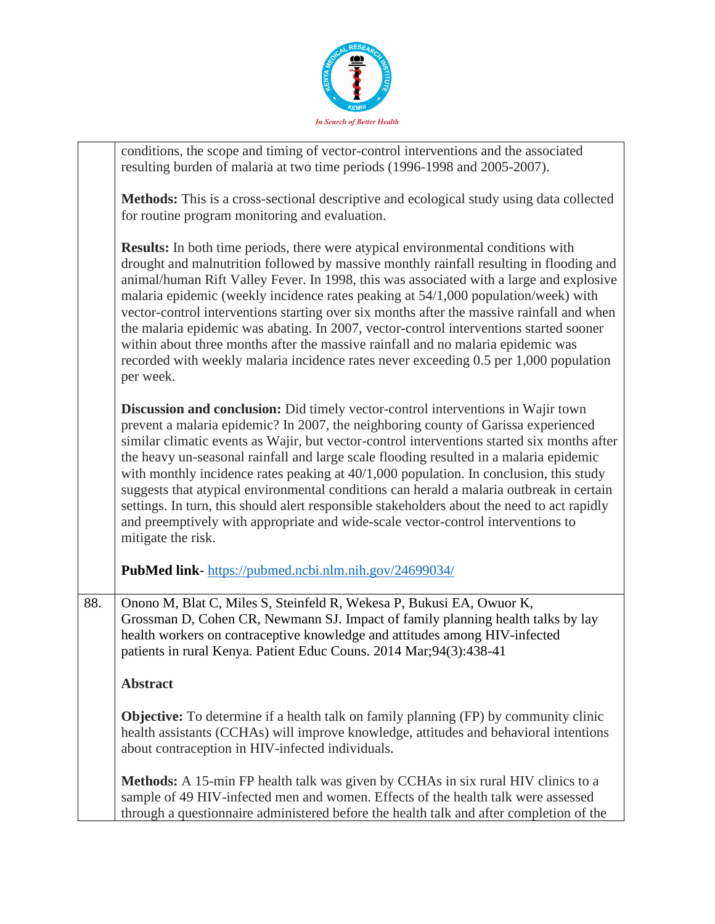

|     | conditions, the scope and timing of vector-control interventions and the associated<br>resulting burden of malaria at two time periods (1996-1998 and 2005-2007).                                                                                                                                                                                                                                                                                                                                                                                                                                                                                                                                                                                                |
|-----|------------------------------------------------------------------------------------------------------------------------------------------------------------------------------------------------------------------------------------------------------------------------------------------------------------------------------------------------------------------------------------------------------------------------------------------------------------------------------------------------------------------------------------------------------------------------------------------------------------------------------------------------------------------------------------------------------------------------------------------------------------------|
|     | Methods: This is a cross-sectional descriptive and ecological study using data collected<br>for routine program monitoring and evaluation.                                                                                                                                                                                                                                                                                                                                                                                                                                                                                                                                                                                                                       |
|     | <b>Results:</b> In both time periods, there were atypical environmental conditions with<br>drought and malnutrition followed by massive monthly rainfall resulting in flooding and<br>animal/human Rift Valley Fever. In 1998, this was associated with a large and explosive<br>malaria epidemic (weekly incidence rates peaking at 54/1,000 population/week) with<br>vector-control interventions starting over six months after the massive rainfall and when<br>the malaria epidemic was abating. In 2007, vector-control interventions started sooner<br>within about three months after the massive rainfall and no malaria epidemic was<br>recorded with weekly malaria incidence rates never exceeding 0.5 per 1,000 population<br>per week.             |
|     | Discussion and conclusion: Did timely vector-control interventions in Wajir town<br>prevent a malaria epidemic? In 2007, the neighboring county of Garissa experienced<br>similar climatic events as Wajir, but vector-control interventions started six months after<br>the heavy un-seasonal rainfall and large scale flooding resulted in a malaria epidemic<br>with monthly incidence rates peaking at $40/1,000$ population. In conclusion, this study<br>suggests that atypical environmental conditions can herald a malaria outbreak in certain<br>settings. In turn, this should alert responsible stakeholders about the need to act rapidly<br>and preemptively with appropriate and wide-scale vector-control interventions to<br>mitigate the risk. |
|     | PubMed link-https://pubmed.ncbi.nlm.nih.gov/24699034/                                                                                                                                                                                                                                                                                                                                                                                                                                                                                                                                                                                                                                                                                                            |
| 88. | Onono M, Blat C, Miles S, Steinfeld R, Wekesa P, Bukusi EA, Owuor K,<br>Grossman D, Cohen CR, Newmann SJ. Impact of family planning health talks by lay<br>health workers on contraceptive knowledge and attitudes among HIV-infected<br>patients in rural Kenya. Patient Educ Couns. 2014 Mar;94(3):438-41                                                                                                                                                                                                                                                                                                                                                                                                                                                      |
|     | <b>Abstract</b>                                                                                                                                                                                                                                                                                                                                                                                                                                                                                                                                                                                                                                                                                                                                                  |
|     | <b>Objective:</b> To determine if a health talk on family planning (FP) by community clinic<br>health assistants (CCHAs) will improve knowledge, attitudes and behavioral intentions<br>about contraception in HIV-infected individuals.                                                                                                                                                                                                                                                                                                                                                                                                                                                                                                                         |
|     | <b>Methods:</b> A 15-min FP health talk was given by CCHAs in six rural HIV clinics to a<br>sample of 49 HIV-infected men and women. Effects of the health talk were assessed<br>through a questionnaire administered before the health talk and after completion of the                                                                                                                                                                                                                                                                                                                                                                                                                                                                                         |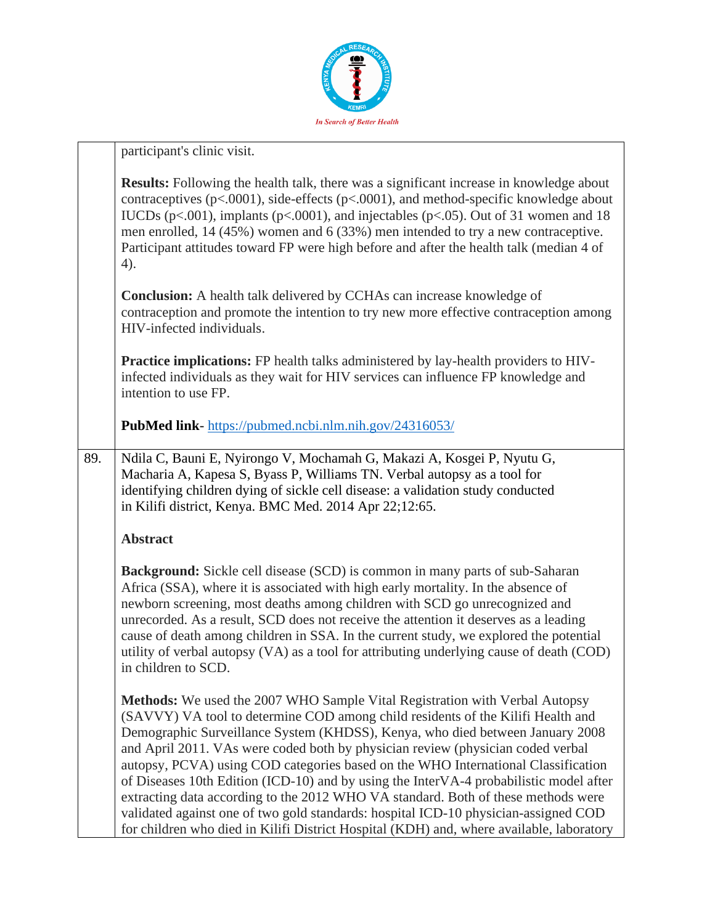

|     | participant's clinic visit.                                                                                                                                                                                                                                                                                                                                                                                                                                                                                                                                |
|-----|------------------------------------------------------------------------------------------------------------------------------------------------------------------------------------------------------------------------------------------------------------------------------------------------------------------------------------------------------------------------------------------------------------------------------------------------------------------------------------------------------------------------------------------------------------|
|     | <b>Results:</b> Following the health talk, there was a significant increase in knowledge about<br>contraceptives ( $p<0.0001$ ), side-effects ( $p<0.001$ ), and method-specific knowledge about<br>IUCDs (p<.001), implants (p<.0001), and injectables (p<.05). Out of 31 women and 18<br>men enrolled, $14 (45%)$ women and $6 (33%)$ men intended to try a new contraceptive.<br>Participant attitudes toward FP were high before and after the health talk (median 4 of<br>4).                                                                         |
|     | <b>Conclusion:</b> A health talk delivered by CCHAs can increase knowledge of<br>contraception and promote the intention to try new more effective contraception among<br>HIV-infected individuals.                                                                                                                                                                                                                                                                                                                                                        |
|     | <b>Practice implications:</b> FP health talks administered by lay-health providers to HIV-<br>infected individuals as they wait for HIV services can influence FP knowledge and<br>intention to use FP.                                                                                                                                                                                                                                                                                                                                                    |
|     | PubMed link-https://pubmed.ncbi.nlm.nih.gov/24316053/                                                                                                                                                                                                                                                                                                                                                                                                                                                                                                      |
| 89. | Ndila C, Bauni E, Nyirongo V, Mochamah G, Makazi A, Kosgei P, Nyutu G,<br>Macharia A, Kapesa S, Byass P, Williams TN. Verbal autopsy as a tool for<br>identifying children dying of sickle cell disease: a validation study conducted<br>in Kilifi district, Kenya. BMC Med. 2014 Apr 22;12:65.                                                                                                                                                                                                                                                            |
|     | <b>Abstract</b>                                                                                                                                                                                                                                                                                                                                                                                                                                                                                                                                            |
|     | <b>Background:</b> Sickle cell disease (SCD) is common in many parts of sub-Saharan<br>Africa (SSA), where it is associated with high early mortality. In the absence of<br>newborn screening, most deaths among children with SCD go unrecognized and<br>unrecorded. As a result, SCD does not receive the attention it deserves as a leading<br>cause of death among children in SSA. In the current study, we explored the potential<br>utility of verbal autopsy (VA) as a tool for attributing underlying cause of death (COD)<br>in children to SCD. |
|     | <b>Methods:</b> We used the 2007 WHO Sample Vital Registration with Verbal Autopsy<br>(SAVVY) VA tool to determine COD among child residents of the Kilifi Health and<br>Demographic Surveillance System (KHDSS), Kenya, who died between January 2008<br>and April 2011. VAs were coded both by physician review (physician coded verbal<br>autopsy, PCVA) using COD categories based on the WHO International Classification                                                                                                                             |

of Diseases 10th Edition (ICD-10) and by using the InterVA-4 probabilistic model after extracting data according to the 2012 WHO VA standard. Both of these methods were validated against one of two gold standards: hospital ICD-10 physician-assigned COD for children who died in Kilifi District Hospital (KDH) and, where available, laboratory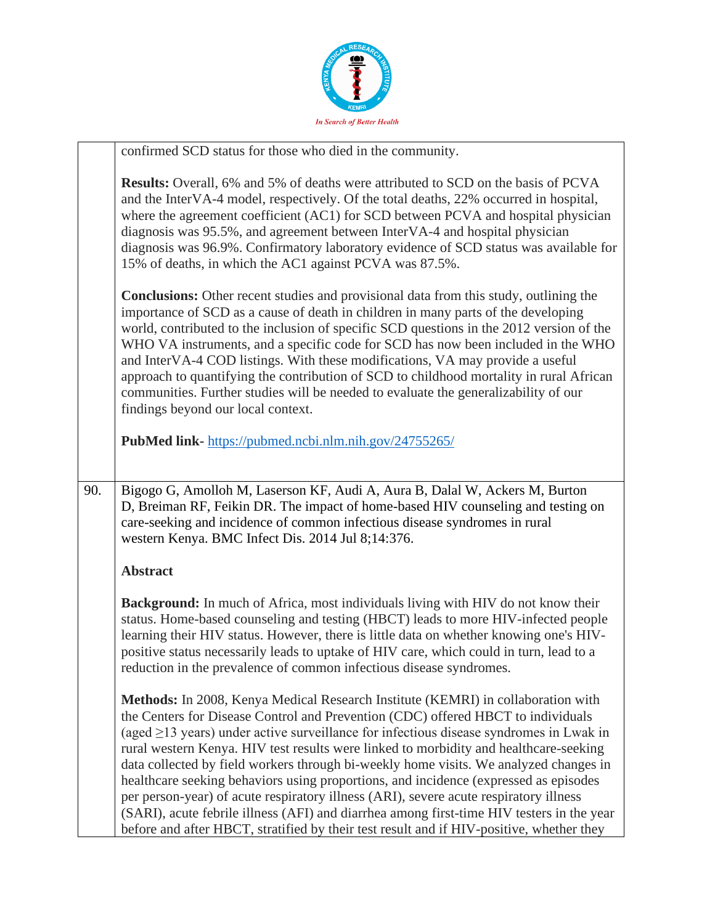

|     | confirmed SCD status for those who died in the community.                                                                                                                                                                                                                                                                                                                                                                                                                                                                                                                                                                                                                                                                                                                                                                        |
|-----|----------------------------------------------------------------------------------------------------------------------------------------------------------------------------------------------------------------------------------------------------------------------------------------------------------------------------------------------------------------------------------------------------------------------------------------------------------------------------------------------------------------------------------------------------------------------------------------------------------------------------------------------------------------------------------------------------------------------------------------------------------------------------------------------------------------------------------|
|     | <b>Results:</b> Overall, 6% and 5% of deaths were attributed to SCD on the basis of PCVA<br>and the InterVA-4 model, respectively. Of the total deaths, 22% occurred in hospital,<br>where the agreement coefficient (AC1) for SCD between PCVA and hospital physician<br>diagnosis was 95.5%, and agreement between InterVA-4 and hospital physician<br>diagnosis was 96.9%. Confirmatory laboratory evidence of SCD status was available for<br>15% of deaths, in which the AC1 against PCVA was 87.5%.                                                                                                                                                                                                                                                                                                                        |
|     | <b>Conclusions:</b> Other recent studies and provisional data from this study, outlining the<br>importance of SCD as a cause of death in children in many parts of the developing<br>world, contributed to the inclusion of specific SCD questions in the 2012 version of the<br>WHO VA instruments, and a specific code for SCD has now been included in the WHO<br>and InterVA-4 COD listings. With these modifications, VA may provide a useful<br>approach to quantifying the contribution of SCD to childhood mortality in rural African<br>communities. Further studies will be needed to evaluate the generalizability of our<br>findings beyond our local context.                                                                                                                                                       |
|     | PubMed link-https://pubmed.ncbi.nlm.nih.gov/24755265/                                                                                                                                                                                                                                                                                                                                                                                                                                                                                                                                                                                                                                                                                                                                                                            |
| 90. | Bigogo G, Amolloh M, Laserson KF, Audi A, Aura B, Dalal W, Ackers M, Burton<br>D, Breiman RF, Feikin DR. The impact of home-based HIV counseling and testing on<br>care-seeking and incidence of common infectious disease syndromes in rural<br>western Kenya. BMC Infect Dis. 2014 Jul 8;14:376.                                                                                                                                                                                                                                                                                                                                                                                                                                                                                                                               |
|     | <b>Abstract</b>                                                                                                                                                                                                                                                                                                                                                                                                                                                                                                                                                                                                                                                                                                                                                                                                                  |
|     | <b>Background:</b> In much of Africa, most individuals living with HIV do not know their<br>status. Home-based counseling and testing (HBCT) leads to more HIV-infected people<br>learning their HIV status. However, there is little data on whether knowing one's HIV-<br>positive status necessarily leads to uptake of HIV care, which could in turn, lead to a<br>reduction in the prevalence of common infectious disease syndromes.                                                                                                                                                                                                                                                                                                                                                                                       |
|     | Methods: In 2008, Kenya Medical Research Institute (KEMRI) in collaboration with<br>the Centers for Disease Control and Prevention (CDC) offered HBCT to individuals<br>(aged $\geq$ 13 years) under active surveillance for infectious disease syndromes in Lwak in<br>rural western Kenya. HIV test results were linked to morbidity and healthcare-seeking<br>data collected by field workers through bi-weekly home visits. We analyzed changes in<br>healthcare seeking behaviors using proportions, and incidence (expressed as episodes<br>per person-year) of acute respiratory illness (ARI), severe acute respiratory illness<br>(SARI), acute febrile illness (AFI) and diarrhea among first-time HIV testers in the year<br>before and after HBCT, stratified by their test result and if HIV-positive, whether they |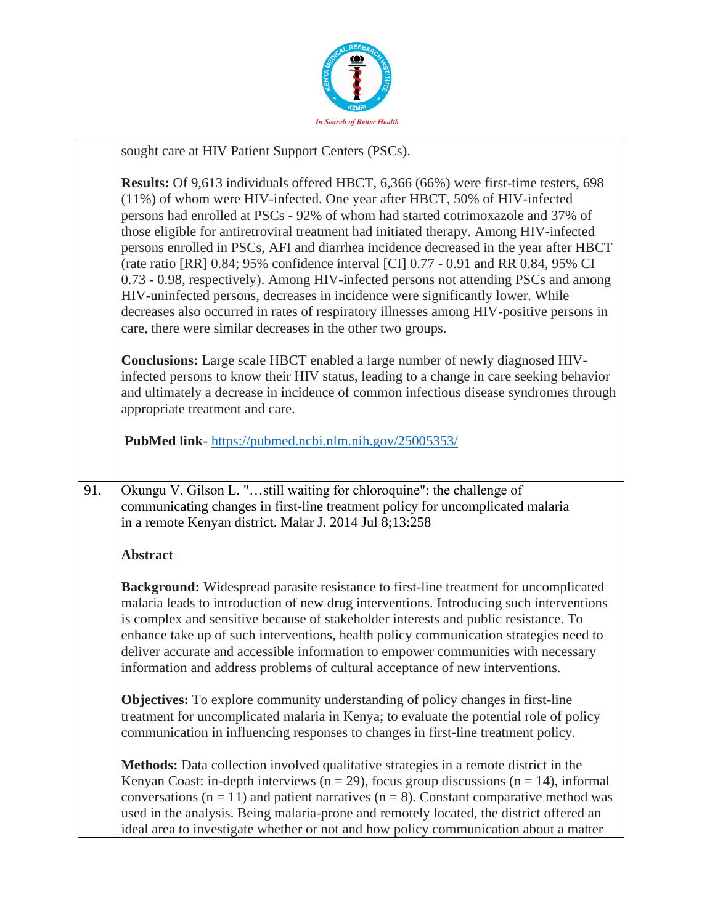

|     | sought care at HIV Patient Support Centers (PSCs).                                                                                                                                                                                                                                                                                                                                                                                                                                                                                                                                                                                                                                                                                                                                                                                                               |
|-----|------------------------------------------------------------------------------------------------------------------------------------------------------------------------------------------------------------------------------------------------------------------------------------------------------------------------------------------------------------------------------------------------------------------------------------------------------------------------------------------------------------------------------------------------------------------------------------------------------------------------------------------------------------------------------------------------------------------------------------------------------------------------------------------------------------------------------------------------------------------|
|     | Results: Of 9,613 individuals offered HBCT, 6,366 (66%) were first-time testers, 698<br>(11%) of whom were HIV-infected. One year after HBCT, 50% of HIV-infected<br>persons had enrolled at PSCs - 92% of whom had started cotrimoxazole and 37% of<br>those eligible for antiretroviral treatment had initiated therapy. Among HIV-infected<br>persons enrolled in PSCs, AFI and diarrhea incidence decreased in the year after HBCT<br>(rate ratio [RR] 0.84; 95% confidence interval [CI] 0.77 - 0.91 and RR 0.84, 95% CI<br>0.73 - 0.98, respectively). Among HIV-infected persons not attending PSCs and among<br>HIV-uninfected persons, decreases in incidence were significantly lower. While<br>decreases also occurred in rates of respiratory illnesses among HIV-positive persons in<br>care, there were similar decreases in the other two groups. |
|     | <b>Conclusions:</b> Large scale HBCT enabled a large number of newly diagnosed HIV-<br>infected persons to know their HIV status, leading to a change in care seeking behavior<br>and ultimately a decrease in incidence of common infectious disease syndromes through<br>appropriate treatment and care.                                                                                                                                                                                                                                                                                                                                                                                                                                                                                                                                                       |
|     | <b>PubMed link-</b> https://pubmed.ncbi.nlm.nih.gov/25005353/                                                                                                                                                                                                                                                                                                                                                                                                                                                                                                                                                                                                                                                                                                                                                                                                    |
| 91. | Okungu V, Gilson L. "still waiting for chloroquine": the challenge of<br>communicating changes in first-line treatment policy for uncomplicated malaria<br>in a remote Kenyan district. Malar J. 2014 Jul 8;13:258                                                                                                                                                                                                                                                                                                                                                                                                                                                                                                                                                                                                                                               |
|     | <b>Abstract</b>                                                                                                                                                                                                                                                                                                                                                                                                                                                                                                                                                                                                                                                                                                                                                                                                                                                  |
|     | <b>Background:</b> Widespread parasite resistance to first-line treatment for uncomplicated<br>malaria leads to introduction of new drug interventions. Introducing such interventions<br>is complex and sensitive because of stakeholder interests and public resistance. To<br>enhance take up of such interventions, health policy communication strategies need to<br>deliver accurate and accessible information to empower communities with necessary<br>information and address problems of cultural acceptance of new interventions.                                                                                                                                                                                                                                                                                                                     |
|     | <b>Objectives:</b> To explore community understanding of policy changes in first-line<br>treatment for uncomplicated malaria in Kenya; to evaluate the potential role of policy<br>communication in influencing responses to changes in first-line treatment policy.                                                                                                                                                                                                                                                                                                                                                                                                                                                                                                                                                                                             |
|     | <b>Methods:</b> Data collection involved qualitative strategies in a remote district in the<br>Kenyan Coast: in-depth interviews ( $n = 29$ ), focus group discussions ( $n = 14$ ), informal<br>conversations ( $n = 11$ ) and patient narratives ( $n = 8$ ). Constant comparative method was<br>used in the analysis. Being malaria-prone and remotely located, the district offered an<br>ideal area to investigate whether or not and how policy communication about a matter                                                                                                                                                                                                                                                                                                                                                                               |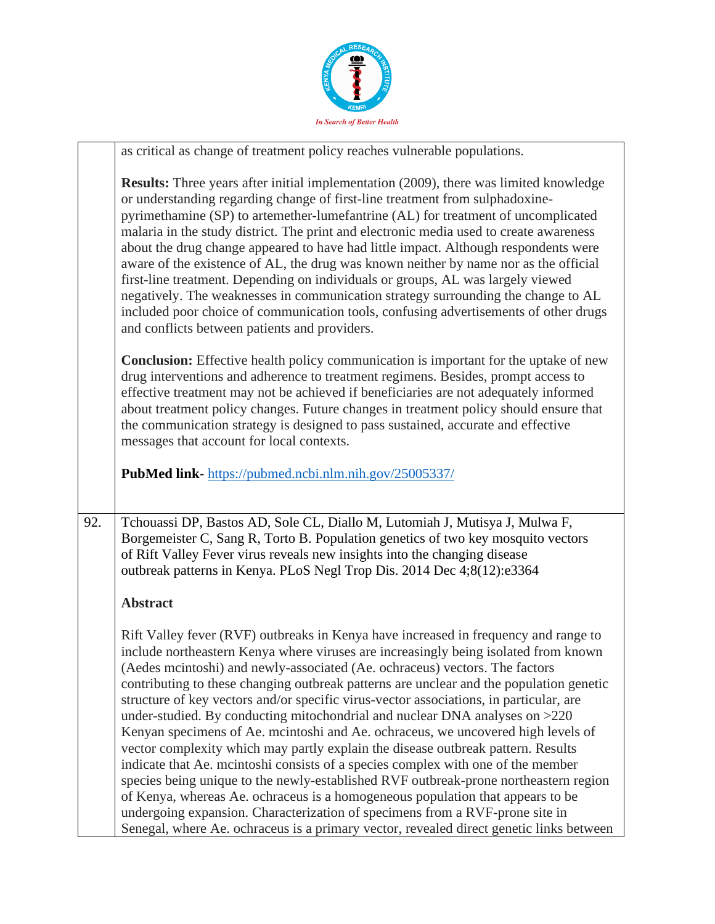

|     | as critical as change of treatment policy reaches vulnerable populations.                                                                                                                                                                                                                                                                                                                                                                                                                                                                                                                                                                                                                                                                                                                                                                                                         |
|-----|-----------------------------------------------------------------------------------------------------------------------------------------------------------------------------------------------------------------------------------------------------------------------------------------------------------------------------------------------------------------------------------------------------------------------------------------------------------------------------------------------------------------------------------------------------------------------------------------------------------------------------------------------------------------------------------------------------------------------------------------------------------------------------------------------------------------------------------------------------------------------------------|
|     | <b>Results:</b> Three years after initial implementation (2009), there was limited knowledge<br>or understanding regarding change of first-line treatment from sulphadoxine-<br>pyrimethamine (SP) to artemether-lumefantrine (AL) for treatment of uncomplicated<br>malaria in the study district. The print and electronic media used to create awareness<br>about the drug change appeared to have had little impact. Although respondents were<br>aware of the existence of AL, the drug was known neither by name nor as the official<br>first-line treatment. Depending on individuals or groups, AL was largely viewed<br>negatively. The weaknesses in communication strategy surrounding the change to AL<br>included poor choice of communication tools, confusing advertisements of other drugs<br>and conflicts between patients and providers.                       |
|     | <b>Conclusion:</b> Effective health policy communication is important for the uptake of new<br>drug interventions and adherence to treatment regimens. Besides, prompt access to<br>effective treatment may not be achieved if beneficiaries are not adequately informed<br>about treatment policy changes. Future changes in treatment policy should ensure that<br>the communication strategy is designed to pass sustained, accurate and effective<br>messages that account for local contexts.                                                                                                                                                                                                                                                                                                                                                                                |
|     | PubMed link-https://pubmed.ncbi.nlm.nih.gov/25005337/                                                                                                                                                                                                                                                                                                                                                                                                                                                                                                                                                                                                                                                                                                                                                                                                                             |
| 92. | Tchouassi DP, Bastos AD, Sole CL, Diallo M, Lutomiah J, Mutisya J, Mulwa F,<br>Borgemeister C, Sang R, Torto B. Population genetics of two key mosquito vectors<br>of Rift Valley Fever virus reveals new insights into the changing disease<br>outbreak patterns in Kenya. PLoS Negl Trop Dis. 2014 Dec 4;8(12):e3364                                                                                                                                                                                                                                                                                                                                                                                                                                                                                                                                                            |
|     | <b>Abstract</b>                                                                                                                                                                                                                                                                                                                                                                                                                                                                                                                                                                                                                                                                                                                                                                                                                                                                   |
|     | Rift Valley fever (RVF) outbreaks in Kenya have increased in frequency and range to<br>include northeastern Kenya where viruses are increasingly being isolated from known<br>(Aedes mcintoshi) and newly-associated (Ae. ochraceus) vectors. The factors<br>contributing to these changing outbreak patterns are unclear and the population genetic<br>structure of key vectors and/or specific virus-vector associations, in particular, are<br>under-studied. By conducting mitochondrial and nuclear DNA analyses on >220<br>Kenyan specimens of Ae. mcintoshi and Ae. ochraceus, we uncovered high levels of<br>vector complexity which may partly explain the disease outbreak pattern. Results<br>indicate that Ae. mcintoshi consists of a species complex with one of the member<br>species being unique to the newly-established RVF outbreak-prone northeastern region |
|     | of Kenya, whereas Ae. ochraceus is a homogeneous population that appears to be<br>undergoing expansion. Characterization of specimens from a RVF-prone site in<br>Senegal, where Ae. ochraceus is a primary vector, revealed direct genetic links between                                                                                                                                                                                                                                                                                                                                                                                                                                                                                                                                                                                                                         |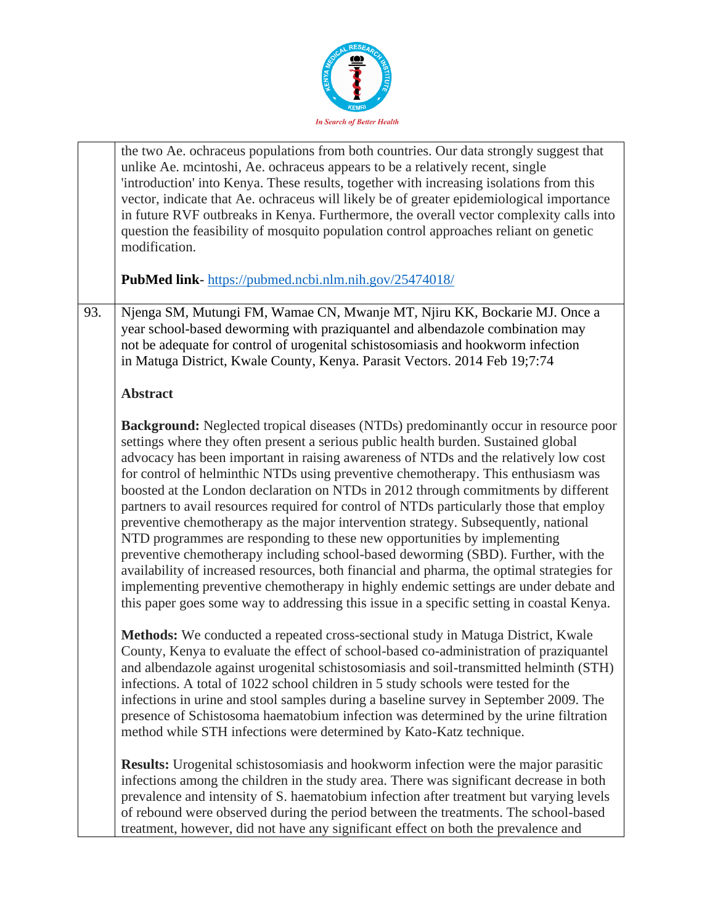

|     | the two Ae. ochraceus populations from both countries. Our data strongly suggest that<br>unlike Ae. mcintoshi, Ae. ochraceus appears to be a relatively recent, single<br>'introduction' into Kenya. These results, together with increasing isolations from this<br>vector, indicate that Ae. ochraceus will likely be of greater epidemiological importance<br>in future RVF outbreaks in Kenya. Furthermore, the overall vector complexity calls into<br>question the feasibility of mosquito population control approaches reliant on genetic<br>modification.<br>PubMed link-https://pubmed.ncbi.nlm.nih.gov/25474018/                                                                                                                                                                                                                                                                                                                                                                                                                                                              |
|-----|------------------------------------------------------------------------------------------------------------------------------------------------------------------------------------------------------------------------------------------------------------------------------------------------------------------------------------------------------------------------------------------------------------------------------------------------------------------------------------------------------------------------------------------------------------------------------------------------------------------------------------------------------------------------------------------------------------------------------------------------------------------------------------------------------------------------------------------------------------------------------------------------------------------------------------------------------------------------------------------------------------------------------------------------------------------------------------------|
|     |                                                                                                                                                                                                                                                                                                                                                                                                                                                                                                                                                                                                                                                                                                                                                                                                                                                                                                                                                                                                                                                                                          |
| 93. | Njenga SM, Mutungi FM, Wamae CN, Mwanje MT, Njiru KK, Bockarie MJ. Once a<br>year school-based deworming with praziquantel and albendazole combination may<br>not be adequate for control of urogenital schistosomiasis and hookworm infection<br>in Matuga District, Kwale County, Kenya. Parasit Vectors. 2014 Feb 19;7:74                                                                                                                                                                                                                                                                                                                                                                                                                                                                                                                                                                                                                                                                                                                                                             |
|     | <b>Abstract</b>                                                                                                                                                                                                                                                                                                                                                                                                                                                                                                                                                                                                                                                                                                                                                                                                                                                                                                                                                                                                                                                                          |
|     | <b>Background:</b> Neglected tropical diseases (NTDs) predominantly occur in resource poor<br>settings where they often present a serious public health burden. Sustained global<br>advocacy has been important in raising awareness of NTDs and the relatively low cost<br>for control of helminthic NTDs using preventive chemotherapy. This enthusiasm was<br>boosted at the London declaration on NTDs in 2012 through commitments by different<br>partners to avail resources required for control of NTDs particularly those that employ<br>preventive chemotherapy as the major intervention strategy. Subsequently, national<br>NTD programmes are responding to these new opportunities by implementing<br>preventive chemotherapy including school-based deworming (SBD). Further, with the<br>availability of increased resources, both financial and pharma, the optimal strategies for<br>implementing preventive chemotherapy in highly endemic settings are under debate and<br>this paper goes some way to addressing this issue in a specific setting in coastal Kenya. |
|     | Methods: We conducted a repeated cross-sectional study in Matuga District, Kwale<br>County, Kenya to evaluate the effect of school-based co-administration of praziquantel<br>and albendazole against urogenital schistosomiasis and soil-transmitted helminth (STH)<br>infections. A total of 1022 school children in 5 study schools were tested for the<br>infections in urine and stool samples during a baseline survey in September 2009. The<br>presence of Schistosoma haematobium infection was determined by the urine filtration<br>method while STH infections were determined by Kato-Katz technique.                                                                                                                                                                                                                                                                                                                                                                                                                                                                       |
|     | <b>Results:</b> Urogenital schistosomiasis and hookworm infection were the major parasitic<br>infections among the children in the study area. There was significant decrease in both<br>prevalence and intensity of S. haematobium infection after treatment but varying levels<br>of rebound were observed during the period between the treatments. The school-based<br>treatment, however, did not have any significant effect on both the prevalence and                                                                                                                                                                                                                                                                                                                                                                                                                                                                                                                                                                                                                            |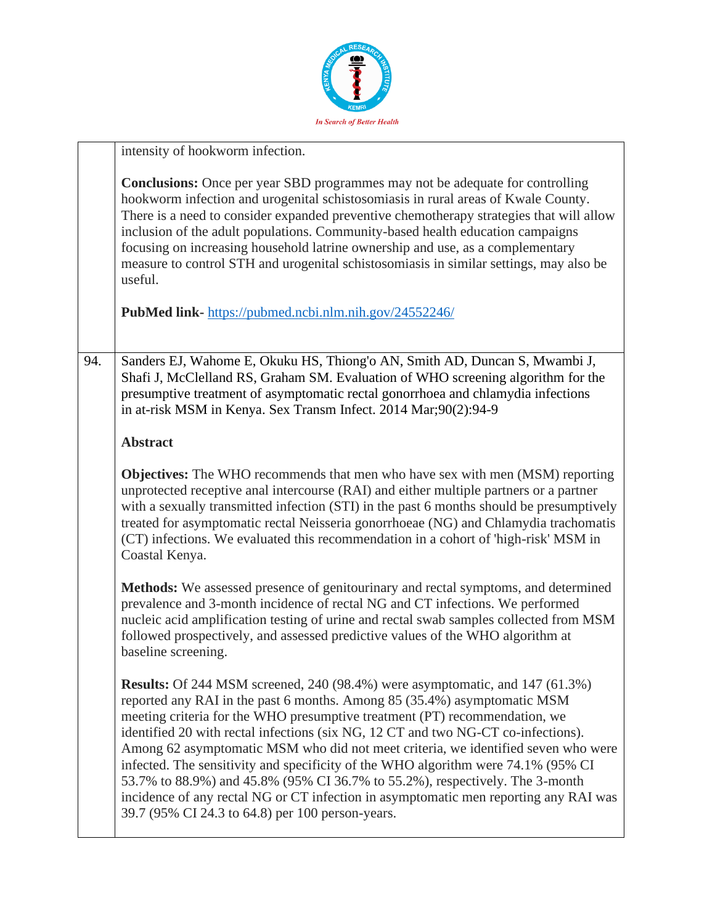

|     | intensity of hookworm infection.                                                                                                                                                                                                                                                                                                                                                                                                                                                                                                                                                                                                                                                                                                         |
|-----|------------------------------------------------------------------------------------------------------------------------------------------------------------------------------------------------------------------------------------------------------------------------------------------------------------------------------------------------------------------------------------------------------------------------------------------------------------------------------------------------------------------------------------------------------------------------------------------------------------------------------------------------------------------------------------------------------------------------------------------|
|     | <b>Conclusions:</b> Once per year SBD programmes may not be adequate for controlling<br>hookworm infection and urogenital schistosomiasis in rural areas of Kwale County.<br>There is a need to consider expanded preventive chemotherapy strategies that will allow<br>inclusion of the adult populations. Community-based health education campaigns<br>focusing on increasing household latrine ownership and use, as a complementary<br>measure to control STH and urogenital schistosomiasis in similar settings, may also be<br>useful.                                                                                                                                                                                            |
|     | PubMed link-https://pubmed.ncbi.nlm.nih.gov/24552246/                                                                                                                                                                                                                                                                                                                                                                                                                                                                                                                                                                                                                                                                                    |
| 94. | Sanders EJ, Wahome E, Okuku HS, Thiong'o AN, Smith AD, Duncan S, Mwambi J,<br>Shafi J, McClelland RS, Graham SM. Evaluation of WHO screening algorithm for the<br>presumptive treatment of asymptomatic rectal gonorrhoea and chlamydia infections<br>in at-risk MSM in Kenya. Sex Transm Infect. 2014 Mar;90(2):94-9                                                                                                                                                                                                                                                                                                                                                                                                                    |
|     | <b>Abstract</b>                                                                                                                                                                                                                                                                                                                                                                                                                                                                                                                                                                                                                                                                                                                          |
|     | <b>Objectives:</b> The WHO recommends that men who have sex with men (MSM) reporting<br>unprotected receptive anal intercourse (RAI) and either multiple partners or a partner<br>with a sexually transmitted infection (STI) in the past 6 months should be presumptively<br>treated for asymptomatic rectal Neisseria gonorrhoeae (NG) and Chlamydia trachomatis<br>(CT) infections. We evaluated this recommendation in a cohort of 'high-risk' MSM in<br>Coastal Kenya.                                                                                                                                                                                                                                                              |
|     | Methods: We assessed presence of genitourinary and rectal symptoms, and determined<br>prevalence and 3-month incidence of rectal NG and CT infections. We performed<br>nucleic acid amplification testing of urine and rectal swab samples collected from MSM<br>followed prospectively, and assessed predictive values of the WHO algorithm at<br>baseline screening.                                                                                                                                                                                                                                                                                                                                                                   |
|     | <b>Results:</b> Of 244 MSM screened, 240 (98.4%) were asymptomatic, and 147 (61.3%)<br>reported any RAI in the past 6 months. Among 85 (35.4%) asymptomatic MSM<br>meeting criteria for the WHO presumptive treatment (PT) recommendation, we<br>identified 20 with rectal infections (six NG, 12 CT and two NG-CT co-infections).<br>Among 62 asymptomatic MSM who did not meet criteria, we identified seven who were<br>infected. The sensitivity and specificity of the WHO algorithm were 74.1% (95% CI<br>53.7% to 88.9%) and 45.8% (95% CI 36.7% to 55.2%), respectively. The 3-month<br>incidence of any rectal NG or CT infection in asymptomatic men reporting any RAI was<br>39.7 (95% CI 24.3 to 64.8) per 100 person-years. |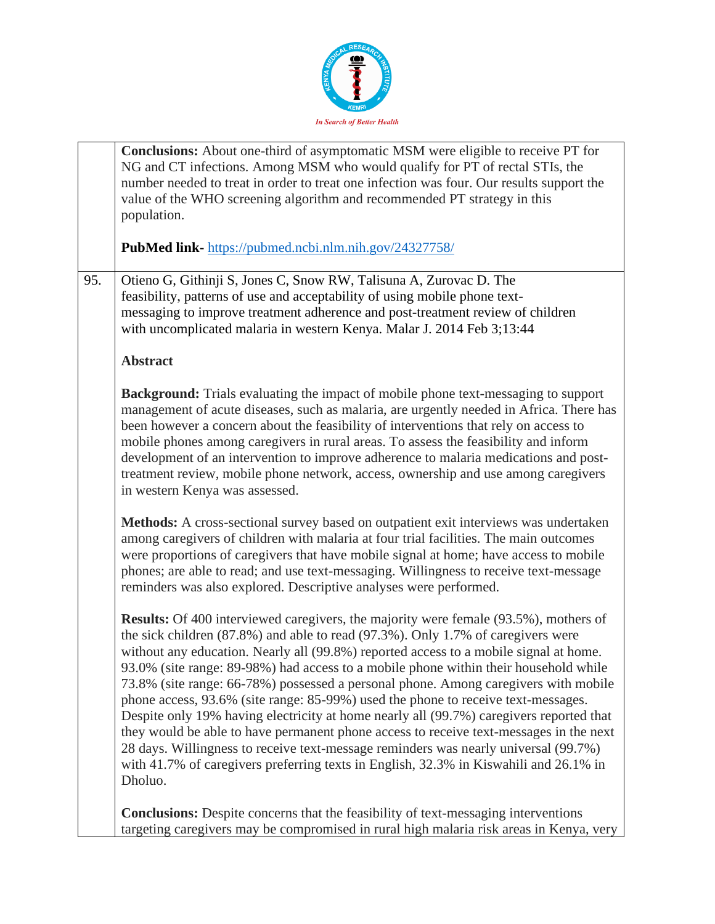

|     | Conclusions: About one-third of asymptomatic MSM were eligible to receive PT for<br>NG and CT infections. Among MSM who would qualify for PT of rectal STIs, the<br>number needed to treat in order to treat one infection was four. Our results support the<br>value of the WHO screening algorithm and recommended PT strategy in this<br>population.                                                                                                                                                                                                                                                                                                                                                                                                                                                                                                                                                                      |
|-----|------------------------------------------------------------------------------------------------------------------------------------------------------------------------------------------------------------------------------------------------------------------------------------------------------------------------------------------------------------------------------------------------------------------------------------------------------------------------------------------------------------------------------------------------------------------------------------------------------------------------------------------------------------------------------------------------------------------------------------------------------------------------------------------------------------------------------------------------------------------------------------------------------------------------------|
|     | <b>PubMed link-</b> https://pubmed.ncbi.nlm.nih.gov/24327758/                                                                                                                                                                                                                                                                                                                                                                                                                                                                                                                                                                                                                                                                                                                                                                                                                                                                |
| 95. | Otieno G, Githinji S, Jones C, Snow RW, Talisuna A, Zurovac D. The<br>feasibility, patterns of use and acceptability of using mobile phone text-<br>messaging to improve treatment adherence and post-treatment review of children<br>with uncomplicated malaria in western Kenya. Malar J. 2014 Feb 3;13:44                                                                                                                                                                                                                                                                                                                                                                                                                                                                                                                                                                                                                 |
|     | <b>Abstract</b>                                                                                                                                                                                                                                                                                                                                                                                                                                                                                                                                                                                                                                                                                                                                                                                                                                                                                                              |
|     | <b>Background:</b> Trials evaluating the impact of mobile phone text-messaging to support<br>management of acute diseases, such as malaria, are urgently needed in Africa. There has<br>been however a concern about the feasibility of interventions that rely on access to<br>mobile phones among caregivers in rural areas. To assess the feasibility and inform<br>development of an intervention to improve adherence to malaria medications and post-<br>treatment review, mobile phone network, access, ownership and use among caregivers<br>in western Kenya was assessed.                                                                                                                                                                                                                                                                                                                                          |
|     | Methods: A cross-sectional survey based on outpatient exit interviews was undertaken<br>among caregivers of children with malaria at four trial facilities. The main outcomes<br>were proportions of caregivers that have mobile signal at home; have access to mobile<br>phones; are able to read; and use text-messaging. Willingness to receive text-message<br>reminders was also explored. Descriptive analyses were performed.                                                                                                                                                                                                                                                                                                                                                                                                                                                                                         |
|     | <b>Results:</b> Of 400 interviewed caregivers, the majority were female (93.5%), mothers of<br>the sick children (87.8%) and able to read (97.3%). Only 1.7% of caregivers were<br>without any education. Nearly all (99.8%) reported access to a mobile signal at home.<br>93.0% (site range: 89-98%) had access to a mobile phone within their household while<br>73.8% (site range: 66-78%) possessed a personal phone. Among caregivers with mobile<br>phone access, 93.6% (site range: 85-99%) used the phone to receive text-messages.<br>Despite only 19% having electricity at home nearly all (99.7%) caregivers reported that<br>they would be able to have permanent phone access to receive text-messages in the next<br>28 days. Willingness to receive text-message reminders was nearly universal (99.7%)<br>with 41.7% of caregivers preferring texts in English, 32.3% in Kiswahili and 26.1% in<br>Dholuo. |
|     | <b>Conclusions:</b> Despite concerns that the feasibility of text-messaging interventions<br>targeting caregivers may be compromised in rural high malaria risk areas in Kenya, very                                                                                                                                                                                                                                                                                                                                                                                                                                                                                                                                                                                                                                                                                                                                         |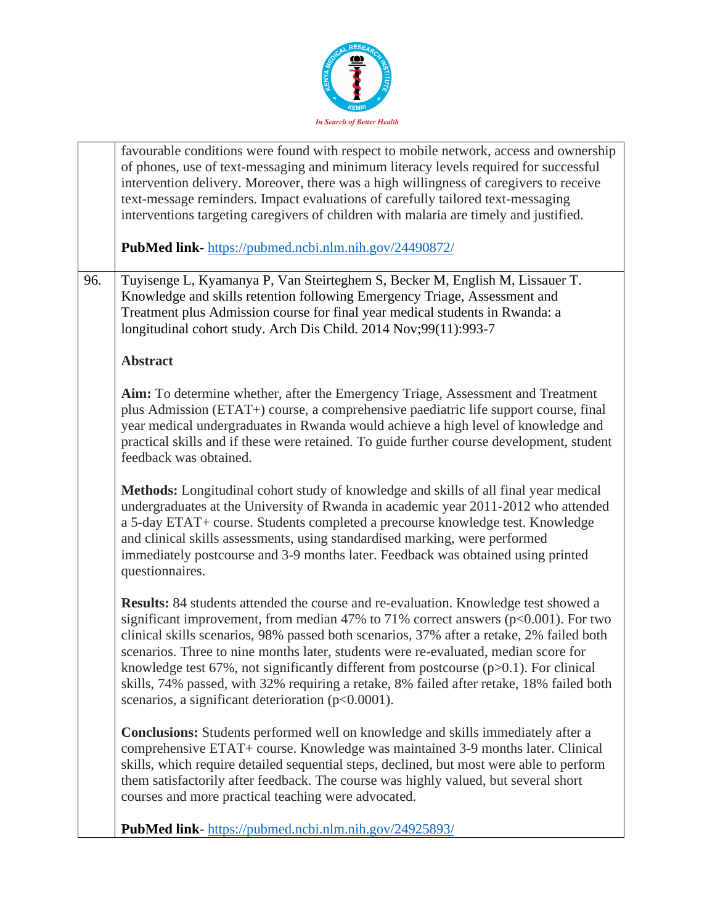

|     | favourable conditions were found with respect to mobile network, access and ownership<br>of phones, use of text-messaging and minimum literacy levels required for successful<br>intervention delivery. Moreover, there was a high willingness of caregivers to receive<br>text-message reminders. Impact evaluations of carefully tailored text-messaging<br>interventions targeting caregivers of children with malaria are timely and justified.                                                                                                                                                                      |
|-----|--------------------------------------------------------------------------------------------------------------------------------------------------------------------------------------------------------------------------------------------------------------------------------------------------------------------------------------------------------------------------------------------------------------------------------------------------------------------------------------------------------------------------------------------------------------------------------------------------------------------------|
|     | <b>PubMed link-</b> https://pubmed.ncbi.nlm.nih.gov/24490872/                                                                                                                                                                                                                                                                                                                                                                                                                                                                                                                                                            |
| 96. | Tuyisenge L, Kyamanya P, Van Steirteghem S, Becker M, English M, Lissauer T.<br>Knowledge and skills retention following Emergency Triage, Assessment and<br>Treatment plus Admission course for final year medical students in Rwanda: a<br>longitudinal cohort study. Arch Dis Child. 2014 Nov;99(11):993-7                                                                                                                                                                                                                                                                                                            |
|     | <b>Abstract</b>                                                                                                                                                                                                                                                                                                                                                                                                                                                                                                                                                                                                          |
|     | Aim: To determine whether, after the Emergency Triage, Assessment and Treatment<br>plus Admission (ETAT+) course, a comprehensive paediatric life support course, final<br>year medical undergraduates in Rwanda would achieve a high level of knowledge and<br>practical skills and if these were retained. To guide further course development, student<br>feedback was obtained.                                                                                                                                                                                                                                      |
|     | Methods: Longitudinal cohort study of knowledge and skills of all final year medical<br>undergraduates at the University of Rwanda in academic year 2011-2012 who attended<br>a 5-day ETAT+ course. Students completed a precourse knowledge test. Knowledge<br>and clinical skills assessments, using standardised marking, were performed<br>immediately postcourse and 3-9 months later. Feedback was obtained using printed<br>questionnaires.                                                                                                                                                                       |
|     | Results: 84 students attended the course and re-evaluation. Knowledge test showed a<br>significant improvement, from median 47% to 71% correct answers ( $p<0.001$ ). For two<br>clinical skills scenarios, 98% passed both scenarios, 37% after a retake, 2% failed both<br>scenarios. Three to nine months later, students were re-evaluated, median score for<br>knowledge test $67\%$ , not significantly different from postcourse ( $p > 0.1$ ). For clinical<br>skills, 74% passed, with 32% requiring a retake, 8% failed after retake, 18% failed both<br>scenarios, a significant deterioration $(p<0.0001)$ . |
|     | <b>Conclusions:</b> Students performed well on knowledge and skills immediately after a<br>comprehensive ETAT+ course. Knowledge was maintained 3-9 months later. Clinical<br>skills, which require detailed sequential steps, declined, but most were able to perform<br>them satisfactorily after feedback. The course was highly valued, but several short<br>courses and more practical teaching were advocated.                                                                                                                                                                                                     |
|     | <b>PubMed link-</b> https://pubmed.ncbi.nlm.nih.gov/24925893/                                                                                                                                                                                                                                                                                                                                                                                                                                                                                                                                                            |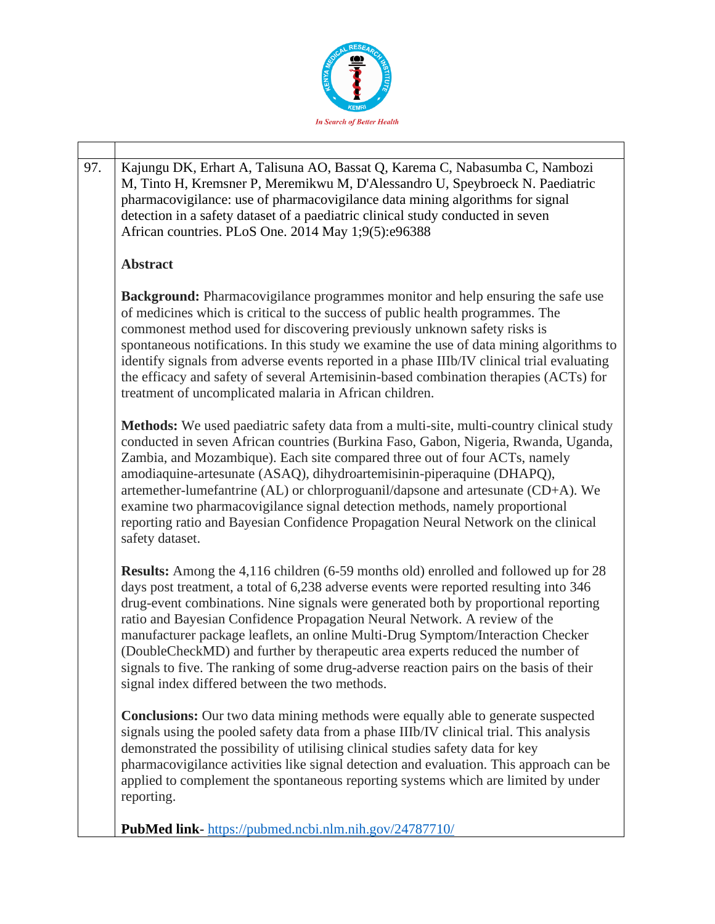

|  | 97.                                                                                                                                                                                                                                                                                                                                                                                                                                                                                                                                                                                                                                                                     | Kajungu DK, Erhart A, Talisuna AO, Bassat Q, Karema C, Nabasumba C, Nambozi                                                                                                                                                                                                                              |
|--|-------------------------------------------------------------------------------------------------------------------------------------------------------------------------------------------------------------------------------------------------------------------------------------------------------------------------------------------------------------------------------------------------------------------------------------------------------------------------------------------------------------------------------------------------------------------------------------------------------------------------------------------------------------------------|----------------------------------------------------------------------------------------------------------------------------------------------------------------------------------------------------------------------------------------------------------------------------------------------------------|
|  |                                                                                                                                                                                                                                                                                                                                                                                                                                                                                                                                                                                                                                                                         | M, Tinto H, Kremsner P, Meremikwu M, D'Alessandro U, Speybroeck N. Paediatric<br>pharmacovigilance: use of pharmacovigilance data mining algorithms for signal<br>detection in a safety dataset of a paediatric clinical study conducted in seven<br>African countries. PLoS One. 2014 May 1;9(5):e96388 |
|  |                                                                                                                                                                                                                                                                                                                                                                                                                                                                                                                                                                                                                                                                         | <b>Abstract</b>                                                                                                                                                                                                                                                                                          |
|  | <b>Background:</b> Pharmacovigilance programmes monitor and help ensuring the safe use<br>of medicines which is critical to the success of public health programmes. The<br>commonest method used for discovering previously unknown safety risks is<br>spontaneous notifications. In this study we examine the use of data mining algorithms to<br>identify signals from adverse events reported in a phase IIIb/IV clinical trial evaluating<br>the efficacy and safety of several Artemisinin-based combination therapies (ACTs) for<br>treatment of uncomplicated malaria in African children.                                                                      |                                                                                                                                                                                                                                                                                                          |
|  | Methods: We used paediatric safety data from a multi-site, multi-country clinical study<br>conducted in seven African countries (Burkina Faso, Gabon, Nigeria, Rwanda, Uganda,<br>Zambia, and Mozambique). Each site compared three out of four ACTs, namely<br>amodiaquine-artesunate (ASAQ), dihydroartemisinin-piperaquine (DHAPQ),<br>artemether-lumefantrine (AL) or chlorproguanil/dapsone and artesunate (CD+A). We<br>examine two pharmacovigilance signal detection methods, namely proportional<br>reporting ratio and Bayesian Confidence Propagation Neural Network on the clinical<br>safety dataset.                                                      |                                                                                                                                                                                                                                                                                                          |
|  | <b>Results:</b> Among the 4,116 children (6-59 months old) enrolled and followed up for 28<br>days post treatment, a total of 6,238 adverse events were reported resulting into 346<br>drug-event combinations. Nine signals were generated both by proportional reporting<br>ratio and Bayesian Confidence Propagation Neural Network. A review of the<br>manufacturer package leaflets, an online Multi-Drug Symptom/Interaction Checker<br>(DoubleCheckMD) and further by therapeutic area experts reduced the number of<br>signals to five. The ranking of some drug-adverse reaction pairs on the basis of their<br>signal index differed between the two methods. |                                                                                                                                                                                                                                                                                                          |
|  | <b>Conclusions:</b> Our two data mining methods were equally able to generate suspected<br>signals using the pooled safety data from a phase IIIb/IV clinical trial. This analysis<br>demonstrated the possibility of utilising clinical studies safety data for key<br>pharmacovigilance activities like signal detection and evaluation. This approach can be<br>applied to complement the spontaneous reporting systems which are limited by under<br>reporting.                                                                                                                                                                                                     |                                                                                                                                                                                                                                                                                                          |
|  |                                                                                                                                                                                                                                                                                                                                                                                                                                                                                                                                                                                                                                                                         | <b>PubMed link-</b> https://pubmed.ncbi.nlm.nih.gov/24787710/                                                                                                                                                                                                                                            |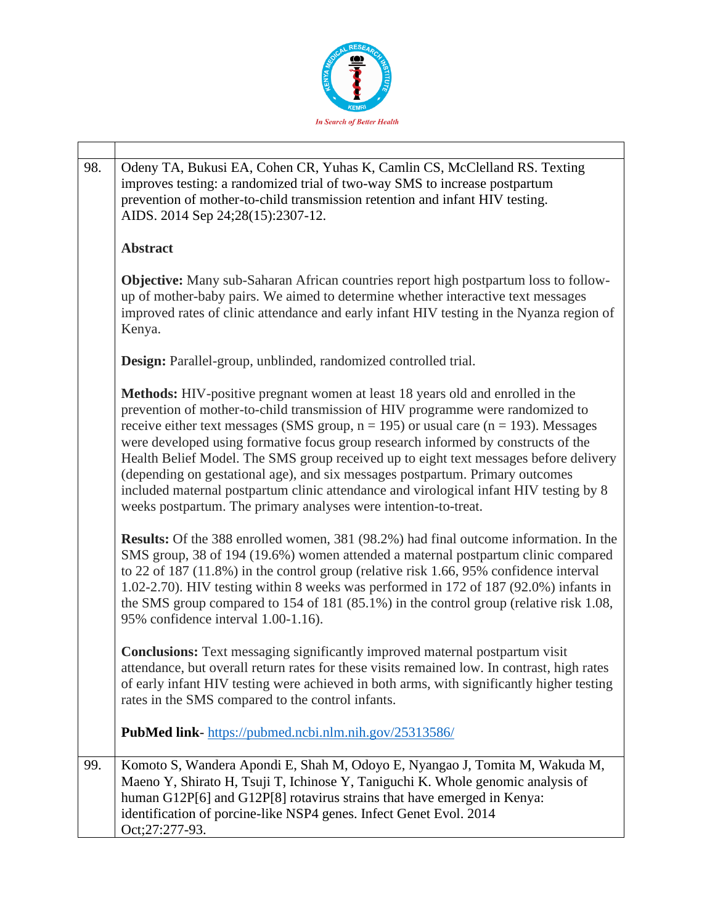

| 98. | Odeny TA, Bukusi EA, Cohen CR, Yuhas K, Camlin CS, McClelland RS. Texting<br>improves testing: a randomized trial of two-way SMS to increase postpartum<br>prevention of mother-to-child transmission retention and infant HIV testing.<br>AIDS. 2014 Sep 24;28(15):2307-12.                                                                                                                                                                                                                                                                                                                                                                                                               |
|-----|--------------------------------------------------------------------------------------------------------------------------------------------------------------------------------------------------------------------------------------------------------------------------------------------------------------------------------------------------------------------------------------------------------------------------------------------------------------------------------------------------------------------------------------------------------------------------------------------------------------------------------------------------------------------------------------------|
|     | <b>Abstract</b>                                                                                                                                                                                                                                                                                                                                                                                                                                                                                                                                                                                                                                                                            |
|     | <b>Objective:</b> Many sub-Saharan African countries report high postpartum loss to follow-<br>up of mother-baby pairs. We aimed to determine whether interactive text messages<br>improved rates of clinic attendance and early infant HIV testing in the Nyanza region of<br>Kenya.                                                                                                                                                                                                                                                                                                                                                                                                      |
|     | Design: Parallel-group, unblinded, randomized controlled trial.                                                                                                                                                                                                                                                                                                                                                                                                                                                                                                                                                                                                                            |
|     | Methods: HIV-positive pregnant women at least 18 years old and enrolled in the<br>prevention of mother-to-child transmission of HIV programme were randomized to<br>receive either text messages (SMS group, $n = 195$ ) or usual care ( $n = 193$ ). Messages<br>were developed using formative focus group research informed by constructs of the<br>Health Belief Model. The SMS group received up to eight text messages before delivery<br>(depending on gestational age), and six messages postpartum. Primary outcomes<br>included maternal postpartum clinic attendance and virological infant HIV testing by 8<br>weeks postpartum. The primary analyses were intention-to-treat. |
|     | Results: Of the 388 enrolled women, 381 (98.2%) had final outcome information. In the<br>SMS group, 38 of 194 (19.6%) women attended a maternal postpartum clinic compared<br>to 22 of 187 (11.8%) in the control group (relative risk 1.66, 95% confidence interval<br>1.02-2.70). HIV testing within 8 weeks was performed in 172 of 187 (92.0%) infants in<br>the SMS group compared to 154 of 181 (85.1%) in the control group (relative risk 1.08,<br>95% confidence interval 1.00-1.16).                                                                                                                                                                                             |
|     | <b>Conclusions:</b> Text messaging significantly improved maternal postpartum visit<br>attendance, but overall return rates for these visits remained low. In contrast, high rates<br>of early infant HIV testing were achieved in both arms, with significantly higher testing<br>rates in the SMS compared to the control infants.                                                                                                                                                                                                                                                                                                                                                       |
|     | <b>PubMed link-</b> https://pubmed.ncbi.nlm.nih.gov/25313586/                                                                                                                                                                                                                                                                                                                                                                                                                                                                                                                                                                                                                              |
| 99. | Komoto S, Wandera Apondi E, Shah M, Odoyo E, Nyangao J, Tomita M, Wakuda M,<br>Maeno Y, Shirato H, Tsuji T, Ichinose Y, Taniguchi K. Whole genomic analysis of<br>human G12P[6] and G12P[8] rotavirus strains that have emerged in Kenya:<br>identification of porcine-like NSP4 genes. Infect Genet Evol. 2014<br>Oct;27:277-93.                                                                                                                                                                                                                                                                                                                                                          |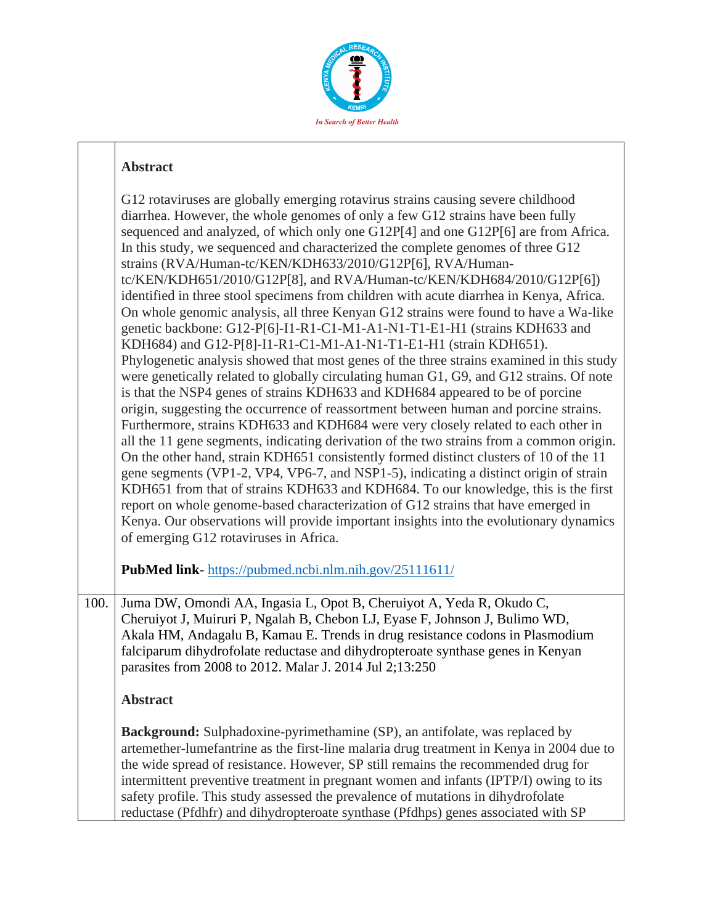

|      | G12 rotaviruses are globally emerging rotavirus strains causing severe childhood<br>diarrhea. However, the whole genomes of only a few G12 strains have been fully<br>sequenced and analyzed, of which only one G12P[4] and one G12P[6] are from Africa.<br>In this study, we sequenced and characterized the complete genomes of three G12<br>strains (RVA/Human-tc/KEN/KDH633/2010/G12P[6], RVA/Human-<br>tc/KEN/KDH651/2010/G12P[8], and RVA/Human-tc/KEN/KDH684/2010/G12P[6])<br>identified in three stool specimens from children with acute diarrhea in Kenya, Africa.<br>On whole genomic analysis, all three Kenyan G12 strains were found to have a Wa-like<br>genetic backbone: G12-P[6]-I1-R1-C1-M1-A1-N1-T1-E1-H1 (strains KDH633 and<br>KDH684) and G12-P[8]-I1-R1-C1-M1-A1-N1-T1-E1-H1 (strain KDH651).<br>Phylogenetic analysis showed that most genes of the three strains examined in this study<br>were genetically related to globally circulating human G1, G9, and G12 strains. Of note<br>is that the NSP4 genes of strains KDH633 and KDH684 appeared to be of porcine<br>origin, suggesting the occurrence of reassortment between human and porcine strains.<br>Furthermore, strains KDH633 and KDH684 were very closely related to each other in<br>all the 11 gene segments, indicating derivation of the two strains from a common origin.<br>On the other hand, strain KDH651 consistently formed distinct clusters of 10 of the 11<br>gene segments (VP1-2, VP4, VP6-7, and NSP1-5), indicating a distinct origin of strain<br>KDH651 from that of strains KDH633 and KDH684. To our knowledge, this is the first<br>report on whole genome-based characterization of G12 strains that have emerged in<br>Kenya. Our observations will provide important insights into the evolutionary dynamics<br>of emerging G12 rotaviruses in Africa. |
|------|--------------------------------------------------------------------------------------------------------------------------------------------------------------------------------------------------------------------------------------------------------------------------------------------------------------------------------------------------------------------------------------------------------------------------------------------------------------------------------------------------------------------------------------------------------------------------------------------------------------------------------------------------------------------------------------------------------------------------------------------------------------------------------------------------------------------------------------------------------------------------------------------------------------------------------------------------------------------------------------------------------------------------------------------------------------------------------------------------------------------------------------------------------------------------------------------------------------------------------------------------------------------------------------------------------------------------------------------------------------------------------------------------------------------------------------------------------------------------------------------------------------------------------------------------------------------------------------------------------------------------------------------------------------------------------------------------------------------------------------------------------------------------------------------------------------------------------------------------------------------------|
|      | PubMed link-https://pubmed.ncbi.nlm.nih.gov/25111611/                                                                                                                                                                                                                                                                                                                                                                                                                                                                                                                                                                                                                                                                                                                                                                                                                                                                                                                                                                                                                                                                                                                                                                                                                                                                                                                                                                                                                                                                                                                                                                                                                                                                                                                                                                                                                    |
| 100. | Juma DW, Omondi AA, Ingasia L, Opot B, Cheruiyot A, Yeda R, Okudo C,<br>Cheruiyot J, Muiruri P, Ngalah B, Chebon LJ, Eyase F, Johnson J, Bulimo WD,<br>Akala HM, Andagalu B, Kamau E. Trends in drug resistance codons in Plasmodium<br>falciparum dihydrofolate reductase and dihydropteroate synthase genes in Kenyan<br>parasites from 2008 to 2012. Malar J. 2014 Jul 2;13:250                                                                                                                                                                                                                                                                                                                                                                                                                                                                                                                                                                                                                                                                                                                                                                                                                                                                                                                                                                                                                                                                                                                                                                                                                                                                                                                                                                                                                                                                                       |
|      | <b>Abstract</b>                                                                                                                                                                                                                                                                                                                                                                                                                                                                                                                                                                                                                                                                                                                                                                                                                                                                                                                                                                                                                                                                                                                                                                                                                                                                                                                                                                                                                                                                                                                                                                                                                                                                                                                                                                                                                                                          |
|      | <b>Background:</b> Sulphadoxine-pyrimethamine (SP), an antifolate, was replaced by<br>artemether-lumefantrine as the first-line malaria drug treatment in Kenya in 2004 due to<br>the wide spread of resistance. However, SP still remains the recommended drug for<br>intermittent preventive treatment in pregnant women and infants (IPTP/I) owing to its<br>safety profile. This study assessed the prevalence of mutations in dihydrofolate<br>reductase (Pfdhfr) and dihydropteroate synthase (Pfdhps) genes associated with SP                                                                                                                                                                                                                                                                                                                                                                                                                                                                                                                                                                                                                                                                                                                                                                                                                                                                                                                                                                                                                                                                                                                                                                                                                                                                                                                                    |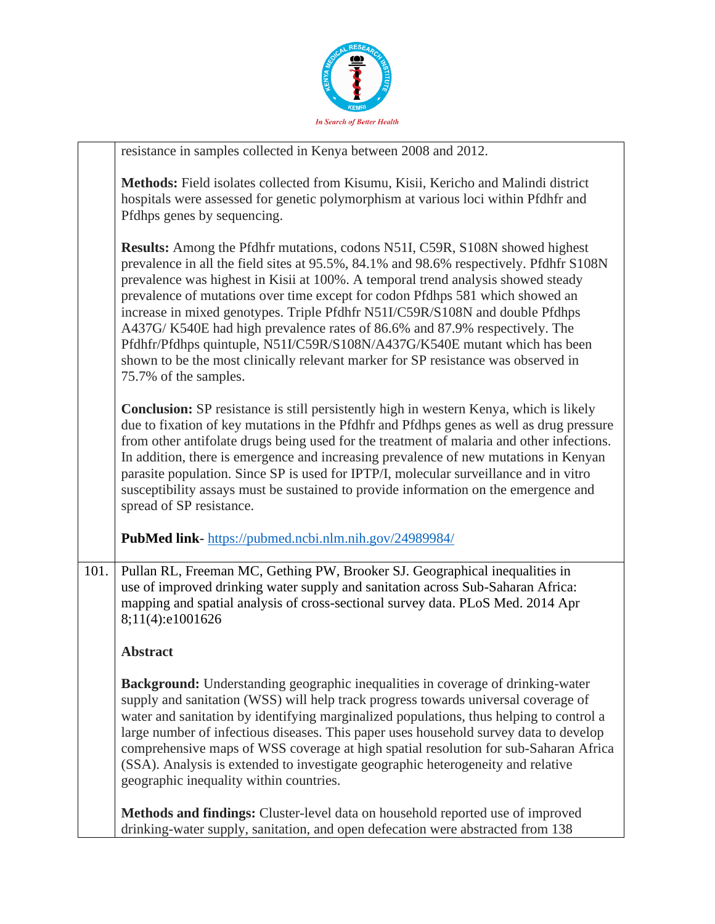

|      | resistance in samples collected in Kenya between 2008 and 2012.                                                                                                                                                                                                                                                                                                                                                                                                                                                                                                                                                                                                                                              |
|------|--------------------------------------------------------------------------------------------------------------------------------------------------------------------------------------------------------------------------------------------------------------------------------------------------------------------------------------------------------------------------------------------------------------------------------------------------------------------------------------------------------------------------------------------------------------------------------------------------------------------------------------------------------------------------------------------------------------|
|      | Methods: Field isolates collected from Kisumu, Kisii, Kericho and Malindi district<br>hospitals were assessed for genetic polymorphism at various loci within Pfdhfr and<br>Pfdhps genes by sequencing.                                                                                                                                                                                                                                                                                                                                                                                                                                                                                                      |
|      | <b>Results:</b> Among the Pfdhfr mutations, codons N51I, C59R, S108N showed highest<br>prevalence in all the field sites at 95.5%, 84.1% and 98.6% respectively. Pfdhfr S108N<br>prevalence was highest in Kisii at 100%. A temporal trend analysis showed steady<br>prevalence of mutations over time except for codon Pfdhps 581 which showed an<br>increase in mixed genotypes. Triple Pfdhfr N51I/C59R/S108N and double Pfdhps<br>A437G/K540E had high prevalence rates of 86.6% and 87.9% respectively. The<br>Pfdhfr/Pfdhps quintuple, N51I/C59R/S108N/A437G/K540E mutant which has been<br>shown to be the most clinically relevant marker for SP resistance was observed in<br>75.7% of the samples. |
|      | <b>Conclusion:</b> SP resistance is still persistently high in western Kenya, which is likely<br>due to fixation of key mutations in the Pfdhfr and Pfdhps genes as well as drug pressure<br>from other antifolate drugs being used for the treatment of malaria and other infections.<br>In addition, there is emergence and increasing prevalence of new mutations in Kenyan<br>parasite population. Since SP is used for IPTP/I, molecular surveillance and in vitro<br>susceptibility assays must be sustained to provide information on the emergence and<br>spread of SP resistance.                                                                                                                   |
|      | PubMed link-https://pubmed.ncbi.nlm.nih.gov/24989984/                                                                                                                                                                                                                                                                                                                                                                                                                                                                                                                                                                                                                                                        |
| 101. | Pullan RL, Freeman MC, Gething PW, Brooker SJ. Geographical inequalities in<br>use of improved drinking water supply and sanitation across Sub-Saharan Africa:<br>mapping and spatial analysis of cross-sectional survey data. PLoS Med. 2014 Apr<br>8;11(4):e1001626                                                                                                                                                                                                                                                                                                                                                                                                                                        |
|      | <b>Abstract</b>                                                                                                                                                                                                                                                                                                                                                                                                                                                                                                                                                                                                                                                                                              |
|      | <b>Background:</b> Understanding geographic inequalities in coverage of drinking-water<br>supply and sanitation (WSS) will help track progress towards universal coverage of<br>water and sanitation by identifying marginalized populations, thus helping to control a<br>large number of infectious diseases. This paper uses household survey data to develop<br>comprehensive maps of WSS coverage at high spatial resolution for sub-Saharan Africa<br>(SSA). Analysis is extended to investigate geographic heterogeneity and relative<br>geographic inequality within countries.                                                                                                                      |
|      | Methods and findings: Cluster-level data on household reported use of improved<br>drinking-water supply, sanitation, and open defecation were abstracted from 138                                                                                                                                                                                                                                                                                                                                                                                                                                                                                                                                            |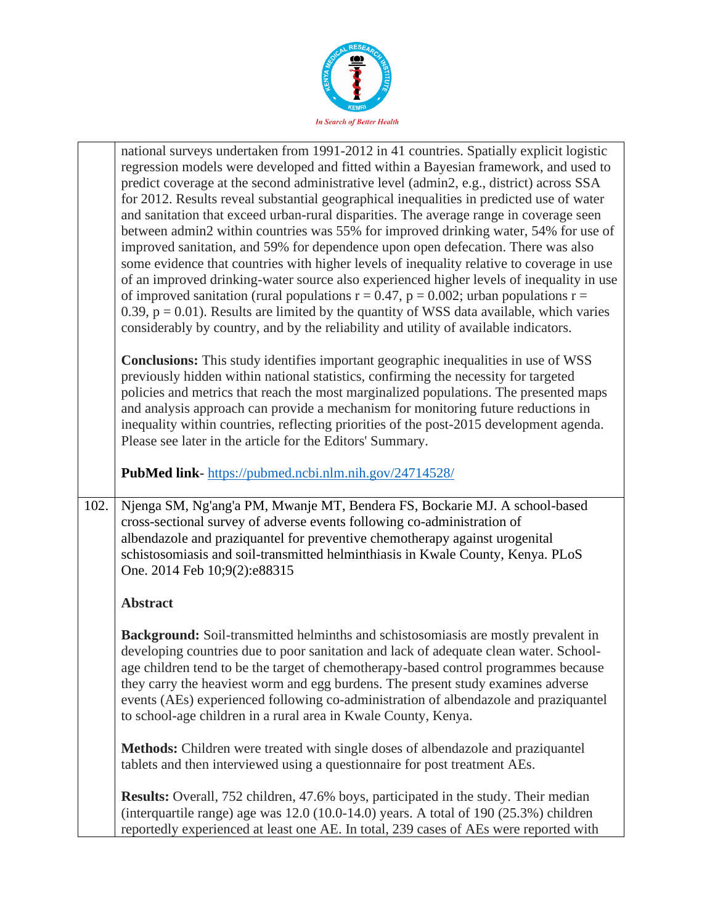

|      | national surveys undertaken from 1991-2012 in 41 countries. Spatially explicit logistic<br>regression models were developed and fitted within a Bayesian framework, and used to<br>predict coverage at the second administrative level (admin2, e.g., district) across SSA<br>for 2012. Results reveal substantial geographical inequalities in predicted use of water<br>and sanitation that exceed urban-rural disparities. The average range in coverage seen<br>between admin2 within countries was 55% for improved drinking water, 54% for use of<br>improved sanitation, and 59% for dependence upon open defecation. There was also<br>some evidence that countries with higher levels of inequality relative to coverage in use |
|------|------------------------------------------------------------------------------------------------------------------------------------------------------------------------------------------------------------------------------------------------------------------------------------------------------------------------------------------------------------------------------------------------------------------------------------------------------------------------------------------------------------------------------------------------------------------------------------------------------------------------------------------------------------------------------------------------------------------------------------------|
|      | of an improved drinking-water source also experienced higher levels of inequality in use<br>of improved sanitation (rural populations $r = 0.47$ , $p = 0.002$ ; urban populations $r =$<br>0.39, $p = 0.01$ ). Results are limited by the quantity of WSS data available, which varies<br>considerably by country, and by the reliability and utility of available indicators.                                                                                                                                                                                                                                                                                                                                                          |
|      | <b>Conclusions:</b> This study identifies important geographic inequalities in use of WSS<br>previously hidden within national statistics, confirming the necessity for targeted<br>policies and metrics that reach the most marginalized populations. The presented maps<br>and analysis approach can provide a mechanism for monitoring future reductions in<br>inequality within countries, reflecting priorities of the post-2015 development agenda.<br>Please see later in the article for the Editors' Summary.                                                                                                                                                                                                                   |
|      | PubMed link-https://pubmed.ncbi.nlm.nih.gov/24714528/                                                                                                                                                                                                                                                                                                                                                                                                                                                                                                                                                                                                                                                                                    |
| 102. | Njenga SM, Ng'ang'a PM, Mwanje MT, Bendera FS, Bockarie MJ. A school-based<br>cross-sectional survey of adverse events following co-administration of<br>albendazole and praziquantel for preventive chemotherapy against urogenital<br>schistosomiasis and soil-transmitted helminthiasis in Kwale County, Kenya. PLoS<br>One. 2014 Feb 10;9(2):e88315                                                                                                                                                                                                                                                                                                                                                                                  |
|      | <b>Abstract</b>                                                                                                                                                                                                                                                                                                                                                                                                                                                                                                                                                                                                                                                                                                                          |
|      | <b>Background:</b> Soil-transmitted helminths and schistosomiasis are mostly prevalent in<br>developing countries due to poor sanitation and lack of adequate clean water. School-<br>age children tend to be the target of chemotherapy-based control programmes because<br>they carry the heaviest worm and egg burdens. The present study examines adverse<br>events (AEs) experienced following co-administration of albendazole and praziquantel<br>to school-age children in a rural area in Kwale County, Kenya.                                                                                                                                                                                                                  |
|      | Methods: Children were treated with single doses of albendazole and praziquantel<br>tablets and then interviewed using a questionnaire for post treatment AEs.                                                                                                                                                                                                                                                                                                                                                                                                                                                                                                                                                                           |
|      | <b>Results:</b> Overall, 752 children, 47.6% boys, participated in the study. Their median<br>(interquartile range) age was $12.0$ (10.0-14.0) years. A total of 190 (25.3%) children<br>reportedly experienced at least one AE. In total, 239 cases of AEs were reported with                                                                                                                                                                                                                                                                                                                                                                                                                                                           |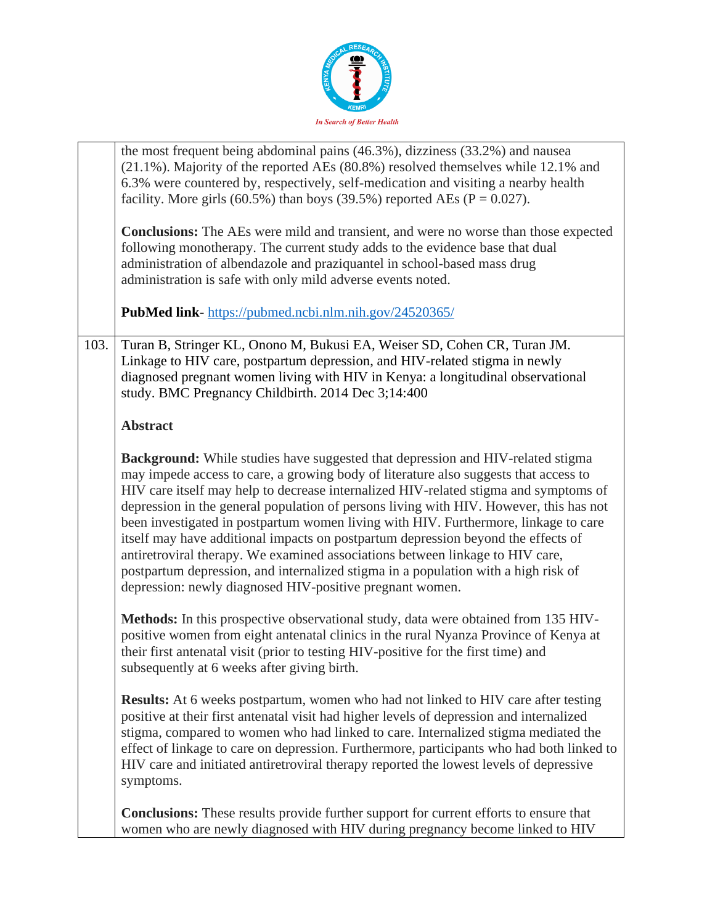

|      | the most frequent being abdominal pains (46.3%), dizziness (33.2%) and nausea<br>(21.1%). Majority of the reported AEs (80.8%) resolved themselves while 12.1% and<br>6.3% were countered by, respectively, self-medication and visiting a nearby health<br>facility. More girls (60.5%) than boys (39.5%) reported AEs ( $P = 0.027$ ).<br><b>Conclusions:</b> The AEs were mild and transient, and were no worse than those expected<br>following monotherapy. The current study adds to the evidence base that dual<br>administration of albendazole and praziquantel in school-based mass drug<br>administration is safe with only mild adverse events noted.                                                                                                               |
|------|---------------------------------------------------------------------------------------------------------------------------------------------------------------------------------------------------------------------------------------------------------------------------------------------------------------------------------------------------------------------------------------------------------------------------------------------------------------------------------------------------------------------------------------------------------------------------------------------------------------------------------------------------------------------------------------------------------------------------------------------------------------------------------|
|      | PubMed link-https://pubmed.ncbi.nlm.nih.gov/24520365/                                                                                                                                                                                                                                                                                                                                                                                                                                                                                                                                                                                                                                                                                                                           |
| 103. | Turan B, Stringer KL, Onono M, Bukusi EA, Weiser SD, Cohen CR, Turan JM.<br>Linkage to HIV care, postpartum depression, and HIV-related stigma in newly<br>diagnosed pregnant women living with HIV in Kenya: a longitudinal observational<br>study. BMC Pregnancy Childbirth. 2014 Dec 3;14:400                                                                                                                                                                                                                                                                                                                                                                                                                                                                                |
|      | <b>Abstract</b>                                                                                                                                                                                                                                                                                                                                                                                                                                                                                                                                                                                                                                                                                                                                                                 |
|      | <b>Background:</b> While studies have suggested that depression and HIV-related stigma<br>may impede access to care, a growing body of literature also suggests that access to<br>HIV care itself may help to decrease internalized HIV-related stigma and symptoms of<br>depression in the general population of persons living with HIV. However, this has not<br>been investigated in postpartum women living with HIV. Furthermore, linkage to care<br>itself may have additional impacts on postpartum depression beyond the effects of<br>antiretroviral therapy. We examined associations between linkage to HIV care,<br>postpartum depression, and internalized stigma in a population with a high risk of<br>depression: newly diagnosed HIV-positive pregnant women. |
|      | Methods: In this prospective observational study, data were obtained from 135 HIV-<br>positive women from eight antenatal clinics in the rural Nyanza Province of Kenya at<br>their first antenatal visit (prior to testing HIV-positive for the first time) and<br>subsequently at 6 weeks after giving birth.                                                                                                                                                                                                                                                                                                                                                                                                                                                                 |
|      | <b>Results:</b> At 6 weeks postpartum, women who had not linked to HIV care after testing<br>positive at their first antenatal visit had higher levels of depression and internalized<br>stigma, compared to women who had linked to care. Internalized stigma mediated the<br>effect of linkage to care on depression. Furthermore, participants who had both linked to<br>HIV care and initiated antiretroviral therapy reported the lowest levels of depressive<br>symptoms.                                                                                                                                                                                                                                                                                                 |
|      | <b>Conclusions:</b> These results provide further support for current efforts to ensure that<br>women who are newly diagnosed with HIV during pregnancy become linked to HIV                                                                                                                                                                                                                                                                                                                                                                                                                                                                                                                                                                                                    |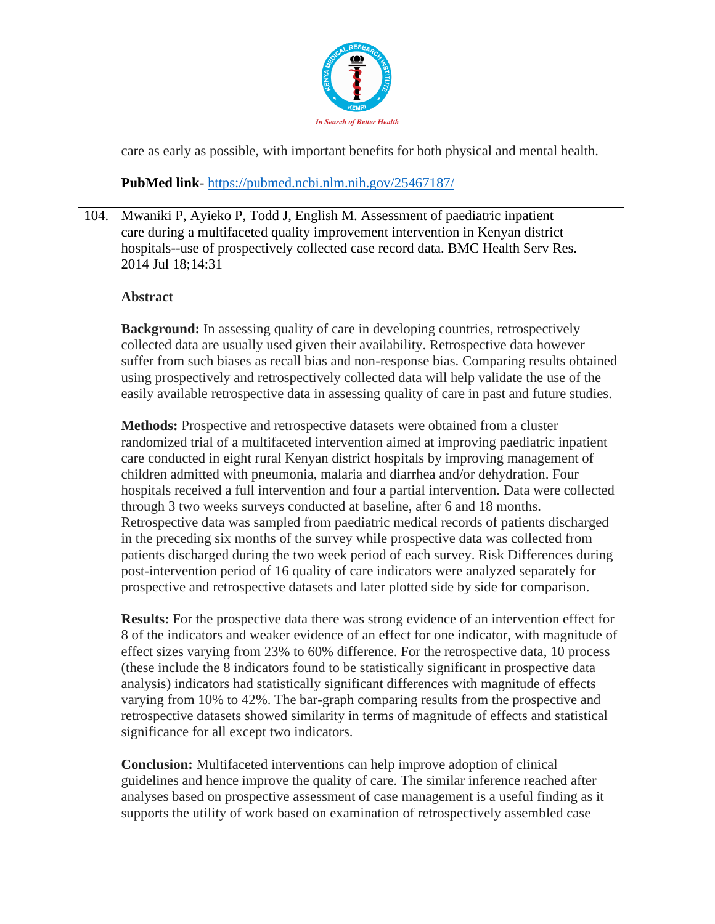

|      | care as early as possible, with important benefits for both physical and mental health.                                                                                                                                                                                                                                                                                                                                                                                                                                                                                                                                                                                                                                                                                                                                                                                                                                                                                                   |
|------|-------------------------------------------------------------------------------------------------------------------------------------------------------------------------------------------------------------------------------------------------------------------------------------------------------------------------------------------------------------------------------------------------------------------------------------------------------------------------------------------------------------------------------------------------------------------------------------------------------------------------------------------------------------------------------------------------------------------------------------------------------------------------------------------------------------------------------------------------------------------------------------------------------------------------------------------------------------------------------------------|
|      | PubMed link-https://pubmed.ncbi.nlm.nih.gov/25467187/                                                                                                                                                                                                                                                                                                                                                                                                                                                                                                                                                                                                                                                                                                                                                                                                                                                                                                                                     |
| 104. | Mwaniki P, Ayieko P, Todd J, English M. Assessment of paediatric inpatient<br>care during a multifaceted quality improvement intervention in Kenyan district<br>hospitals--use of prospectively collected case record data. BMC Health Serv Res.<br>2014 Jul 18;14:31                                                                                                                                                                                                                                                                                                                                                                                                                                                                                                                                                                                                                                                                                                                     |
|      | <b>Abstract</b>                                                                                                                                                                                                                                                                                                                                                                                                                                                                                                                                                                                                                                                                                                                                                                                                                                                                                                                                                                           |
|      | <b>Background:</b> In assessing quality of care in developing countries, retrospectively<br>collected data are usually used given their availability. Retrospective data however<br>suffer from such biases as recall bias and non-response bias. Comparing results obtained<br>using prospectively and retrospectively collected data will help validate the use of the<br>easily available retrospective data in assessing quality of care in past and future studies.                                                                                                                                                                                                                                                                                                                                                                                                                                                                                                                  |
|      | Methods: Prospective and retrospective datasets were obtained from a cluster<br>randomized trial of a multifaceted intervention aimed at improving paediatric inpatient<br>care conducted in eight rural Kenyan district hospitals by improving management of<br>children admitted with pneumonia, malaria and diarrhea and/or dehydration. Four<br>hospitals received a full intervention and four a partial intervention. Data were collected<br>through 3 two weeks surveys conducted at baseline, after 6 and 18 months.<br>Retrospective data was sampled from paediatric medical records of patients discharged<br>in the preceding six months of the survey while prospective data was collected from<br>patients discharged during the two week period of each survey. Risk Differences during<br>post-intervention period of 16 quality of care indicators were analyzed separately for<br>prospective and retrospective datasets and later plotted side by side for comparison. |
|      | <b>Results:</b> For the prospective data there was strong evidence of an intervention effect for<br>8 of the indicators and weaker evidence of an effect for one indicator, with magnitude of<br>effect sizes varying from 23% to 60% difference. For the retrospective data, 10 process<br>(these include the 8 indicators found to be statistically significant in prospective data<br>analysis) indicators had statistically significant differences with magnitude of effects<br>varying from 10% to 42%. The bar-graph comparing results from the prospective and<br>retrospective datasets showed similarity in terms of magnitude of effects and statistical<br>significance for all except two indicators.                                                                                                                                                                                                                                                                        |
|      | <b>Conclusion:</b> Multifaceted interventions can help improve adoption of clinical<br>guidelines and hence improve the quality of care. The similar inference reached after<br>analyses based on prospective assessment of case management is a useful finding as it<br>supports the utility of work based on examination of retrospectively assembled case                                                                                                                                                                                                                                                                                                                                                                                                                                                                                                                                                                                                                              |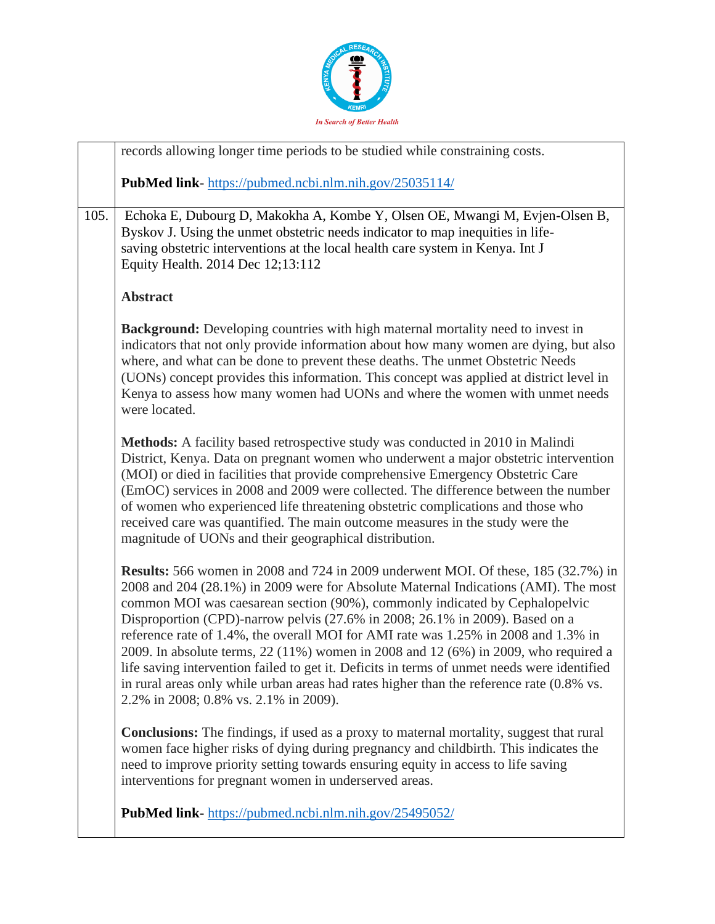

|      | records allowing longer time periods to be studied while constraining costs.                                                                                                                                                                                                                                                                                                                                                                                                                                                                                                                                                                                                                                                                                     |
|------|------------------------------------------------------------------------------------------------------------------------------------------------------------------------------------------------------------------------------------------------------------------------------------------------------------------------------------------------------------------------------------------------------------------------------------------------------------------------------------------------------------------------------------------------------------------------------------------------------------------------------------------------------------------------------------------------------------------------------------------------------------------|
|      | <b>PubMed link-</b> https://pubmed.ncbi.nlm.nih.gov/25035114/                                                                                                                                                                                                                                                                                                                                                                                                                                                                                                                                                                                                                                                                                                    |
| 105. | Echoka E, Dubourg D, Makokha A, Kombe Y, Olsen OE, Mwangi M, Evjen-Olsen B,<br>Byskov J. Using the unmet obstetric needs indicator to map inequities in life-<br>saving obstetric interventions at the local health care system in Kenya. Int J<br>Equity Health. 2014 Dec 12;13:112                                                                                                                                                                                                                                                                                                                                                                                                                                                                             |
|      | <b>Abstract</b>                                                                                                                                                                                                                                                                                                                                                                                                                                                                                                                                                                                                                                                                                                                                                  |
|      | <b>Background:</b> Developing countries with high maternal mortality need to invest in<br>indicators that not only provide information about how many women are dying, but also<br>where, and what can be done to prevent these deaths. The unmet Obstetric Needs<br>(UONs) concept provides this information. This concept was applied at district level in<br>Kenya to assess how many women had UONs and where the women with unmet needs<br>were located.                                                                                                                                                                                                                                                                                                    |
|      | Methods: A facility based retrospective study was conducted in 2010 in Malindi<br>District, Kenya. Data on pregnant women who underwent a major obstetric intervention<br>(MOI) or died in facilities that provide comprehensive Emergency Obstetric Care<br>(EmOC) services in 2008 and 2009 were collected. The difference between the number<br>of women who experienced life threatening obstetric complications and those who<br>received care was quantified. The main outcome measures in the study were the<br>magnitude of UONs and their geographical distribution.                                                                                                                                                                                    |
|      | <b>Results:</b> 566 women in 2008 and 724 in 2009 underwent MOI. Of these, 185 (32.7%) in<br>2008 and 204 (28.1%) in 2009 were for Absolute Maternal Indications (AMI). The most<br>common MOI was caesarean section (90%), commonly indicated by Cephalopelvic<br>Disproportion (CPD)-narrow pelvis (27.6% in 2008; 26.1% in 2009). Based on a<br>reference rate of 1.4%, the overall MOI for AMI rate was 1.25% in 2008 and 1.3% in<br>2009. In absolute terms, 22 (11%) women in 2008 and 12 (6%) in 2009, who required a<br>life saving intervention failed to get it. Deficits in terms of unmet needs were identified<br>in rural areas only while urban areas had rates higher than the reference rate (0.8% vs.<br>2.2% in 2008; 0.8% vs. 2.1% in 2009). |
|      | <b>Conclusions:</b> The findings, if used as a proxy to maternal mortality, suggest that rural<br>women face higher risks of dying during pregnancy and childbirth. This indicates the<br>need to improve priority setting towards ensuring equity in access to life saving<br>interventions for pregnant women in underserved areas.                                                                                                                                                                                                                                                                                                                                                                                                                            |
|      | <b>PubMed link-</b> https://pubmed.ncbi.nlm.nih.gov/25495052/                                                                                                                                                                                                                                                                                                                                                                                                                                                                                                                                                                                                                                                                                                    |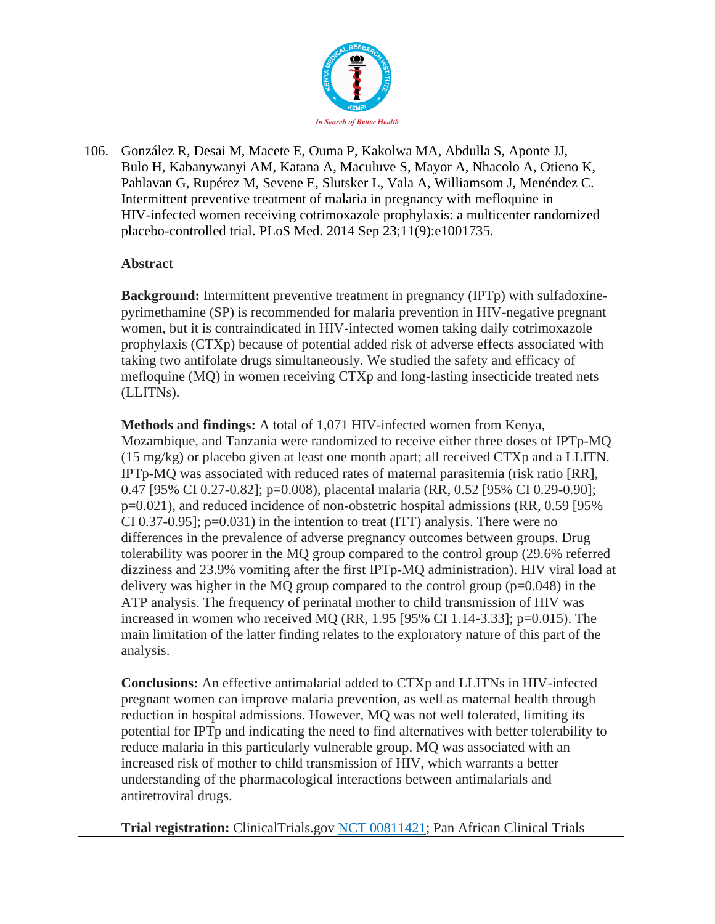

106. González R, Desai M, Macete E, Ouma P, Kakolwa MA, Abdulla S, Aponte JJ, Bulo H, Kabanywanyi AM, Katana A, Maculuve S, Mayor A, Nhacolo A, Otieno K, Pahlavan G, Rupérez M, Sevene E, Slutsker L, Vala A, Williamsom J, Menéndez C. Intermittent preventive treatment of malaria in pregnancy with mefloquine in HIV-infected women receiving cotrimoxazole prophylaxis: a multicenter randomized placebo-controlled trial. PLoS Med. 2014 Sep 23;11(9):e1001735.

#### **Abstract**

**Background:** Intermittent preventive treatment in pregnancy (IPTp) with sulfadoxinepyrimethamine (SP) is recommended for malaria prevention in HIV-negative pregnant women, but it is contraindicated in HIV-infected women taking daily cotrimoxazole prophylaxis (CTXp) because of potential added risk of adverse effects associated with taking two antifolate drugs simultaneously. We studied the safety and efficacy of mefloquine (MQ) in women receiving CTXp and long-lasting insecticide treated nets (LLITNs).

**Methods and findings:** A total of 1,071 HIV-infected women from Kenya, Mozambique, and Tanzania were randomized to receive either three doses of IPTp-MQ (15 mg/kg) or placebo given at least one month apart; all received CTXp and a LLITN. IPTp-MQ was associated with reduced rates of maternal parasitemia (risk ratio [RR], 0.47 [95% CI 0.27-0.82]; p=0.008), placental malaria (RR, 0.52 [95% CI 0.29-0.90]; p=0.021), and reduced incidence of non-obstetric hospital admissions (RR, 0.59 [95% CI 0.37-0.95];  $p=0.031$  in the intention to treat (ITT) analysis. There were no differences in the prevalence of adverse pregnancy outcomes between groups. Drug tolerability was poorer in the MQ group compared to the control group (29.6% referred dizziness and 23.9% vomiting after the first IPTp-MQ administration). HIV viral load at delivery was higher in the MQ group compared to the control group  $(p=0.048)$  in the ATP analysis. The frequency of perinatal mother to child transmission of HIV was increased in women who received MQ (RR, 1.95 [95% CI 1.14-3.33]; p=0.015). The main limitation of the latter finding relates to the exploratory nature of this part of the analysis.

**Conclusions:** An effective antimalarial added to CTXp and LLITNs in HIV-infected pregnant women can improve malaria prevention, as well as maternal health through reduction in hospital admissions. However, MQ was not well tolerated, limiting its potential for IPTp and indicating the need to find alternatives with better tolerability to reduce malaria in this particularly vulnerable group. MQ was associated with an increased risk of mother to child transmission of HIV, which warrants a better understanding of the pharmacological interactions between antimalarials and antiretroviral drugs.

**Trial registration:** ClinicalTrials.gov [NCT 00811421;](http://clinicaltrials.gov/show/NCT%2000811421) Pan African Clinical Trials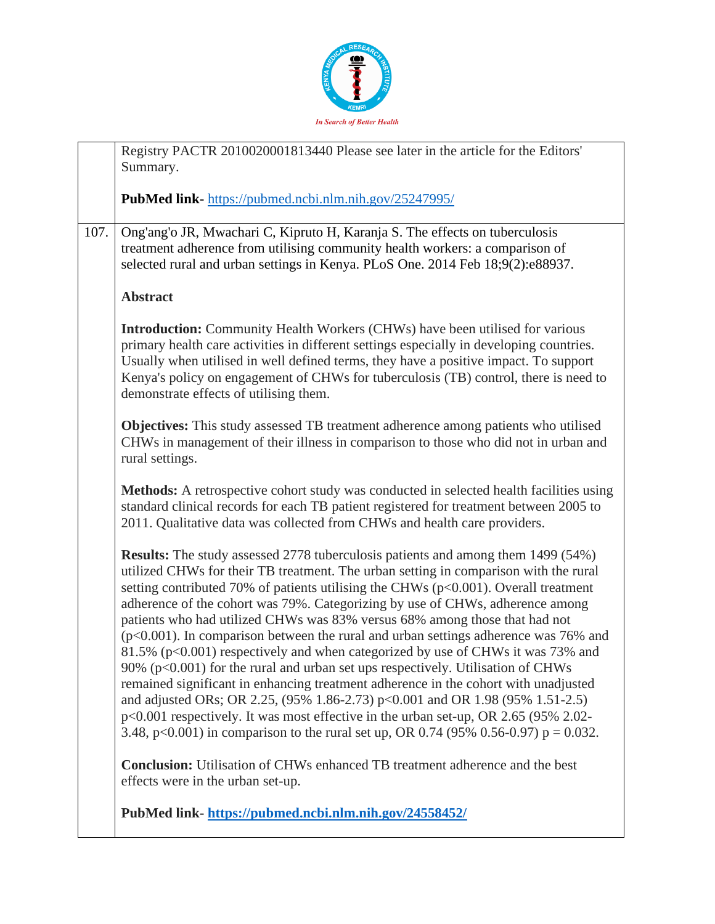

|      | Registry PACTR 2010020001813440 Please see later in the article for the Editors'<br>Summary.                                                                                                                                                                                                                                                                                                                                                                                                                                                                                                                                                                                                                                                                                                                                                                                                                                                                                                                                                                     |
|------|------------------------------------------------------------------------------------------------------------------------------------------------------------------------------------------------------------------------------------------------------------------------------------------------------------------------------------------------------------------------------------------------------------------------------------------------------------------------------------------------------------------------------------------------------------------------------------------------------------------------------------------------------------------------------------------------------------------------------------------------------------------------------------------------------------------------------------------------------------------------------------------------------------------------------------------------------------------------------------------------------------------------------------------------------------------|
|      | <b>PubMed link-</b> https://pubmed.ncbi.nlm.nih.gov/25247995/                                                                                                                                                                                                                                                                                                                                                                                                                                                                                                                                                                                                                                                                                                                                                                                                                                                                                                                                                                                                    |
| 107. | Ong'ang'o JR, Mwachari C, Kipruto H, Karanja S. The effects on tuberculosis<br>treatment adherence from utilising community health workers: a comparison of<br>selected rural and urban settings in Kenya. PLoS One. 2014 Feb 18;9(2):e88937.                                                                                                                                                                                                                                                                                                                                                                                                                                                                                                                                                                                                                                                                                                                                                                                                                    |
|      | <b>Abstract</b>                                                                                                                                                                                                                                                                                                                                                                                                                                                                                                                                                                                                                                                                                                                                                                                                                                                                                                                                                                                                                                                  |
|      | <b>Introduction:</b> Community Health Workers (CHWs) have been utilised for various<br>primary health care activities in different settings especially in developing countries.<br>Usually when utilised in well defined terms, they have a positive impact. To support<br>Kenya's policy on engagement of CHWs for tuberculosis (TB) control, there is need to<br>demonstrate effects of utilising them.                                                                                                                                                                                                                                                                                                                                                                                                                                                                                                                                                                                                                                                        |
|      | <b>Objectives:</b> This study assessed TB treatment adherence among patients who utilised<br>CHWs in management of their illness in comparison to those who did not in urban and<br>rural settings.                                                                                                                                                                                                                                                                                                                                                                                                                                                                                                                                                                                                                                                                                                                                                                                                                                                              |
|      | Methods: A retrospective cohort study was conducted in selected health facilities using<br>standard clinical records for each TB patient registered for treatment between 2005 to<br>2011. Qualitative data was collected from CHWs and health care providers.                                                                                                                                                                                                                                                                                                                                                                                                                                                                                                                                                                                                                                                                                                                                                                                                   |
|      | <b>Results:</b> The study assessed 2778 tuberculosis patients and among them 1499 (54%)<br>utilized CHWs for their TB treatment. The urban setting in comparison with the rural<br>setting contributed 70% of patients utilising the CHWs ( $p<0.001$ ). Overall treatment<br>adherence of the cohort was 79%. Categorizing by use of CHWs, adherence among<br>patients who had utilized CHWs was 83% versus 68% among those that had not<br>$(p<0.001)$ . In comparison between the rural and urban settings adherence was 76% and<br>81.5% (p<0.001) respectively and when categorized by use of CHWs it was 73% and<br>90% (p<0.001) for the rural and urban set ups respectively. Utilisation of CHWs<br>remained significant in enhancing treatment adherence in the cohort with unadjusted<br>and adjusted ORs; OR 2.25, (95% 1.86-2.73) p<0.001 and OR 1.98 (95% 1.51-2.5)<br>p<0.001 respectively. It was most effective in the urban set-up, OR 2.65 (95% 2.02-<br>3.48, p<0.001) in comparison to the rural set up, OR 0.74 (95% 0.56-0.97) p = 0.032. |
|      | <b>Conclusion:</b> Utilisation of CHWs enhanced TB treatment adherence and the best<br>effects were in the urban set-up.                                                                                                                                                                                                                                                                                                                                                                                                                                                                                                                                                                                                                                                                                                                                                                                                                                                                                                                                         |
|      | PubMed link-https://pubmed.ncbi.nlm.nih.gov/24558452/                                                                                                                                                                                                                                                                                                                                                                                                                                                                                                                                                                                                                                                                                                                                                                                                                                                                                                                                                                                                            |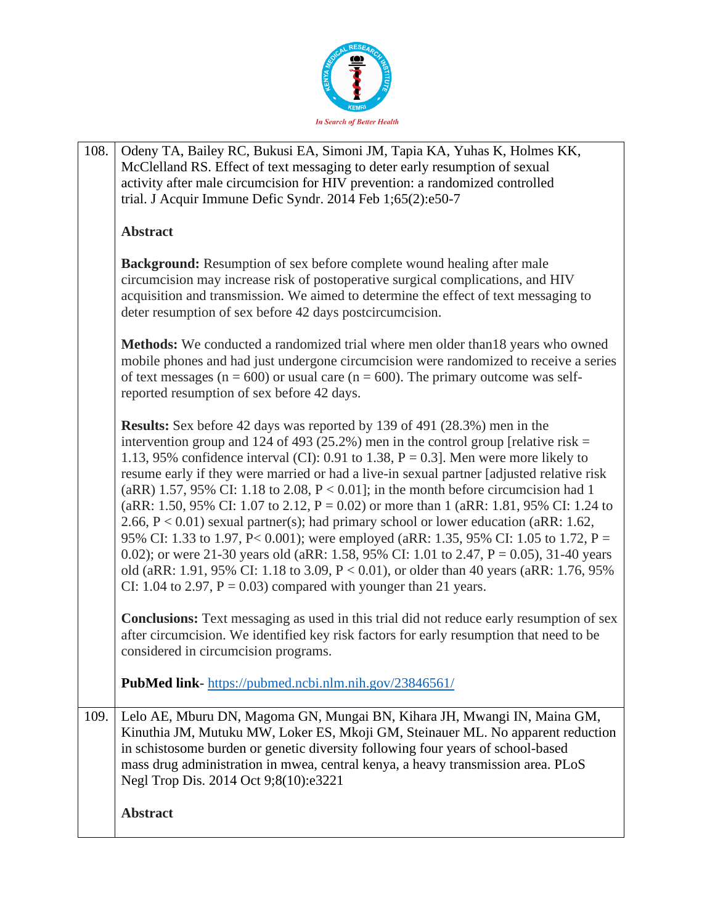

| 108. | Odeny TA, Bailey RC, Bukusi EA, Simoni JM, Tapia KA, Yuhas K, Holmes KK,<br>McClelland RS. Effect of text messaging to deter early resumption of sexual<br>activity after male circumcision for HIV prevention: a randomized controlled                                                                                                                                                                                                                                                                                                                                                                                                                                                                                                                                                                                                                                                                                                                                                                      |
|------|--------------------------------------------------------------------------------------------------------------------------------------------------------------------------------------------------------------------------------------------------------------------------------------------------------------------------------------------------------------------------------------------------------------------------------------------------------------------------------------------------------------------------------------------------------------------------------------------------------------------------------------------------------------------------------------------------------------------------------------------------------------------------------------------------------------------------------------------------------------------------------------------------------------------------------------------------------------------------------------------------------------|
|      | trial. J Acquir Immune Defic Syndr. 2014 Feb 1;65(2):e50-7                                                                                                                                                                                                                                                                                                                                                                                                                                                                                                                                                                                                                                                                                                                                                                                                                                                                                                                                                   |
|      | <b>Abstract</b>                                                                                                                                                                                                                                                                                                                                                                                                                                                                                                                                                                                                                                                                                                                                                                                                                                                                                                                                                                                              |
|      | Background: Resumption of sex before complete wound healing after male<br>circumcision may increase risk of postoperative surgical complications, and HIV<br>acquisition and transmission. We aimed to determine the effect of text messaging to<br>deter resumption of sex before 42 days postcircumcision.                                                                                                                                                                                                                                                                                                                                                                                                                                                                                                                                                                                                                                                                                                 |
|      | Methods: We conducted a randomized trial where men older than 18 years who owned<br>mobile phones and had just undergone circumcision were randomized to receive a series<br>of text messages ( $n = 600$ ) or usual care ( $n = 600$ ). The primary outcome was self-<br>reported resumption of sex before 42 days.                                                                                                                                                                                                                                                                                                                                                                                                                                                                                                                                                                                                                                                                                         |
|      | <b>Results:</b> Sex before 42 days was reported by 139 of 491 (28.3%) men in the<br>intervention group and 124 of 493 (25.2%) men in the control group [relative risk =<br>1.13, 95% confidence interval (CI): 0.91 to 1.38, $P = 0.3$ ]. Men were more likely to<br>resume early if they were married or had a live-in sexual partner [adjusted relative risk]<br>(aRR) 1.57, 95% CI: 1.18 to 2.08, $P < 0.01$ ]; in the month before circumcision had 1<br>(aRR: 1.50, 95% CI: 1.07 to 2.12, $P = 0.02$ ) or more than 1 (aRR: 1.81, 95% CI: 1.24 to<br>2.66, $P < 0.01$ ) sexual partner(s); had primary school or lower education (aRR: 1.62,<br>95% CI: 1.33 to 1.97, P< 0.001); were employed (aRR: 1.35, 95% CI: 1.05 to 1.72, P =<br>0.02); or were 21-30 years old (aRR: 1.58, 95% CI: 1.01 to 2.47, $P = 0.05$ ), 31-40 years<br>old (aRR: 1.91, 95% CI: 1.18 to 3.09, $P < 0.01$ ), or older than 40 years (aRR: 1.76, 95%<br>CI: 1.04 to 2.97, $P = 0.03$ ) compared with younger than 21 years. |
|      | <b>Conclusions:</b> Text messaging as used in this trial did not reduce early resumption of sex<br>after circumcision. We identified key risk factors for early resumption that need to be<br>considered in circumcision programs.                                                                                                                                                                                                                                                                                                                                                                                                                                                                                                                                                                                                                                                                                                                                                                           |
|      | PubMed link-https://pubmed.ncbi.nlm.nih.gov/23846561/                                                                                                                                                                                                                                                                                                                                                                                                                                                                                                                                                                                                                                                                                                                                                                                                                                                                                                                                                        |
| 109. | Lelo AE, Mburu DN, Magoma GN, Mungai BN, Kihara JH, Mwangi IN, Maina GM,<br>Kinuthia JM, Mutuku MW, Loker ES, Mkoji GM, Steinauer ML. No apparent reduction<br>in schistosome burden or genetic diversity following four years of school-based<br>mass drug administration in mwea, central kenya, a heavy transmission area. PLoS<br>Negl Trop Dis. 2014 Oct 9;8(10):e3221                                                                                                                                                                                                                                                                                                                                                                                                                                                                                                                                                                                                                                  |
|      | <b>Abstract</b>                                                                                                                                                                                                                                                                                                                                                                                                                                                                                                                                                                                                                                                                                                                                                                                                                                                                                                                                                                                              |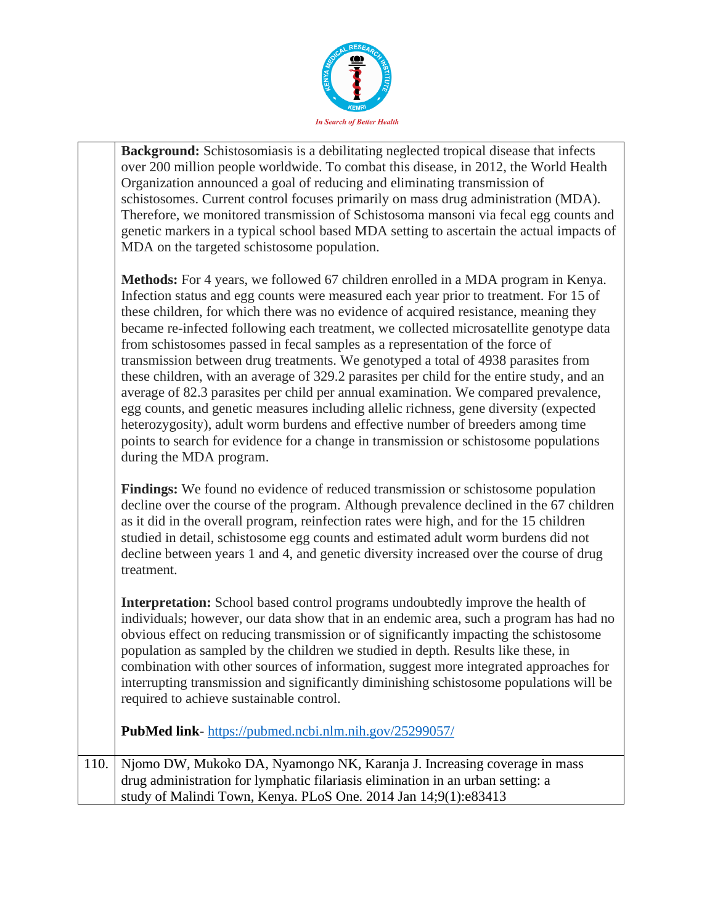

**Background:** Schistosomiasis is a debilitating neglected tropical disease that infects over 200 million people worldwide. To combat this disease, in 2012, the World Health Organization announced a goal of reducing and eliminating transmission of schistosomes. Current control focuses primarily on mass drug administration (MDA). Therefore, we monitored transmission of Schistosoma mansoni via fecal egg counts and genetic markers in a typical school based MDA setting to ascertain the actual impacts of MDA on the targeted schistosome population.

**Methods:** For 4 years, we followed 67 children enrolled in a MDA program in Kenya. Infection status and egg counts were measured each year prior to treatment. For 15 of these children, for which there was no evidence of acquired resistance, meaning they became re-infected following each treatment, we collected microsatellite genotype data from schistosomes passed in fecal samples as a representation of the force of transmission between drug treatments. We genotyped a total of 4938 parasites from these children, with an average of 329.2 parasites per child for the entire study, and an average of 82.3 parasites per child per annual examination. We compared prevalence, egg counts, and genetic measures including allelic richness, gene diversity (expected heterozygosity), adult worm burdens and effective number of breeders among time points to search for evidence for a change in transmission or schistosome populations during the MDA program.

**Findings:** We found no evidence of reduced transmission or schistosome population decline over the course of the program. Although prevalence declined in the 67 children as it did in the overall program, reinfection rates were high, and for the 15 children studied in detail, schistosome egg counts and estimated adult worm burdens did not decline between years 1 and 4, and genetic diversity increased over the course of drug treatment.

**Interpretation:** School based control programs undoubtedly improve the health of individuals; however, our data show that in an endemic area, such a program has had no obvious effect on reducing transmission or of significantly impacting the schistosome population as sampled by the children we studied in depth. Results like these, in combination with other sources of information, suggest more integrated approaches for interrupting transmission and significantly diminishing schistosome populations will be required to achieve sustainable control.

**PubMed link**- <https://pubmed.ncbi.nlm.nih.gov/25299057/>

110. Njomo DW, Mukoko DA, Nyamongo NK, Karanja J. Increasing coverage in mass drug administration for lymphatic filariasis elimination in an urban setting: a study of Malindi Town, Kenya. PLoS One. 2014 Jan 14;9(1):e83413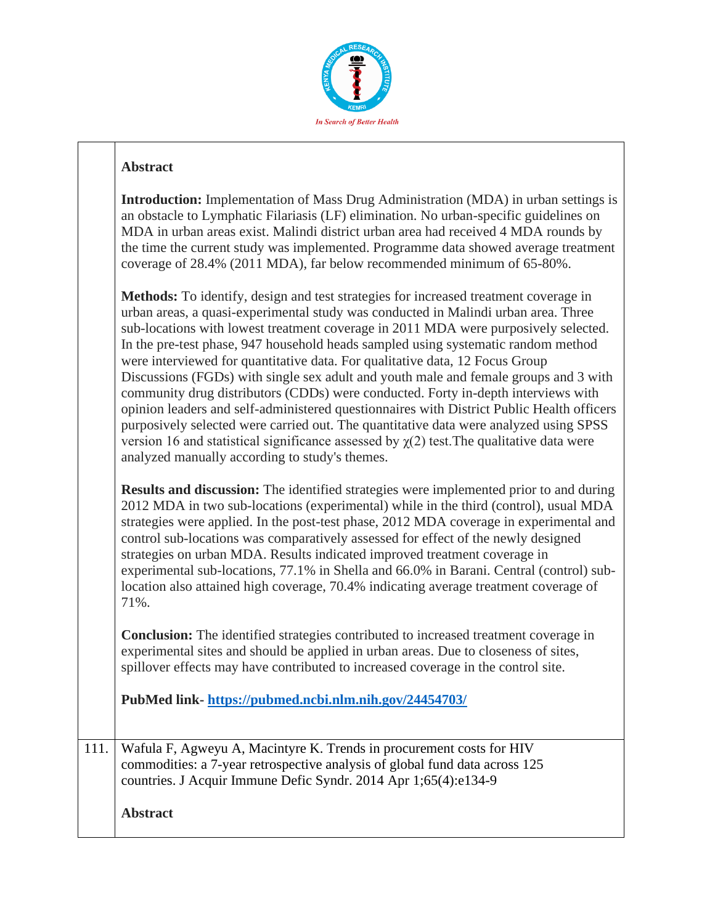

|      | Introduction: Implementation of Mass Drug Administration (MDA) in urban settings is<br>an obstacle to Lymphatic Filariasis (LF) elimination. No urban-specific guidelines on<br>MDA in urban areas exist. Malindi district urban area had received 4 MDA rounds by<br>the time the current study was implemented. Programme data showed average treatment<br>coverage of 28.4% (2011 MDA), far below recommended minimum of 65-80%.                                                                                                                                                                                                                                                                                                                                                                                                                                                                                                                          |
|------|--------------------------------------------------------------------------------------------------------------------------------------------------------------------------------------------------------------------------------------------------------------------------------------------------------------------------------------------------------------------------------------------------------------------------------------------------------------------------------------------------------------------------------------------------------------------------------------------------------------------------------------------------------------------------------------------------------------------------------------------------------------------------------------------------------------------------------------------------------------------------------------------------------------------------------------------------------------|
|      | Methods: To identify, design and test strategies for increased treatment coverage in<br>urban areas, a quasi-experimental study was conducted in Malindi urban area. Three<br>sub-locations with lowest treatment coverage in 2011 MDA were purposively selected.<br>In the pre-test phase, 947 household heads sampled using systematic random method<br>were interviewed for quantitative data. For qualitative data, 12 Focus Group<br>Discussions (FGDs) with single sex adult and youth male and female groups and 3 with<br>community drug distributors (CDDs) were conducted. Forty in-depth interviews with<br>opinion leaders and self-administered questionnaires with District Public Health officers<br>purposively selected were carried out. The quantitative data were analyzed using SPSS<br>version 16 and statistical significance assessed by $\chi(2)$ test. The qualitative data were<br>analyzed manually according to study's themes. |
|      | <b>Results and discussion:</b> The identified strategies were implemented prior to and during<br>2012 MDA in two sub-locations (experimental) while in the third (control), usual MDA<br>strategies were applied. In the post-test phase, 2012 MDA coverage in experimental and<br>control sub-locations was comparatively assessed for effect of the newly designed<br>strategies on urban MDA. Results indicated improved treatment coverage in<br>experimental sub-locations, 77.1% in Shella and 66.0% in Barani. Central (control) sub-<br>location also attained high coverage, 70.4% indicating average treatment coverage of<br>71%.                                                                                                                                                                                                                                                                                                                 |
|      | <b>Conclusion:</b> The identified strategies contributed to increased treatment coverage in<br>experimental sites and should be applied in urban areas. Due to closeness of sites,<br>spillover effects may have contributed to increased coverage in the control site.                                                                                                                                                                                                                                                                                                                                                                                                                                                                                                                                                                                                                                                                                      |
|      | PubMed link-https://pubmed.ncbi.nlm.nih.gov/24454703/                                                                                                                                                                                                                                                                                                                                                                                                                                                                                                                                                                                                                                                                                                                                                                                                                                                                                                        |
| 111. | Wafula F, Agweyu A, Macintyre K. Trends in procurement costs for HIV<br>commodities: a 7-year retrospective analysis of global fund data across 125<br>countries. J Acquir Immune Defic Syndr. 2014 Apr 1;65(4):e134-9                                                                                                                                                                                                                                                                                                                                                                                                                                                                                                                                                                                                                                                                                                                                       |
|      | <b>Abstract</b>                                                                                                                                                                                                                                                                                                                                                                                                                                                                                                                                                                                                                                                                                                                                                                                                                                                                                                                                              |
|      |                                                                                                                                                                                                                                                                                                                                                                                                                                                                                                                                                                                                                                                                                                                                                                                                                                                                                                                                                              |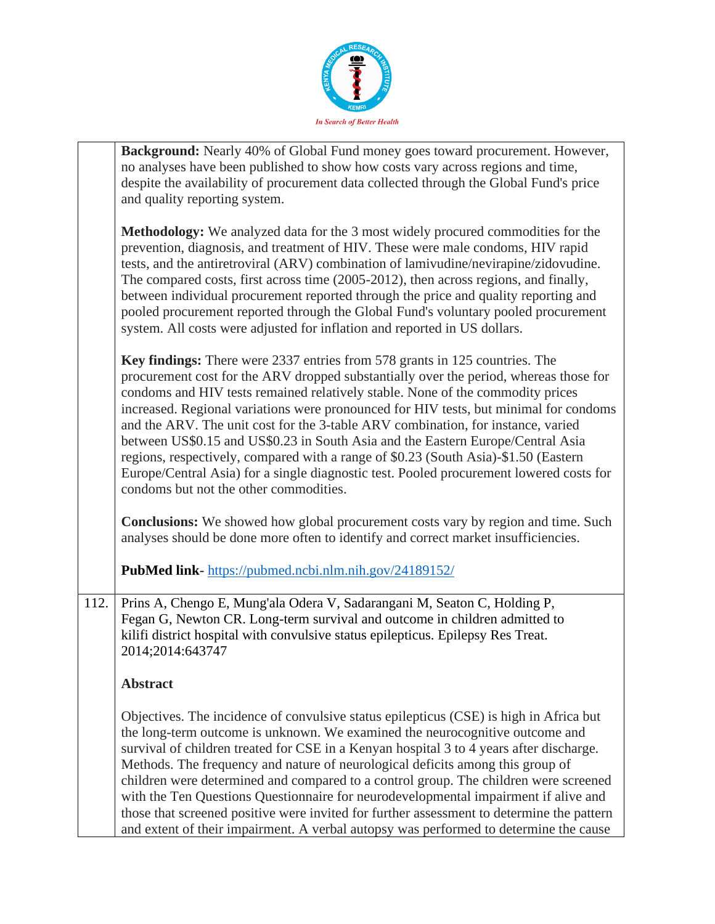

|      | Background: Nearly 40% of Global Fund money goes toward procurement. However,<br>no analyses have been published to show how costs vary across regions and time,<br>despite the availability of procurement data collected through the Global Fund's price<br>and quality reporting system.                                                                                                                                                                                                                                                                                                                                                                                                                                                        |
|------|----------------------------------------------------------------------------------------------------------------------------------------------------------------------------------------------------------------------------------------------------------------------------------------------------------------------------------------------------------------------------------------------------------------------------------------------------------------------------------------------------------------------------------------------------------------------------------------------------------------------------------------------------------------------------------------------------------------------------------------------------|
|      | <b>Methodology:</b> We analyzed data for the 3 most widely procured commodities for the<br>prevention, diagnosis, and treatment of HIV. These were male condoms, HIV rapid<br>tests, and the antiretroviral (ARV) combination of lamivudine/nevirapine/zidovudine.<br>The compared costs, first across time (2005-2012), then across regions, and finally,<br>between individual procurement reported through the price and quality reporting and<br>pooled procurement reported through the Global Fund's voluntary pooled procurement<br>system. All costs were adjusted for inflation and reported in US dollars.                                                                                                                               |
|      | Key findings: There were 2337 entries from 578 grants in 125 countries. The<br>procurement cost for the ARV dropped substantially over the period, whereas those for<br>condoms and HIV tests remained relatively stable. None of the commodity prices<br>increased. Regional variations were pronounced for HIV tests, but minimal for condoms<br>and the ARV. The unit cost for the 3-table ARV combination, for instance, varied<br>between US\$0.15 and US\$0.23 in South Asia and the Eastern Europe/Central Asia<br>regions, respectively, compared with a range of \$0.23 (South Asia)-\$1.50 (Eastern<br>Europe/Central Asia) for a single diagnostic test. Pooled procurement lowered costs for<br>condoms but not the other commodities. |
|      | <b>Conclusions:</b> We showed how global procurement costs vary by region and time. Such<br>analyses should be done more often to identify and correct market insufficiencies.                                                                                                                                                                                                                                                                                                                                                                                                                                                                                                                                                                     |
|      | PubMed link-https://pubmed.ncbi.nlm.nih.gov/24189152/                                                                                                                                                                                                                                                                                                                                                                                                                                                                                                                                                                                                                                                                                              |
| 112. | Prins A, Chengo E, Mung'ala Odera V, Sadarangani M, Seaton C, Holding P,<br>Fegan G, Newton CR. Long-term survival and outcome in children admitted to<br>kilifi district hospital with convulsive status epilepticus. Epilepsy Res Treat.<br>2014;2014:643747                                                                                                                                                                                                                                                                                                                                                                                                                                                                                     |
|      | <b>Abstract</b>                                                                                                                                                                                                                                                                                                                                                                                                                                                                                                                                                                                                                                                                                                                                    |
|      | Objectives. The incidence of convulsive status epilepticus (CSE) is high in Africa but<br>the long-term outcome is unknown. We examined the neurocognitive outcome and<br>survival of children treated for CSE in a Kenyan hospital 3 to 4 years after discharge.<br>Methods. The frequency and nature of neurological deficits among this group of<br>children were determined and compared to a control group. The children were screened<br>with the Ten Questions Questionnaire for neurodevelopmental impairment if alive and<br>those that screened positive were invited for further assessment to determine the pattern<br>and extent of their impairment. A verbal autopsy was performed to determine the cause                           |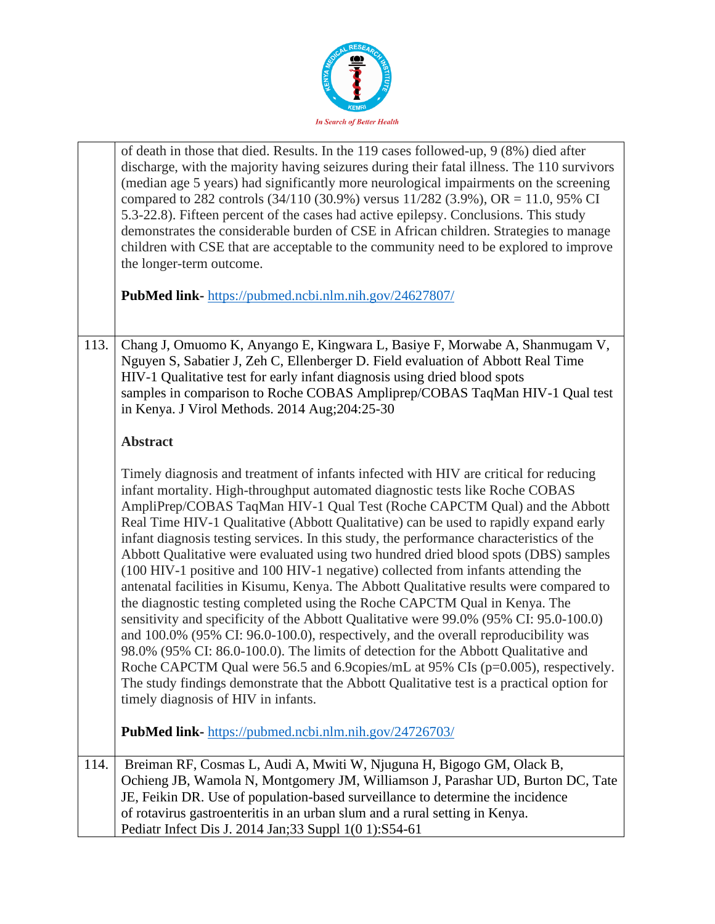

|      | of death in those that died. Results. In the 119 cases followed-up, 9 (8%) died after<br>discharge, with the majority having seizures during their fatal illness. The 110 survivors<br>(median age 5 years) had significantly more neurological impairments on the screening<br>compared to 282 controls (34/110 (30.9%) versus $11/282$ (3.9%), OR = 11.0, 95% CI<br>5.3-22.8). Fifteen percent of the cases had active epilepsy. Conclusions. This study<br>demonstrates the considerable burden of CSE in African children. Strategies to manage<br>children with CSE that are acceptable to the community need to be explored to improve<br>the longer-term outcome.                                                                                                                                                                                                                                                                                                                                                                                                                                                                                                                                                                                                                 |
|------|------------------------------------------------------------------------------------------------------------------------------------------------------------------------------------------------------------------------------------------------------------------------------------------------------------------------------------------------------------------------------------------------------------------------------------------------------------------------------------------------------------------------------------------------------------------------------------------------------------------------------------------------------------------------------------------------------------------------------------------------------------------------------------------------------------------------------------------------------------------------------------------------------------------------------------------------------------------------------------------------------------------------------------------------------------------------------------------------------------------------------------------------------------------------------------------------------------------------------------------------------------------------------------------|
|      | PubMed link-https://pubmed.ncbi.nlm.nih.gov/24627807/                                                                                                                                                                                                                                                                                                                                                                                                                                                                                                                                                                                                                                                                                                                                                                                                                                                                                                                                                                                                                                                                                                                                                                                                                                    |
| 113. | Chang J, Omuomo K, Anyango E, Kingwara L, Basiye F, Morwabe A, Shanmugam V,<br>Nguyen S, Sabatier J, Zeh C, Ellenberger D. Field evaluation of Abbott Real Time<br>HIV-1 Qualitative test for early infant diagnosis using dried blood spots<br>samples in comparison to Roche COBAS Ampliprep/COBAS TaqMan HIV-1 Qual test<br>in Kenya. J Virol Methods. 2014 Aug;204:25-30                                                                                                                                                                                                                                                                                                                                                                                                                                                                                                                                                                                                                                                                                                                                                                                                                                                                                                             |
|      | <b>Abstract</b>                                                                                                                                                                                                                                                                                                                                                                                                                                                                                                                                                                                                                                                                                                                                                                                                                                                                                                                                                                                                                                                                                                                                                                                                                                                                          |
|      | Timely diagnosis and treatment of infants infected with HIV are critical for reducing<br>infant mortality. High-throughput automated diagnostic tests like Roche COBAS<br>AmpliPrep/COBAS TaqMan HIV-1 Qual Test (Roche CAPCTM Qual) and the Abbott<br>Real Time HIV-1 Qualitative (Abbott Qualitative) can be used to rapidly expand early<br>infant diagnosis testing services. In this study, the performance characteristics of the<br>Abbott Qualitative were evaluated using two hundred dried blood spots (DBS) samples<br>(100 HIV-1 positive and 100 HIV-1 negative) collected from infants attending the<br>antenatal facilities in Kisumu, Kenya. The Abbott Qualitative results were compared to<br>the diagnostic testing completed using the Roche CAPCTM Qual in Kenya. The<br>sensitivity and specificity of the Abbott Qualitative were 99.0% (95% CI: 95.0-100.0)<br>and 100.0% (95% CI: 96.0-100.0), respectively, and the overall reproducibility was<br>98.0% (95% CI: 86.0-100.0). The limits of detection for the Abbott Qualitative and<br>Roche CAPCTM Qual were 56.5 and 6.9 copies/mL at 95% CIs (p=0.005), respectively.<br>The study findings demonstrate that the Abbott Qualitative test is a practical option for<br>timely diagnosis of HIV in infants. |
|      | PubMed link-https://pubmed.ncbi.nlm.nih.gov/24726703/                                                                                                                                                                                                                                                                                                                                                                                                                                                                                                                                                                                                                                                                                                                                                                                                                                                                                                                                                                                                                                                                                                                                                                                                                                    |
| 114. | Breiman RF, Cosmas L, Audi A, Mwiti W, Njuguna H, Bigogo GM, Olack B,<br>Ochieng JB, Wamola N, Montgomery JM, Williamson J, Parashar UD, Burton DC, Tate<br>JE, Feikin DR. Use of population-based surveillance to determine the incidence<br>of rotavirus gastroenteritis in an urban slum and a rural setting in Kenya.<br>Pediatr Infect Dis J. 2014 Jan; 33 Suppl 1(0 1): S54-61                                                                                                                                                                                                                                                                                                                                                                                                                                                                                                                                                                                                                                                                                                                                                                                                                                                                                                     |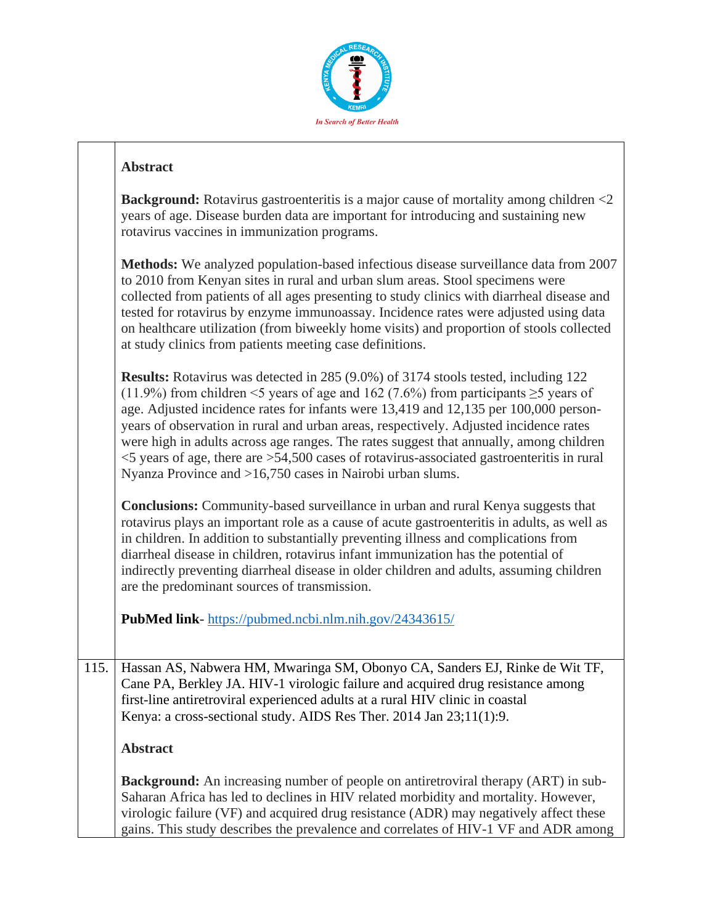

| <b>Background:</b> Rotavirus gastroenteritis is a major cause of mortality among children $\leq 2$ |
|----------------------------------------------------------------------------------------------------|
| years of age. Disease burden data are important for introducing and sustaining new                 |
| rotavirus vaccines in immunization programs.                                                       |

**Methods:** We analyzed population-based infectious disease surveillance data from 2007 to 2010 from Kenyan sites in rural and urban slum areas. Stool specimens were collected from patients of all ages presenting to study clinics with diarrheal disease and tested for rotavirus by enzyme immunoassay. Incidence rates were adjusted using data on healthcare utilization (from biweekly home visits) and proportion of stools collected at study clinics from patients meeting case definitions.

**Results:** Rotavirus was detected in 285 (9.0%) of 3174 stools tested, including 122 (11.9%) from children <5 years of age and 162 (7.6%) from participants  $\geq$ 5 years of age. Adjusted incidence rates for infants were 13,419 and 12,135 per 100,000 personyears of observation in rural and urban areas, respectively. Adjusted incidence rates were high in adults across age ranges. The rates suggest that annually, among children <5 years of age, there are >54,500 cases of rotavirus-associated gastroenteritis in rural Nyanza Province and >16,750 cases in Nairobi urban slums.

**Conclusions:** Community-based surveillance in urban and rural Kenya suggests that rotavirus plays an important role as a cause of acute gastroenteritis in adults, as well as in children. In addition to substantially preventing illness and complications from diarrheal disease in children, rotavirus infant immunization has the potential of indirectly preventing diarrheal disease in older children and adults, assuming children are the predominant sources of transmission.

**PubMed link**- <https://pubmed.ncbi.nlm.nih.gov/24343615/>

115. Hassan AS, Nabwera HM, Mwaringa SM, Obonyo CA, Sanders EJ, Rinke de Wit TF, Cane PA, Berkley JA. HIV-1 virologic failure and acquired drug resistance among first-line antiretroviral experienced adults at a rural HIV clinic in coastal Kenya: a cross-sectional study. AIDS Res Ther. 2014 Jan 23;11(1):9.

#### **Abstract**

**Background:** An increasing number of people on antiretroviral therapy (ART) in sub-Saharan Africa has led to declines in HIV related morbidity and mortality. However, virologic failure (VF) and acquired drug resistance (ADR) may negatively affect these gains. This study describes the prevalence and correlates of HIV-1 VF and ADR among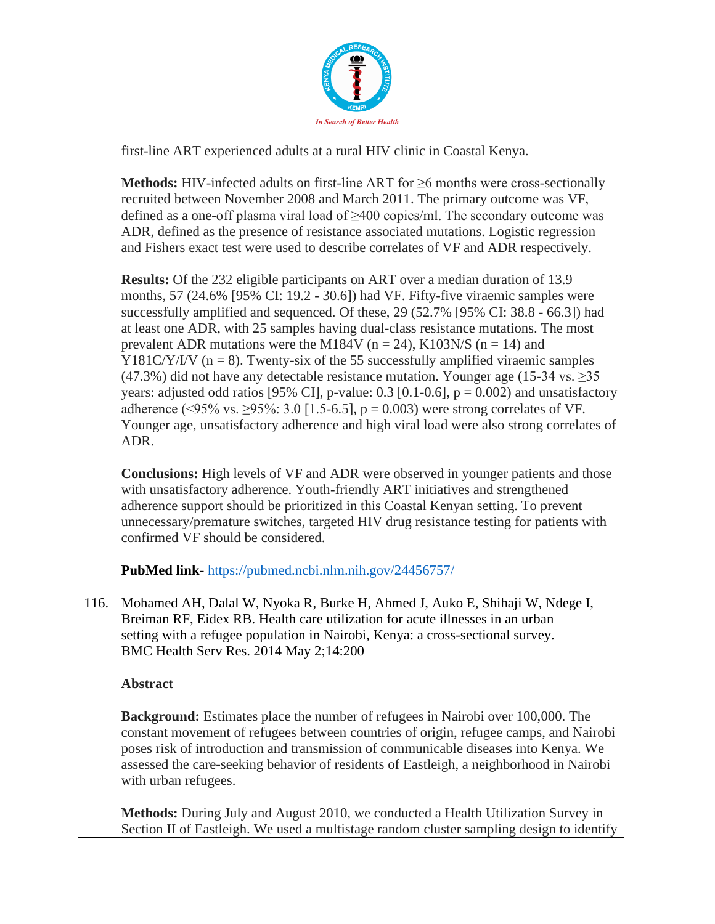

|      | first-line ART experienced adults at a rural HIV clinic in Coastal Kenya.                                                                                                                                                                                                                                                                                                                                                                                                                                                                                                                                                                                                                                                                                                                                                                                                                                                        |
|------|----------------------------------------------------------------------------------------------------------------------------------------------------------------------------------------------------------------------------------------------------------------------------------------------------------------------------------------------------------------------------------------------------------------------------------------------------------------------------------------------------------------------------------------------------------------------------------------------------------------------------------------------------------------------------------------------------------------------------------------------------------------------------------------------------------------------------------------------------------------------------------------------------------------------------------|
|      | <b>Methods:</b> HIV-infected adults on first-line ART for $\geq$ 6 months were cross-sectionally<br>recruited between November 2008 and March 2011. The primary outcome was VF,<br>defined as a one-off plasma viral load of $\geq$ 400 copies/ml. The secondary outcome was<br>ADR, defined as the presence of resistance associated mutations. Logistic regression<br>and Fishers exact test were used to describe correlates of VF and ADR respectively.                                                                                                                                                                                                                                                                                                                                                                                                                                                                      |
|      | <b>Results:</b> Of the 232 eligible participants on ART over a median duration of 13.9<br>months, 57 (24.6% [95% CI: 19.2 - 30.6]) had VF. Fifty-five viraemic samples were<br>successfully amplified and sequenced. Of these, 29 (52.7% [95% CI: 38.8 - 66.3]) had<br>at least one ADR, with 25 samples having dual-class resistance mutations. The most<br>prevalent ADR mutations were the M184V ( $n = 24$ ), K103N/S ( $n = 14$ ) and<br>Y181C/Y/I/V ( $n = 8$ ). Twenty-six of the 55 successfully amplified viraemic samples<br>$(47.3\%)$ did not have any detectable resistance mutation. Younger age (15-34 vs. $\geq$ 35<br>years: adjusted odd ratios [95% CI], p-value: 0.3 [0.1-0.6], $p = 0.002$ ) and unsatisfactory<br>adherence (<95% vs. ≥95%: 3.0 [1.5-6.5], $p = 0.003$ ) were strong correlates of VF.<br>Younger age, unsatisfactory adherence and high viral load were also strong correlates of<br>ADR. |
|      | <b>Conclusions:</b> High levels of VF and ADR were observed in younger patients and those<br>with unsatisfactory adherence. Youth-friendly ART initiatives and strengthened<br>adherence support should be prioritized in this Coastal Kenyan setting. To prevent<br>unnecessary/premature switches, targeted HIV drug resistance testing for patients with<br>confirmed VF should be considered.                                                                                                                                                                                                                                                                                                                                                                                                                                                                                                                                |
|      | <b>PubMed link-</b> https://pubmed.ncbi.nlm.nih.gov/24456757/                                                                                                                                                                                                                                                                                                                                                                                                                                                                                                                                                                                                                                                                                                                                                                                                                                                                    |
| 116. | Mohamed AH, Dalal W, Nyoka R, Burke H, Ahmed J, Auko E, Shihaji W, Ndege I,<br>Breiman RF, Eidex RB. Health care utilization for acute illnesses in an urban<br>setting with a refugee population in Nairobi, Kenya: a cross-sectional survey.<br>BMC Health Serv Res. 2014 May 2;14:200                                                                                                                                                                                                                                                                                                                                                                                                                                                                                                                                                                                                                                         |
|      | <b>Abstract</b>                                                                                                                                                                                                                                                                                                                                                                                                                                                                                                                                                                                                                                                                                                                                                                                                                                                                                                                  |
|      | <b>Background:</b> Estimates place the number of refugees in Nairobi over 100,000. The<br>constant movement of refugees between countries of origin, refugee camps, and Nairobi<br>poses risk of introduction and transmission of communicable diseases into Kenya. We<br>assessed the care-seeking behavior of residents of Eastleigh, a neighborhood in Nairobi<br>with urban refugees.                                                                                                                                                                                                                                                                                                                                                                                                                                                                                                                                        |
|      | Methods: During July and August 2010, we conducted a Health Utilization Survey in<br>Section II of Eastleigh. We used a multistage random cluster sampling design to identify                                                                                                                                                                                                                                                                                                                                                                                                                                                                                                                                                                                                                                                                                                                                                    |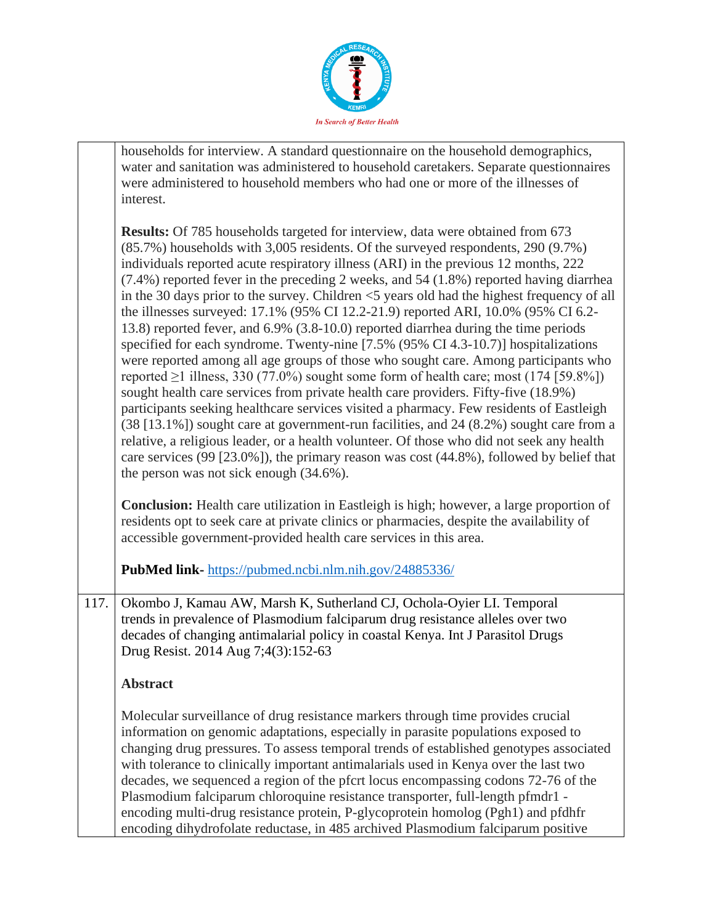

| households for interview. A standard questionnaire on the household demographics,      |
|----------------------------------------------------------------------------------------|
| water and sanitation was administered to household caretakers. Separate questionnaires |
| were administered to household members who had one or more of the illnesses of         |
| interest.                                                                              |
|                                                                                        |

**Results:** Of 785 households targeted for interview, data were obtained from 673 (85.7%) households with 3,005 residents. Of the surveyed respondents, 290 (9.7%) individuals reported acute respiratory illness (ARI) in the previous 12 months, 222 (7.4%) reported fever in the preceding 2 weeks, and 54 (1.8%) reported having diarrhea in the 30 days prior to the survey. Children <5 years old had the highest frequency of all the illnesses surveyed: 17.1% (95% CI 12.2-21.9) reported ARI, 10.0% (95% CI 6.2- 13.8) reported fever, and 6.9% (3.8-10.0) reported diarrhea during the time periods specified for each syndrome. Twenty-nine [7.5% (95% CI 4.3-10.7)] hospitalizations were reported among all age groups of those who sought care. Among participants who reported  $\geq$ 1 illness, 330 (77.0%) sought some form of health care; most (174 [59.8%]) sought health care services from private health care providers. Fifty-five (18.9%) participants seeking healthcare services visited a pharmacy. Few residents of Eastleigh (38 [13.1%]) sought care at government-run facilities, and 24 (8.2%) sought care from a relative, a religious leader, or a health volunteer. Of those who did not seek any health care services (99 [23.0%]), the primary reason was cost (44.8%), followed by belief that the person was not sick enough (34.6%).

**Conclusion:** Health care utilization in Eastleigh is high; however, a large proportion of residents opt to seek care at private clinics or pharmacies, despite the availability of accessible government-provided health care services in this area.

**PubMed link-** <https://pubmed.ncbi.nlm.nih.gov/24885336/>

117. Okombo J, Kamau AW, Marsh K, Sutherland CJ, Ochola-Oyier LI. Temporal trends in prevalence of Plasmodium falciparum drug resistance alleles over two decades of changing antimalarial policy in coastal Kenya. Int J Parasitol Drugs Drug Resist. 2014 Aug 7;4(3):152-63

#### **Abstract**

Molecular surveillance of drug resistance markers through time provides crucial information on genomic adaptations, especially in parasite populations exposed to changing drug pressures. To assess temporal trends of established genotypes associated with tolerance to clinically important antimalarials used in Kenya over the last two decades, we sequenced a region of the pfcrt locus encompassing codons 72-76 of the Plasmodium falciparum chloroquine resistance transporter, full-length pfmdr1 encoding multi-drug resistance protein, P-glycoprotein homolog (Pgh1) and pfdhfr encoding dihydrofolate reductase, in 485 archived Plasmodium falciparum positive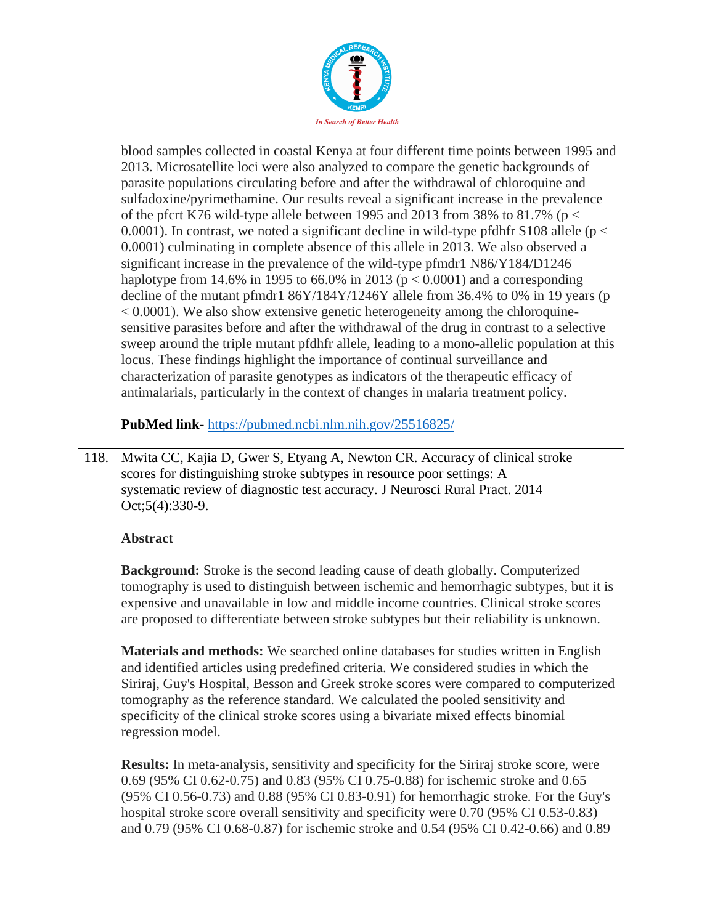

|      | blood samples collected in coastal Kenya at four different time points between 1995 and<br>2013. Microsatellite loci were also analyzed to compare the genetic backgrounds of<br>parasite populations circulating before and after the withdrawal of chloroquine and<br>sulfadoxine/pyrimethamine. Our results reveal a significant increase in the prevalence<br>of the pfcrt K76 wild-type allele between 1995 and 2013 from 38% to 81.7% ( $p <$<br>0.0001). In contrast, we noted a significant decline in wild-type pfdhfr S108 allele ( $p <$<br>0.0001) culminating in complete absence of this allele in 2013. We also observed a<br>significant increase in the prevalence of the wild-type pfmdr1 N86/Y184/D1246<br>haplotype from 14.6% in 1995 to 66.0% in 2013 ( $p < 0.0001$ ) and a corresponding<br>decline of the mutant pfmdr1 86Y/184Y/1246Y allele from 36.4% to 0% in 19 years (p<br>$< 0.0001$ ). We also show extensive genetic heterogeneity among the chloroquine-<br>sensitive parasites before and after the withdrawal of the drug in contrast to a selective<br>sweep around the triple mutant pfdhfr allele, leading to a mono-allelic population at this<br>locus. These findings highlight the importance of continual surveillance and<br>characterization of parasite genotypes as indicators of the therapeutic efficacy of<br>antimalarials, particularly in the context of changes in malaria treatment policy. |
|------|------------------------------------------------------------------------------------------------------------------------------------------------------------------------------------------------------------------------------------------------------------------------------------------------------------------------------------------------------------------------------------------------------------------------------------------------------------------------------------------------------------------------------------------------------------------------------------------------------------------------------------------------------------------------------------------------------------------------------------------------------------------------------------------------------------------------------------------------------------------------------------------------------------------------------------------------------------------------------------------------------------------------------------------------------------------------------------------------------------------------------------------------------------------------------------------------------------------------------------------------------------------------------------------------------------------------------------------------------------------------------------------------------------------------------------------------------|
|      | PubMed link-https://pubmed.ncbi.nlm.nih.gov/25516825/                                                                                                                                                                                                                                                                                                                                                                                                                                                                                                                                                                                                                                                                                                                                                                                                                                                                                                                                                                                                                                                                                                                                                                                                                                                                                                                                                                                                |
| 118. | Mwita CC, Kajia D, Gwer S, Etyang A, Newton CR. Accuracy of clinical stroke<br>scores for distinguishing stroke subtypes in resource poor settings: A<br>systematic review of diagnostic test accuracy. J Neurosci Rural Pract. 2014<br>Oct;5(4):330-9.                                                                                                                                                                                                                                                                                                                                                                                                                                                                                                                                                                                                                                                                                                                                                                                                                                                                                                                                                                                                                                                                                                                                                                                              |
|      | <b>Abstract</b>                                                                                                                                                                                                                                                                                                                                                                                                                                                                                                                                                                                                                                                                                                                                                                                                                                                                                                                                                                                                                                                                                                                                                                                                                                                                                                                                                                                                                                      |
|      | <b>Background:</b> Stroke is the second leading cause of death globally. Computerized<br>tomography is used to distinguish between ischemic and hemorrhagic subtypes, but it is<br>expensive and unavailable in low and middle income countries. Clinical stroke scores<br>are proposed to differentiate between stroke subtypes but their reliability is unknown.                                                                                                                                                                                                                                                                                                                                                                                                                                                                                                                                                                                                                                                                                                                                                                                                                                                                                                                                                                                                                                                                                   |
|      | Materials and methods: We searched online databases for studies written in English<br>and identified articles using predefined criteria. We considered studies in which the<br>Siriraj, Guy's Hospital, Besson and Greek stroke scores were compared to computerized<br>tomography as the reference standard. We calculated the pooled sensitivity and<br>specificity of the clinical stroke scores using a bivariate mixed effects binomial<br>regression model.                                                                                                                                                                                                                                                                                                                                                                                                                                                                                                                                                                                                                                                                                                                                                                                                                                                                                                                                                                                    |
|      | <b>Results:</b> In meta-analysis, sensitivity and specificity for the Siriraj stroke score, were<br>0.69 (95% CI 0.62-0.75) and 0.83 (95% CI 0.75-0.88) for ischemic stroke and 0.65<br>(95% CI 0.56-0.73) and 0.88 (95% CI 0.83-0.91) for hemorrhagic stroke. For the Guy's<br>hospital stroke score overall sensitivity and specificity were 0.70 (95% CI 0.53-0.83)<br>and 0.79 (95% CI 0.68-0.87) for ischemic stroke and 0.54 (95% CI 0.42-0.66) and 0.89                                                                                                                                                                                                                                                                                                                                                                                                                                                                                                                                                                                                                                                                                                                                                                                                                                                                                                                                                                                       |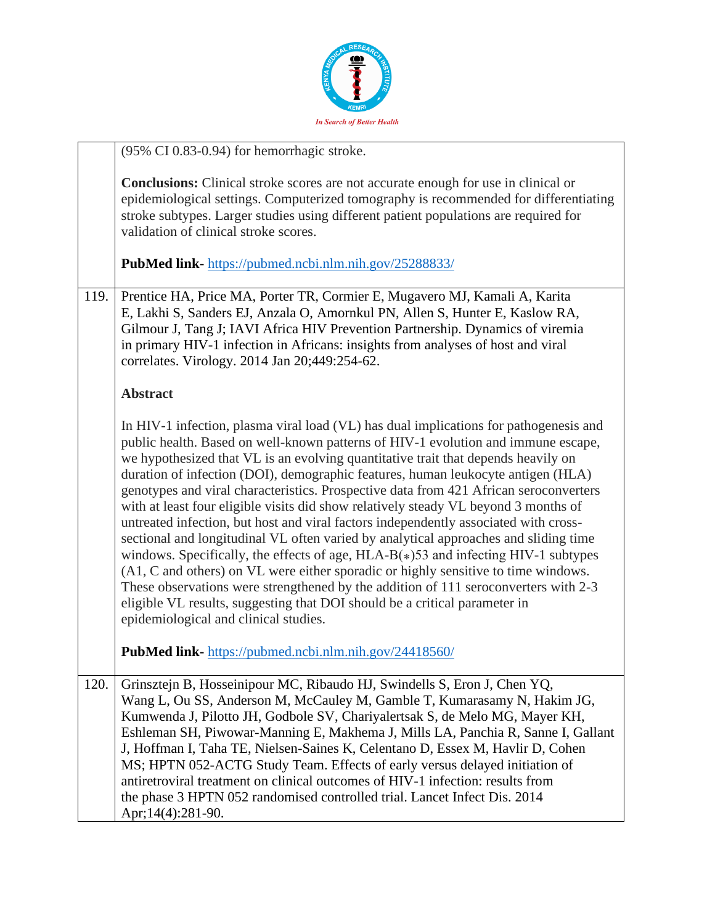

|      | (95% CI 0.83-0.94) for hemorrhagic stroke.                                                                                                                                                                                                                                                                                                                                                                                                                                                                                                                                                                                                                                                                                                                                                                                                                                                                                                                                                                                                                                                                    |
|------|---------------------------------------------------------------------------------------------------------------------------------------------------------------------------------------------------------------------------------------------------------------------------------------------------------------------------------------------------------------------------------------------------------------------------------------------------------------------------------------------------------------------------------------------------------------------------------------------------------------------------------------------------------------------------------------------------------------------------------------------------------------------------------------------------------------------------------------------------------------------------------------------------------------------------------------------------------------------------------------------------------------------------------------------------------------------------------------------------------------|
|      | <b>Conclusions:</b> Clinical stroke scores are not accurate enough for use in clinical or<br>epidemiological settings. Computerized tomography is recommended for differentiating<br>stroke subtypes. Larger studies using different patient populations are required for<br>validation of clinical stroke scores.                                                                                                                                                                                                                                                                                                                                                                                                                                                                                                                                                                                                                                                                                                                                                                                            |
|      | <b>PubMed link-</b> https://pubmed.ncbi.nlm.nih.gov/25288833/                                                                                                                                                                                                                                                                                                                                                                                                                                                                                                                                                                                                                                                                                                                                                                                                                                                                                                                                                                                                                                                 |
| 119. | Prentice HA, Price MA, Porter TR, Cormier E, Mugavero MJ, Kamali A, Karita<br>E, Lakhi S, Sanders EJ, Anzala O, Amornkul PN, Allen S, Hunter E, Kaslow RA,<br>Gilmour J, Tang J; IAVI Africa HIV Prevention Partnership. Dynamics of viremia<br>in primary HIV-1 infection in Africans: insights from analyses of host and viral<br>correlates. Virology. 2014 Jan 20;449:254-62.                                                                                                                                                                                                                                                                                                                                                                                                                                                                                                                                                                                                                                                                                                                             |
|      | <b>Abstract</b>                                                                                                                                                                                                                                                                                                                                                                                                                                                                                                                                                                                                                                                                                                                                                                                                                                                                                                                                                                                                                                                                                               |
|      | In HIV-1 infection, plasma viral load (VL) has dual implications for pathogenesis and<br>public health. Based on well-known patterns of HIV-1 evolution and immune escape,<br>we hypothesized that VL is an evolving quantitative trait that depends heavily on<br>duration of infection (DOI), demographic features, human leukocyte antigen (HLA)<br>genotypes and viral characteristics. Prospective data from 421 African seroconverters<br>with at least four eligible visits did show relatively steady VL beyond 3 months of<br>untreated infection, but host and viral factors independently associated with cross-<br>sectional and longitudinal VL often varied by analytical approaches and sliding time<br>windows. Specifically, the effects of age, HLA-B(*)53 and infecting HIV-1 subtypes<br>(A1, C and others) on VL were either sporadic or highly sensitive to time windows.<br>These observations were strengthened by the addition of 111 seroconverters with 2-3<br>eligible VL results, suggesting that DOI should be a critical parameter in<br>epidemiological and clinical studies. |
|      | PubMed link-https://pubmed.ncbi.nlm.nih.gov/24418560/                                                                                                                                                                                                                                                                                                                                                                                                                                                                                                                                                                                                                                                                                                                                                                                                                                                                                                                                                                                                                                                         |
| 120. | Grinsztejn B, Hosseinipour MC, Ribaudo HJ, Swindells S, Eron J, Chen YQ,<br>Wang L, Ou SS, Anderson M, McCauley M, Gamble T, Kumarasamy N, Hakim JG,<br>Kumwenda J, Pilotto JH, Godbole SV, Chariyalertsak S, de Melo MG, Mayer KH,<br>Eshleman SH, Piwowar-Manning E, Makhema J, Mills LA, Panchia R, Sanne I, Gallant<br>J, Hoffman I, Taha TE, Nielsen-Saines K, Celentano D, Essex M, Havlir D, Cohen<br>MS; HPTN 052-ACTG Study Team. Effects of early versus delayed initiation of<br>antiretroviral treatment on clinical outcomes of HIV-1 infection: results from<br>the phase 3 HPTN 052 randomised controlled trial. Lancet Infect Dis. 2014<br>Apr; 14(4): 281-90.                                                                                                                                                                                                                                                                                                                                                                                                                                |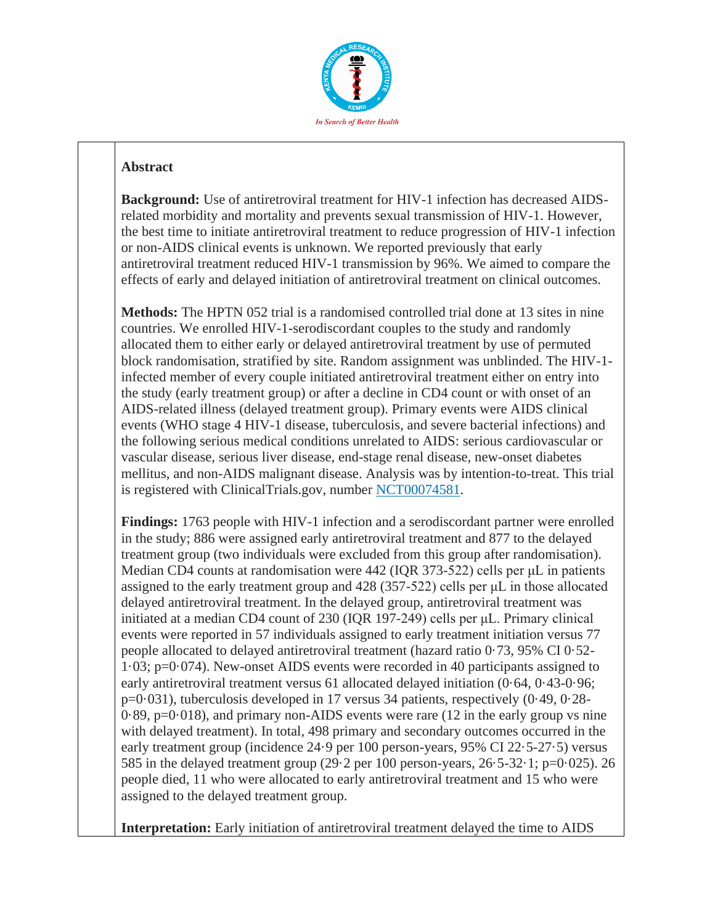

**Background:** Use of antiretroviral treatment for HIV-1 infection has decreased AIDSrelated morbidity and mortality and prevents sexual transmission of HIV-1. However, the best time to initiate antiretroviral treatment to reduce progression of HIV-1 infection or non-AIDS clinical events is unknown. We reported previously that early antiretroviral treatment reduced HIV-1 transmission by 96%. We aimed to compare the effects of early and delayed initiation of antiretroviral treatment on clinical outcomes.

**Methods:** The HPTN 052 trial is a randomised controlled trial done at 13 sites in nine countries. We enrolled HIV-1-serodiscordant couples to the study and randomly allocated them to either early or delayed antiretroviral treatment by use of permuted block randomisation, stratified by site. Random assignment was unblinded. The HIV-1 infected member of every couple initiated antiretroviral treatment either on entry into the study (early treatment group) or after a decline in CD4 count or with onset of an AIDS-related illness (delayed treatment group). Primary events were AIDS clinical events (WHO stage 4 HIV-1 disease, tuberculosis, and severe bacterial infections) and the following serious medical conditions unrelated to AIDS: serious cardiovascular or vascular disease, serious liver disease, end-stage renal disease, new-onset diabetes mellitus, and non-AIDS malignant disease. Analysis was by intention-to-treat. This trial is registered with ClinicalTrials.gov, number [NCT00074581.](http://clinicaltrials.gov/show/NCT00074581)

**Findings:** 1763 people with HIV-1 infection and a serodiscordant partner were enrolled in the study; 886 were assigned early antiretroviral treatment and 877 to the delayed treatment group (two individuals were excluded from this group after randomisation). Median CD4 counts at randomisation were 442 (IQR 373-522) cells per μL in patients assigned to the early treatment group and 428 (357-522) cells per μL in those allocated delayed antiretroviral treatment. In the delayed group, antiretroviral treatment was initiated at a median CD4 count of 230 (IQR 197-249) cells per μL. Primary clinical events were reported in 57 individuals assigned to early treatment initiation versus 77 people allocated to delayed antiretroviral treatment (hazard ratio 0·73, 95% CI 0·52- 1·03; p=0·074). New-onset AIDS events were recorded in 40 participants assigned to early antiretroviral treatment versus 61 allocated delayed initiation (0·64, 0·43-0·96; p=0·031), tuberculosis developed in 17 versus 34 patients, respectively (0·49, 0·28- 0·89, p=0·018), and primary non-AIDS events were rare (12 in the early group vs nine with delayed treatment). In total, 498 primary and secondary outcomes occurred in the early treatment group (incidence 24·9 per 100 person-years, 95% CI 22·5-27·5) versus 585 in the delayed treatment group (29·2 per 100 person-years, 26·5-32·1; p=0·025). 26 people died, 11 who were allocated to early antiretroviral treatment and 15 who were assigned to the delayed treatment group.

**Interpretation:** Early initiation of antiretroviral treatment delayed the time to AIDS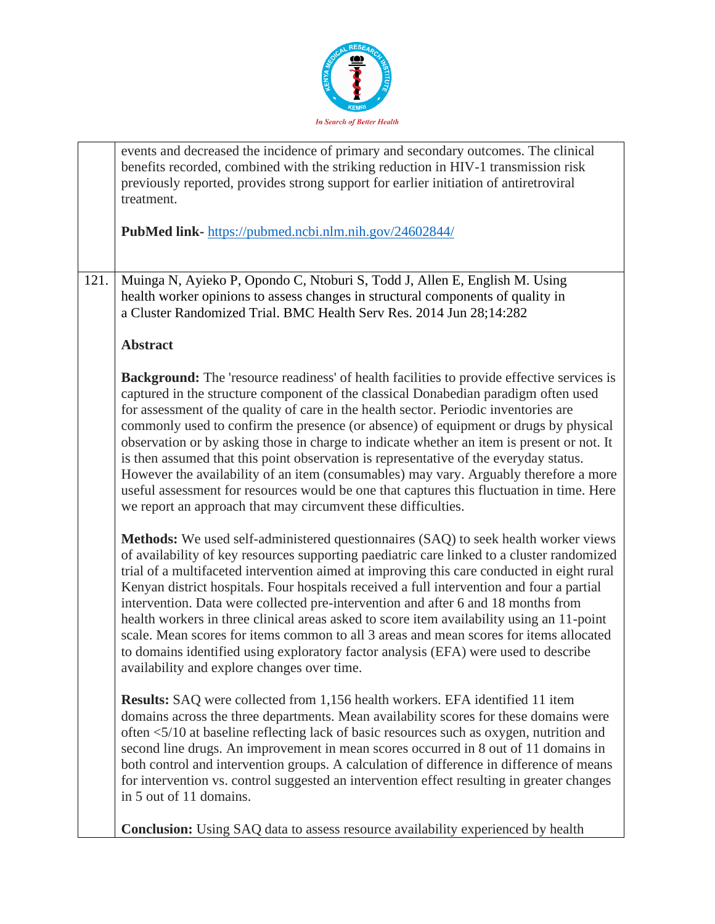

|      | events and decreased the incidence of primary and secondary outcomes. The clinical<br>benefits recorded, combined with the striking reduction in HIV-1 transmission risk<br>previously reported, provides strong support for earlier initiation of antiretroviral<br>treatment.                                                                                                                                                                                                                                                                                                                                                                                                                                                                                                                                        |
|------|------------------------------------------------------------------------------------------------------------------------------------------------------------------------------------------------------------------------------------------------------------------------------------------------------------------------------------------------------------------------------------------------------------------------------------------------------------------------------------------------------------------------------------------------------------------------------------------------------------------------------------------------------------------------------------------------------------------------------------------------------------------------------------------------------------------------|
|      | PubMed link-https://pubmed.ncbi.nlm.nih.gov/24602844/                                                                                                                                                                                                                                                                                                                                                                                                                                                                                                                                                                                                                                                                                                                                                                  |
| 121. | Muinga N, Ayieko P, Opondo C, Ntoburi S, Todd J, Allen E, English M. Using<br>health worker opinions to assess changes in structural components of quality in<br>a Cluster Randomized Trial. BMC Health Serv Res. 2014 Jun 28;14:282                                                                                                                                                                                                                                                                                                                                                                                                                                                                                                                                                                                   |
|      | <b>Abstract</b>                                                                                                                                                                                                                                                                                                                                                                                                                                                                                                                                                                                                                                                                                                                                                                                                        |
|      | <b>Background:</b> The 'resource readiness' of health facilities to provide effective services is<br>captured in the structure component of the classical Donabedian paradigm often used<br>for assessment of the quality of care in the health sector. Periodic inventories are<br>commonly used to confirm the presence (or absence) of equipment or drugs by physical<br>observation or by asking those in charge to indicate whether an item is present or not. It<br>is then assumed that this point observation is representative of the everyday status.<br>However the availability of an item (consumables) may vary. Arguably therefore a more<br>useful assessment for resources would be one that captures this fluctuation in time. Here<br>we report an approach that may circumvent these difficulties. |
|      | Methods: We used self-administered questionnaires (SAQ) to seek health worker views<br>of availability of key resources supporting paediatric care linked to a cluster randomized<br>trial of a multifaceted intervention aimed at improving this care conducted in eight rural<br>Kenyan district hospitals. Four hospitals received a full intervention and four a partial<br>intervention. Data were collected pre-intervention and after 6 and 18 months from<br>health workers in three clinical areas asked to score item availability using an 11-point<br>scale. Mean scores for items common to all 3 areas and mean scores for items allocated<br>to domains identified using exploratory factor analysis (EFA) were used to describe<br>availability and explore changes over time.                         |
|      | <b>Results:</b> SAQ were collected from 1,156 health workers. EFA identified 11 item<br>domains across the three departments. Mean availability scores for these domains were<br>often <5/10 at baseline reflecting lack of basic resources such as oxygen, nutrition and<br>second line drugs. An improvement in mean scores occurred in 8 out of 11 domains in<br>both control and intervention groups. A calculation of difference in difference of means<br>for intervention vs. control suggested an intervention effect resulting in greater changes<br>in 5 out of 11 domains.                                                                                                                                                                                                                                  |
|      | <b>Conclusion:</b> Using SAQ data to assess resource availability experienced by health                                                                                                                                                                                                                                                                                                                                                                                                                                                                                                                                                                                                                                                                                                                                |